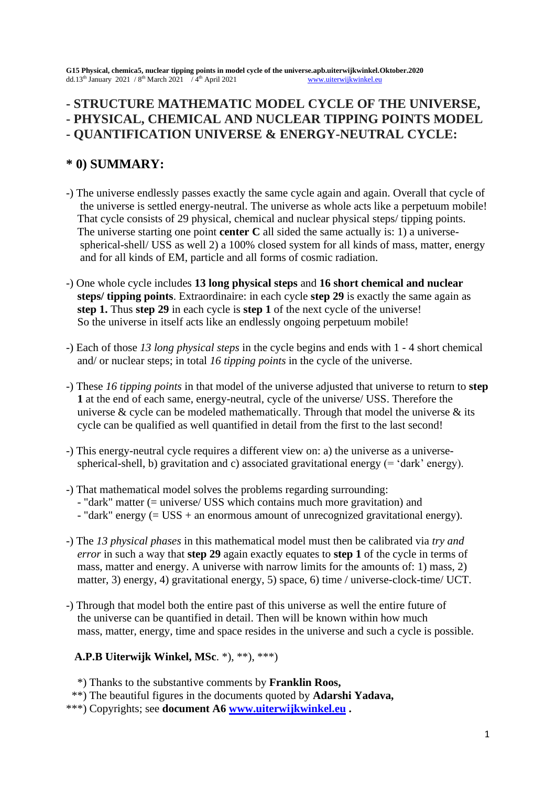**G15 Physical, chemica5, nuclear tipping points in model cycle of the universe.apb.uiterwijkwinkel.Oktober.2020** dd.13<sup>th</sup> January 2021 / 8<sup>th</sup> March 2021 / 4<sup>th</sup> April 2021 [www.uiterwijkwinkel.eu](http://www.uiterwijkwinkel.eu/)

# **- STRUCTURE MATHEMATIC MODEL CYCLE OF THE UNIVERSE, - PHYSICAL, CHEMICAL AND NUCLEAR TIPPING POINTS MODEL - QUANTIFICATION UNIVERSE & ENERGY-NEUTRAL CYCLE:**

# **\* 0) SUMMARY:**

- -) The universe endlessly passes exactly the same cycle again and again. Overall that cycle of the universe is settled energy-neutral. The universe as whole acts like a perpetuum mobile! That cycle consists of 29 physical, chemical and nuclear physical steps/ tipping points. The universe starting one point **center C** all sided the same actually is: 1) a universe spherical-shell/ USS as well 2) a 100% closed system for all kinds of mass, matter, energy and for all kinds of EM, particle and all forms of cosmic radiation.
- -) One whole cycle includes **13 long physical steps** and **16 short chemical and nuclear steps/ tipping points**. Extraordinaire: in each cycle **step 29** is exactly the same again as **step 1.** Thus **step 29** in each cycle is **step 1** of the next cycle of the universe! So the universe in itself acts like an endlessly ongoing perpetuum mobile!
- -) Each of those *13 long physical steps* in the cycle begins and ends with 1 4 short chemical and/ or nuclear steps; in total *16 tipping points* in the cycle of the universe.
- -) These *16 tipping points* in that model of the universe adjusted that universe to return to **step 1** at the end of each same, energy-neutral, cycle of the universe/ USS. Therefore the universe  $\&$  cycle can be modeled mathematically. Through that model the universe  $\&$  its cycle can be qualified as well quantified in detail from the first to the last second!
- -) This energy-neutral cycle requires a different view on: a) the universe as a universe spherical-shell, b) gravitation and c) associated gravitational energy (= 'dark' energy).
- -) That mathematical model solves the problems regarding surrounding:
	- "dark" matter (= universe/ USS which contains much more gravitation) and
	- "dark" energy (= USS + an enormous amount of unrecognized gravitational energy).
- -) The *13 physical phases* in this mathematical model must then be calibrated via *try and error* in such a way that **step 29** again exactly equates to **step 1** of the cycle in terms of mass, matter and energy. A universe with narrow limits for the amounts of: 1) mass, 2) matter, 3) energy, 4) gravitational energy, 5) space, 6) time / universe-clock-time/ UCT.
- -) Through that model both the entire past of this universe as well the entire future of the universe can be quantified in detail. Then will be known within how much mass, matter, energy, time and space resides in the universe and such a cycle is possible.

# **A.P.B Uiterwijk Winkel, MSc**. \*), \*\*), \*\*\*)

\*) Thanks to the substantive comments by **Franklin Roos,**

\*\*) The beautiful figures in the documents quoted by **Adarshi Yadava,**

\*\*\*) Copyrights; see **document A6 [www.uiterwijkwinkel.eu](http://www.uiterwijkwinkel.eu/) .**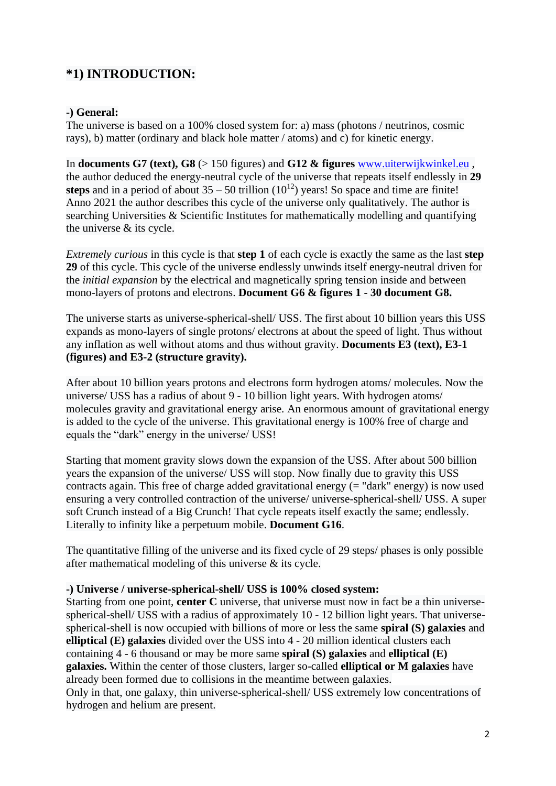# **\*1) INTRODUCTION:**

### **-) General:**

The universe is based on a 100% closed system for: a) mass (photons / neutrinos, cosmic rays), b) matter (ordinary and black hole matter / atoms) and c) for kinetic energy.

In **documents G7 (text), G8** (> 150 figures) and **G12 & figures** [www.uiterwijkwinkel.eu](http://www.uiterwijkwinkel.eu/) , the author deduced the energy-neutral cycle of the universe that repeats itself endlessly in **29 steps** and in a period of about  $35 - 50$  trillion  $(10^{12})$  years! So space and time are finite! Anno 2021 the author describes this cycle of the universe only qualitatively. The author is searching Universities & Scientific Institutes for mathematically modelling and quantifying the universe & its cycle.

*Extremely curious* in this cycle is that **step 1** of each cycle is exactly the same as the last **step 29** of this cycle. This cycle of the universe endlessly unwinds itself energy-neutral driven for the *initial expansion* by the electrical and magnetically spring tension inside and between mono-layers of protons and electrons. **Document G6 & figures 1 - 30 document G8.**

The universe starts as universe-spherical-shell/ USS. The first about 10 billion years this USS expands as mono-layers of single protons/ electrons at about the speed of light. Thus without any inflation as well without atoms and thus without gravity. **Documents E3 (text), E3-1 (figures) and E3-2 (structure gravity).**

After about 10 billion years protons and electrons form hydrogen atoms/ molecules. Now the universe/ USS has a radius of about 9 - 10 billion light years. With hydrogen atoms/ molecules gravity and gravitational energy arise. An enormous amount of gravitational energy is added to the cycle of the universe. This gravitational energy is 100% free of charge and equals the "dark" energy in the universe/ USS!

Starting that moment gravity slows down the expansion of the USS. After about 500 billion years the expansion of the universe/ USS will stop. Now finally due to gravity this USS contracts again. This free of charge added gravitational energy (= "dark" energy) is now used ensuring a very controlled contraction of the universe/ universe-spherical-shell/ USS. A super soft Crunch instead of a Big Crunch! That cycle repeats itself exactly the same; endlessly. Literally to infinity like a perpetuum mobile. **Document G16**.

The quantitative filling of the universe and its fixed cycle of 29 steps/ phases is only possible after mathematical modeling of this universe & its cycle.

#### **-) Universe / universe-spherical-shell/ USS is 100% closed system:**

Starting from one point, **center C** universe, that universe must now in fact be a thin universespherical-shell/ USS with a radius of approximately 10 - 12 billion light years. That universespherical-shell is now occupied with billions of more or less the same **spiral (S) galaxies** and **elliptical (E) galaxies** divided over the USS into 4 - 20 million identical clusters each containing 4 - 6 thousand or may be more same **spiral (S) galaxies** and **elliptical (E) galaxies.** Within the center of those clusters, larger so-called **elliptical or M galaxies** have already been formed due to collisions in the meantime between galaxies. Only in that, one galaxy, thin universe-spherical-shell/ USS extremely low concentrations of hydrogen and helium are present.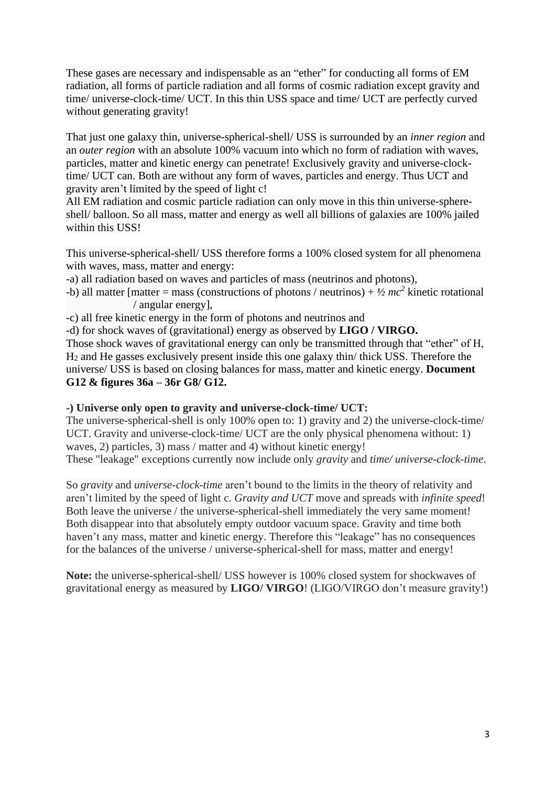These gases are necessary and indispensable as an "ether" for conducting all forms of EM radiation, all forms of particle radiation and all forms of cosmic radiation except gravity and time/ universe-clock-time/ UCT. In this thin USS space and time/ UCT are perfectly curved without generating gravity!

That just one galaxy thin, universe-spherical-shell/ USS is surrounded by an *inner region* and an *outer region* with an absolute 100% vacuum into which no form of radiation with waves, particles, matter and kinetic energy can penetrate! Exclusively gravity and universe-clocktime/ UCT can. Both are without any form of waves, particles and energy. Thus UCT and gravity aren't limited by the speed of light c!

All EM radiation and cosmic particle radiation can only move in this thin universe-sphereshell/ balloon. So all mass, matter and energy as well all billions of galaxies are 100% jailed within this USS!

This universe-spherical-shell/ USS therefore forms a 100% closed system for all phenomena with waves, mass, matter and energy:

- -a) all radiation based on waves and particles of mass (neutrinos and photons),
- -b) all matter [matter = mass (constructions of photons / neutrinos) +  $\frac{1}{2}mc^2$  kinetic rotational / angular energy],
- -c) all free kinetic energy in the form of photons and neutrinos and

-d) for shock waves of (gravitational) energy as observed by **LIGO / VIRGO.**

Those shock waves of gravitational energy can only be transmitted through that "ether" of H, H<sup>2</sup> and He gasses exclusively present inside this one galaxy thin/ thick USS. Therefore the universe/ USS is based on closing balances for mass, matter and kinetic energy. **Document G12 & figures 36a – 36r G8/ G12.**

#### **-) Universe only open to gravity and universe-clock-time/ UCT:**

The universe-spherical-shell is only 100% open to: 1) gravity and 2) the universe-clock-time/ UCT. Gravity and universe-clock-time/ UCT are the only physical phenomena without: 1) waves, 2) particles, 3) mass / matter and 4) without kinetic energy! These "leakage" exceptions currently now include only *gravity* and *time/ universe-clock-time*.

So *gravity* and *universe-clock-time* aren't bound to the limits in the theory of relativity and aren't limited by the speed of light c. *Gravity and UCT* move and spreads with *infinite speed*! Both leave the universe / the universe-spherical-shell immediately the very same moment! Both disappear into that absolutely empty outdoor vacuum space. Gravity and time both haven't any mass, matter and kinetic energy. Therefore this "leakage" has no consequences for the balances of the universe / universe-spherical-shell for mass, matter and energy!

**Note:** the universe-spherical-shell/ USS however is 100% closed system for shockwaves of gravitational energy as measured by **LIGO/ VIRGO**! (LIGO/VIRGO don't measure gravity!)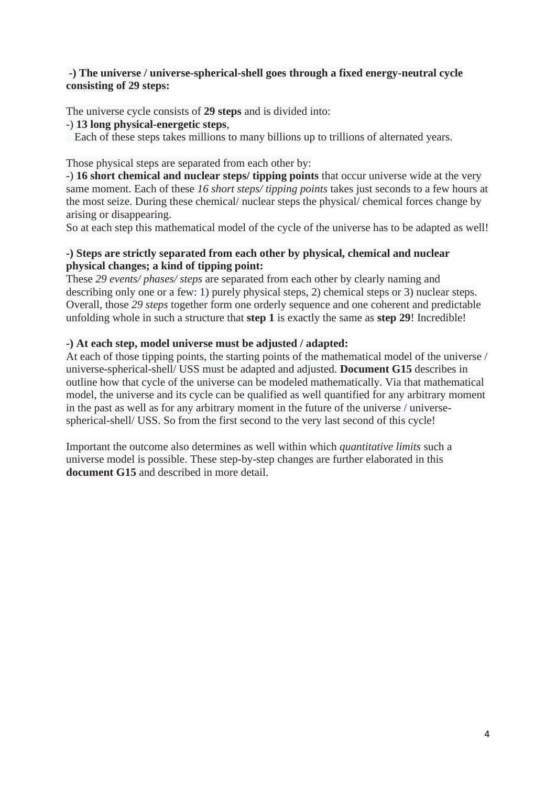### **-) The universe / universe-spherical-shell goes through a fixed energy-neutral cycle consisting of 29 steps:**

The universe cycle consists of **29 steps** and is divided into:

-) **13 long physical-energetic steps**,

Each of these steps takes millions to many billions up to trillions of alternated years.

Those physical steps are separated from each other by:

-) **16 short chemical and nuclear steps/ tipping points** that occur universe wide at the very same moment. Each of these *16 short steps/ tipping points* takes just seconds to a few hours at the most seize. During these chemical/ nuclear steps the physical/ chemical forces change by arising or disappearing.

So at each step this mathematical model of the cycle of the universe has to be adapted as well!

# **-) Steps are strictly separated from each other by physical, chemical and nuclear physical changes; a kind of tipping point:**

These *29 events/ phases/ steps* are separated from each other by clearly naming and describing only one or a few: 1) purely physical steps, 2) chemical steps or 3) nuclear steps. Overall, those *29 steps* together form one orderly sequence and one coherent and predictable unfolding whole in such a structure that **step 1** is exactly the same as **step 29**! Incredible!

# **-) At each step, model universe must be adjusted / adapted:**

At each of those tipping points, the starting points of the mathematical model of the universe / universe-spherical-shell/ USS must be adapted and adjusted. **Document G15** describes in outline how that cycle of the universe can be modeled mathematically. Via that mathematical model, the universe and its cycle can be qualified as well quantified for any arbitrary moment in the past as well as for any arbitrary moment in the future of the universe / universespherical-shell/ USS. So from the first second to the very last second of this cycle!

Important the outcome also determines as well within which *quantitative limits* such a universe model is possible. These step-by-step changes are further elaborated in this **document G15** and described in more detail.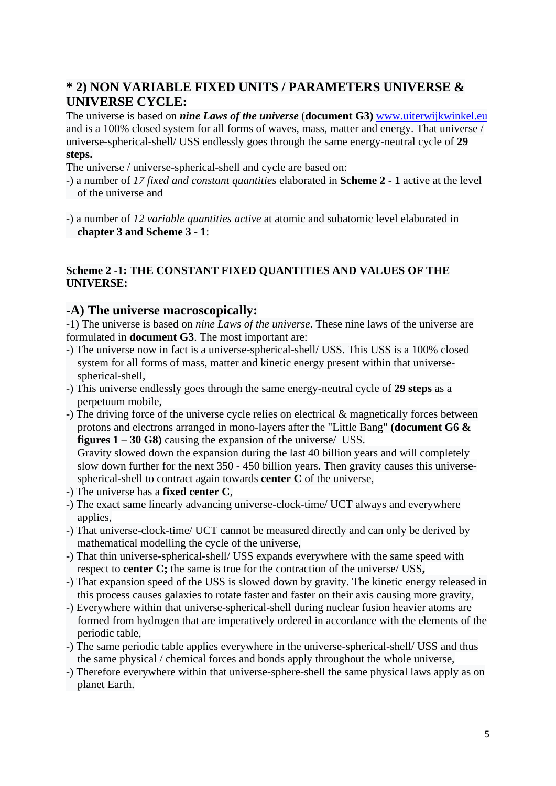# **\* 2) NON VARIABLE FIXED UNITS / PARAMETERS UNIVERSE & UNIVERSE CYCLE:**

The universe is based on *nine Laws of the universe* (**document G3)** [www.uiterwijkwinkel.eu](http://www.uiterwijkwinkel.eu/) and is a 100% closed system for all forms of waves, mass, matter and energy. That universe / universe-spherical-shell/ USS endlessly goes through the same energy-neutral cycle of **29 steps.**

The universe / universe-spherical-shell and cycle are based on:

- -) a number of *17 fixed and constant quantities* elaborated in **Scheme 2 - 1** active at the level of the universe and
- -) a number of *12 variable quantities active* at atomic and subatomic level elaborated in **chapter 3 and Scheme 3 - 1**:

# **Scheme 2 -1: THE CONSTANT FIXED QUANTITIES AND VALUES OF THE UNIVERSE:**

# **-A) The universe macroscopically:**

-1) The universe is based on *nine Laws of the universe*. These nine laws of the universe are formulated in **document G3**. The most important are:

- -) The universe now in fact is a universe-spherical-shell/ USS. This USS is a 100% closed system for all forms of mass, matter and kinetic energy present within that universe spherical-shell,
- -) This universe endlessly goes through the same energy-neutral cycle of **29 steps** as a perpetuum mobile,
- -) The driving force of the universe cycle relies on electrical & magnetically forces between protons and electrons arranged in mono-layers after the "Little Bang" **(document G6 & figures 1 – 30 G8)** causing the expansion of the universe/ USS.

 Gravity slowed down the expansion during the last 40 billion years and will completely slow down further for the next 350 - 450 billion years. Then gravity causes this universe spherical-shell to contract again towards **center C** of the universe,

- -) The universe has a **fixed center C**,
- -) The exact same linearly advancing universe-clock-time/ UCT always and everywhere applies,
- -) That universe-clock-time/ UCT cannot be measured directly and can only be derived by mathematical modelling the cycle of the universe,
- -) That thin universe-spherical-shell/ USS expands everywhere with the same speed with respect to **center C;** the same is true for the contraction of the universe/ USS**,**
- -) That expansion speed of the USS is slowed down by gravity. The kinetic energy released in this process causes galaxies to rotate faster and faster on their axis causing more gravity,
- -) Everywhere within that universe-spherical-shell during nuclear fusion heavier atoms are formed from hydrogen that are imperatively ordered in accordance with the elements of the periodic table,
- -) The same periodic table applies everywhere in the universe-spherical-shell/ USS and thus the same physical / chemical forces and bonds apply throughout the whole universe,
- -) Therefore everywhere within that universe-sphere-shell the same physical laws apply as on planet Earth.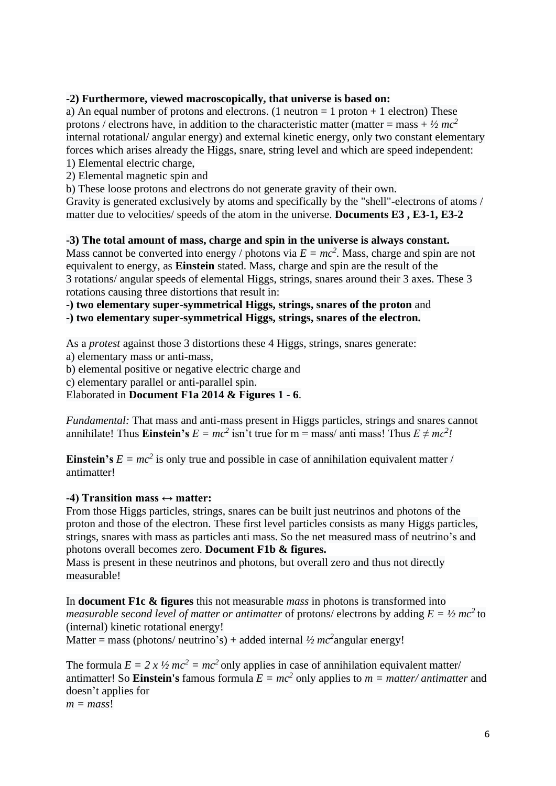### **-2) Furthermore, viewed macroscopically, that universe is based on:**

a) An equal number of protons and electrons. (1 neutron  $= 1$  proton  $+ 1$  electron) These protons / electrons have, in addition to the characteristic matter (matter = mass +  $\frac{1}{2}mc^2$ internal rotational/ angular energy) and external kinetic energy, only two constant elementary forces which arises already the Higgs, snare, string level and which are speed independent: 1) Elemental electric charge,

2) Elemental magnetic spin and

b) These loose protons and electrons do not generate gravity of their own.

Gravity is generated exclusively by atoms and specifically by the "shell"-electrons of atoms / matter due to velocities/ speeds of the atom in the universe. **Documents E3 , E3-1, E3-2**

#### **-3) The total amount of mass, charge and spin in the universe is always constant.**

Mass cannot be converted into energy / photons via  $E = mc^2$ . Mass, charge and spin are not equivalent to energy, as **Einstein** stated. Mass, charge and spin are the result of the 3 rotations/ angular speeds of elemental Higgs, strings, snares around their 3 axes. These 3 rotations causing three distortions that result in:

**-) two elementary super-symmetrical Higgs, strings, snares of the proton** and

**-) two elementary super-symmetrical Higgs, strings, snares of the electron.** 

As a *protest* against those 3 distortions these 4 Higgs, strings, snares generate:

a) elementary mass or anti-mass,

b) elemental positive or negative electric charge and

c) elementary parallel or anti-parallel spin.

Elaborated in **Document F1a 2014 & Figures 1 - 6**.

*Fundamental:* That mass and anti-mass present in Higgs particles, strings and snares cannot annihilate! Thus **Einstein's**  $E = mc^2$  isn't true for m = mass/ anti mass! Thus  $E \neq mc^2$ !

**Einstein's**  $E = mc^2$  is only true and possible in case of annihilation equivalent matter / antimatter!

#### **-4) Transition mass ↔ matter:**

From those Higgs particles, strings, snares can be built just neutrinos and photons of the proton and those of the electron. These first level particles consists as many Higgs particles, strings, snares with mass as particles anti mass. So the net measured mass of neutrino's and photons overall becomes zero. **Document F1b & figures.**

Mass is present in these neutrinos and photons, but overall zero and thus not directly measurable!

In **document F1c & figures** this not measurable *mass* in photons is transformed into *measurable second level of matter or antimatter of protons/ electrons by adding*  $E = \frac{1}{2} mc^2$  *to* (internal) kinetic rotational energy!

Matter = mass (photons/ neutrino's) + added internal  $\frac{1}{2}mc^2$  angular energy!

The formula  $E = 2 x \frac{1}{2} mc^2 = mc^2$  only applies in case of annihilation equivalent matter/ antimatter! So **Einstein's** famous formula  $E = mc^2$  only applies to  $m = matter/antimator$  and doesn't applies for  $m = mass!$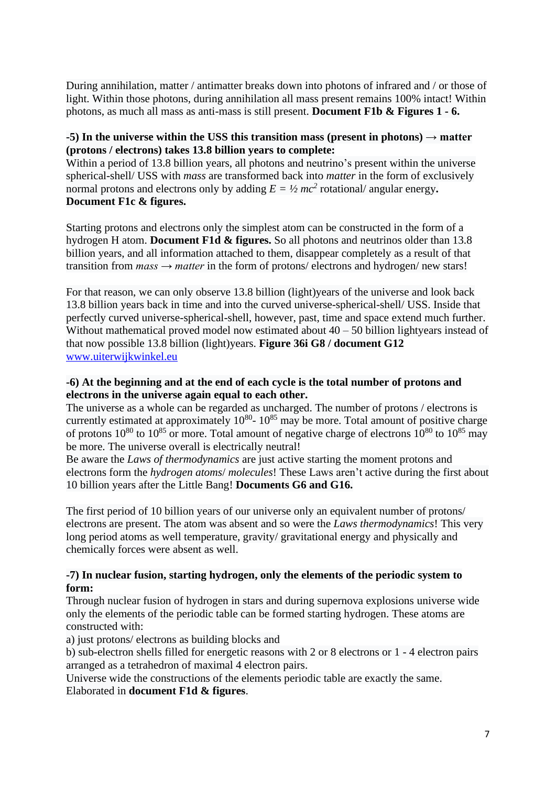During annihilation, matter / antimatter breaks down into photons of infrared and / or those of light. Within those photons, during annihilation all mass present remains 100% intact! Within photons, as much all mass as anti-mass is still present. **Document F1b & Figures 1 - 6.**

#### **-5) In the universe within the USS this transition mass (present in photons) → matter (protons / electrons) takes 13.8 billion years to complete:**

Within a period of 13.8 billion years, all photons and neutrino's present within the universe spherical-shell/ USS with *mass* are transformed back into *matter* in the form of exclusively normal protons and electrons only by adding  $E = \frac{1}{2}mc^2$  rotational/ angular energy. **Document F1c & figures.**

Starting protons and electrons only the simplest atom can be constructed in the form of a hydrogen H atom. **Document F1d & figures.** So all photons and neutrinos older than 13.8 billion years, and all information attached to them, disappear completely as a result of that transition from *mass → matter* in the form of protons/ electrons and hydrogen/ new stars!

For that reason, we can only observe 13.8 billion (light)years of the universe and look back 13.8 billion years back in time and into the curved universe-spherical-shell/ USS. Inside that perfectly curved universe-spherical-shell, however, past, time and space extend much further. Without mathematical proved model now estimated about  $40 - 50$  billion lightyears instead of that now possible 13.8 billion (light)years. **Figure 36i G8 / document G12** [www.uiterwijkwinkel.eu](http://www.uiterwijkwinkel.eu/)

#### **-6) At the beginning and at the end of each cycle is the total number of protons and electrons in the universe again equal to each other.**

The universe as a whole can be regarded as uncharged. The number of protons / electrons is currently estimated at approximately  $10^{80}$ -  $10^{85}$  may be more. Total amount of positive charge of protons  $10^{80}$  to  $10^{85}$  or more. Total amount of negative charge of electrons  $10^{80}$  to  $10^{85}$  may be more. The universe overall is electrically neutral!

Be aware the *Laws of thermodynamics* are just active starting the moment protons and electrons form the *hydrogen atoms*/ *molecules*! These Laws aren't active during the first about 10 billion years after the Little Bang! **Documents G6 and G16.**

The first period of 10 billion years of our universe only an equivalent number of protons/ electrons are present. The atom was absent and so were the *Laws thermodynamics*! This very long period atoms as well temperature, gravity/ gravitational energy and physically and chemically forces were absent as well.

#### **-7) In nuclear fusion, starting hydrogen, only the elements of the periodic system to form:**

Through nuclear fusion of hydrogen in stars and during supernova explosions universe wide only the elements of the periodic table can be formed starting hydrogen. These atoms are constructed with:

a) just protons/ electrons as building blocks and

b) sub-electron shells filled for energetic reasons with 2 or 8 electrons or 1 - 4 electron pairs arranged as a tetrahedron of maximal 4 electron pairs.

Universe wide the constructions of the elements periodic table are exactly the same. Elaborated in **document F1d & figures**.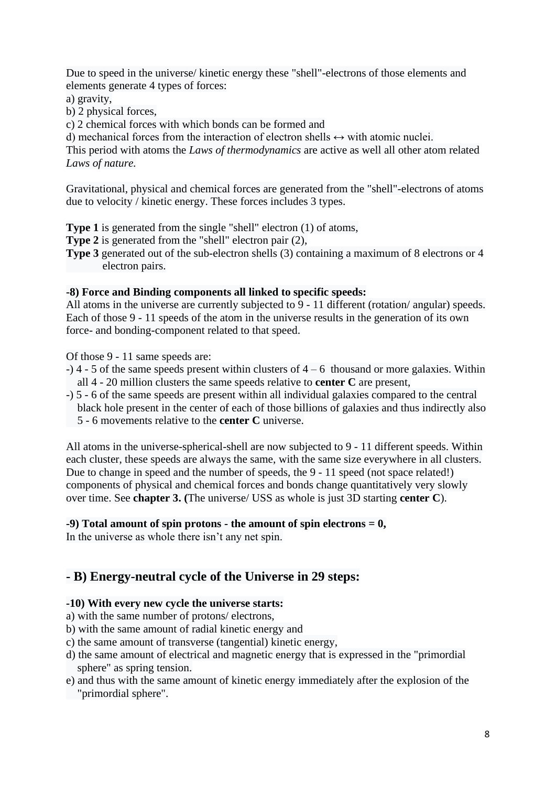Due to speed in the universe/ kinetic energy these "shell"-electrons of those elements and elements generate 4 types of forces:

a) gravity,

b) 2 physical forces,

c) 2 chemical forces with which bonds can be formed and

d) mechanical forces from the interaction of electron shells  $\leftrightarrow$  with atomic nuclei.

This period with atoms the *Laws of thermodynamics* are active as well all other atom related *Laws of nature.*

Gravitational, physical and chemical forces are generated from the "shell"-electrons of atoms due to velocity / kinetic energy. These forces includes 3 types.

**Type 1** is generated from the single "shell" electron (1) of atoms,

**Type 2** is generated from the "shell" electron pair (2),

**Type 3** generated out of the sub-electron shells (3) containing a maximum of 8 electrons or 4 electron pairs.

# **-8) Force and Binding components all linked to specific speeds:**

All atoms in the universe are currently subjected to 9 - 11 different (rotation/ angular) speeds. Each of those 9 - 11 speeds of the atom in the universe results in the generation of its own force- and bonding-component related to that speed.

Of those 9 - 11 same speeds are:

- $-$ ) 4 5 of the same speeds present within clusters of  $4 6$  thousand or more galaxies. Within all 4 - 20 million clusters the same speeds relative to **center C** are present,
- -) 5 6 of the same speeds are present within all individual galaxies compared to the central black hole present in the center of each of those billions of galaxies and thus indirectly also 5 - 6 movements relative to the **center C** universe.

All atoms in the universe-spherical-shell are now subjected to 9 - 11 different speeds. Within each cluster, these speeds are always the same, with the same size everywhere in all clusters. Due to change in speed and the number of speeds, the 9 - 11 speed (not space related!) components of physical and chemical forces and bonds change quantitatively very slowly over time. See **chapter 3. (**The universe/ USS as whole is just 3D starting **center C**).

# **-9) Total amount of spin protons - the amount of spin electrons = 0,**

In the universe as whole there isn't any net spin.

# **- B) Energy-neutral cycle of the Universe in 29 steps:**

# **-10) With every new cycle the universe starts:**

- a) with the same number of protons/ electrons,
- b) with the same amount of radial kinetic energy and
- c) the same amount of transverse (tangential) kinetic energy,
- d) the same amount of electrical and magnetic energy that is expressed in the "primordial sphere" as spring tension.
- e) and thus with the same amount of kinetic energy immediately after the explosion of the "primordial sphere".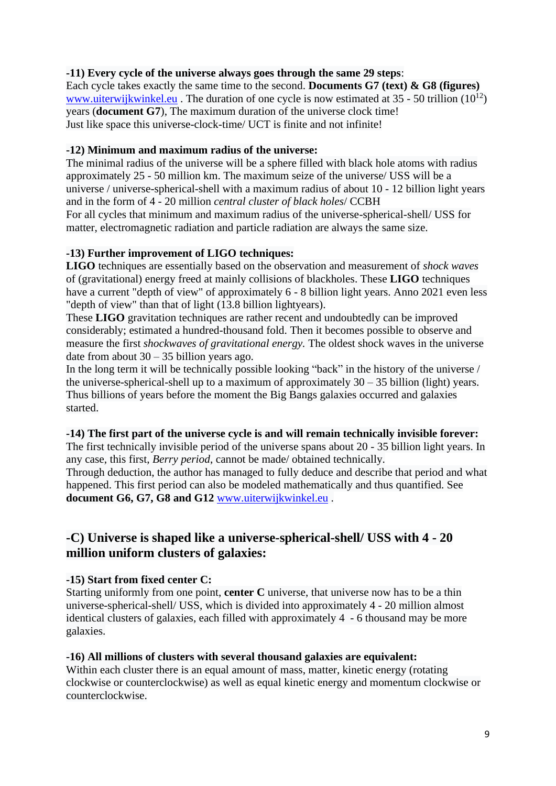# **-11) Every cycle of the universe always goes through the same 29 steps**:

Each cycle takes exactly the same time to the second. **Documents G7 (text) & G8 (figures)** [www.uiterwijkwinkel.eu](http://www.uiterwijkwinkel.eu/). The duration of one cycle is now estimated at  $35 - 50$  trillion  $(10^{12})$ years (**document G7**), The maximum duration of the universe clock time! Just like space this universe-clock-time/ UCT is finite and not infinite!

#### **-12) Minimum and maximum radius of the universe:**

The minimal radius of the universe will be a sphere filled with black hole atoms with radius approximately 25 - 50 million km. The maximum seize of the universe/ USS will be a universe / universe-spherical-shell with a maximum radius of about 10 - 12 billion light years and in the form of 4 - 20 million *central cluster of black holes*/ CCBH For all cycles that minimum and maximum radius of the universe-spherical-shell/ USS for matter, electromagnetic radiation and particle radiation are always the same size.

#### **-13) Further improvement of LIGO techniques:**

**LIGO** techniques are essentially based on the observation and measurement of *shock waves* of (gravitational) energy freed at mainly collisions of blackholes. These **LIGO** techniques have a current "depth of view" of approximately 6 - 8 billion light years. Anno 2021 even less "depth of view" than that of light (13.8 billion lightyears).

These **LIGO** gravitation techniques are rather recent and undoubtedly can be improved considerably; estimated a hundred-thousand fold. Then it becomes possible to observe and measure the first *shockwaves of gravitational energy.* The oldest shock waves in the universe date from about  $30 - 35$  billion years ago.

In the long term it will be technically possible looking "back" in the history of the universe / the universe-spherical-shell up to a maximum of approximately  $30 - 35$  billion (light) years. Thus billions of years before the moment the Big Bangs galaxies occurred and galaxies started.

#### **-14) The first part of the universe cycle is and will remain technically invisible forever:**

The first technically invisible period of the universe spans about 20 - 35 billion light years. In any case, this first, *Berry period*, cannot be made/ obtained technically. Through deduction, the author has managed to fully deduce and describe that period and what

happened. This first period can also be modeled mathematically and thus quantified. See **document G6, G7, G8 and G12** [www.uiterwijkwinkel.eu](http://www.uiterwijkwinkel.eu/) .

# **-C) Universe is shaped like a universe-spherical-shell/ USS with 4 - 20 million uniform clusters of galaxies:**

# **-15) Start from fixed center C:**

Starting uniformly from one point, **center C** universe, that universe now has to be a thin universe-spherical-shell/ USS, which is divided into approximately 4 - 20 million almost identical clusters of galaxies, each filled with approximately 4 - 6 thousand may be more galaxies.

#### **-16) All millions of clusters with several thousand galaxies are equivalent:**

Within each cluster there is an equal amount of mass, matter, kinetic energy (rotating clockwise or counterclockwise) as well as equal kinetic energy and momentum clockwise or counterclockwise.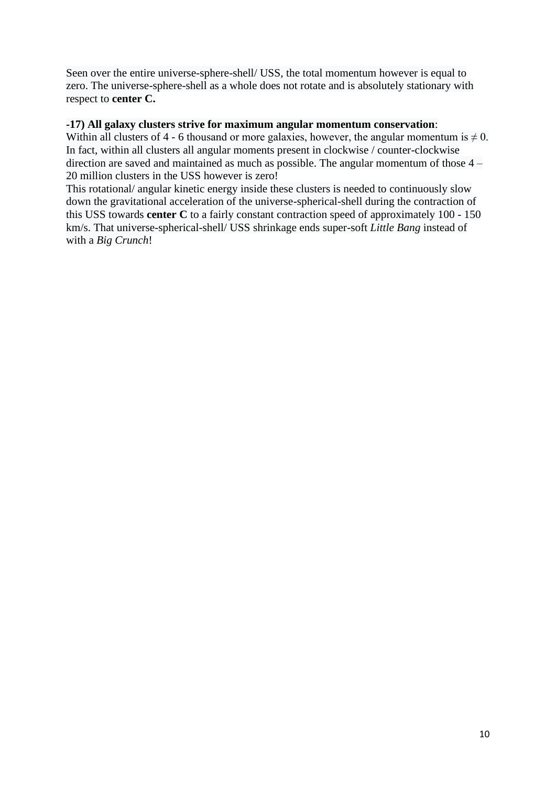Seen over the entire universe-sphere-shell/ USS, the total momentum however is equal to zero. The universe-sphere-shell as a whole does not rotate and is absolutely stationary with respect to **center C.**

#### **-17) All galaxy clusters strive for maximum angular momentum conservation**:

Within all clusters of 4 - 6 thousand or more galaxies, however, the angular momentum is  $\neq 0$ . In fact, within all clusters all angular moments present in clockwise / counter-clockwise direction are saved and maintained as much as possible. The angular momentum of those 4 – 20 million clusters in the USS however is zero!

This rotational/ angular kinetic energy inside these clusters is needed to continuously slow down the gravitational acceleration of the universe-spherical-shell during the contraction of this USS towards **center C** to a fairly constant contraction speed of approximately 100 - 150 km/s. That universe-spherical-shell/ USS shrinkage ends super-soft *Little Bang* instead of with a *Big Crunch*!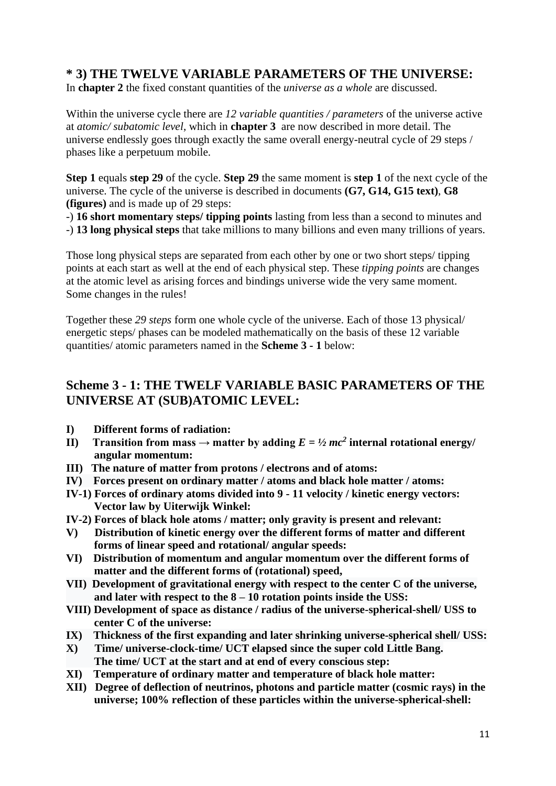# **\* 3) THE TWELVE VARIABLE PARAMETERS OF THE UNIVERSE:**

In **chapter 2** the fixed constant quantities of the *universe as a whole* are discussed.

Within the universe cycle there are *12 variable quantities / parameters* of the universe active at *atomic/ subatomic level*, which in **chapter 3** are now described in more detail. The universe endlessly goes through exactly the same overall energy-neutral cycle of 29 steps / phases like a perpetuum mobile.

**Step 1** equals **step 29** of the cycle. **Step 29** the same moment is **step 1** of the next cycle of the universe. The cycle of the universe is described in documents **(G7, G14, G15 text)**, **G8 (figures)** and is made up of 29 steps:

-) **16 short momentary steps/ tipping points** lasting from less than a second to minutes and

-) **13 long physical steps** that take millions to many billions and even many trillions of years.

Those long physical steps are separated from each other by one or two short steps/ tipping points at each start as well at the end of each physical step. These *tipping points* are changes at the atomic level as arising forces and bindings universe wide the very same moment. Some changes in the rules!

Together these *29 steps* form one whole cycle of the universe. Each of those 13 physical/ energetic steps/ phases can be modeled mathematically on the basis of these 12 variable quantities/ atomic parameters named in the **Scheme 3 - 1** below:

# **Scheme 3 - 1: THE TWELF VARIABLE BASIC PARAMETERS OF THE UNIVERSE AT (SUB)ATOMIC LEVEL:**

- **I) Different forms of radiation:**
- **II**) Transition from mass  $\rightarrow$  matter by adding  $E = \frac{1}{2}mc^2$  internal rotational energy/  **angular momentum:**
- **III) The nature of matter from protons / electrons and of atoms:**
- **IV) Forces present on ordinary matter / atoms and black hole matter / atoms:**
- **IV-1) Forces of ordinary atoms divided into 9 - 11 velocity / kinetic energy vectors: Vector law by Uiterwijk Winkel:**
- **IV-2) Forces of black hole atoms / matter; only gravity is present and relevant:**
- **V) Distribution of kinetic energy over the different forms of matter and different forms of linear speed and rotational/ angular speeds:**
- **VI) Distribution of momentum and angular momentum over the different forms of matter and the different forms of (rotational) speed,**
- **VII) Development of gravitational energy with respect to the center C of the universe, and later with respect to the 8 – 10 rotation points inside the USS:**
- **VIII) Development of space as distance / radius of the universe-spherical-shell/ USS to center C of the universe:**
- **IX) Thickness of the first expanding and later shrinking universe-spherical shell/ USS:**
- **X) Time/ universe-clock-time/ UCT elapsed since the super cold Little Bang. The time/ UCT at the start and at end of every conscious step:**
- **XI) Temperature of ordinary matter and temperature of black hole matter:**
- **XII) Degree of deflection of neutrinos, photons and particle matter (cosmic rays) in the universe; 100% reflection of these particles within the universe-spherical-shell:**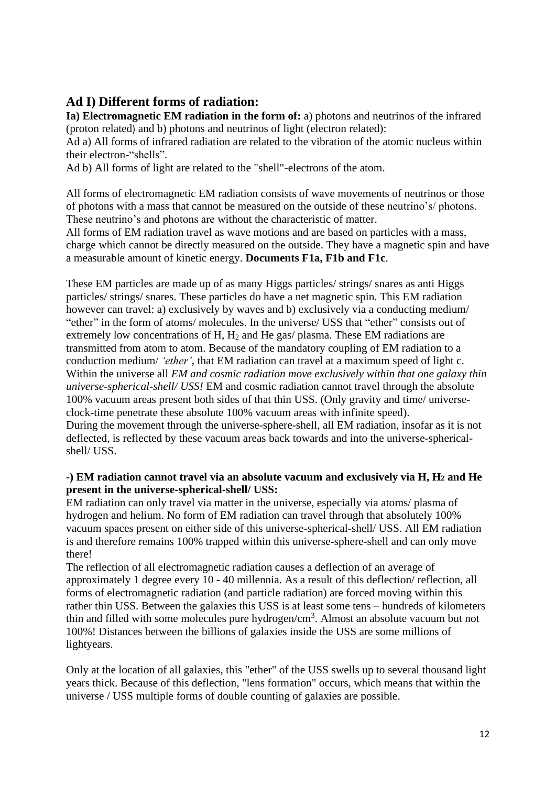# **Ad I) Different forms of radiation:**

**Ia) Electromagnetic EM radiation in the form of:** a) photons and neutrinos of the infrared (proton related) and b) photons and neutrinos of light (electron related):

Ad a) All forms of infrared radiation are related to the vibration of the atomic nucleus within their electron-"shells".

Ad b) All forms of light are related to the "shell"-electrons of the atom.

All forms of electromagnetic EM radiation consists of wave movements of neutrinos or those of photons with a mass that cannot be measured on the outside of these neutrino's/ photons. These neutrino's and photons are without the characteristic of matter.

All forms of EM radiation travel as wave motions and are based on particles with a mass, charge which cannot be directly measured on the outside. They have a magnetic spin and have a measurable amount of kinetic energy. **Documents F1a, F1b and F1c**.

These EM particles are made up of as many Higgs particles/ strings/ snares as anti Higgs particles/ strings/ snares. These particles do have a net magnetic spin. This EM radiation however can travel: a) exclusively by waves and b) exclusively via a conducting medium "ether" in the form of atoms/ molecules. In the universe/ USS that "ether" consists out of extremely low concentrations of H, H<sub>2</sub> and He gas/ plasma. These EM radiations are transmitted from atom to atom. Because of the mandatory coupling of EM radiation to a conduction medium/ *'ether'*, that EM radiation can travel at a maximum speed of light c. Within the universe all *EM and cosmic radiation move exclusively within that one galaxy thin universe-spherical-shell/ USS!* EM and cosmic radiation cannot travel through the absolute 100% vacuum areas present both sides of that thin USS. (Only gravity and time/ universeclock-time penetrate these absolute 100% vacuum areas with infinite speed). During the movement through the universe-sphere-shell, all EM radiation, insofar as it is not deflected, is reflected by these vacuum areas back towards and into the universe-sphericalshell/ USS.

# **-) EM radiation cannot travel via an absolute vacuum and exclusively via H, H<sup>2</sup> and He present in the universe-spherical-shell/ USS:**

EM radiation can only travel via matter in the universe, especially via atoms/ plasma of hydrogen and helium. No form of EM radiation can travel through that absolutely 100% vacuum spaces present on either side of this universe-spherical-shell/ USS. All EM radiation is and therefore remains 100% trapped within this universe-sphere-shell and can only move there!

The reflection of all electromagnetic radiation causes a deflection of an average of approximately 1 degree every 10 - 40 millennia. As a result of this deflection/ reflection, all forms of electromagnetic radiation (and particle radiation) are forced moving within this rather thin USS. Between the galaxies this USS is at least some tens – hundreds of kilometers thin and filled with some molecules pure hydrogen/cm<sup>3</sup>. Almost an absolute vacuum but not 100%! Distances between the billions of galaxies inside the USS are some millions of lightyears.

Only at the location of all galaxies, this "ether" of the USS swells up to several thousand light years thick. Because of this deflection, "lens formation" occurs, which means that within the universe / USS multiple forms of double counting of galaxies are possible.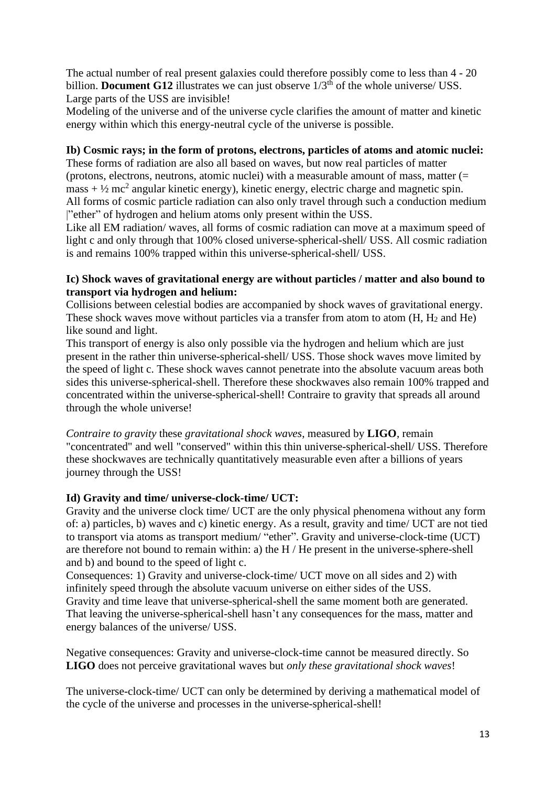The actual number of real present galaxies could therefore possibly come to less than 4 - 20 billion. **Document G12** illustrates we can just observe  $1/3<sup>th</sup>$  of the whole universe/ USS. Large parts of the USS are invisible!

Modeling of the universe and of the universe cycle clarifies the amount of matter and kinetic energy within which this energy-neutral cycle of the universe is possible.

### **Ib) Cosmic rays; in the form of protons, electrons, particles of atoms and atomic nuclei:**

These forms of radiation are also all based on waves, but now real particles of matter (protons, electrons, neutrons, atomic nuclei) with a measurable amount of mass, matter (=  $mass + \frac{1}{2}$  mc<sup>2</sup> angular kinetic energy), kinetic energy, electric charge and magnetic spin. All forms of cosmic particle radiation can also only travel through such a conduction medium |"ether" of hydrogen and helium atoms only present within the USS.

Like all EM radiation/ waves, all forms of cosmic radiation can move at a maximum speed of light c and only through that 100% closed universe-spherical-shell/ USS. All cosmic radiation is and remains 100% trapped within this universe-spherical-shell/ USS.

#### **Ic) Shock waves of gravitational energy are without particles / matter and also bound to transport via hydrogen and helium:**

Collisions between celestial bodies are accompanied by shock waves of gravitational energy. These shock waves move without particles via a transfer from atom to atom  $(H, H<sub>2</sub>$  and He) like sound and light.

This transport of energy is also only possible via the hydrogen and helium which are just present in the rather thin universe-spherical-shell/ USS. Those shock waves move limited by the speed of light c. These shock waves cannot penetrate into the absolute vacuum areas both sides this universe-spherical-shell. Therefore these shockwaves also remain 100% trapped and concentrated within the universe-spherical-shell! Contraire to gravity that spreads all around through the whole universe!

*Contraire to gravity* these *gravitational shock waves*, measured by **LIGO**, remain "concentrated" and well "conserved" within this thin universe-spherical-shell/ USS. Therefore these shockwaves are technically quantitatively measurable even after a billions of years journey through the USS!

# **Id) Gravity and time/ universe-clock-time/ UCT:**

Gravity and the universe clock time/ UCT are the only physical phenomena without any form of: a) particles, b) waves and c) kinetic energy. As a result, gravity and time/ UCT are not tied to transport via atoms as transport medium/ "ether". Gravity and universe-clock-time (UCT) are therefore not bound to remain within: a) the H / He present in the universe-sphere-shell and b) and bound to the speed of light c.

Consequences: 1) Gravity and universe-clock-time/ UCT move on all sides and 2) with infinitely speed through the absolute vacuum universe on either sides of the USS. Gravity and time leave that universe-spherical-shell the same moment both are generated. That leaving the universe-spherical-shell hasn't any consequences for the mass, matter and

energy balances of the universe/ USS.

Negative consequences: Gravity and universe-clock-time cannot be measured directly. So **LIGO** does not perceive gravitational waves but *only these gravitational shock waves*!

The universe-clock-time/ UCT can only be determined by deriving a mathematical model of the cycle of the universe and processes in the universe-spherical-shell!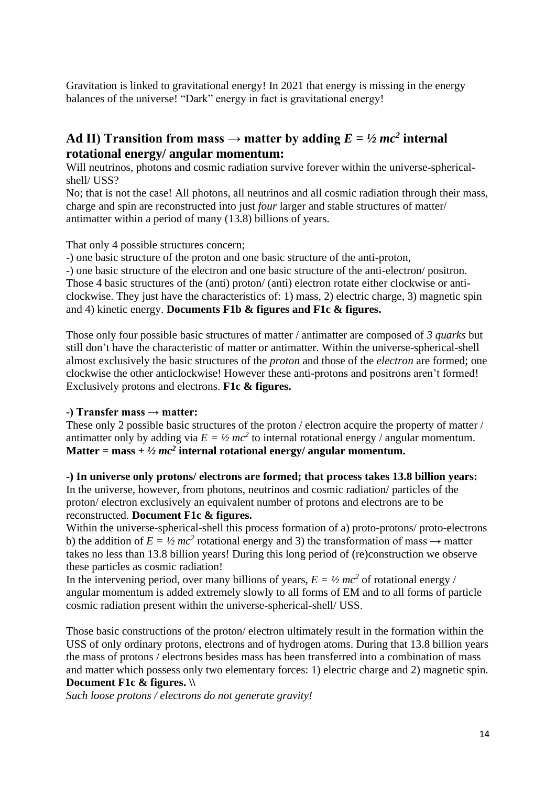Gravitation is linked to gravitational energy! In 2021 that energy is missing in the energy balances of the universe! "Dark" energy in fact is gravitational energy!

# Ad II) Transition from mass  $\rightarrow$  matter by adding  $E = \frac{1}{2}mc^2$  internal **rotational energy/ angular momentum:**

Will neutrinos, photons and cosmic radiation survive forever within the universe-sphericalshell/ USS?

No; that is not the case! All photons, all neutrinos and all cosmic radiation through their mass, charge and spin are reconstructed into just *four* larger and stable structures of matter/ antimatter within a period of many (13.8) billions of years.

That only 4 possible structures concern;

-) one basic structure of the proton and one basic structure of the anti-proton,

-) one basic structure of the electron and one basic structure of the anti-electron/ positron. Those 4 basic structures of the (anti) proton/ (anti) electron rotate either clockwise or anticlockwise. They just have the characteristics of: 1) mass, 2) electric charge, 3) magnetic spin

and 4) kinetic energy. **Documents F1b & figures and F1c & figures.**

Those only four possible basic structures of matter / antimatter are composed of *3 quarks* but still don't have the characteristic of matter or antimatter. Within the universe-spherical-shell almost exclusively the basic structures of the *proton* and those of the *electron* are formed; one clockwise the other anticlockwise! However these anti-protons and positrons aren't formed! Exclusively protons and electrons. **F1c & figures.**

#### **-) Transfer mass → matter:**

These only 2 possible basic structures of the proton / electron acquire the property of matter / antimatter only by adding via  $E = \frac{1}{2}mc^2$  to internal rotational energy / angular momentum. Matter = mass +  $\frac{1}{2}$  *mc*<sup>2</sup> internal rotational energy/ angular momentum.

**-) In universe only protons/ electrons are formed; that process takes 13.8 billion years:** In the universe, however, from photons, neutrinos and cosmic radiation/ particles of the proton/ electron exclusively an equivalent number of protons and electrons are to be reconstructed. **Document F1c & figures.**

Within the universe-spherical-shell this process formation of a) proto-protons/ proto-electrons b) the addition of  $E = \frac{1}{2}mc^2$  rotational energy and 3) the transformation of mass  $\rightarrow$  matter takes no less than 13.8 billion years! During this long period of (re)construction we observe these particles as cosmic radiation!

In the intervening period, over many billions of years,  $E = \frac{1}{2}mc^2$  of rotational energy / angular momentum is added extremely slowly to all forms of EM and to all forms of particle cosmic radiation present within the universe-spherical-shell/ USS.

Those basic constructions of the proton/ electron ultimately result in the formation within the USS of only ordinary protons, electrons and of hydrogen atoms. During that 13.8 billion years the mass of protons / electrons besides mass has been transferred into a combination of mass and matter which possess only two elementary forces: 1) electric charge and 2) magnetic spin. **Document F1c & figures. \\**

*Such loose protons / electrons do not generate gravity!*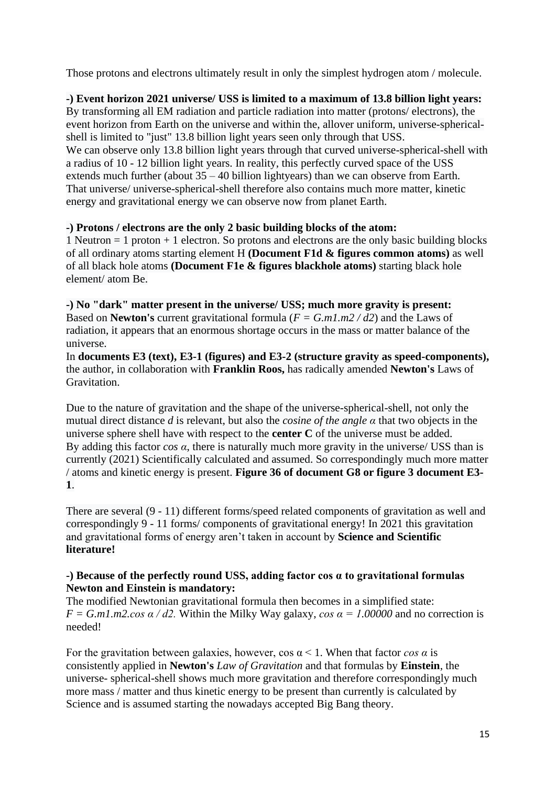Those protons and electrons ultimately result in only the simplest hydrogen atom / molecule.

**-) Event horizon 2021 universe/ USS is limited to a maximum of 13.8 billion light years:** By transforming all EM radiation and particle radiation into matter (protons/ electrons), the event horizon from Earth on the universe and within the, allover uniform, universe-sphericalshell is limited to "just" 13.8 billion light years seen only through that USS. We can observe only 13.8 billion light years through that curved universe-spherical-shell with a radius of 10 - 12 billion light years. In reality, this perfectly curved space of the USS extends much further (about 35 – 40 billion lightyears) than we can observe from Earth. That universe/ universe-spherical-shell therefore also contains much more matter, kinetic energy and gravitational energy we can observe now from planet Earth.

# **-) Protons / electrons are the only 2 basic building blocks of the atom:**

1 Neutron  $= 1$  proton  $+ 1$  electron. So protons and electrons are the only basic building blocks of all ordinary atoms starting element H **(Document F1d & figures common atoms)** as well of all black hole atoms **(Document F1e & figures blackhole atoms)** starting black hole element/ atom Be.

**-) No "dark" matter present in the universe/ USS; much more gravity is present:** Based on **Newton's** current gravitational formula (*F = G.m1.m2 / d2*) and the Laws of radiation, it appears that an enormous shortage occurs in the mass or matter balance of the universe.

In **documents E3 (text), E3-1 (figures) and E3-2 (structure gravity as speed-components),** the author, in collaboration with **Franklin Roos,** has radically amended **Newton's** Laws of Gravitation.

Due to the nature of gravitation and the shape of the universe-spherical-shell, not only the mutual direct distance *d* is relevant, but also the *cosine of the angle α* that two objects in the universe sphere shell have with respect to the **center C** of the universe must be added. By adding this factor  $\cos \alpha$ , there is naturally much more gravity in the universe/ USS than is currently (2021) Scientifically calculated and assumed. So correspondingly much more matter / atoms and kinetic energy is present. **Figure 36 of document G8 or figure 3 document E3- 1**.

There are several (9 - 11) different forms/speed related components of gravitation as well and correspondingly 9 - 11 forms/ components of gravitational energy! In 2021 this gravitation and gravitational forms of energy aren't taken in account by **Science and Scientific literature!**

# **-) Because of the perfectly round USS, adding factor cos α to gravitational formulas Newton and Einstein is mandatory:**

The modified Newtonian gravitational formula then becomes in a simplified state:  $F = G.m1.m2.cos \alpha / d2$ . Within the Milky Way galaxy, *cos*  $\alpha = 1.00000$  and no correction is needed!

For the gravitation between galaxies, however,  $\cos \alpha < 1$ . When that factor  $\cos \alpha$  is consistently applied in **Newton's** *Law of Gravitation* and that formulas by **Einstein**, the universe- spherical-shell shows much more gravitation and therefore correspondingly much more mass / matter and thus kinetic energy to be present than currently is calculated by Science and is assumed starting the nowadays accepted Big Bang theory.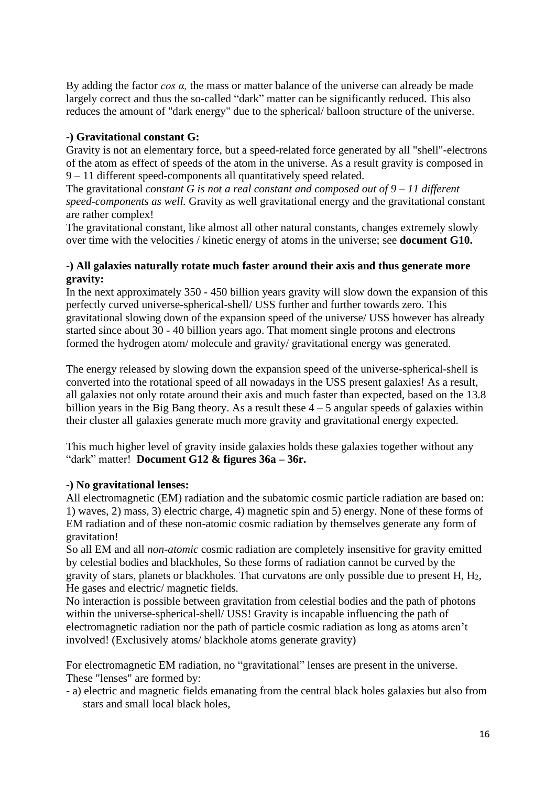By adding the factor *cos α,* the mass or matter balance of the universe can already be made largely correct and thus the so-called "dark" matter can be significantly reduced. This also reduces the amount of "dark energy" due to the spherical/ balloon structure of the universe.

#### **-) Gravitational constant G:**

Gravity is not an elementary force, but a speed-related force generated by all "shell"-electrons of the atom as effect of speeds of the atom in the universe. As a result gravity is composed in 9 – 11 different speed-components all quantitatively speed related.

The gravitational *constant G is not a real constant and composed out of 9 – 11 different speed-components as well.* Gravity as well gravitational energy and the gravitational constant are rather complex!

The gravitational constant, like almost all other natural constants, changes extremely slowly over time with the velocities / kinetic energy of atoms in the universe; see **document G10.**

#### **-) All galaxies naturally rotate much faster around their axis and thus generate more gravity:**

In the next approximately 350 - 450 billion years gravity will slow down the expansion of this perfectly curved universe-spherical-shell/ USS further and further towards zero. This gravitational slowing down of the expansion speed of the universe/ USS however has already started since about 30 - 40 billion years ago. That moment single protons and electrons formed the hydrogen atom/ molecule and gravity/ gravitational energy was generated.

The energy released by slowing down the expansion speed of the universe-spherical-shell is converted into the rotational speed of all nowadays in the USS present galaxies! As a result, all galaxies not only rotate around their axis and much faster than expected, based on the 13.8 billion years in the Big Bang theory. As a result these  $4 - 5$  angular speeds of galaxies within their cluster all galaxies generate much more gravity and gravitational energy expected.

This much higher level of gravity inside galaxies holds these galaxies together without any "dark" matter! **Document G12 & figures 36a – 36r.**

#### **-) No gravitational lenses:**

All electromagnetic (EM) radiation and the subatomic cosmic particle radiation are based on: 1) waves, 2) mass, 3) electric charge, 4) magnetic spin and 5) energy. None of these forms of EM radiation and of these non-atomic cosmic radiation by themselves generate any form of gravitation!

So all EM and all *non-atomic* cosmic radiation are completely insensitive for gravity emitted by celestial bodies and blackholes, So these forms of radiation cannot be curved by the gravity of stars, planets or blackholes. That curvatons are only possible due to present H, H2, He gases and electric/ magnetic fields.

No interaction is possible between gravitation from celestial bodies and the path of photons within the universe-spherical-shell/ USS! Gravity is incapable influencing the path of electromagnetic radiation nor the path of particle cosmic radiation as long as atoms aren't involved! (Exclusively atoms/ blackhole atoms generate gravity)

For electromagnetic EM radiation, no "gravitational" lenses are present in the universe. These "lenses" are formed by:

- a) electric and magnetic fields emanating from the central black holes galaxies but also from stars and small local black holes,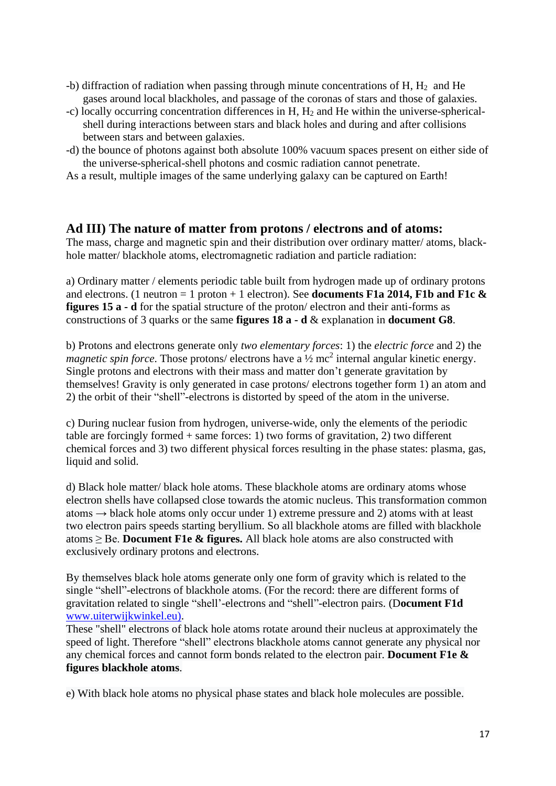- $-$ b) diffraction of radiation when passing through minute concentrations of H,  $H_2$  and He gases around local blackholes, and passage of the coronas of stars and those of galaxies.
- -c) locally occurring concentration differences in H, H<sup>2</sup> and He within the universe-spherical shell during interactions between stars and black holes and during and after collisions between stars and between galaxies.
- -d) the bounce of photons against both absolute 100% vacuum spaces present on either side of the universe-spherical-shell photons and cosmic radiation cannot penetrate.

As a result, multiple images of the same underlying galaxy can be captured on Earth!

# **Ad III) The nature of matter from protons / electrons and of atoms:**

The mass, charge and magnetic spin and their distribution over ordinary matter/ atoms, blackhole matter/ blackhole atoms, electromagnetic radiation and particle radiation:

a) Ordinary matter / elements periodic table built from hydrogen made up of ordinary protons and electrons. (1 neutron = 1 proton + 1 electron). See **documents F1a 2014, F1b and F1c & figures 15 a - d** for the spatial structure of the proton/ electron and their anti-forms as constructions of 3 quarks or the same **figures 18 a - d** & explanation in **document G8**.

b) Protons and electrons generate only *two elementary forces*: 1) the *electric force* and 2) the *magnetic spin force*. Those protons/ electrons have a  $\frac{1}{2}$  mc<sup>2</sup> internal angular kinetic energy. Single protons and electrons with their mass and matter don't generate gravitation by themselves! Gravity is only generated in case protons/ electrons together form 1) an atom and 2) the orbit of their "shell"-electrons is distorted by speed of the atom in the universe.

c) During nuclear fusion from hydrogen, universe-wide, only the elements of the periodic table are forcingly formed + same forces: 1) two forms of gravitation, 2) two different chemical forces and 3) two different physical forces resulting in the phase states: plasma, gas, liquid and solid.

d) Black hole matter/ black hole atoms. These blackhole atoms are ordinary atoms whose electron shells have collapsed close towards the atomic nucleus. This transformation common atoms  $\rightarrow$  black hole atoms only occur under 1) extreme pressure and 2) atoms with at least two electron pairs speeds starting beryllium. So all blackhole atoms are filled with blackhole atoms ≥ Be. **Document F1e & figures.** All black hole atoms are also constructed with exclusively ordinary protons and electrons.

By themselves black hole atoms generate only one form of gravity which is related to the single "shell"-electrons of blackhole atoms. (For the record: there are different forms of gravitation related to single "shell'-electrons and "shell"-electron pairs. (D**ocument F1d** [www.uiterwijkwinkel.eu\)](http://www.uiterwijkwinkel.eu/).

These "shell" electrons of black hole atoms rotate around their nucleus at approximately the speed of light. Therefore "shell" electrons blackhole atoms cannot generate any physical nor any chemical forces and cannot form bonds related to the electron pair. **Document F1e & figures blackhole atoms**.

e) With black hole atoms no physical phase states and black hole molecules are possible.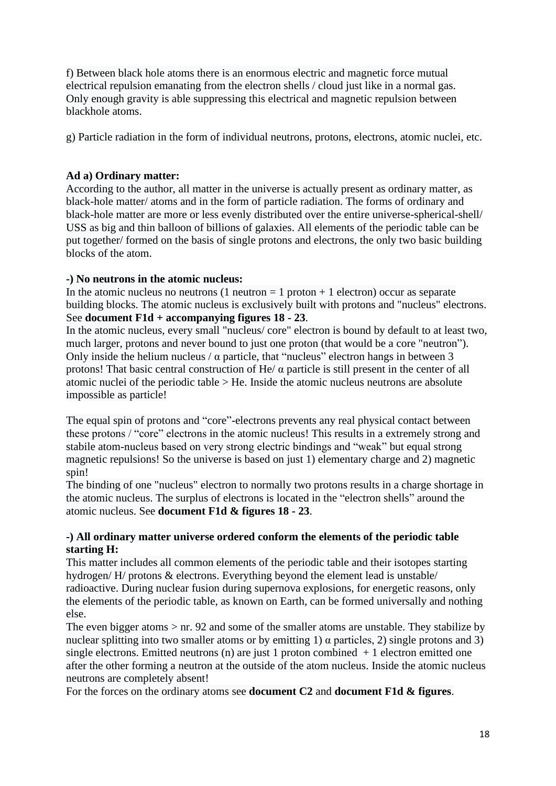f) Between black hole atoms there is an enormous electric and magnetic force mutual electrical repulsion emanating from the electron shells / cloud just like in a normal gas. Only enough gravity is able suppressing this electrical and magnetic repulsion between blackhole atoms.

g) Particle radiation in the form of individual neutrons, protons, electrons, atomic nuclei, etc.

# **Ad a) Ordinary matter:**

According to the author, all matter in the universe is actually present as ordinary matter, as black-hole matter/ atoms and in the form of particle radiation. The forms of ordinary and black-hole matter are more or less evenly distributed over the entire universe-spherical-shell/ USS as big and thin balloon of billions of galaxies. All elements of the periodic table can be put together/ formed on the basis of single protons and electrons, the only two basic building blocks of the atom.

#### **-) No neutrons in the atomic nucleus:**

In the atomic nucleus no neutrons  $(1$  neutron  $= 1$  proton  $+ 1$  electron) occur as separate building blocks. The atomic nucleus is exclusively built with protons and "nucleus" electrons. See **document F1d + accompanying figures 18 - 23**.

In the atomic nucleus, every small "nucleus/ core" electron is bound by default to at least two, much larger, protons and never bound to just one proton (that would be a core "neutron"). Only inside the helium nucleus /  $\alpha$  particle, that "nucleus" electron hangs in between 3 protons! That basic central construction of He/ $\alpha$  particle is still present in the center of all atomic nuclei of the periodic table > He. Inside the atomic nucleus neutrons are absolute impossible as particle!

The equal spin of protons and "core"-electrons prevents any real physical contact between these protons / "core" electrons in the atomic nucleus! This results in a extremely strong and stabile atom-nucleus based on very strong electric bindings and "weak" but equal strong magnetic repulsions! So the universe is based on just 1) elementary charge and 2) magnetic spin!

The binding of one "nucleus" electron to normally two protons results in a charge shortage in the atomic nucleus. The surplus of electrons is located in the "electron shells" around the atomic nucleus. See **document F1d & figures 18 - 23**.

#### **-) All ordinary matter universe ordered conform the elements of the periodic table starting H:**

This matter includes all common elements of the periodic table and their isotopes starting hydrogen/ H/ protons & electrons. Everything beyond the element lead is unstable/ radioactive. During nuclear fusion during supernova explosions, for energetic reasons, only the elements of the periodic table, as known on Earth, can be formed universally and nothing else.

The even bigger atoms > nr. 92 and some of the smaller atoms are unstable. They stabilize by nuclear splitting into two smaller atoms or by emitting 1)  $\alpha$  particles, 2) single protons and 3) single electrons. Emitted neutrons (n) are just 1 proton combined  $+1$  electron emitted one after the other forming a neutron at the outside of the atom nucleus. Inside the atomic nucleus neutrons are completely absent!

For the forces on the ordinary atoms see **document C2** and **document F1d & figures**.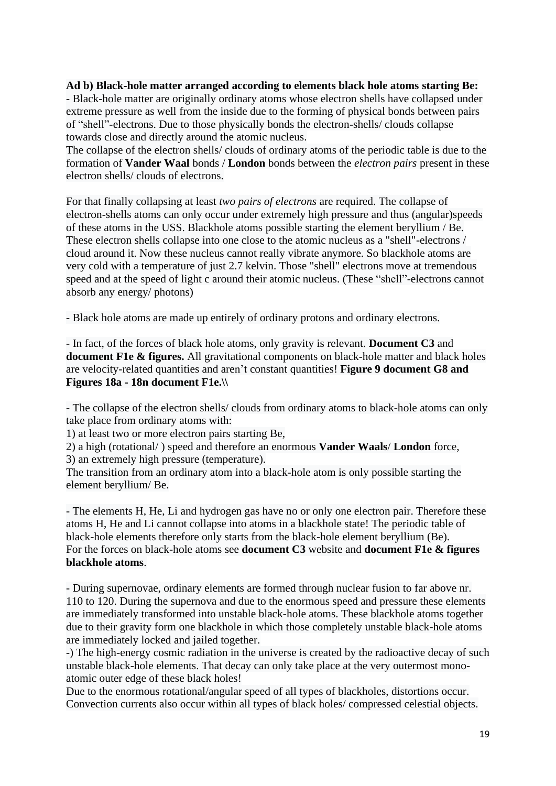# **Ad b) Black-hole matter arranged according to elements black hole atoms starting Be:**

- Black-hole matter are originally ordinary atoms whose electron shells have collapsed under extreme pressure as well from the inside due to the forming of physical bonds between pairs of "shell"-electrons. Due to those physically bonds the electron-shells/ clouds collapse towards close and directly around the atomic nucleus.

The collapse of the electron shells/ clouds of ordinary atoms of the periodic table is due to the formation of **Vander Waal** bonds / **London** bonds between the *electron pairs* present in these electron shells/ clouds of electrons.

For that finally collapsing at least *two pairs of electrons* are required. The collapse of electron-shells atoms can only occur under extremely high pressure and thus (angular)speeds of these atoms in the USS. Blackhole atoms possible starting the element beryllium / Be. These electron shells collapse into one close to the atomic nucleus as a "shell"-electrons / cloud around it. Now these nucleus cannot really vibrate anymore. So blackhole atoms are very cold with a temperature of just 2.7 kelvin. Those "shell" electrons move at tremendous speed and at the speed of light c around their atomic nucleus. (These "shell"-electrons cannot absorb any energy/ photons)

- Black hole atoms are made up entirely of ordinary protons and ordinary electrons.

- In fact, of the forces of black hole atoms, only gravity is relevant. **Document C3** and **document F1e & figures.** All gravitational components on black-hole matter and black holes are velocity-related quantities and aren't constant quantities! **Figure 9 document G8 and Figures 18a - 18n document F1e.\\**

- The collapse of the electron shells/ clouds from ordinary atoms to black-hole atoms can only take place from ordinary atoms with:

1) at least two or more electron pairs starting Be,

2) a high (rotational/ ) speed and therefore an enormous **Vander Waals**/ **London** force,

3) an extremely high pressure (temperature).

The transition from an ordinary atom into a black-hole atom is only possible starting the element beryllium/ Be.

- The elements H, He, Li and hydrogen gas have no or only one electron pair. Therefore these atoms H, He and Li cannot collapse into atoms in a blackhole state! The periodic table of black-hole elements therefore only starts from the black-hole element beryllium (Be). For the forces on black-hole atoms see **document C3** website and **document F1e & figures blackhole atoms**.

- During supernovae, ordinary elements are formed through nuclear fusion to far above nr. 110 to 120. During the supernova and due to the enormous speed and pressure these elements are immediately transformed into unstable black-hole atoms. These blackhole atoms together due to their gravity form one blackhole in which those completely unstable black-hole atoms are immediately locked and jailed together.

-) The high-energy cosmic radiation in the universe is created by the radioactive decay of such unstable black-hole elements. That decay can only take place at the very outermost monoatomic outer edge of these black holes!

Due to the enormous rotational/angular speed of all types of blackholes, distortions occur. Convection currents also occur within all types of black holes/ compressed celestial objects.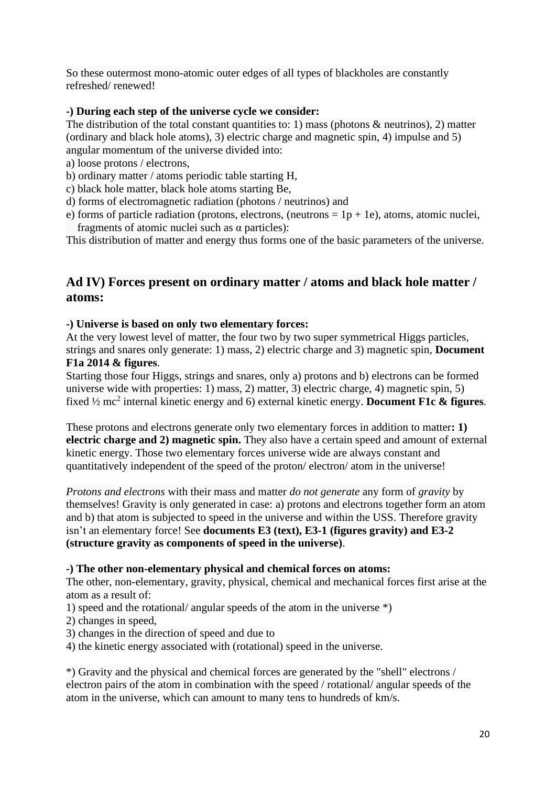So these outermost mono-atomic outer edges of all types of blackholes are constantly refreshed/ renewed!

### **-) During each step of the universe cycle we consider:**

The distribution of the total constant quantities to: 1) mass (photons  $\&$  neutrinos), 2) matter (ordinary and black hole atoms), 3) electric charge and magnetic spin, 4) impulse and 5) angular momentum of the universe divided into:

- a) loose protons / electrons,
- b) ordinary matter / atoms periodic table starting H,
- c) black hole matter, black hole atoms starting Be,
- d) forms of electromagnetic radiation (photons / neutrinos) and
- e) forms of particle radiation (protons, electrons, (neutrons  $= 1p + 1e$ ), atoms, atomic nuclei, fragments of atomic nuclei such as  $\alpha$  particles):

This distribution of matter and energy thus forms one of the basic parameters of the universe.

# **Ad IV) Forces present on ordinary matter / atoms and black hole matter / atoms:**

#### **-) Universe is based on only two elementary forces:**

At the very lowest level of matter, the four two by two super symmetrical Higgs particles, strings and snares only generate: 1) mass, 2) electric charge and 3) magnetic spin, **Document F1a 2014 & figures**.

Starting those four Higgs, strings and snares, only a) protons and b) electrons can be formed universe wide with properties: 1) mass, 2) matter, 3) electric charge, 4) magnetic spin, 5) fixed ½ mc<sup>2</sup> internal kinetic energy and 6) external kinetic energy. **Document F1c & figures**.

These protons and electrons generate only two elementary forces in addition to matter**: 1) electric charge and 2) magnetic spin.** They also have a certain speed and amount of external kinetic energy. Those two elementary forces universe wide are always constant and quantitatively independent of the speed of the proton/ electron/ atom in the universe!

*Protons and electrons* with their mass and matter *do not generate* any form of *gravity* by themselves! Gravity is only generated in case: a) protons and electrons together form an atom and b) that atom is subjected to speed in the universe and within the USS. Therefore gravity isn't an elementary force! See **documents E3 (text), E3-1 (figures gravity) and E3-2 (structure gravity as components of speed in the universe)**.

#### **-) The other non-elementary physical and chemical forces on atoms:**

The other, non-elementary, gravity, physical, chemical and mechanical forces first arise at the atom as a result of:

1) speed and the rotational/ angular speeds of the atom in the universe \*)

- 2) changes in speed,
- 3) changes in the direction of speed and due to
- 4) the kinetic energy associated with (rotational) speed in the universe.

\*) Gravity and the physical and chemical forces are generated by the "shell" electrons / electron pairs of the atom in combination with the speed / rotational/ angular speeds of the atom in the universe, which can amount to many tens to hundreds of km/s.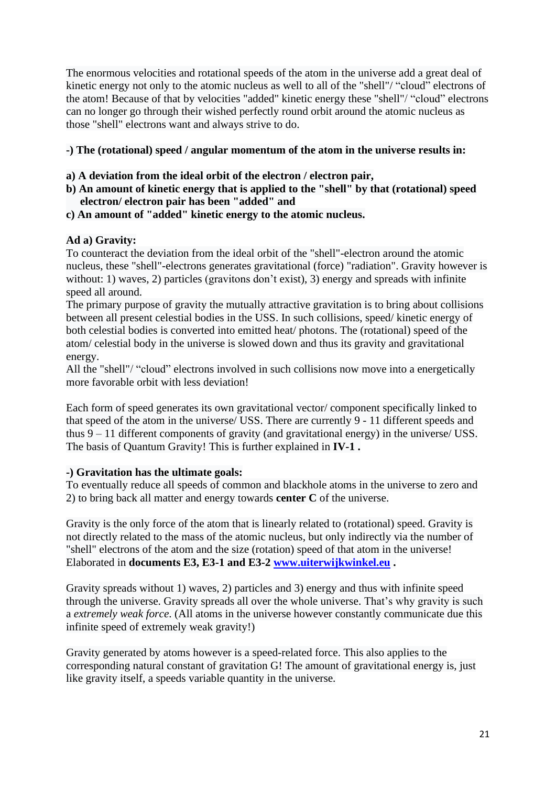The enormous velocities and rotational speeds of the atom in the universe add a great deal of kinetic energy not only to the atomic nucleus as well to all of the "shell"/ "cloud" electrons of the atom! Because of that by velocities "added" kinetic energy these "shell"/ "cloud" electrons can no longer go through their wished perfectly round orbit around the atomic nucleus as those "shell" electrons want and always strive to do.

# **-) The (rotational) speed / angular momentum of the atom in the universe results in:**

- **a) A deviation from the ideal orbit of the electron / electron pair,**
- **b) An amount of kinetic energy that is applied to the "shell" by that (rotational) speed electron/ electron pair has been "added" and**
- **c) An amount of "added" kinetic energy to the atomic nucleus.**

#### **Ad a) Gravity:**

To counteract the deviation from the ideal orbit of the "shell"-electron around the atomic nucleus, these "shell"-electrons generates gravitational (force) "radiation". Gravity however is without: 1) waves, 2) particles (gravitons don't exist), 3) energy and spreads with infinite speed all around.

The primary purpose of gravity the mutually attractive gravitation is to bring about collisions between all present celestial bodies in the USS. In such collisions, speed/ kinetic energy of both celestial bodies is converted into emitted heat/ photons. The (rotational) speed of the atom/ celestial body in the universe is slowed down and thus its gravity and gravitational energy.

All the "shell"/ "cloud" electrons involved in such collisions now move into a energetically more favorable orbit with less deviation!

Each form of speed generates its own gravitational vector/ component specifically linked to that speed of the atom in the universe/ USS. There are currently 9 - 11 different speeds and thus 9 – 11 different components of gravity (and gravitational energy) in the universe/ USS. The basis of Quantum Gravity! This is further explained in **IV-1 .**

#### **-) Gravitation has the ultimate goals:**

To eventually reduce all speeds of common and blackhole atoms in the universe to zero and 2) to bring back all matter and energy towards **center C** of the universe.

Gravity is the only force of the atom that is linearly related to (rotational) speed. Gravity is not directly related to the mass of the atomic nucleus, but only indirectly via the number of "shell" electrons of the atom and the size (rotation) speed of that atom in the universe! Elaborated in **documents E3, E3-1 and E3-2 [www.uiterwijkwinkel.eu](http://www.uiterwijkwinkel.eu/) .**

Gravity spreads without 1) waves, 2) particles and 3) energy and thus with infinite speed through the universe. Gravity spreads all over the whole universe. That's why gravity is such a *extremely weak force*. (All atoms in the universe however constantly communicate due this infinite speed of extremely weak gravity!)

Gravity generated by atoms however is a speed-related force. This also applies to the corresponding natural constant of gravitation G! The amount of gravitational energy is, just like gravity itself, a speeds variable quantity in the universe.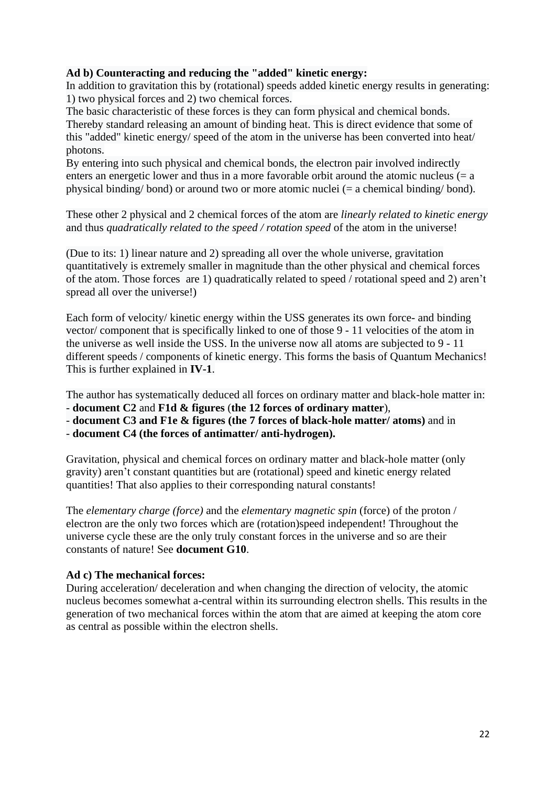# **Ad b) Counteracting and reducing the "added" kinetic energy:**

In addition to gravitation this by (rotational) speeds added kinetic energy results in generating: 1) two physical forces and 2) two chemical forces.

The basic characteristic of these forces is they can form physical and chemical bonds. Thereby standard releasing an amount of binding heat. This is direct evidence that some of this "added" kinetic energy/ speed of the atom in the universe has been converted into heat/ photons.

By entering into such physical and chemical bonds, the electron pair involved indirectly enters an energetic lower and thus in a more favorable orbit around the atomic nucleus  $(= a$ physical binding/ bond) or around two or more atomic nuclei (= a chemical binding/ bond).

These other 2 physical and 2 chemical forces of the atom are *linearly related to kinetic energy* and thus *quadratically related to the speed / rotation speed* of the atom in the universe!

(Due to its: 1) linear nature and 2) spreading all over the whole universe, gravitation quantitatively is extremely smaller in magnitude than the other physical and chemical forces of the atom. Those forces are 1) quadratically related to speed / rotational speed and 2) aren't spread all over the universe!)

Each form of velocity/ kinetic energy within the USS generates its own force- and binding vector/ component that is specifically linked to one of those 9 - 11 velocities of the atom in the universe as well inside the USS. In the universe now all atoms are subjected to 9 - 11 different speeds / components of kinetic energy. This forms the basis of Quantum Mechanics! This is further explained in **IV-1**.

The author has systematically deduced all forces on ordinary matter and black-hole matter in:

- **document C2** and **F1d & figures** (**the 12 forces of ordinary matter**),

- **document C3 and F1e & figures (the 7 forces of black-hole matter/ atoms)** and in

- **document C4 (the forces of antimatter/ anti-hydrogen).**

Gravitation, physical and chemical forces on ordinary matter and black-hole matter (only gravity) aren't constant quantities but are (rotational) speed and kinetic energy related quantities! That also applies to their corresponding natural constants!

The *elementary charge (force)* and the *elementary magnetic spin* (force) of the proton / electron are the only two forces which are (rotation)speed independent! Throughout the universe cycle these are the only truly constant forces in the universe and so are their constants of nature! See **document G10**.

# **Ad c) The mechanical forces:**

During acceleration/ deceleration and when changing the direction of velocity, the atomic nucleus becomes somewhat a-central within its surrounding electron shells. This results in the generation of two mechanical forces within the atom that are aimed at keeping the atom core as central as possible within the electron shells.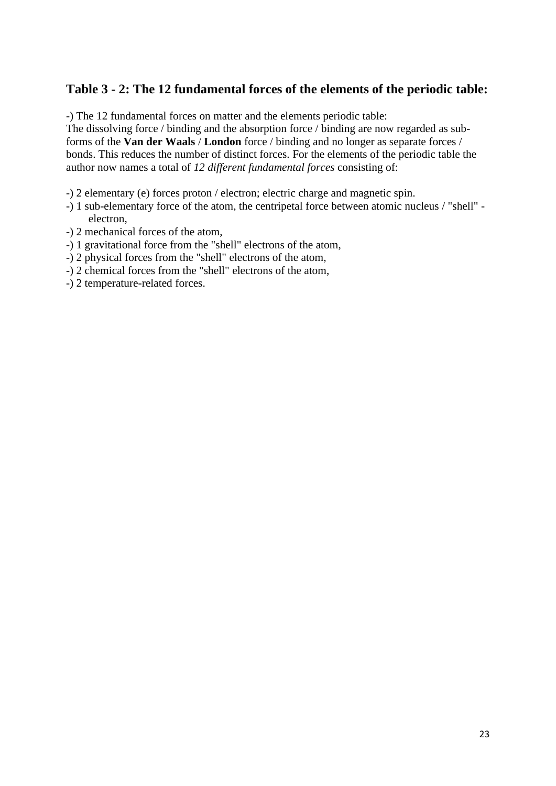# **Table 3 - 2: The 12 fundamental forces of the elements of the periodic table:**

-) The 12 fundamental forces on matter and the elements periodic table:

The dissolving force / binding and the absorption force / binding are now regarded as subforms of the **Van der Waals** / **London** force / binding and no longer as separate forces / bonds. This reduces the number of distinct forces. For the elements of the periodic table the author now names a total of *12 different fundamental forces* consisting of:

- -) 2 elementary (e) forces proton / electron; electric charge and magnetic spin.
- -) 1 sub-elementary force of the atom, the centripetal force between atomic nucleus / "shell" electron,
- -) 2 mechanical forces of the atom,
- -) 1 gravitational force from the "shell" electrons of the atom,
- -) 2 physical forces from the "shell" electrons of the atom,
- -) 2 chemical forces from the "shell" electrons of the atom,
- -) 2 temperature-related forces.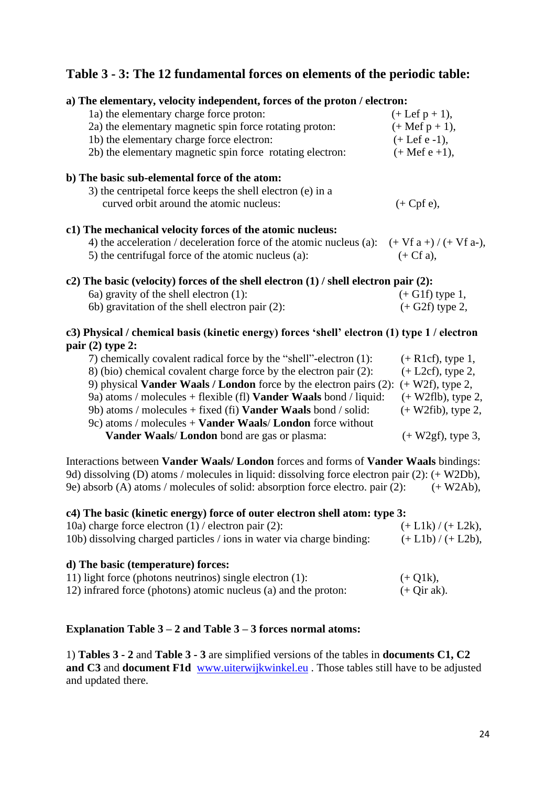# **Table 3 - 3: The 12 fundamental forces on elements of the periodic table:**

| a) The elementary, velocity independent, forces of the proton / electron:                                                                                                                                                                                               |                             |
|-------------------------------------------------------------------------------------------------------------------------------------------------------------------------------------------------------------------------------------------------------------------------|-----------------------------|
| 1a) the elementary charge force proton:                                                                                                                                                                                                                                 | $(+ \text{Lef } p + 1),$    |
| 2a) the elementary magnetic spin force rotating proton:                                                                                                                                                                                                                 | $(+$ Mef $p + 1)$ ,         |
| 1b) the elementary charge force electron:                                                                                                                                                                                                                               | $(+ \text{Lef } e - 1),$    |
| 2b) the elementary magnetic spin force rotating electron:                                                                                                                                                                                                               | $(+$ Mef e +1),             |
| b) The basic sub-elemental force of the atom:                                                                                                                                                                                                                           |                             |
| 3) the centripetal force keeps the shell electron (e) in a                                                                                                                                                                                                              |                             |
| curved orbit around the atomic nucleus:                                                                                                                                                                                                                                 | $(+ Cpf e),$                |
| c1) The mechanical velocity forces of the atomic nucleus:                                                                                                                                                                                                               |                             |
| 4) the acceleration / deceleration force of the atomic nucleus (a):                                                                                                                                                                                                     | $(+ Vf a + ) / (+ Vf a -),$ |
| 5) the centrifugal force of the atomic nucleus (a):                                                                                                                                                                                                                     | $(+ Cf a),$                 |
| c2) The basic (velocity) forces of the shell electron $(1)$ / shell electron pair $(2)$ :                                                                                                                                                                               |                             |
| 6a) gravity of the shell electron (1):                                                                                                                                                                                                                                  | $(+ G1f)$ type 1,           |
| 6b) gravitation of the shell electron pair (2):                                                                                                                                                                                                                         | $(+ G2f)$ type 2,           |
| c3) Physical / chemical basis (kinetic energy) forces 'shell' electron (1) type 1 / electron                                                                                                                                                                            |                             |
| pair $(2)$ type 2:                                                                                                                                                                                                                                                      |                             |
| 7) chemically covalent radical force by the "shell"-electron (1):                                                                                                                                                                                                       | $(+$ R1cf), type 1,         |
| 8) (bio) chemical covalent charge force by the electron pair (2):                                                                                                                                                                                                       | $(+$ L2cf), type 2,         |
| 9) physical <b>Vander Waals / London</b> force by the electron pairs (2): $(+ W2f)$ , type 2,                                                                                                                                                                           |                             |
| 9a) atoms / molecules + flexible (fl) <b>Vander Waals</b> bond / liquid:                                                                                                                                                                                                | $(+$ W2flb), type 2,        |
| 9b) atoms / molecules + fixed (fi) <b>Vander Waals</b> bond / solid:                                                                                                                                                                                                    | $(+$ W2fib), type 2,        |
| 9c) atoms / molecules $+$ <b>Vander Waals/London</b> force without                                                                                                                                                                                                      |                             |
| Vander Waals/ London bond are gas or plasma:                                                                                                                                                                                                                            | $(+ W2gf)$ , type 3,        |
| Interactions between Vander Waals/ London forces and forms of Vander Waals bindings:<br>9d) dissolving (D) atoms / molecules in liquid: dissolving force electron pair (2): (+ W2Db),<br>9e) absorb (A) atoms / molecules of solid: absorption force electro. pair (2): | $(+ W2Ab),$                 |

#### **c4) The basic (kinetic energy) force of outer electron shell atom: type 3:**

| 10a) charge force electron $(1)$ / electron pair $(2)$ :              | $(+ L1k) / (+ L2k),$ |
|-----------------------------------------------------------------------|----------------------|
| 10b) dissolving charged particles / ions in water via charge binding: | $(+ L1b) / (+ L2b),$ |
|                                                                       |                      |

# **d) The basic (temperature) forces:**

| 11) light force (photons neutrinos) single electron (1):        | $(+ Q1k),$    |
|-----------------------------------------------------------------|---------------|
| 12) infrared force (photons) atomic nucleus (a) and the proton: | $(+$ Qir ak). |

# **Explanation Table 3 – 2 and Table 3 – 3 forces normal atoms:**

1) **Tables 3 - 2** and **Table 3 - 3** are simplified versions of the tables in **documents C1, C2 and C3** and **document F1d** [www.uiterwijkwinkel.eu](http://www.uiterwijkwinkel.eu/) . Those tables still have to be adjusted and updated there.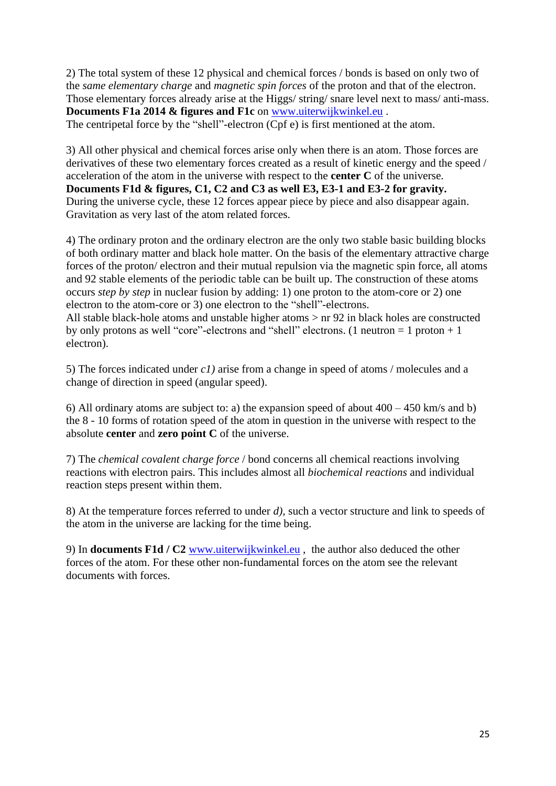2) The total system of these 12 physical and chemical forces / bonds is based on only two of the *same elementary charge* and *magnetic spin forces* of the proton and that of the electron. Those elementary forces already arise at the Higgs/ string/ snare level next to mass/ anti-mass. **Documents F1a 2014 & figures and F1c** on [www.uiterwijkwinkel.eu](http://www.uiterwijkwinkel.eu/) . The centripetal force by the "shell"-electron (Cpf e) is first mentioned at the atom.

3) All other physical and chemical forces arise only when there is an atom. Those forces are derivatives of these two elementary forces created as a result of kinetic energy and the speed / acceleration of the atom in the universe with respect to the **center C** of the universe. **Documents F1d & figures, C1, C2 and C3 as well E3, E3-1 and E3-2 for gravity.** During the universe cycle, these 12 forces appear piece by piece and also disappear again. Gravitation as very last of the atom related forces.

4) The ordinary proton and the ordinary electron are the only two stable basic building blocks of both ordinary matter and black hole matter. On the basis of the elementary attractive charge forces of the proton/ electron and their mutual repulsion via the magnetic spin force, all atoms and 92 stable elements of the periodic table can be built up. The construction of these atoms occurs *step by step* in nuclear fusion by adding: 1) one proton to the atom-core or 2) one electron to the atom-core or 3) one electron to the "shell"-electrons. All stable black-hole atoms and unstable higher atoms > nr 92 in black holes are constructed

by only protons as well "core"-electrons and "shell" electrons. (1 neutron  $= 1$  proton  $+ 1$ electron).

5) The forces indicated under *c1)* arise from a change in speed of atoms / molecules and a change of direction in speed (angular speed).

6) All ordinary atoms are subject to: a) the expansion speed of about  $400 - 450$  km/s and b) the 8 - 10 forms of rotation speed of the atom in question in the universe with respect to the absolute **center** and **zero point C** of the universe.

7) The *chemical covalent charge force* / bond concerns all chemical reactions involving reactions with electron pairs. This includes almost all *biochemical reactions* and individual reaction steps present within them.

8) At the temperature forces referred to under *d),* such a vector structure and link to speeds of the atom in the universe are lacking for the time being.

9) In **documents F1d / C2** [www.uiterwijkwinkel.eu](http://www.uiterwijkwinkel.eu/) , the author also deduced the other forces of the atom. For these other non-fundamental forces on the atom see the relevant documents with forces.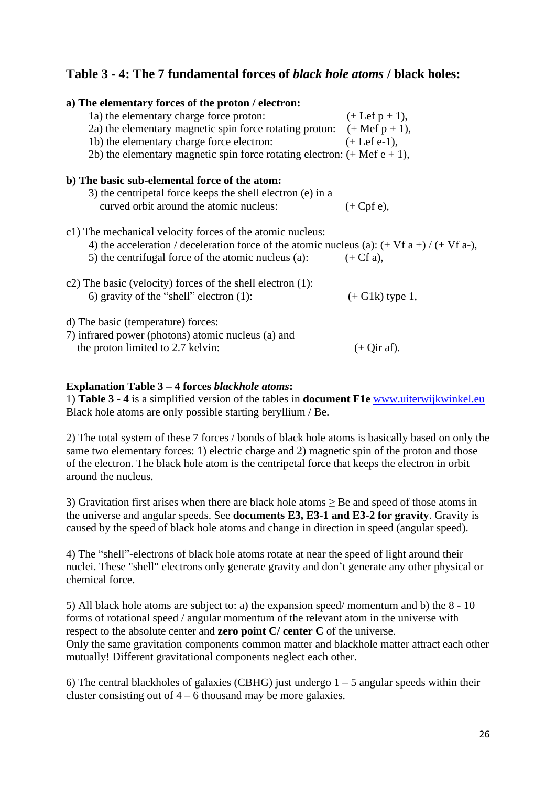# **Table 3 - 4: The 7 fundamental forces of** *black hole atoms* **/ black holes:**

| a) The elementary forces of the proton / electron:                                                                                                                                                                               |                          |
|----------------------------------------------------------------------------------------------------------------------------------------------------------------------------------------------------------------------------------|--------------------------|
| 1a) the elementary charge force proton:                                                                                                                                                                                          | $(+ \text{Lef } p + 1),$ |
| 2a) the elementary magnetic spin force rotating proton: $(+$ Mef $p + 1)$ ,                                                                                                                                                      |                          |
| $(+$ Lef e-1),<br>1b) the elementary charge force electron:                                                                                                                                                                      |                          |
| 2b) the elementary magnetic spin force rotating electron: $(+$ Mef $e + 1)$ ,                                                                                                                                                    |                          |
| b) The basic sub-elemental force of the atom:                                                                                                                                                                                    |                          |
| 3) the centripetal force keeps the shell electron (e) in a                                                                                                                                                                       |                          |
| curved orbit around the atomic nucleus:                                                                                                                                                                                          | $(+ Cpf e),$             |
| c1) The mechanical velocity forces of the atomic nucleus:<br>4) the acceleration / deceleration force of the atomic nucleus (a): $(+ Vf a +) / (+ Vf a -)$ ,<br>5) the centrifugal force of the atomic nucleus (a): $(+ Cf a)$ , |                          |
| c2) The basic (velocity) forces of the shell electron $(1)$ :<br>6) gravity of the "shell" electron $(1)$ :                                                                                                                      | $(+ Glk)$ type 1,        |
| d) The basic (temperature) forces:<br>7) infrared power (photons) atomic nucleus (a) and<br>the proton limited to 2.7 kelvin:                                                                                                    | $(+$ Qir af).            |

#### **Explanation Table 3 – 4 forces** *blackhole atoms***:**

1) **Table 3 - 4** is a simplified version of the tables in **document F1e** [www.uiterwijkwinkel.eu](http://www.uiterwijkwinkel.eu/) Black hole atoms are only possible starting beryllium / Be.

2) The total system of these 7 forces / bonds of black hole atoms is basically based on only the same two elementary forces: 1) electric charge and 2) magnetic spin of the proton and those of the electron. The black hole atom is the centripetal force that keeps the electron in orbit around the nucleus.

3) Gravitation first arises when there are black hole atoms ≥ Be and speed of those atoms in the universe and angular speeds. See **documents E3, E3-1 and E3-2 for gravity**. Gravity is caused by the speed of black hole atoms and change in direction in speed (angular speed).

4) The "shell"-electrons of black hole atoms rotate at near the speed of light around their nuclei. These "shell" electrons only generate gravity and don't generate any other physical or chemical force.

5) All black hole atoms are subject to: a) the expansion speed/ momentum and b) the 8 - 10 forms of rotational speed / angular momentum of the relevant atom in the universe with respect to the absolute center and **zero point C/ center C** of the universe. Only the same gravitation components common matter and blackhole matter attract each other mutually! Different gravitational components neglect each other.

6) The central blackholes of galaxies (CBHG) just undergo  $1 - 5$  angular speeds within their cluster consisting out of  $4 - 6$  thousand may be more galaxies.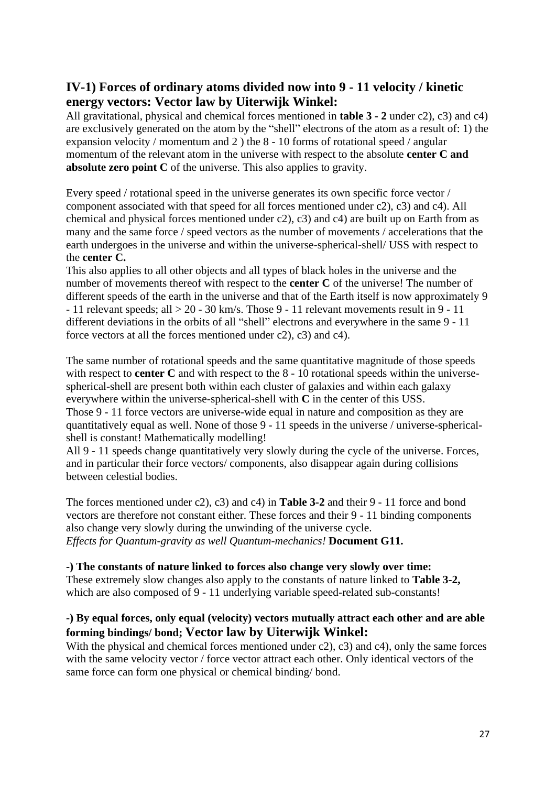# **IV-1) Forces of ordinary atoms divided now into 9 - 11 velocity / kinetic energy vectors: Vector law by Uiterwijk Winkel:**

All gravitational, physical and chemical forces mentioned in **table 3 - 2** under c2), c3) and c4) are exclusively generated on the atom by the "shell" electrons of the atom as a result of: 1) the expansion velocity / momentum and 2 ) the 8 - 10 forms of rotational speed / angular momentum of the relevant atom in the universe with respect to the absolute **center C and absolute zero point C** of the universe. This also applies to gravity.

Every speed / rotational speed in the universe generates its own specific force vector / component associated with that speed for all forces mentioned under c2), c3) and c4). All chemical and physical forces mentioned under c2), c3) and c4) are built up on Earth from as many and the same force / speed vectors as the number of movements / accelerations that the earth undergoes in the universe and within the universe-spherical-shell/ USS with respect to the **center C.**

This also applies to all other objects and all types of black holes in the universe and the number of movements thereof with respect to the **center C** of the universe! The number of different speeds of the earth in the universe and that of the Earth itself is now approximately 9  $-11$  relevant speeds; all  $> 20 - 30$  km/s. Those 9 - 11 relevant movements result in 9 - 11 different deviations in the orbits of all "shell" electrons and everywhere in the same 9 - 11 force vectors at all the forces mentioned under c2), c3) and c4).

The same number of rotational speeds and the same quantitative magnitude of those speeds with respect to **center C** and with respect to the 8 - 10 rotational speeds within the universespherical-shell are present both within each cluster of galaxies and within each galaxy everywhere within the universe-spherical-shell with **C** in the center of this USS. Those 9 - 11 force vectors are universe-wide equal in nature and composition as they are quantitatively equal as well. None of those 9 - 11 speeds in the universe / universe-sphericalshell is constant! Mathematically modelling!

All 9 - 11 speeds change quantitatively very slowly during the cycle of the universe. Forces, and in particular their force vectors/ components, also disappear again during collisions between celestial bodies.

The forces mentioned under c2), c3) and c4) in **Table 3-2** and their 9 - 11 force and bond vectors are therefore not constant either. These forces and their 9 - 11 binding components also change very slowly during the unwinding of the universe cycle. *Effects for Quantum-gravity as well Quantum-mechanics!* **Document G11.**

# **-) The constants of nature linked to forces also change very slowly over time:**

These extremely slow changes also apply to the constants of nature linked to **Table 3-2,** which are also composed of 9 - 11 underlying variable speed-related sub-constants!

# **-) By equal forces, only equal (velocity) vectors mutually attract each other and are able forming bindings/ bond; Vector law by Uiterwijk Winkel:**

With the physical and chemical forces mentioned under c2), c3) and c4), only the same forces with the same velocity vector / force vector attract each other. Only identical vectors of the same force can form one physical or chemical binding/ bond.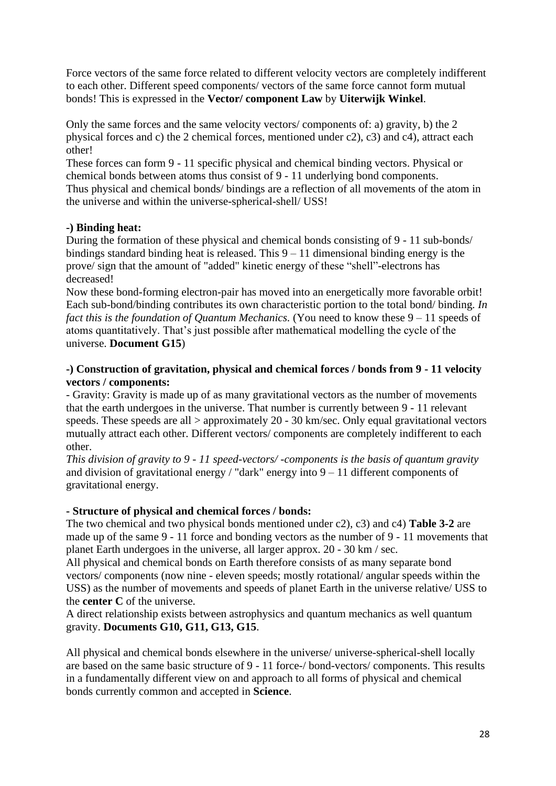Force vectors of the same force related to different velocity vectors are completely indifferent to each other. Different speed components/ vectors of the same force cannot form mutual bonds! This is expressed in the **Vector/ component Law** by **Uiterwijk Winkel**.

Only the same forces and the same velocity vectors/ components of: a) gravity, b) the 2 physical forces and c) the 2 chemical forces, mentioned under c2), c3) and c4), attract each other!

These forces can form 9 - 11 specific physical and chemical binding vectors. Physical or chemical bonds between atoms thus consist of 9 - 11 underlying bond components. Thus physical and chemical bonds/ bindings are a reflection of all movements of the atom in the universe and within the universe-spherical-shell/ USS!

# **-) Binding heat:**

During the formation of these physical and chemical bonds consisting of 9 - 11 sub-bonds/ bindings standard binding heat is released. This 9 – 11 dimensional binding energy is the prove/ sign that the amount of "added" kinetic energy of these "shell"-electrons has decreased!

Now these bond-forming electron-pair has moved into an energetically more favorable orbit! Each sub-bond/binding contributes its own characteristic portion to the total bond/ binding*. In fact this is the foundation of Quantum Mechanics.* (You need to know these  $9 - 11$  speeds of atoms quantitatively. That's just possible after mathematical modelling the cycle of the universe. **Document G15**)

# **-) Construction of gravitation, physical and chemical forces / bonds from 9 - 11 velocity vectors / components:**

- Gravity: Gravity is made up of as many gravitational vectors as the number of movements that the earth undergoes in the universe. That number is currently between 9 - 11 relevant speeds. These speeds are all  $>$  approximately 20 - 30 km/sec. Only equal gravitational vectors mutually attract each other. Different vectors/ components are completely indifferent to each other.

*This division of gravity to 9 - 11 speed-vectors/ -components is the basis of quantum gravity* and division of gravitational energy / "dark" energy into  $9 - 11$  different components of gravitational energy.

# **- Structure of physical and chemical forces / bonds:**

The two chemical and two physical bonds mentioned under c2), c3) and c4) **Table 3-2** are made up of the same 9 - 11 force and bonding vectors as the number of 9 - 11 movements that planet Earth undergoes in the universe, all larger approx. 20 - 30 km / sec.

All physical and chemical bonds on Earth therefore consists of as many separate bond vectors/ components (now nine - eleven speeds; mostly rotational/ angular speeds within the USS) as the number of movements and speeds of planet Earth in the universe relative/ USS to the **center C** of the universe.

A direct relationship exists between astrophysics and quantum mechanics as well quantum gravity. **Documents G10, G11, G13, G15**.

All physical and chemical bonds elsewhere in the universe/ universe-spherical-shell locally are based on the same basic structure of 9 - 11 force-/ bond-vectors/ components. This results in a fundamentally different view on and approach to all forms of physical and chemical bonds currently common and accepted in **Science**.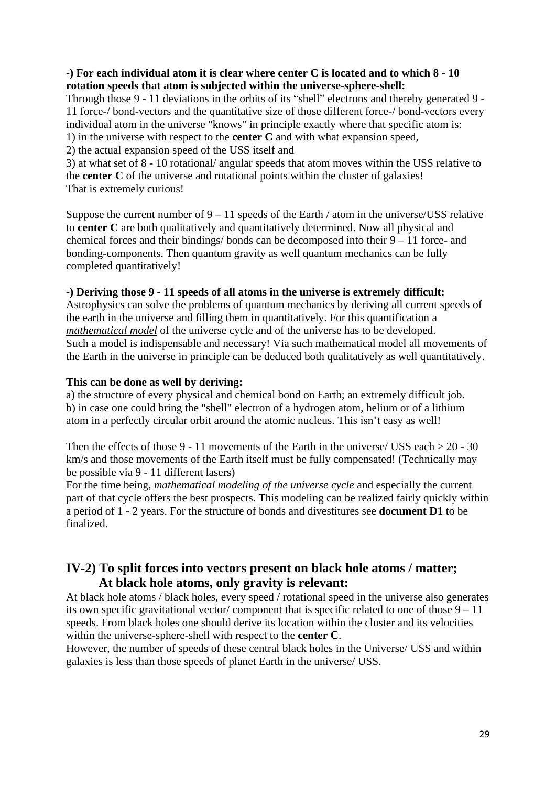# **-) For each individual atom it is clear where center C is located and to which 8 - 10 rotation speeds that atom is subjected within the universe-sphere-shell:**

Through those 9 - 11 deviations in the orbits of its "shell" electrons and thereby generated 9 - 11 force-/ bond-vectors and the quantitative size of those different force-/ bond-vectors every individual atom in the universe "knows" in principle exactly where that specific atom is: 1) in the universe with respect to the **center C** and with what expansion speed,

2) the actual expansion speed of the USS itself and

3) at what set of 8 - 10 rotational/ angular speeds that atom moves within the USS relative to the **center C** of the universe and rotational points within the cluster of galaxies! That is extremely curious!

Suppose the current number of  $9 - 11$  speeds of the Earth / atom in the universe/USS relative to **center C** are both qualitatively and quantitatively determined. Now all physical and chemical forces and their bindings/ bonds can be decomposed into their 9 – 11 force- and bonding-components. Then quantum gravity as well quantum mechanics can be fully completed quantitatively!

# **-) Deriving those 9 - 11 speeds of all atoms in the universe is extremely difficult:**

Astrophysics can solve the problems of quantum mechanics by deriving all current speeds of the earth in the universe and filling them in quantitatively. For this quantification a *mathematical model* of the universe cycle and of the universe has to be developed. Such a model is indispensable and necessary! Via such mathematical model all movements of the Earth in the universe in principle can be deduced both qualitatively as well quantitatively.

#### **This can be done as well by deriving:**

a) the structure of every physical and chemical bond on Earth; an extremely difficult job. b) in case one could bring the "shell" electron of a hydrogen atom, helium or of a lithium atom in a perfectly circular orbit around the atomic nucleus. This isn't easy as well!

Then the effects of those 9 - 11 movements of the Earth in the universe/ USS each > 20 - 30 km/s and those movements of the Earth itself must be fully compensated! (Technically may be possible via 9 - 11 different lasers)

For the time being, *mathematical modeling of the universe cycle* and especially the current part of that cycle offers the best prospects. This modeling can be realized fairly quickly within a period of 1 - 2 years. For the structure of bonds and divestitures see **document D1** to be finalized.

# **IV-2) To split forces into vectors present on black hole atoms / matter; At black hole atoms, only gravity is relevant:**

At black hole atoms / black holes, every speed / rotational speed in the universe also generates its own specific gravitational vector/ component that is specific related to one of those  $9 - 11$ speeds. From black holes one should derive its location within the cluster and its velocities within the universe-sphere-shell with respect to the **center C**.

However, the number of speeds of these central black holes in the Universe/ USS and within galaxies is less than those speeds of planet Earth in the universe/ USS.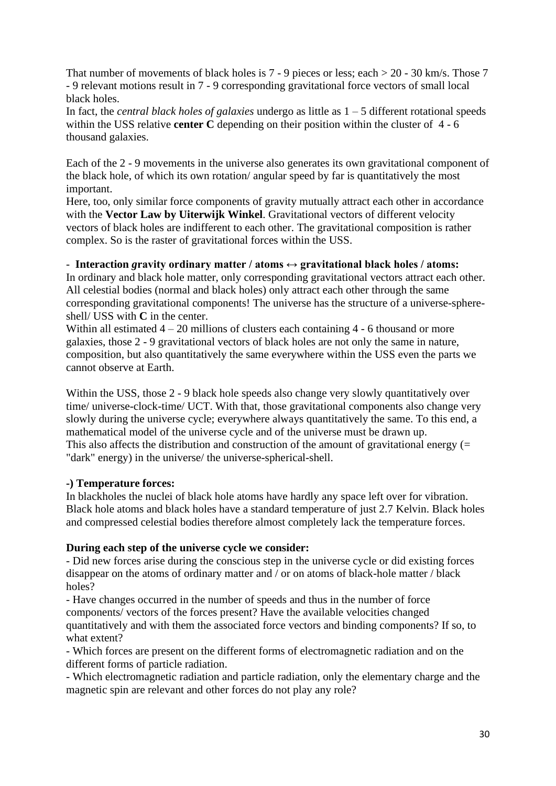That number of movements of black holes is 7 - 9 pieces or less; each  $> 20$  - 30 km/s. Those 7 - 9 relevant motions result in 7 - 9 corresponding gravitational force vectors of small local black holes.

In fact, the *central black holes of galaxies* undergo as little as 1 – 5 different rotational speeds within the USS relative **center C** depending on their position within the cluster of 4 - 6 thousand galaxies.

Each of the 2 - 9 movements in the universe also generates its own gravitational component of the black hole, of which its own rotation/ angular speed by far is quantitatively the most important.

Here, too, only similar force components of gravity mutually attract each other in accordance with the **Vector Law by Uiterwijk Winkel**. Gravitational vectors of different velocity vectors of black holes are indifferent to each other. The gravitational composition is rather complex. So is the raster of gravitational forces within the USS.

#### - **Interaction** *g***ravity ordinary matter / atoms ↔ gravitational black holes / atoms:**

In ordinary and black hole matter, only corresponding gravitational vectors attract each other. All celestial bodies (normal and black holes) only attract each other through the same corresponding gravitational components! The universe has the structure of a universe-sphereshell/ USS with **C** in the center.

Within all estimated  $4 - 20$  millions of clusters each containing  $4 - 6$  thousand or more galaxies, those 2 - 9 gravitational vectors of black holes are not only the same in nature, composition, but also quantitatively the same everywhere within the USS even the parts we cannot observe at Earth.

Within the USS, those 2 - 9 black hole speeds also change very slowly quantitatively over time/ universe-clock-time/ UCT. With that, those gravitational components also change very slowly during the universe cycle; everywhere always quantitatively the same. To this end, a mathematical model of the universe cycle and of the universe must be drawn up. This also affects the distribution and construction of the amount of gravitational energy  $(=$ "dark" energy) in the universe/ the universe-spherical-shell.

# **-) Temperature forces:**

In blackholes the nuclei of black hole atoms have hardly any space left over for vibration. Black hole atoms and black holes have a standard temperature of just 2.7 Kelvin. Black holes and compressed celestial bodies therefore almost completely lack the temperature forces.

# **During each step of the universe cycle we consider:**

- Did new forces arise during the conscious step in the universe cycle or did existing forces disappear on the atoms of ordinary matter and / or on atoms of black-hole matter / black holes?

- Have changes occurred in the number of speeds and thus in the number of force components/ vectors of the forces present? Have the available velocities changed quantitatively and with them the associated force vectors and binding components? If so, to what extent?

- Which forces are present on the different forms of electromagnetic radiation and on the different forms of particle radiation.

- Which electromagnetic radiation and particle radiation, only the elementary charge and the magnetic spin are relevant and other forces do not play any role?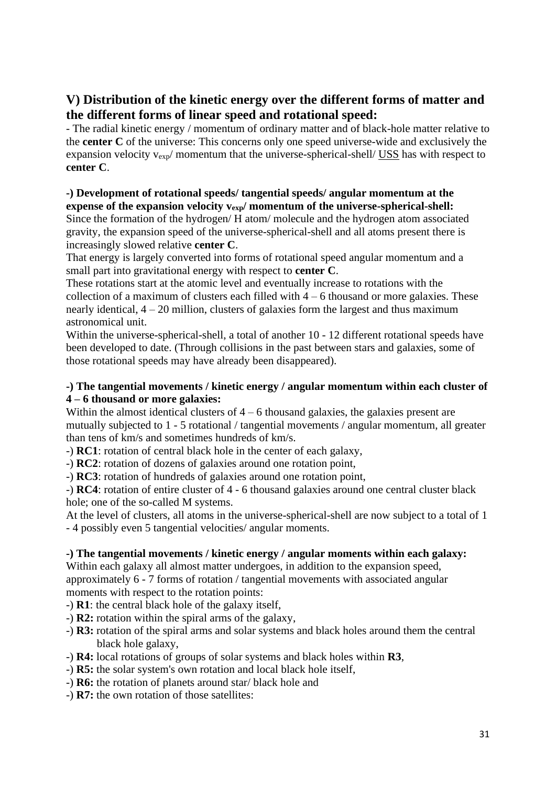# **V) Distribution of the kinetic energy over the different forms of matter and the different forms of linear speed and rotational speed:**

- The radial kinetic energy / momentum of ordinary matter and of black-hole matter relative to the **center C** of the universe: This concerns only one speed universe-wide and exclusively the expansion velocity  $v_{\text{exp}}$  momentum that the universe-spherical-shell/ USS has with respect to **center C**.

#### **-) Development of rotational speeds/ tangential speeds/ angular momentum at the expense of the expansion velocity v<sub>exp</sub>/ momentum of the universe-spherical-shell:**

Since the formation of the hydrogen/ H atom/ molecule and the hydrogen atom associated gravity, the expansion speed of the universe-spherical-shell and all atoms present there is increasingly slowed relative **center C**.

That energy is largely converted into forms of rotational speed angular momentum and a small part into gravitational energy with respect to **center C**.

These rotations start at the atomic level and eventually increase to rotations with the collection of a maximum of clusters each filled with  $4 - 6$  thousand or more galaxies. These nearly identical, 4 – 20 million, clusters of galaxies form the largest and thus maximum astronomical unit.

Within the universe-spherical-shell, a total of another 10 - 12 different rotational speeds have been developed to date. (Through collisions in the past between stars and galaxies, some of those rotational speeds may have already been disappeared).

# **-) The tangential movements / kinetic energy / angular momentum within each cluster of 4 – 6 thousand or more galaxies:**

Within the almost identical clusters of  $4 - 6$  thousand galaxies, the galaxies present are mutually subjected to 1 - 5 rotational / tangential movements / angular momentum, all greater than tens of km/s and sometimes hundreds of km/s.

-) **RC1**: rotation of central black hole in the center of each galaxy,

-) **RC2**: rotation of dozens of galaxies around one rotation point,

-) **RC3**: rotation of hundreds of galaxies around one rotation point,

-) **RC4**: rotation of entire cluster of 4 - 6 thousand galaxies around one central cluster black hole; one of the so-called M systems.

At the level of clusters, all atoms in the universe-spherical-shell are now subject to a total of 1 - 4 possibly even 5 tangential velocities/ angular moments.

# **-) The tangential movements / kinetic energy / angular moments within each galaxy:**

Within each galaxy all almost matter undergoes, in addition to the expansion speed, approximately 6 - 7 forms of rotation / tangential movements with associated angular moments with respect to the rotation points:

-) **R1**: the central black hole of the galaxy itself,

- -) **R2:** rotation within the spiral arms of the galaxy,
- -) **R3:** rotation of the spiral arms and solar systems and black holes around them the central black hole galaxy,
- -) **R4:** local rotations of groups of solar systems and black holes within **R3**,
- -) **R5:** the solar system's own rotation and local black hole itself,
- -) **R6:** the rotation of planets around star/ black hole and
- -) **R7:** the own rotation of those satellites: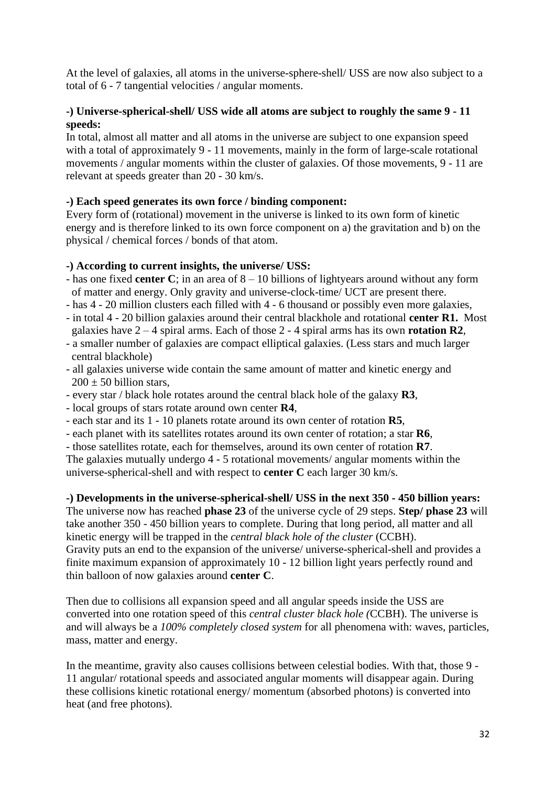At the level of galaxies, all atoms in the universe-sphere-shell/ USS are now also subject to a total of 6 - 7 tangential velocities / angular moments.

# **-) Universe-spherical-shell/ USS wide all atoms are subject to roughly the same 9 - 11 speeds:**

In total, almost all matter and all atoms in the universe are subject to one expansion speed with a total of approximately 9 - 11 movements, mainly in the form of large-scale rotational movements / angular moments within the cluster of galaxies. Of those movements, 9 - 11 are relevant at speeds greater than 20 - 30 km/s.

# **-) Each speed generates its own force / binding component:**

Every form of (rotational) movement in the universe is linked to its own form of kinetic energy and is therefore linked to its own force component on a) the gravitation and b) on the physical / chemical forces / bonds of that atom.

# **-) According to current insights, the universe/ USS:**

- has one fixed **center C**; in an area of 8 10 billions of lightyears around without any form of matter and energy. Only gravity and universe-clock-time/ UCT are present there.
- has 4 20 million clusters each filled with 4 6 thousand or possibly even more galaxies,
- in total 4 20 billion galaxies around their central blackhole and rotational **center R1.** Most galaxies have 2 – 4 spiral arms. Each of those 2 - 4 spiral arms has its own **rotation R2**,
- a smaller number of galaxies are compact elliptical galaxies. (Less stars and much larger central blackhole)
- all galaxies universe wide contain the same amount of matter and kinetic energy and  $200 \pm 50$  billion stars,
- every star / black hole rotates around the central black hole of the galaxy **R3**,
- local groups of stars rotate around own center **R4**,
- each star and its 1 10 planets rotate around its own center of rotation **R5**,
- each planet with its satellites rotates around its own center of rotation; a star **R6**,
- those satellites rotate, each for themselves, around its own center of rotation **R7**.

The galaxies mutually undergo 4 - 5 rotational movements/ angular moments within the universe-spherical-shell and with respect to **center C** each larger 30 km/s.

# **-) Developments in the universe-spherical-shell/ USS in the next 350 - 450 billion years:**

The universe now has reached **phase 23** of the universe cycle of 29 steps. **Step/ phase 23** will take another 350 - 450 billion years to complete. During that long period, all matter and all kinetic energy will be trapped in the *central black hole of the cluster* (CCBH). Gravity puts an end to the expansion of the universe/ universe-spherical-shell and provides a finite maximum expansion of approximately 10 - 12 billion light years perfectly round and thin balloon of now galaxies around **center C**.

Then due to collisions all expansion speed and all angular speeds inside the USS are converted into one rotation speed of this *central cluster black hole (*CCBH). The universe is and will always be a *100% completely closed system* for all phenomena with: waves, particles, mass, matter and energy.

In the meantime, gravity also causes collisions between celestial bodies. With that, those 9 - 11 angular/ rotational speeds and associated angular moments will disappear again. During these collisions kinetic rotational energy/ momentum (absorbed photons) is converted into heat (and free photons).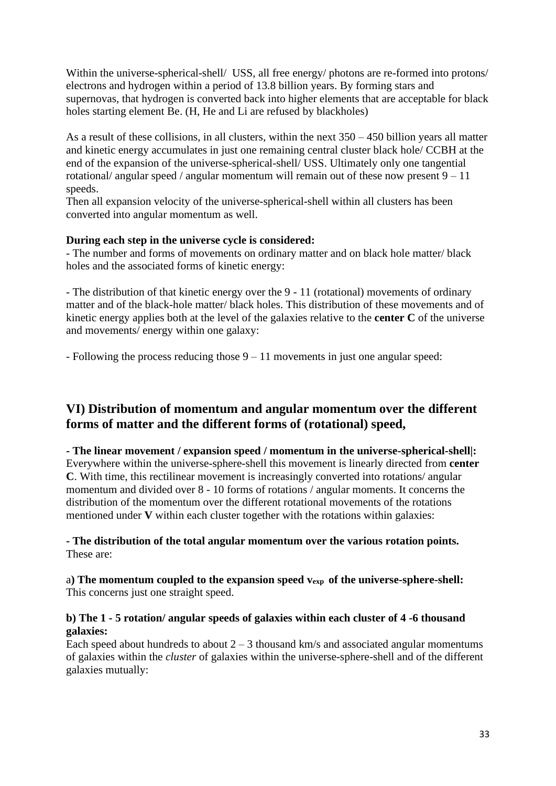Within the universe-spherical-shell/ USS, all free energy/ photons are re-formed into protons/ electrons and hydrogen within a period of 13.8 billion years. By forming stars and supernovas, that hydrogen is converted back into higher elements that are acceptable for black holes starting element Be. (H, He and Li are refused by blackholes)

As a result of these collisions, in all clusters, within the next 350 – 450 billion years all matter and kinetic energy accumulates in just one remaining central cluster black hole/ CCBH at the end of the expansion of the universe-spherical-shell/ USS. Ultimately only one tangential rotational/ angular speed / angular momentum will remain out of these now present  $9 - 11$ speeds.

Then all expansion velocity of the universe-spherical-shell within all clusters has been converted into angular momentum as well.

#### **During each step in the universe cycle is considered:**

- The number and forms of movements on ordinary matter and on black hole matter/ black holes and the associated forms of kinetic energy:

- The distribution of that kinetic energy over the 9 - 11 (rotational) movements of ordinary matter and of the black-hole matter/ black holes. This distribution of these movements and of kinetic energy applies both at the level of the galaxies relative to the **center C** of the universe and movements/ energy within one galaxy:

- Following the process reducing those 9 – 11 movements in just one angular speed:

# **VI) Distribution of momentum and angular momentum over the different forms of matter and the different forms of (rotational) speed,**

**- The linear movement / expansion speed / momentum in the universe-spherical-shell|:** Everywhere within the universe-sphere-shell this movement is linearly directed from **center C**. With time, this rectilinear movement is increasingly converted into rotations/ angular momentum and divided over 8 - 10 forms of rotations / angular moments. It concerns the distribution of the momentum over the different rotational movements of the rotations mentioned under **V** within each cluster together with the rotations within galaxies:

**- The distribution of the total angular momentum over the various rotation points.**  These are:

a**) The momentum coupled to the expansion speed vexp of the universe-sphere-shell:** This concerns just one straight speed.

#### **b) The 1 - 5 rotation/ angular speeds of galaxies within each cluster of 4 -6 thousand galaxies:**

Each speed about hundreds to about  $2 - 3$  thousand km/s and associated angular momentums of galaxies within the *cluster* of galaxies within the universe-sphere-shell and of the different galaxies mutually: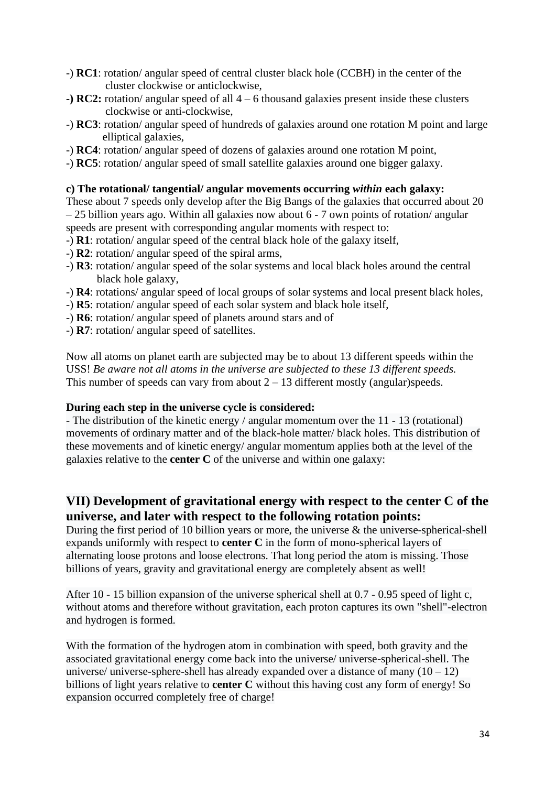- -) **RC1**: rotation/ angular speed of central cluster black hole (CCBH) in the center of the cluster clockwise or anticlockwise,
- **-) RC2:** rotation/ angular speed of all 4 6 thousand galaxies present inside these clusters clockwise or anti-clockwise,
- -) **RC3**: rotation/ angular speed of hundreds of galaxies around one rotation M point and large elliptical galaxies,
- -) **RC4**: rotation/ angular speed of dozens of galaxies around one rotation M point,
- -) **RC5**: rotation/ angular speed of small satellite galaxies around one bigger galaxy.

#### **c) The rotational/ tangential/ angular movements occurring** *within* **each galaxy:**

These about 7 speeds only develop after the Big Bangs of the galaxies that occurred about 20 – 25 billion years ago. Within all galaxies now about 6 - 7 own points of rotation/ angular speeds are present with corresponding angular moments with respect to:

- -) **R1**: rotation/ angular speed of the central black hole of the galaxy itself,
- -) **R2**: rotation/ angular speed of the spiral arms,
- -) **R3**: rotation/ angular speed of the solar systems and local black holes around the central black hole galaxy,
- -) **R4**: rotations/ angular speed of local groups of solar systems and local present black holes,
- -) **R5**: rotation/ angular speed of each solar system and black hole itself,
- -) **R6**: rotation/ angular speed of planets around stars and of
- -) **R7**: rotation/ angular speed of satellites.

Now all atoms on planet earth are subjected may be to about 13 different speeds within the USS! *Be aware not all atoms in the universe are subjected to these 13 different speeds.*  This number of speeds can vary from about  $2 - 13$  different mostly (angular)speeds.

#### **During each step in the universe cycle is considered:**

- The distribution of the kinetic energy / angular momentum over the 11 - 13 (rotational) movements of ordinary matter and of the black-hole matter/ black holes. This distribution of these movements and of kinetic energy/ angular momentum applies both at the level of the galaxies relative to the **center C** of the universe and within one galaxy:

# **VII) Development of gravitational energy with respect to the center C of the universe, and later with respect to the following rotation points:**

During the first period of 10 billion years or more, the universe  $\&$  the universe-spherical-shell expands uniformly with respect to **center C** in the form of mono-spherical layers of alternating loose protons and loose electrons. That long period the atom is missing. Those billions of years, gravity and gravitational energy are completely absent as well!

After 10 - 15 billion expansion of the universe spherical shell at 0.7 - 0.95 speed of light c, without atoms and therefore without gravitation, each proton captures its own "shell"-electron and hydrogen is formed.

With the formation of the hydrogen atom in combination with speed, both gravity and the associated gravitational energy come back into the universe/ universe-spherical-shell. The universe/ universe-sphere-shell has already expanded over a distance of many  $(10 - 12)$ billions of light years relative to **center C** without this having cost any form of energy! So expansion occurred completely free of charge!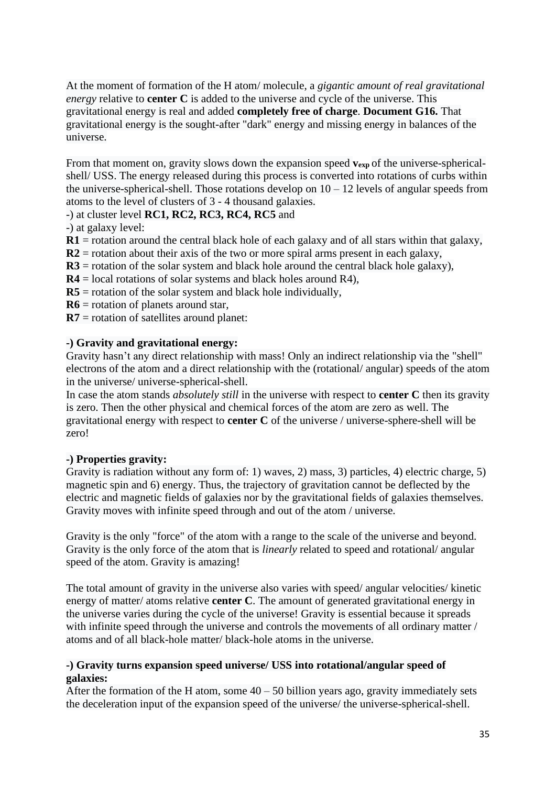At the moment of formation of the H atom/ molecule, a *gigantic amount of real gravitational energy* relative to **center C** is added to the universe and cycle of the universe. This gravitational energy is real and added **completely free of charge**. **Document G16.** That gravitational energy is the sought-after "dark" energy and missing energy in balances of the universe.

From that moment on, gravity slows down the expansion speed  $v_{exp}$  of the universe-sphericalshell/ USS. The energy released during this process is converted into rotations of curbs within the universe-spherical-shell. Those rotations develop on  $10 - 12$  levels of angular speeds from atoms to the level of clusters of 3 - 4 thousand galaxies.

#### -) at cluster level **RC1, RC2, RC3, RC4, RC5** and

-) at galaxy level:

**R1** = rotation around the central black hole of each galaxy and of all stars within that galaxy,

 $R2$  = rotation about their axis of the two or more spiral arms present in each galaxy,

- $R3$  = rotation of the solar system and black hole around the central black hole galaxy),
- **R4** = local rotations of solar systems and black holes around R4),
- $R5$  = rotation of the solar system and black hole individually,
- **R6** = rotation of planets around star,
- **R7** = rotation of satellites around planet:

#### **-) Gravity and gravitational energy:**

Gravity hasn't any direct relationship with mass! Only an indirect relationship via the "shell" electrons of the atom and a direct relationship with the (rotational/ angular) speeds of the atom in the universe/ universe-spherical-shell.

In case the atom stands *absolutely still* in the universe with respect to **center C** then its gravity is zero. Then the other physical and chemical forces of the atom are zero as well. The gravitational energy with respect to **center C** of the universe / universe-sphere-shell will be zero!

# **-) Properties gravity:**

Gravity is radiation without any form of: 1) waves, 2) mass, 3) particles, 4) electric charge, 5) magnetic spin and 6) energy. Thus, the trajectory of gravitation cannot be deflected by the electric and magnetic fields of galaxies nor by the gravitational fields of galaxies themselves. Gravity moves with infinite speed through and out of the atom / universe.

Gravity is the only "force" of the atom with a range to the scale of the universe and beyond. Gravity is the only force of the atom that is *linearly* related to speed and rotational/ angular speed of the atom. Gravity is amazing!

The total amount of gravity in the universe also varies with speed/ angular velocities/ kinetic energy of matter/ atoms relative **center C**. The amount of generated gravitational energy in the universe varies during the cycle of the universe! Gravity is essential because it spreads with infinite speed through the universe and controls the movements of all ordinary matter / atoms and of all black-hole matter/ black-hole atoms in the universe.

#### **-) Gravity turns expansion speed universe/ USS into rotational/angular speed of galaxies:**

After the formation of the H atom, some  $40 - 50$  billion years ago, gravity immediately sets the deceleration input of the expansion speed of the universe/ the universe-spherical-shell.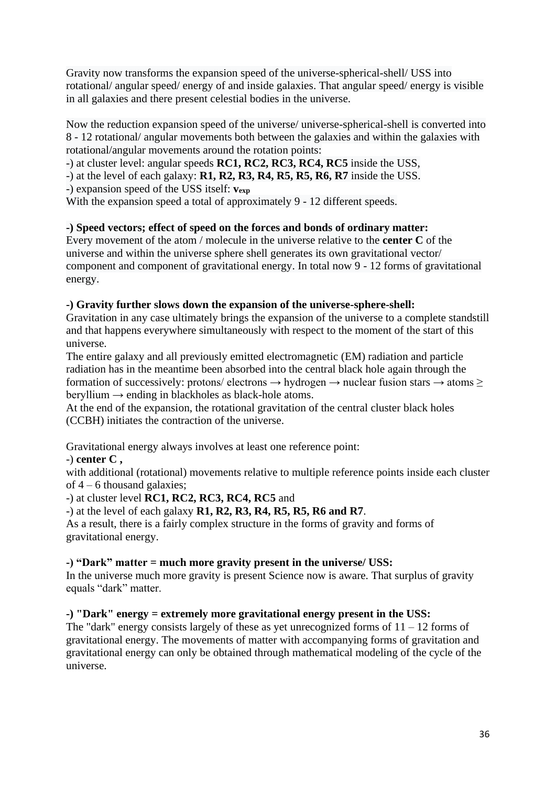Gravity now transforms the expansion speed of the universe-spherical-shell/ USS into rotational/ angular speed/ energy of and inside galaxies. That angular speed/ energy is visible in all galaxies and there present celestial bodies in the universe.

Now the reduction expansion speed of the universe/ universe-spherical-shell is converted into 8 - 12 rotational/ angular movements both between the galaxies and within the galaxies with rotational/angular movements around the rotation points:

-) at cluster level: angular speeds **RC1, RC2, RC3, RC4, RC5** inside the USS,

-) at the level of each galaxy: **R1, R2, R3, R4, R5, R5, R6, R7** inside the USS.

-) expansion speed of the USS itself: **vexp** 

With the expansion speed a total of approximately 9 - 12 different speeds.

# **-) Speed vectors; effect of speed on the forces and bonds of ordinary matter:**

Every movement of the atom / molecule in the universe relative to the **center C** of the universe and within the universe sphere shell generates its own gravitational vector/ component and component of gravitational energy. In total now 9 - 12 forms of gravitational energy.

# **-) Gravity further slows down the expansion of the universe-sphere-shell:**

Gravitation in any case ultimately brings the expansion of the universe to a complete standstill and that happens everywhere simultaneously with respect to the moment of the start of this universe.

The entire galaxy and all previously emitted electromagnetic (EM) radiation and particle radiation has in the meantime been absorbed into the central black hole again through the formation of successively: protons/ electrons  $\rightarrow$  hydrogen  $\rightarrow$  nuclear fusion stars  $\rightarrow$  atoms  $\ge$ beryllium  $\rightarrow$  ending in blackholes as black-hole atoms.

At the end of the expansion, the rotational gravitation of the central cluster black holes (CCBH) initiates the contraction of the universe.

Gravitational energy always involves at least one reference point:

# -) **center C ,**

with additional (rotational) movements relative to multiple reference points inside each cluster of 4 – 6 thousand galaxies;

-) at cluster level **RC1, RC2, RC3, RC4, RC5** and

-) at the level of each galaxy **R1, R2, R3, R4, R5, R5, R6 and R7**.

As a result, there is a fairly complex structure in the forms of gravity and forms of gravitational energy.

# **-) "Dark" matter = much more gravity present in the universe/ USS:**

In the universe much more gravity is present Science now is aware. That surplus of gravity equals "dark" matter.

# **-) "Dark" energy = extremely more gravitational energy present in the USS:**

The "dark" energy consists largely of these as yet unrecognized forms of  $11 - 12$  forms of gravitational energy. The movements of matter with accompanying forms of gravitation and gravitational energy can only be obtained through mathematical modeling of the cycle of the universe.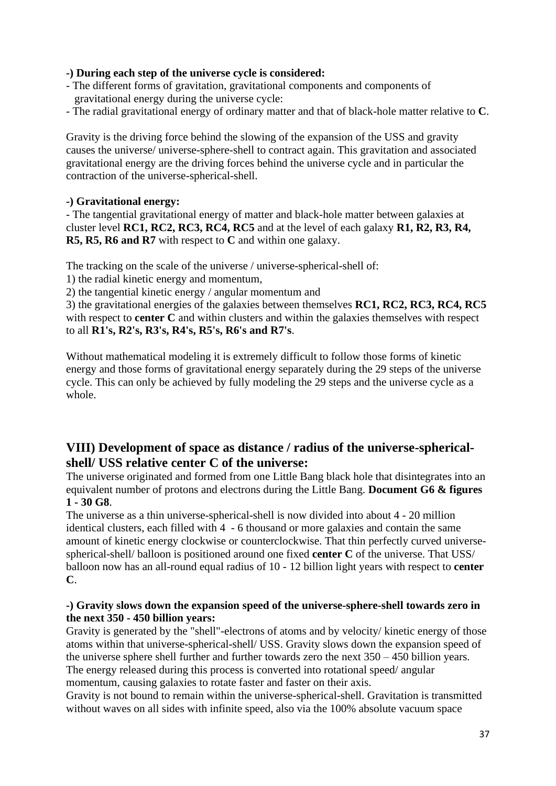## **-) During each step of the universe cycle is considered:**

- The different forms of gravitation, gravitational components and components of gravitational energy during the universe cycle:
- The radial gravitational energy of ordinary matter and that of black-hole matter relative to **C**.

Gravity is the driving force behind the slowing of the expansion of the USS and gravity causes the universe/ universe-sphere-shell to contract again. This gravitation and associated gravitational energy are the driving forces behind the universe cycle and in particular the contraction of the universe-spherical-shell.

## **-) Gravitational energy:**

- The tangential gravitational energy of matter and black-hole matter between galaxies at cluster level **RC1, RC2, RC3, RC4, RC5** and at the level of each galaxy **R1, R2, R3, R4, R5, R5, R6 and R7** with respect to **C** and within one galaxy.

The tracking on the scale of the universe / universe-spherical-shell of:

1) the radial kinetic energy and momentum,

2) the tangential kinetic energy / angular momentum and

3) the gravitational energies of the galaxies between themselves **RC1, RC2, RC3, RC4, RC5** with respect to **center C** and within clusters and within the galaxies themselves with respect to all **R1's, R2's, R3's, R4's, R5's, R6's and R7's**.

Without mathematical modeling it is extremely difficult to follow those forms of kinetic energy and those forms of gravitational energy separately during the 29 steps of the universe cycle. This can only be achieved by fully modeling the 29 steps and the universe cycle as a whole.

## **VIII) Development of space as distance / radius of the universe-sphericalshell/ USS relative center C of the universe:**

The universe originated and formed from one Little Bang black hole that disintegrates into an equivalent number of protons and electrons during the Little Bang. **Document G6 & figures 1 - 30 G8**.

The universe as a thin universe-spherical-shell is now divided into about 4 - 20 million identical clusters, each filled with 4 - 6 thousand or more galaxies and contain the same amount of kinetic energy clockwise or counterclockwise. That thin perfectly curved universespherical-shell/ balloon is positioned around one fixed **center C** of the universe. That USS/ balloon now has an all-round equal radius of 10 - 12 billion light years with respect to **center C**.

## **-) Gravity slows down the expansion speed of the universe-sphere-shell towards zero in the next 350 - 450 billion years:**

Gravity is generated by the "shell"-electrons of atoms and by velocity/ kinetic energy of those atoms within that universe-spherical-shell/ USS. Gravity slows down the expansion speed of the universe sphere shell further and further towards zero the next 350 – 450 billion years. The energy released during this process is converted into rotational speed/ angular momentum, causing galaxies to rotate faster and faster on their axis.

Gravity is not bound to remain within the universe-spherical-shell. Gravitation is transmitted without waves on all sides with infinite speed, also via the 100% absolute vacuum space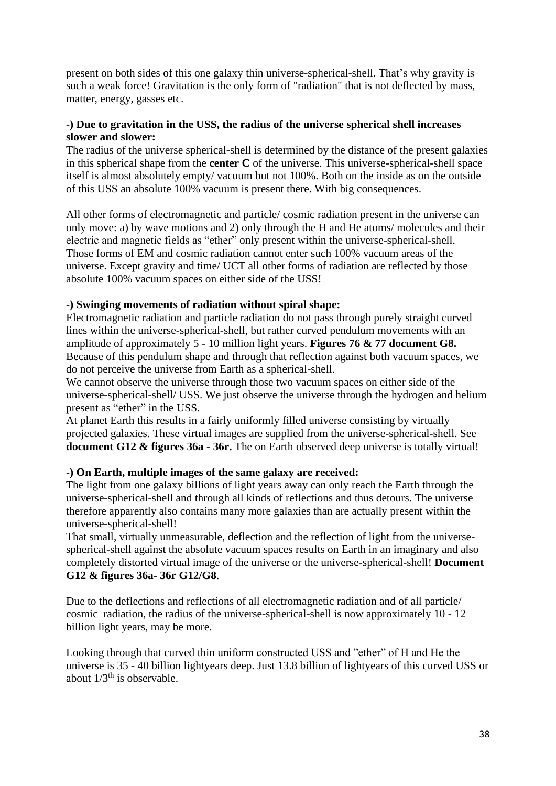present on both sides of this one galaxy thin universe-spherical-shell. That's why gravity is such a weak force! Gravitation is the only form of "radiation" that is not deflected by mass, matter, energy, gasses etc.

#### **-) Due to gravitation in the USS, the radius of the universe spherical shell increases slower and slower:**

The radius of the universe spherical-shell is determined by the distance of the present galaxies in this spherical shape from the **center C** of the universe. This universe-spherical-shell space itself is almost absolutely empty/ vacuum but not 100%. Both on the inside as on the outside of this USS an absolute 100% vacuum is present there. With big consequences.

All other forms of electromagnetic and particle/ cosmic radiation present in the universe can only move: a) by wave motions and 2) only through the H and He atoms/ molecules and their electric and magnetic fields as "ether" only present within the universe-spherical-shell. Those forms of EM and cosmic radiation cannot enter such 100% vacuum areas of the universe. Except gravity and time/ UCT all other forms of radiation are reflected by those absolute 100% vacuum spaces on either side of the USS!

## **-) Swinging movements of radiation without spiral shape:**

Electromagnetic radiation and particle radiation do not pass through purely straight curved lines within the universe-spherical-shell, but rather curved pendulum movements with an amplitude of approximately 5 - 10 million light years. **Figures 76 & 77 document G8.** Because of this pendulum shape and through that reflection against both vacuum spaces, we do not perceive the universe from Earth as a spherical-shell.

We cannot observe the universe through those two vacuum spaces on either side of the universe-spherical-shell/ USS. We just observe the universe through the hydrogen and helium present as "ether" in the USS.

At planet Earth this results in a fairly uniformly filled universe consisting by virtually projected galaxies. These virtual images are supplied from the universe-spherical-shell. See **document G12 & figures 36a - 36r.** The on Earth observed deep universe is totally virtual!

## **-) On Earth, multiple images of the same galaxy are received:**

The light from one galaxy billions of light years away can only reach the Earth through the universe-spherical-shell and through all kinds of reflections and thus detours. The universe therefore apparently also contains many more galaxies than are actually present within the universe-spherical-shell!

That small, virtually unmeasurable, deflection and the reflection of light from the universespherical-shell against the absolute vacuum spaces results on Earth in an imaginary and also completely distorted virtual image of the universe or the universe-spherical-shell! **Document G12 & figures 36a- 36r G12/G8**.

Due to the deflections and reflections of all electromagnetic radiation and of all particle/ cosmic radiation, the radius of the universe-spherical-shell is now approximately 10 - 12 billion light years, may be more.

Looking through that curved thin uniform constructed USS and "ether" of H and He the universe is 35 - 40 billion lightyears deep. Just 13.8 billion of lightyears of this curved USS or about  $1/3^{th}$  is observable.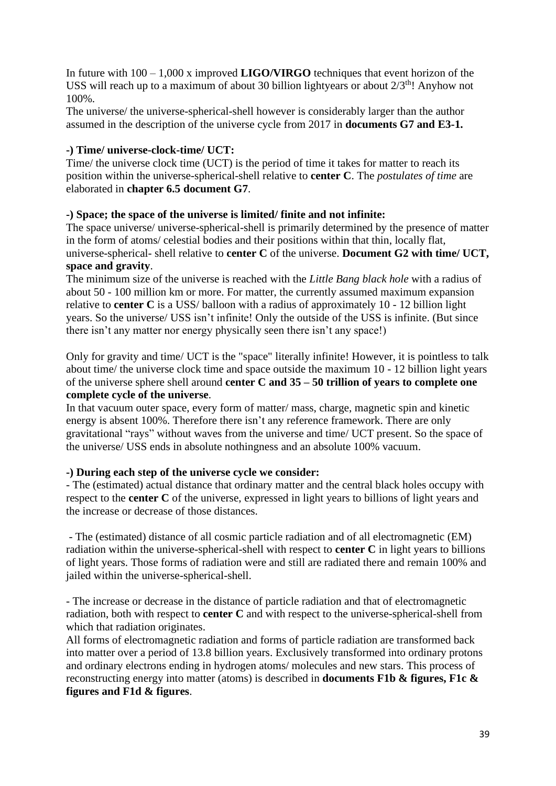In future with 100 – 1,000 x improved **LIGO/VIRGO** techniques that event horizon of the USS will reach up to a maximum of about 30 billion lightyears or about  $2/3^{th}$ ! Anyhow not 100%.

The universe/ the universe-spherical-shell however is considerably larger than the author assumed in the description of the universe cycle from 2017 in **documents G7 and E3-1.**

## **-) Time/ universe-clock-time/ UCT:**

Time/ the universe clock time (UCT) is the period of time it takes for matter to reach its position within the universe-spherical-shell relative to **center C**. The *postulates of time* are elaborated in **chapter 6.5 document G7**.

## **-) Space; the space of the universe is limited/ finite and not infinite:**

The space universe/ universe-spherical-shell is primarily determined by the presence of matter in the form of atoms/ celestial bodies and their positions within that thin, locally flat, universe-spherical- shell relative to **center C** of the universe. **Document G2 with time/ UCT, space and gravity**.

The minimum size of the universe is reached with the *Little Bang black hole* with a radius of about 50 - 100 million km or more. For matter, the currently assumed maximum expansion relative to **center C** is a USS/ balloon with a radius of approximately 10 - 12 billion light years. So the universe/ USS isn't infinite! Only the outside of the USS is infinite. (But since there isn't any matter nor energy physically seen there isn't any space!)

Only for gravity and time/ UCT is the "space" literally infinite! However, it is pointless to talk about time/ the universe clock time and space outside the maximum 10 - 12 billion light years of the universe sphere shell around **center C and 35 – 50 trillion of years to complete one complete cycle of the universe**.

In that vacuum outer space, every form of matter/ mass, charge, magnetic spin and kinetic energy is absent 100%. Therefore there isn't any reference framework. There are only gravitational "rays" without waves from the universe and time/ UCT present. So the space of the universe/ USS ends in absolute nothingness and an absolute 100% vacuum.

## **-) During each step of the universe cycle we consider:**

- The (estimated) actual distance that ordinary matter and the central black holes occupy with respect to the **center C** of the universe, expressed in light years to billions of light years and the increase or decrease of those distances.

- The (estimated) distance of all cosmic particle radiation and of all electromagnetic (EM) radiation within the universe-spherical-shell with respect to **center C** in light years to billions of light years. Those forms of radiation were and still are radiated there and remain 100% and jailed within the universe-spherical-shell.

- The increase or decrease in the distance of particle radiation and that of electromagnetic radiation, both with respect to **center C** and with respect to the universe-spherical-shell from which that radiation originates.

All forms of electromagnetic radiation and forms of particle radiation are transformed back into matter over a period of 13.8 billion years. Exclusively transformed into ordinary protons and ordinary electrons ending in hydrogen atoms/ molecules and new stars. This process of reconstructing energy into matter (atoms) is described in **documents F1b & figures, F1c & figures and F1d & figures**.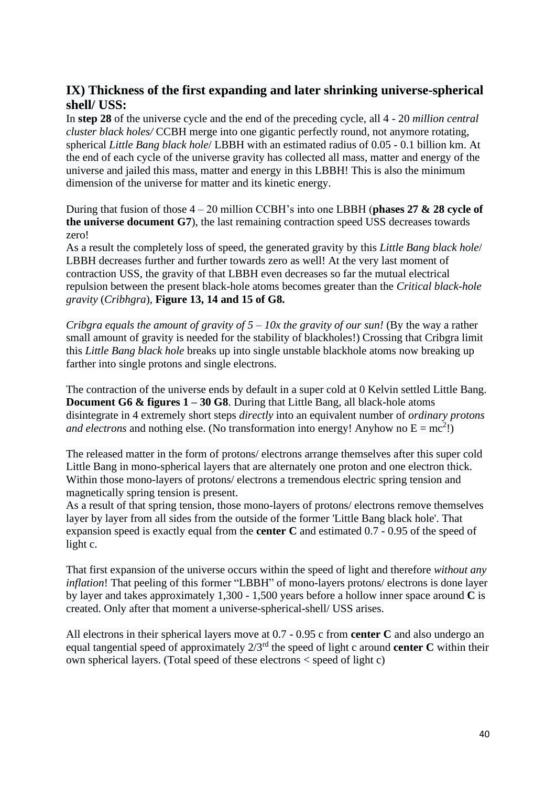## **IX) Thickness of the first expanding and later shrinking universe-spherical shell/ USS:**

In **step 28** of the universe cycle and the end of the preceding cycle, all 4 - 20 *million central cluster black holes/* CCBH merge into one gigantic perfectly round, not anymore rotating, spherical *Little Bang black hole*/ LBBH with an estimated radius of 0.05 - 0.1 billion km. At the end of each cycle of the universe gravity has collected all mass, matter and energy of the universe and jailed this mass, matter and energy in this LBBH! This is also the minimum dimension of the universe for matter and its kinetic energy.

During that fusion of those 4 – 20 million CCBH's into one LBBH (**phases 27 & 28 cycle of the universe document G7**), the last remaining contraction speed USS decreases towards zero!

As a result the completely loss of speed, the generated gravity by this *Little Bang black hole*/ LBBH decreases further and further towards zero as well! At the very last moment of contraction USS, the gravity of that LBBH even decreases so far the mutual electrical repulsion between the present black-hole atoms becomes greater than the *Critical black-hole gravity* (*Cribhgra*), **Figure 13, 14 and 15 of G8.**

*Cribgra equals the amount of gravity of 5 – 10x the gravity of our sun!* (By the way a rather small amount of gravity is needed for the stability of blackholes!) Crossing that Cribgra limit this *Little Bang black hole* breaks up into single unstable blackhole atoms now breaking up farther into single protons and single electrons.

The contraction of the universe ends by default in a super cold at 0 Kelvin settled Little Bang. **Document G6 & figures 1 – 30 G8**. During that Little Bang, all black-hole atoms disintegrate in 4 extremely short steps *directly* into an equivalent number of *ordinary protons and electrons* and nothing else. (No transformation into energy! Anyhow no  $E = mc^2$ !)

The released matter in the form of protons/ electrons arrange themselves after this super cold Little Bang in mono-spherical layers that are alternately one proton and one electron thick. Within those mono-layers of protons/ electrons a tremendous electric spring tension and magnetically spring tension is present.

As a result of that spring tension, those mono-layers of protons/ electrons remove themselves layer by layer from all sides from the outside of the former 'Little Bang black hole'. That expansion speed is exactly equal from the **center C** and estimated 0.7 - 0.95 of the speed of light c.

That first expansion of the universe occurs within the speed of light and therefore *without any inflation*! That peeling of this former "LBBH" of mono-layers protons/ electrons is done layer by layer and takes approximately 1,300 - 1,500 years before a hollow inner space around **C** is created. Only after that moment a universe-spherical-shell/ USS arises.

All electrons in their spherical layers move at 0.7 - 0.95 c from **center C** and also undergo an equal tangential speed of approximately 2/3rd the speed of light c around **center C** within their own spherical layers. (Total speed of these electrons < speed of light c)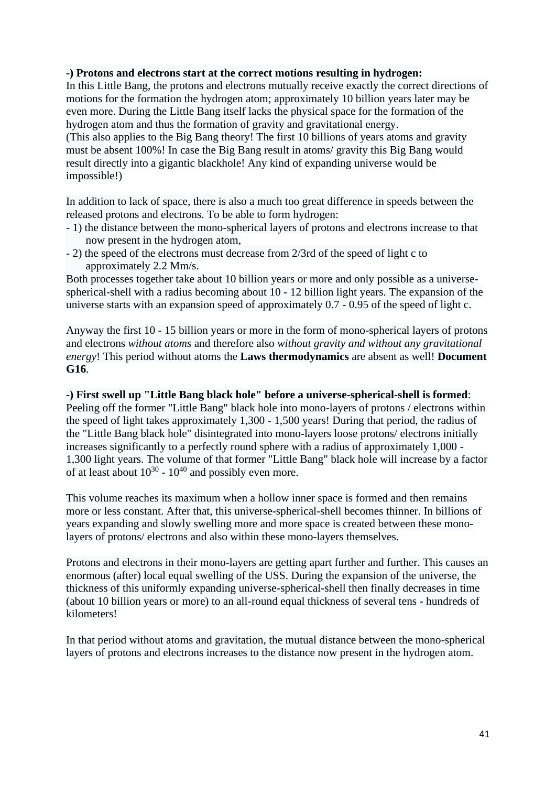#### **-) Protons and electrons start at the correct motions resulting in hydrogen:**

In this Little Bang, the protons and electrons mutually receive exactly the correct directions of motions for the formation the hydrogen atom; approximately 10 billion years later may be even more. During the Little Bang itself lacks the physical space for the formation of the hydrogen atom and thus the formation of gravity and gravitational energy.

(This also applies to the Big Bang theory! The first 10 billions of years atoms and gravity must be absent 100%! In case the Big Bang result in atoms/ gravity this Big Bang would result directly into a gigantic blackhole! Any kind of expanding universe would be impossible!)

In addition to lack of space, there is also a much too great difference in speeds between the released protons and electrons. To be able to form hydrogen:

- 1) the distance between the mono-spherical layers of protons and electrons increase to that now present in the hydrogen atom,
- 2) the speed of the electrons must decrease from 2/3rd of the speed of light c to approximately 2.2 Mm/s.

Both processes together take about 10 billion years or more and only possible as a universespherical-shell with a radius becoming about 10 - 12 billion light years. The expansion of the universe starts with an expansion speed of approximately 0.7 - 0.95 of the speed of light c.

Anyway the first 10 - 15 billion years or more in the form of mono-spherical layers of protons and electrons *without atoms* and therefore also *without gravity and without any gravitational energy*! This period without atoms the **Laws thermodynamics** are absent as well! **Document G16**.

#### **-) First swell up "Little Bang black hole" before a universe-spherical-shell is formed**: Peeling off the former "Little Bang" black hole into mono-layers of protons / electrons within the speed of light takes approximately 1,300 - 1,500 years! During that period, the radius of the "Little Bang black hole" disintegrated into mono-layers loose protons/ electrons initially increases significantly to a perfectly round sphere with a radius of approximately 1,000 - 1,300 light years. The volume of that former "Little Bang" black hole will increase by a factor

of at least about  $10^{30}$  -  $10^{40}$  and possibly even more.

This volume reaches its maximum when a hollow inner space is formed and then remains more or less constant. After that, this universe-spherical-shell becomes thinner. In billions of years expanding and slowly swelling more and more space is created between these monolayers of protons/ electrons and also within these mono-layers themselves.

Protons and electrons in their mono-layers are getting apart further and further. This causes an enormous (after) local equal swelling of the USS. During the expansion of the universe, the thickness of this uniformly expanding universe-spherical-shell then finally decreases in time (about 10 billion years or more) to an all-round equal thickness of several tens - hundreds of kilometers!

In that period without atoms and gravitation, the mutual distance between the mono-spherical layers of protons and electrons increases to the distance now present in the hydrogen atom.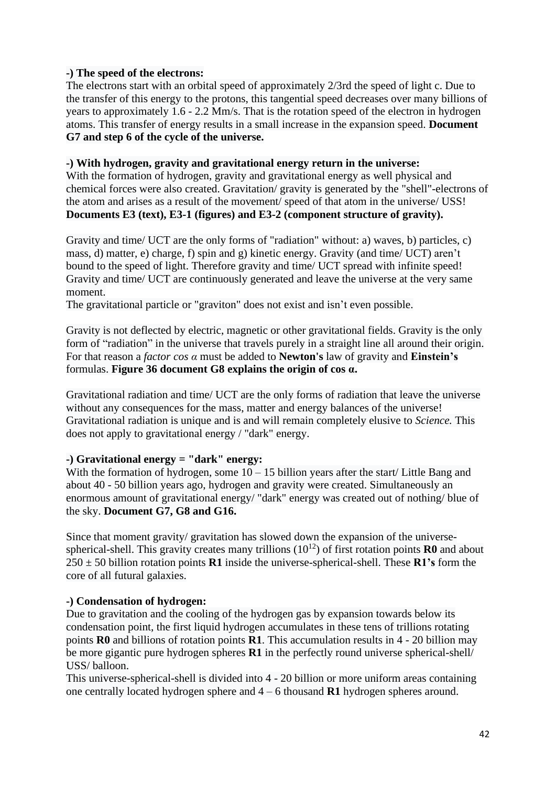## **-) The speed of the electrons:**

The electrons start with an orbital speed of approximately 2/3rd the speed of light c. Due to the transfer of this energy to the protons, this tangential speed decreases over many billions of years to approximately 1.6 - 2.2 Mm/s. That is the rotation speed of the electron in hydrogen atoms. This transfer of energy results in a small increase in the expansion speed. **Document G7 and step 6 of the cycle of the universe.**

#### **-) With hydrogen, gravity and gravitational energy return in the universe:**

With the formation of hydrogen, gravity and gravitational energy as well physical and chemical forces were also created. Gravitation/ gravity is generated by the "shell"-electrons of the atom and arises as a result of the movement/ speed of that atom in the universe/ USS! **Documents E3 (text), E3-1 (figures) and E3-2 (component structure of gravity).**

Gravity and time/ UCT are the only forms of "radiation" without: a) waves, b) particles, c) mass, d) matter, e) charge, f) spin and g) kinetic energy. Gravity (and time/ UCT) aren't bound to the speed of light. Therefore gravity and time/ UCT spread with infinite speed! Gravity and time/ UCT are continuously generated and leave the universe at the very same moment.

The gravitational particle or "graviton" does not exist and isn't even possible.

Gravity is not deflected by electric, magnetic or other gravitational fields. Gravity is the only form of "radiation" in the universe that travels purely in a straight line all around their origin. For that reason a *factor cos α* must be added to **Newton's** law of gravity and **Einstein's** formulas. **Figure 36 document G8 explains the origin of cos α.**

Gravitational radiation and time/ UCT are the only forms of radiation that leave the universe without any consequences for the mass, matter and energy balances of the universe! Gravitational radiation is unique and is and will remain completely elusive to *Science.* This does not apply to gravitational energy / "dark" energy.

## **-) Gravitational energy = "dark" energy:**

With the formation of hydrogen, some  $10 - 15$  billion years after the start/ Little Bang and about 40 - 50 billion years ago, hydrogen and gravity were created. Simultaneously an enormous amount of gravitational energy/ "dark" energy was created out of nothing/ blue of the sky. **Document G7, G8 and G16.**

Since that moment gravity/ gravitation has slowed down the expansion of the universespherical-shell. This gravity creates many trillions  $(10^{12})$  of first rotation points **R0** and about 250 ± 50 billion rotation points **R1** inside the universe-spherical-shell. These **R1's** form the core of all futural galaxies.

## **-) Condensation of hydrogen:**

Due to gravitation and the cooling of the hydrogen gas by expansion towards below its condensation point, the first liquid hydrogen accumulates in these tens of trillions rotating points **R0** and billions of rotation points **R1**. This accumulation results in 4 - 20 billion may be more gigantic pure hydrogen spheres **R1** in the perfectly round universe spherical-shell/ USS/ balloon.

This universe-spherical-shell is divided into 4 - 20 billion or more uniform areas containing one centrally located hydrogen sphere and 4 – 6 thousand **R1** hydrogen spheres around.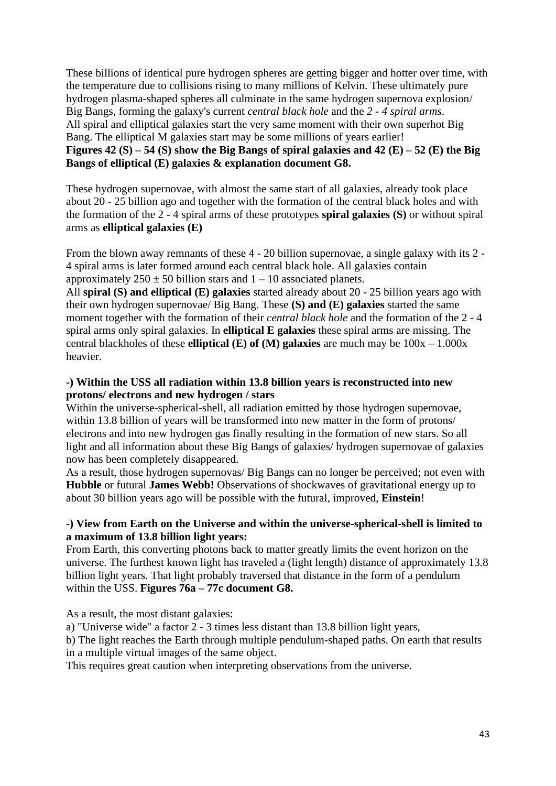These billions of identical pure hydrogen spheres are getting bigger and hotter over time, with the temperature due to collisions rising to many millions of Kelvin. These ultimately pure hydrogen plasma-shaped spheres all culminate in the same hydrogen supernova explosion/ Big Bangs, forming the galaxy's current *central black hole* and the *2 - 4 spiral arms*. All spiral and elliptical galaxies start the very same moment with their own superhot Big Bang. The elliptical M galaxies start may be some millions of years earlier! **Figures 42 (S) – 54 (S) show the Big Bangs of spiral galaxies and 42 (E) – 52 (E) the Big Bangs of elliptical (E) galaxies & explanation document G8.**

These hydrogen supernovae, with almost the same start of all galaxies, already took place about 20 - 25 billion ago and together with the formation of the central black holes and with the formation of the 2 - 4 spiral arms of these prototypes **spiral galaxies (S)** or without spiral arms as **elliptical galaxies (E)**

From the blown away remnants of these 4 - 20 billion supernovae, a single galaxy with its 2 - 4 spiral arms is later formed around each central black hole. All galaxies contain approximately  $250 \pm 50$  billion stars and  $1 - 10$  associated planets.

All **spiral (S) and elliptical (E) galaxies** started already about 20 - 25 billion years ago with their own hydrogen supernovae/ Big Bang. These **(S) and (E) galaxies** started the same moment together with the formation of their *central black hole* and the formation of the 2 - 4 spiral arms only spiral galaxies. In **elliptical E galaxies** these spiral arms are missing. The central blackholes of these **elliptical (E) of (M) galaxies** are much may be 100x – 1.000x heavier.

#### **-) Within the USS all radiation within 13.8 billion years is reconstructed into new protons/ electrons and new hydrogen / stars**

Within the universe-spherical-shell, all radiation emitted by those hydrogen supernovae, within 13.8 billion of years will be transformed into new matter in the form of protons/ electrons and into new hydrogen gas finally resulting in the formation of new stars. So all light and all information about these Big Bangs of galaxies/ hydrogen supernovae of galaxies now has been completely disappeared.

As a result, those hydrogen supernovas/ Big Bangs can no longer be perceived; not even with **Hubble** or futural **James Webb!** Observations of shockwaves of gravitational energy up to about 30 billion years ago will be possible with the futural, improved, **Einstein**!

## **-) View from Earth on the Universe and within the universe-spherical-shell is limited to a maximum of 13.8 billion light years:**

From Earth, this converting photons back to matter greatly limits the event horizon on the universe. The furthest known light has traveled a (light length) distance of approximately 13.8 billion light years. That light probably traversed that distance in the form of a pendulum within the USS. **Figures 76a – 77c document G8.**

As a result, the most distant galaxies:

a) "Universe wide" a factor 2 - 3 times less distant than 13.8 billion light years,

b) The light reaches the Earth through multiple pendulum-shaped paths. On earth that results in a multiple virtual images of the same object.

This requires great caution when interpreting observations from the universe.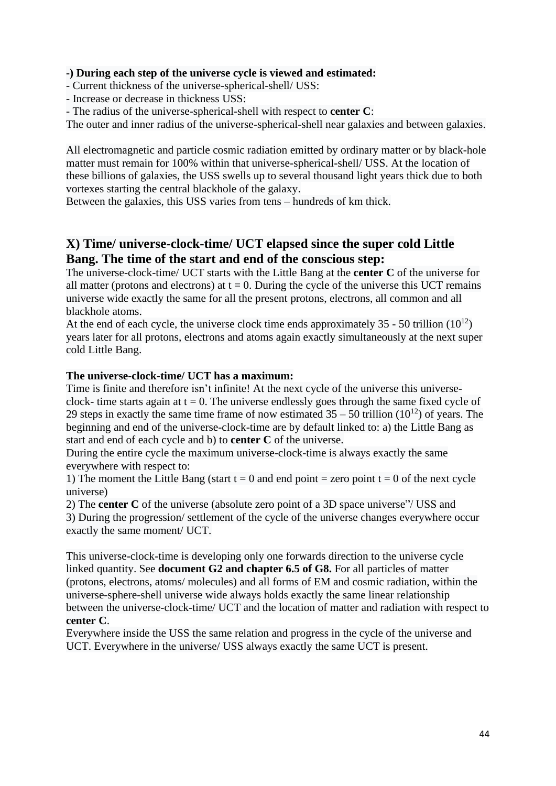#### **-) During each step of the universe cycle is viewed and estimated:**

- Current thickness of the universe-spherical-shell/ USS:

- Increase or decrease in thickness USS:

- The radius of the universe-spherical-shell with respect to **center C**:

The outer and inner radius of the universe-spherical-shell near galaxies and between galaxies.

All electromagnetic and particle cosmic radiation emitted by ordinary matter or by black-hole matter must remain for 100% within that universe-spherical-shell/ USS. At the location of these billions of galaxies, the USS swells up to several thousand light years thick due to both vortexes starting the central blackhole of the galaxy.

Between the galaxies, this USS varies from tens – hundreds of km thick.

## **X) Time/ universe-clock-time/ UCT elapsed since the super cold Little Bang. The time of the start and end of the conscious step:**

The universe-clock-time/ UCT starts with the Little Bang at the **center C** of the universe for all matter (protons and electrons) at  $t = 0$ . During the cycle of the universe this UCT remains universe wide exactly the same for all the present protons, electrons, all common and all blackhole atoms.

At the end of each cycle, the universe clock time ends approximately 35 - 50 trillion  $(10^{12})$ years later for all protons, electrons and atoms again exactly simultaneously at the next super cold Little Bang.

#### **The universe-clock-time/ UCT has a maximum:**

Time is finite and therefore isn't infinite! At the next cycle of the universe this universeclock- time starts again at  $t = 0$ . The universe endlessly goes through the same fixed cycle of 29 steps in exactly the same time frame of now estimated  $35 - 50$  trillion  $(10^{12})$  of years. The beginning and end of the universe-clock-time are by default linked to: a) the Little Bang as start and end of each cycle and b) to **center C** of the universe.

During the entire cycle the maximum universe-clock-time is always exactly the same everywhere with respect to:

1) The moment the Little Bang (start  $t = 0$  and end point = zero point  $t = 0$  of the next cycle universe)

2) The **center C** of the universe (absolute zero point of a 3D space universe"/ USS and

3) During the progression/ settlement of the cycle of the universe changes everywhere occur exactly the same moment/ UCT.

This universe-clock-time is developing only one forwards direction to the universe cycle linked quantity. See **document G2 and chapter 6.5 of G8.** For all particles of matter (protons, electrons, atoms/ molecules) and all forms of EM and cosmic radiation, within the universe-sphere-shell universe wide always holds exactly the same linear relationship between the universe-clock-time/ UCT and the location of matter and radiation with respect to **center C**.

#### Everywhere inside the USS the same relation and progress in the cycle of the universe and UCT. Everywhere in the universe/ USS always exactly the same UCT is present.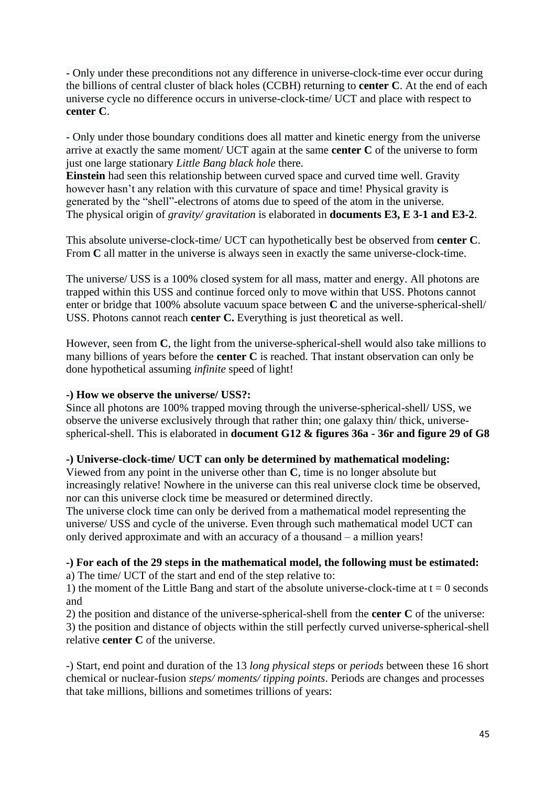- Only under these preconditions not any difference in universe-clock-time ever occur during the billions of central cluster of black holes (CCBH) returning to **center C**. At the end of each universe cycle no difference occurs in universe-clock-time/ UCT and place with respect to **center C**.

- Only under those boundary conditions does all matter and kinetic energy from the universe arrive at exactly the same moment/ UCT again at the same **center C** of the universe to form just one large stationary *Little Bang black hole* there.

**Einstein** had seen this relationship between curved space and curved time well. Gravity however hasn't any relation with this curvature of space and time! Physical gravity is generated by the "shell"-electrons of atoms due to speed of the atom in the universe. The physical origin of *gravity/ gravitation* is elaborated in **documents E3, E 3-1 and E3-2**.

This absolute universe-clock-time/ UCT can hypothetically best be observed from **center C**. From **C** all matter in the universe is always seen in exactly the same universe-clock-time.

The universe/ USS is a 100% closed system for all mass, matter and energy. All photons are trapped within this USS and continue forced only to move within that USS. Photons cannot enter or bridge that 100% absolute vacuum space between **C** and the universe-spherical-shell/ USS. Photons cannot reach **center C.** Everything is just theoretical as well.

However, seen from **C**, the light from the universe-spherical-shell would also take millions to many billions of years before the **center C** is reached. That instant observation can only be done hypothetical assuming *infinite* speed of light!

#### **-) How we observe the universe/ USS?:**

Since all photons are 100% trapped moving through the universe-spherical-shell/ USS, we observe the universe exclusively through that rather thin; one galaxy thin/ thick, universespherical-shell. This is elaborated in **document G12 & figures 36a - 36r and figure 29 of G8** 

## **-) Universe-clock-time/ UCT can only be determined by mathematical modeling:**

Viewed from any point in the universe other than **C**, time is no longer absolute but increasingly relative! Nowhere in the universe can this real universe clock time be observed, nor can this universe clock time be measured or determined directly.

The universe clock time can only be derived from a mathematical model representing the universe/ USS and cycle of the universe. Even through such mathematical model UCT can only derived approximate and with an accuracy of a thousand – a million years!

## **-) For each of the 29 steps in the mathematical model, the following must be estimated:**

a) The time/ UCT of the start and end of the step relative to:

1) the moment of the Little Bang and start of the absolute universe-clock-time at  $t = 0$  seconds and

2) the position and distance of the universe-spherical-shell from the **center C** of the universe: 3) the position and distance of objects within the still perfectly curved universe-spherical-shell relative **center C** of the universe.

-) Start, end point and duration of the 13 *long physical steps* or *periods* between these 16 short chemical or nuclear-fusion *steps/ moments/ tipping points*. Periods are changes and processes that take millions, billions and sometimes trillions of years: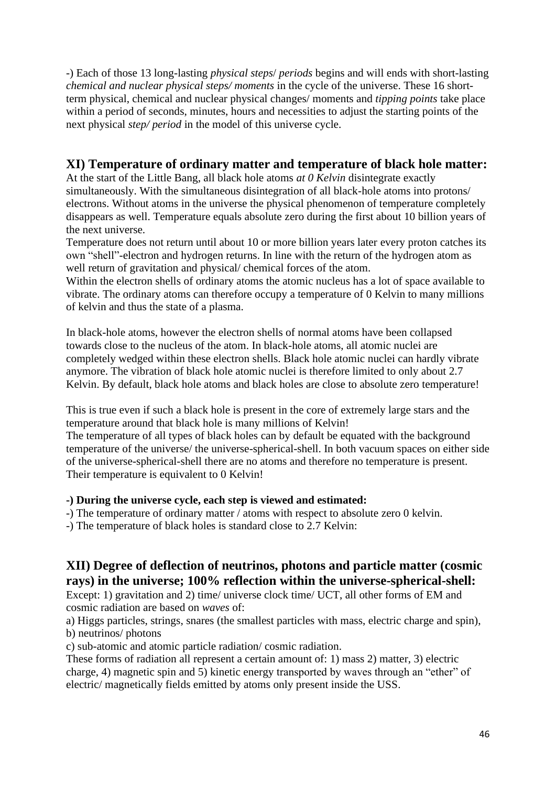-) Each of those 13 long-lasting *physical steps*/ *periods* begins and will ends with short-lasting *chemical and nuclear physical steps/ moments* in the cycle of the universe. These 16 shortterm physical, chemical and nuclear physical changes/ moments and *tipping points* take place within a period of seconds, minutes, hours and necessities to adjust the starting points of the next physical *step/ period* in the model of this universe cycle.

## **XI) Temperature of ordinary matter and temperature of black hole matter:**

At the start of the Little Bang, all black hole atoms *at 0 Kelvin* disintegrate exactly simultaneously. With the simultaneous disintegration of all black-hole atoms into protons/ electrons. Without atoms in the universe the physical phenomenon of temperature completely disappears as well. Temperature equals absolute zero during the first about 10 billion years of the next universe.

Temperature does not return until about 10 or more billion years later every proton catches its own "shell"-electron and hydrogen returns. In line with the return of the hydrogen atom as well return of gravitation and physical/ chemical forces of the atom.

Within the electron shells of ordinary atoms the atomic nucleus has a lot of space available to vibrate. The ordinary atoms can therefore occupy a temperature of 0 Kelvin to many millions of kelvin and thus the state of a plasma.

In black-hole atoms, however the electron shells of normal atoms have been collapsed towards close to the nucleus of the atom. In black-hole atoms, all atomic nuclei are completely wedged within these electron shells. Black hole atomic nuclei can hardly vibrate anymore. The vibration of black hole atomic nuclei is therefore limited to only about 2.7 Kelvin. By default, black hole atoms and black holes are close to absolute zero temperature!

This is true even if such a black hole is present in the core of extremely large stars and the temperature around that black hole is many millions of Kelvin!

The temperature of all types of black holes can by default be equated with the background temperature of the universe/ the universe-spherical-shell. In both vacuum spaces on either side of the universe-spherical-shell there are no atoms and therefore no temperature is present. Their temperature is equivalent to 0 Kelvin!

## **-) During the universe cycle, each step is viewed and estimated:**

- -) The temperature of ordinary matter / atoms with respect to absolute zero 0 kelvin.
- -) The temperature of black holes is standard close to 2.7 Kelvin:

# **XII) Degree of deflection of neutrinos, photons and particle matter (cosmic rays) in the universe; 100% reflection within the universe-spherical-shell:**

Except: 1) gravitation and 2) time/ universe clock time/ UCT, all other forms of EM and cosmic radiation are based on *waves* of:

a) Higgs particles, strings, snares (the smallest particles with mass, electric charge and spin), b) neutrinos/ photons

c) sub-atomic and atomic particle radiation/ cosmic radiation.

These forms of radiation all represent a certain amount of: 1) mass 2) matter, 3) electric charge, 4) magnetic spin and 5) kinetic energy transported by waves through an "ether" of electric/ magnetically fields emitted by atoms only present inside the USS.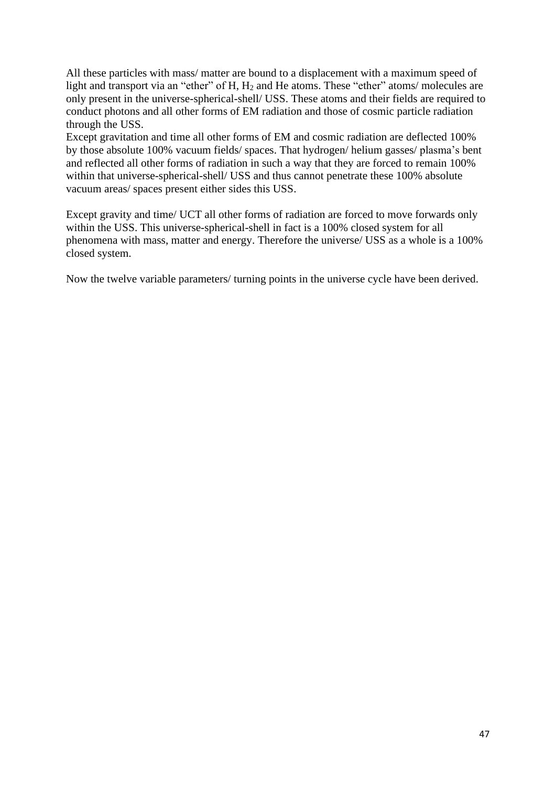All these particles with mass/ matter are bound to a displacement with a maximum speed of light and transport via an "ether" of H, H<sub>2</sub> and He atoms. These "ether" atoms/ molecules are only present in the universe-spherical-shell/ USS. These atoms and their fields are required to conduct photons and all other forms of EM radiation and those of cosmic particle radiation through the USS.

Except gravitation and time all other forms of EM and cosmic radiation are deflected 100% by those absolute 100% vacuum fields/ spaces. That hydrogen/ helium gasses/ plasma's bent and reflected all other forms of radiation in such a way that they are forced to remain 100% within that universe-spherical-shell/ USS and thus cannot penetrate these 100% absolute vacuum areas/ spaces present either sides this USS.

Except gravity and time/ UCT all other forms of radiation are forced to move forwards only within the USS. This universe-spherical-shell in fact is a 100% closed system for all phenomena with mass, matter and energy. Therefore the universe/ USS as a whole is a 100% closed system.

Now the twelve variable parameters/ turning points in the universe cycle have been derived.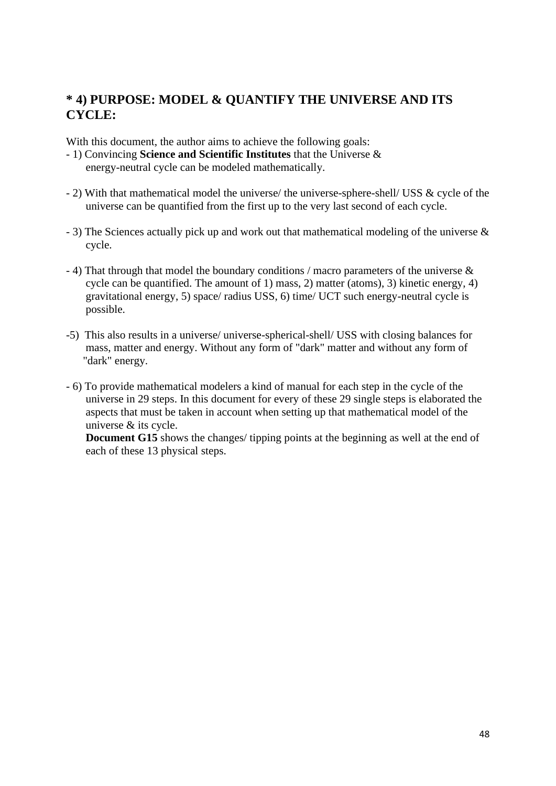# **\* 4) PURPOSE: MODEL & QUANTIFY THE UNIVERSE AND ITS CYCLE:**

With this document, the author aims to achieve the following goals:

- 1) Convincing **Science and Scientific Institutes** that the Universe & energy-neutral cycle can be modeled mathematically.
- 2) With that mathematical model the universe/ the universe-sphere-shell/ USS & cycle of the universe can be quantified from the first up to the very last second of each cycle.
- 3) The Sciences actually pick up and work out that mathematical modeling of the universe & cycle.
- 4) That through that model the boundary conditions / macro parameters of the universe & cycle can be quantified. The amount of 1) mass, 2) matter (atoms), 3) kinetic energy, 4) gravitational energy, 5) space/ radius USS, 6) time/ UCT such energy-neutral cycle is possible.
- -5) This also results in a universe/ universe-spherical-shell/ USS with closing balances for mass, matter and energy. Without any form of "dark" matter and without any form of "dark" energy.
- 6) To provide mathematical modelers a kind of manual for each step in the cycle of the universe in 29 steps. In this document for every of these 29 single steps is elaborated the aspects that must be taken in account when setting up that mathematical model of the universe & its cycle.

**Document G15** shows the changes/ tipping points at the beginning as well at the end of each of these 13 physical steps.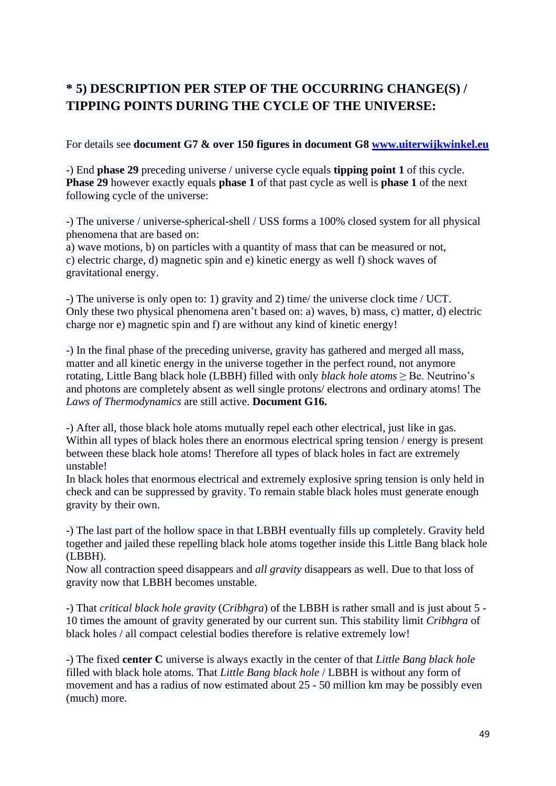# **\* 5) DESCRIPTION PER STEP OF THE OCCURRING CHANGE(S) / TIPPING POINTS DURING THE CYCLE OF THE UNIVERSE:**

For details see **document G7 & over 150 figures in document G8 [www.uiterwijkwinkel.eu](http://www.uiterwijkwinkel.eu/)**

-) End **phase 29** preceding universe / universe cycle equals **tipping point 1** of this cycle. **Phase 29** however exactly equals **phase 1** of that past cycle as well is **phase 1** of the next following cycle of the universe:

-) The universe / universe-spherical-shell / USS forms a 100% closed system for all physical phenomena that are based on:

a) wave motions, b) on particles with a quantity of mass that can be measured or not, c) electric charge, d) magnetic spin and e) kinetic energy as well f) shock waves of gravitational energy.

-) The universe is only open to: 1) gravity and 2) time/ the universe clock time / UCT. Only these two physical phenomena aren't based on: a) waves, b) mass, c) matter, d) electric charge nor e) magnetic spin and f) are without any kind of kinetic energy!

-) In the final phase of the preceding universe, gravity has gathered and merged all mass, matter and all kinetic energy in the universe together in the perfect round, not anymore rotating, Little Bang black hole (LBBH) filled with only *black hole atoms* ≥ Be. Neutrino's and photons are completely absent as well single protons/ electrons and ordinary atoms! The *Laws of Thermodynamics* are still active. **Document G16.**

-) After all, those black hole atoms mutually repel each other electrical, just like in gas. Within all types of black holes there an enormous electrical spring tension / energy is present between these black hole atoms! Therefore all types of black holes in fact are extremely unstable!

In black holes that enormous electrical and extremely explosive spring tension is only held in check and can be suppressed by gravity. To remain stable black holes must generate enough gravity by their own.

-) The last part of the hollow space in that LBBH eventually fills up completely. Gravity held together and jailed these repelling black hole atoms together inside this Little Bang black hole (LBBH).

Now all contraction speed disappears and *all gravity* disappears as well. Due to that loss of gravity now that LBBH becomes unstable.

-) That *critical black hole gravity* (*Cribhgra*) of the LBBH is rather small and is just about 5 - 10 times the amount of gravity generated by our current sun. This stability limit *Cribhgra* of black holes / all compact celestial bodies therefore is relative extremely low!

-) The fixed **center C** universe is always exactly in the center of that *Little Bang black hole* filled with black hole atoms. That *Little Bang black hole* / LBBH is without any form of movement and has a radius of now estimated about 25 - 50 million km may be possibly even (much) more.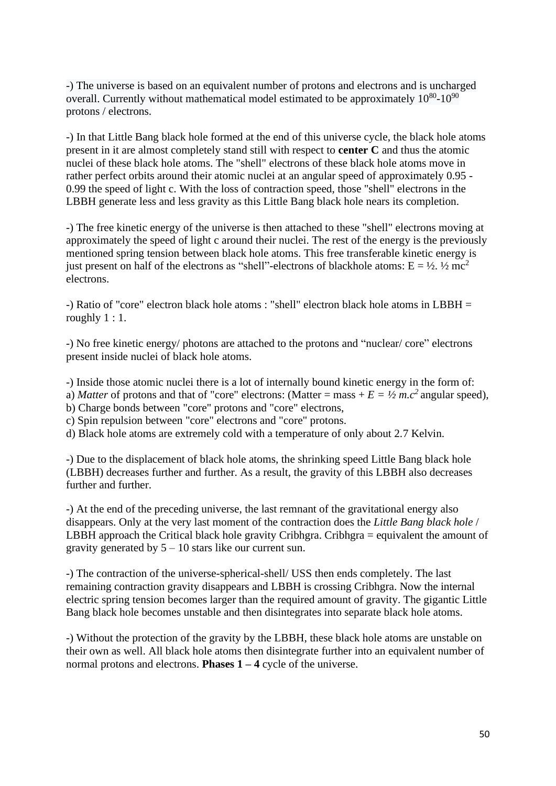-) The universe is based on an equivalent number of protons and electrons and is uncharged overall. Currently without mathematical model estimated to be approximately  $10^{80}$ - $10^{90}$ protons / electrons.

-) In that Little Bang black hole formed at the end of this universe cycle, the black hole atoms present in it are almost completely stand still with respect to **center C** and thus the atomic nuclei of these black hole atoms. The "shell" electrons of these black hole atoms move in rather perfect orbits around their atomic nuclei at an angular speed of approximately 0.95 - 0.99 the speed of light c. With the loss of contraction speed, those "shell" electrons in the LBBH generate less and less gravity as this Little Bang black hole nears its completion.

-) The free kinetic energy of the universe is then attached to these "shell" electrons moving at approximately the speed of light c around their nuclei. The rest of the energy is the previously mentioned spring tension between black hole atoms. This free transferable kinetic energy is just present on half of the electrons as "shell"-electrons of blackhole atoms:  $E = \frac{1}{2}$ .  $\frac{1}{2}$  mc<sup>2</sup> electrons.

-) Ratio of "core" electron black hole atoms : "shell" electron black hole atoms in LBBH = roughly 1 : 1.

-) No free kinetic energy/ photons are attached to the protons and "nuclear/ core" electrons present inside nuclei of black hole atoms.

-) Inside those atomic nuclei there is a lot of internally bound kinetic energy in the form of:

a) *Matter* of protons and that of "core" electrons: (Matter = mass +  $E = \frac{1}{2} m c^2$  angular speed),

b) Charge bonds between "core" protons and "core" electrons,

c) Spin repulsion between "core" electrons and "core" protons.

d) Black hole atoms are extremely cold with a temperature of only about 2.7 Kelvin.

-) Due to the displacement of black hole atoms, the shrinking speed Little Bang black hole (LBBH) decreases further and further. As a result, the gravity of this LBBH also decreases further and further.

-) At the end of the preceding universe, the last remnant of the gravitational energy also disappears. Only at the very last moment of the contraction does the *Little Bang black hole* / LBBH approach the Critical black hole gravity Cribhgra. Cribhgra = equivalent the amount of gravity generated by  $5 - 10$  stars like our current sun.

-) The contraction of the universe-spherical-shell/ USS then ends completely. The last remaining contraction gravity disappears and LBBH is crossing Cribhgra. Now the internal electric spring tension becomes larger than the required amount of gravity. The gigantic Little Bang black hole becomes unstable and then disintegrates into separate black hole atoms.

-) Without the protection of the gravity by the LBBH, these black hole atoms are unstable on their own as well. All black hole atoms then disintegrate further into an equivalent number of normal protons and electrons. **Phases 1 – 4** cycle of the universe.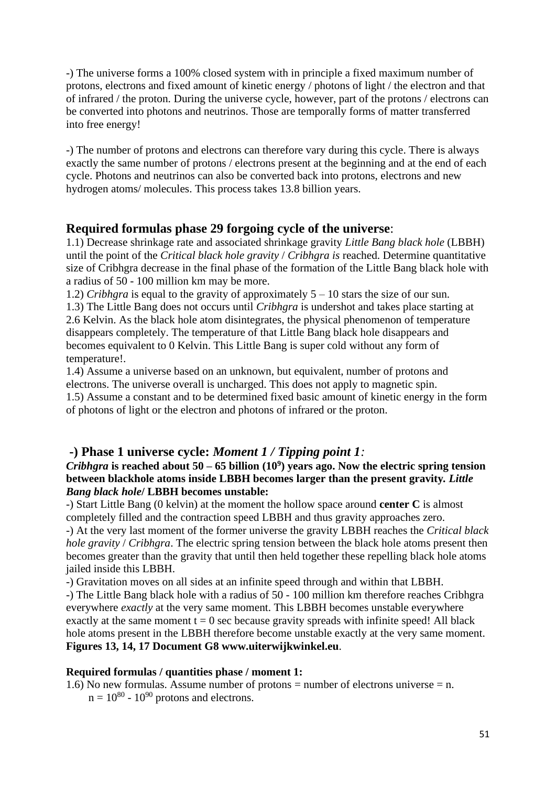-) The universe forms a 100% closed system with in principle a fixed maximum number of protons, electrons and fixed amount of kinetic energy / photons of light / the electron and that of infrared / the proton. During the universe cycle, however, part of the protons / electrons can be converted into photons and neutrinos. Those are temporally forms of matter transferred into free energy!

-) The number of protons and electrons can therefore vary during this cycle. There is always exactly the same number of protons / electrons present at the beginning and at the end of each cycle. Photons and neutrinos can also be converted back into protons, electrons and new hydrogen atoms/ molecules. This process takes 13.8 billion years.

## **Required formulas phase 29 forgoing cycle of the universe**:

1.1) Decrease shrinkage rate and associated shrinkage gravity *Little Bang black hole* (LBBH) until the point of the *Critical black hole gravity* / *Cribhgra is* reached. Determine quantitative size of Cribhgra decrease in the final phase of the formation of the Little Bang black hole with a radius of 50 - 100 million km may be more.

1.2) *Cribhgra* is equal to the gravity of approximately 5 – 10 stars the size of our sun. 1.3) The Little Bang does not occurs until *Cribhgra* is undershot and takes place starting at 2.6 Kelvin. As the black hole atom disintegrates, the physical phenomenon of temperature disappears completely. The temperature of that Little Bang black hole disappears and becomes equivalent to 0 Kelvin. This Little Bang is super cold without any form of temperature!.

1.4) Assume a universe based on an unknown, but equivalent, number of protons and electrons. The universe overall is uncharged. This does not apply to magnetic spin.

1.5) Assume a constant and to be determined fixed basic amount of kinetic energy in the form of photons of light or the electron and photons of infrared or the proton.

## **-) Phase 1 universe cycle:** *Moment 1 / Tipping point 1:*

#### *Cribhgra* **is reached about 50 – 65 billion (10<sup>9</sup> ) years ago. Now the electric spring tension between blackhole atoms inside LBBH becomes larger than the present gravity***. Little Bang black hole***/ LBBH becomes unstable:**

-) Start Little Bang (0 kelvin) at the moment the hollow space around **center C** is almost completely filled and the contraction speed LBBH and thus gravity approaches zero.

-) At the very last moment of the former universe the gravity LBBH reaches the *Critical black hole gravity* / *Cribhgra*. The electric spring tension between the black hole atoms present then becomes greater than the gravity that until then held together these repelling black hole atoms jailed inside this LBBH.

-) Gravitation moves on all sides at an infinite speed through and within that LBBH.

-) The Little Bang black hole with a radius of 50 - 100 million km therefore reaches Cribhgra everywhere *exactly* at the very same moment. This LBBH becomes unstable everywhere exactly at the same moment  $t = 0$  sec because gravity spreads with infinite speed! All black hole atoms present in the LBBH therefore become unstable exactly at the very same moment. **Figures 13, 14, 17 Document G8 www.uiterwijkwinkel.eu**.

## **Required formulas / quantities phase / moment 1:**

1.6) No new formulas. Assume number of protons = number of electrons universe = n.  $n = 10^{80} - 10^{90}$  protons and electrons.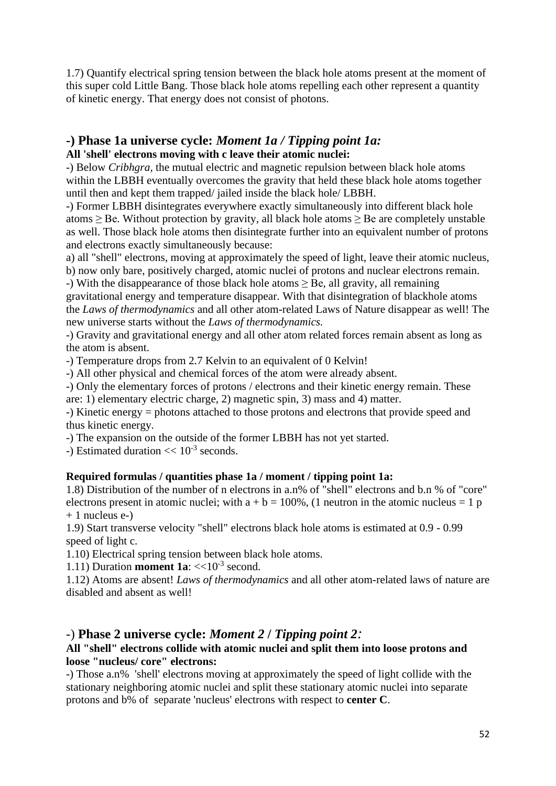1.7) Quantify electrical spring tension between the black hole atoms present at the moment of this super cold Little Bang. Those black hole atoms repelling each other represent a quantity of kinetic energy. That energy does not consist of photons.

#### **-) Phase 1a universe cycle:** *Moment 1a / Tipping point 1a:* **All 'shell' electrons moving with c leave their atomic nuclei:**

-) Below *Cribhgra,* the mutual electric and magnetic repulsion between black hole atoms within the LBBH eventually overcomes the gravity that held these black hole atoms together until then and kept them trapped/ jailed inside the black hole/ LBBH.

-) Former LBBH disintegrates everywhere exactly simultaneously into different black hole atoms  $\geq$  Be. Without protection by gravity, all black hole atoms  $\geq$  Be are completely unstable as well. Those black hole atoms then disintegrate further into an equivalent number of protons and electrons exactly simultaneously because:

a) all "shell" electrons, moving at approximately the speed of light, leave their atomic nucleus, b) now only bare, positively charged, atomic nuclei of protons and nuclear electrons remain.

-) With the disappearance of those black hole atoms  $\geq$  Be, all gravity, all remaining gravitational energy and temperature disappear. With that disintegration of blackhole atoms

the *Laws of thermodynamics* and all other atom-related Laws of Nature disappear as well! The new universe starts without the *Laws of thermodynamics.*

-) Gravity and gravitational energy and all other atom related forces remain absent as long as the atom is absent.

-) Temperature drops from 2.7 Kelvin to an equivalent of 0 Kelvin!

-) All other physical and chemical forces of the atom were already absent.

-) Only the elementary forces of protons / electrons and their kinetic energy remain. These are: 1) elementary electric charge, 2) magnetic spin, 3) mass and 4) matter.

-) Kinetic energy = photons attached to those protons and electrons that provide speed and thus kinetic energy.

-) The expansion on the outside of the former LBBH has not yet started.

-) Estimated duration  $<< 10^{-3}$  seconds.

## **Required formulas / quantities phase 1a / moment / tipping point 1a:**

1.8) Distribution of the number of n electrons in a.n% of "shell" electrons and b.n % of "core" electrons present in atomic nuclei; with  $a + b = 100\%$ , (1 neutron in the atomic nucleus = 1 p  $+ 1$  nucleus e-)

1.9) Start transverse velocity "shell" electrons black hole atoms is estimated at 0.9 - 0.99 speed of light c.

1.10) Electrical spring tension between black hole atoms.

1.11) Duration **moment 1a**:  $<<10^{-3}$  second.

1.12) Atoms are absent! *Laws of thermodynamics* and all other atom-related laws of nature are disabled and absent as well!

# -) **Phase 2 universe cycle:** *Moment 2* **/** *Tipping point 2:*

## **All "shell" electrons collide with atomic nuclei and split them into loose protons and loose "nucleus/ core" electrons:**

-) Those a.n% 'shell' electrons moving at approximately the speed of light collide with the stationary neighboring atomic nuclei and split these stationary atomic nuclei into separate protons and b% of separate 'nucleus' electrons with respect to **center C**.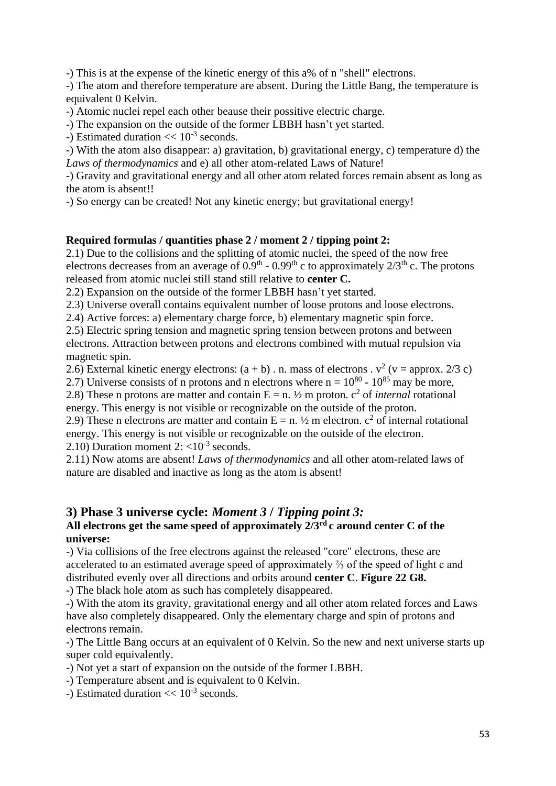-) This is at the expense of the kinetic energy of this a% of n "shell" electrons.

-) The atom and therefore temperature are absent. During the Little Bang, the temperature is equivalent 0 Kelvin.

-) Atomic nuclei repel each other beause their possitive electric charge.

-) The expansion on the outside of the former LBBH hasn't yet started.

-) Estimated duration  $<< 10^{-3}$  seconds.

-) With the atom also disappear: a) gravitation, b) gravitational energy, c) temperature d) the *Laws of thermodynamics* and e) all other atom-related Laws of Nature!

-) Gravity and gravitational energy and all other atom related forces remain absent as long as the atom is absent!!

-) So energy can be created! Not any kinetic energy; but gravitational energy!

## **Required formulas / quantities phase 2 / moment 2 / tipping point 2:**

2.1) Due to the collisions and the splitting of atomic nuclei, the speed of the now free electrons decreases from an average of  $0.9<sup>th</sup> - 0.99<sup>th</sup>$  c to approximately  $2/3<sup>th</sup>$  c. The protons released from atomic nuclei still stand still relative to **center C.**

2.2) Expansion on the outside of the former LBBH hasn't yet started.

2.3) Universe overall contains equivalent number of loose protons and loose electrons.

2.4) Active forces: a) elementary charge force, b) elementary magnetic spin force.

2.5) Electric spring tension and magnetic spring tension between protons and between electrons. Attraction between protons and electrons combined with mutual repulsion via magnetic spin.

2.6) External kinetic energy electrons:  $(a + b)$ . n. mass of electrons .  $v^2$  (v = approx. 2/3 c)

2.7) Universe consists of n protons and n electrons where  $n = 10^{80}$  -  $10^{85}$  may be more,

2.8) These n protons are matter and contain  $E = n$ .  $\frac{1}{2}$  m proton.  $c^2$  of *internal* rotational energy. This energy is not visible or recognizable on the outside of the proton.

2.9) These n electrons are matter and contain  $E = n$ .  $\frac{1}{2}$  m electron.  $c^2$  of internal rotational energy. This energy is not visible or recognizable on the outside of the electron.

2.10) Duration moment  $2: <10^{-3}$  seconds.

2.11) Now atoms are absent! *Laws of thermodynamics* and all other atom-related laws of nature are disabled and inactive as long as the atom is absent!

## **3) Phase 3 universe cycle:** *Moment 3* **/** *Tipping point 3:*

## **All electrons get the same speed of approximately 2/3rd c around center C of the universe:**

-) Via collisions of the free electrons against the released "core" electrons, these are accelerated to an estimated average speed of approximately ⅔ of the speed of light c and distributed evenly over all directions and orbits around **center C**. **Figure 22 G8.**

-) The black hole atom as such has completely disappeared.

-) With the atom its gravity, gravitational energy and all other atom related forces and Laws have also completely disappeared. Only the elementary charge and spin of protons and electrons remain.

-) The Little Bang occurs at an equivalent of 0 Kelvin. So the new and next universe starts up super cold equivalently.

-) Not yet a start of expansion on the outside of the former LBBH.

-) Temperature absent and is equivalent to 0 Kelvin.

-) Estimated duration  $<< 10^{-3}$  seconds.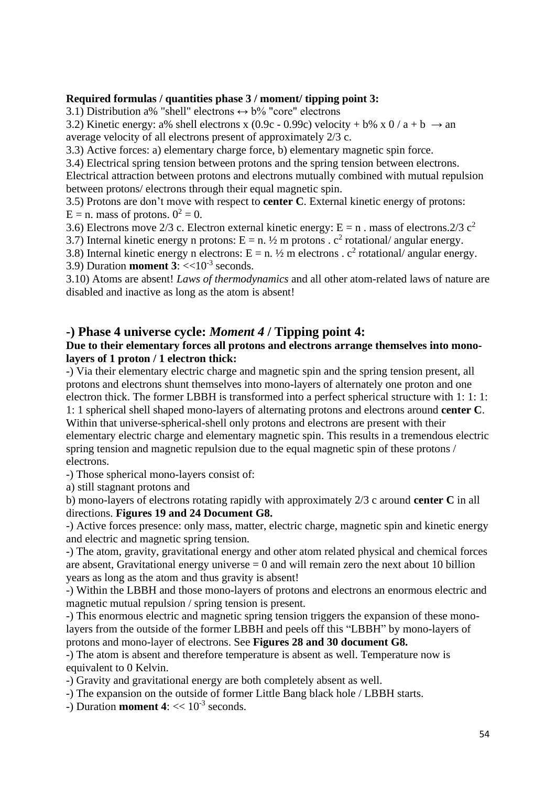#### **Required formulas / quantities phase 3 / moment/ tipping point 3:**

3.1) Distribution a% "shell" electrons  $\leftrightarrow$  b% "core" electrons

3.2) Kinetic energy: a% shell electrons x (0.9c - 0.99c) velocity + b% x 0 / a + b  $\rightarrow$  an

average velocity of all electrons present of approximately 2/3 c.

3.3) Active forces: a) elementary charge force, b) elementary magnetic spin force.

3.4) Electrical spring tension between protons and the spring tension between electrons. Electrical attraction between protons and electrons mutually combined with mutual repulsion between protons/ electrons through their equal magnetic spin.

3.5) Protons are don't move with respect to **center C**. External kinetic energy of protons:  $E = n$ . mass of protons.  $0^2 = 0$ .

3.6) Electrons move 2/3 c. Electron external kinetic energy:  $E = n$ . mass of electrons.2/3 c<sup>2</sup>

3.7) Internal kinetic energy n protons:  $E = n$ .  $\frac{1}{2}$  m protons .  $c^2$  rotational/ angular energy.

3.8) Internal kinetic energy n electrons:  $E = n$ .  $\frac{1}{2}$  m electrons .  $c^2$  rotational/ angular energy.

3.9) Duration **moment 3**:  $<<10^{-3}$  seconds.

3.10) Atoms are absent! *Laws of thermodynamics* and all other atom-related laws of nature are disabled and inactive as long as the atom is absent!

## **-) Phase 4 universe cycle:** *Moment 4* **/ Tipping point 4:**

## **Due to their elementary forces all protons and electrons arrange themselves into monolayers of 1 proton / 1 electron thick:**

-) Via their elementary electric charge and magnetic spin and the spring tension present, all protons and electrons shunt themselves into mono-layers of alternately one proton and one electron thick. The former LBBH is transformed into a perfect spherical structure with 1: 1: 1: 1: 1 spherical shell shaped mono-layers of alternating protons and electrons around **center C**. Within that universe-spherical-shell only protons and electrons are present with their elementary electric charge and elementary magnetic spin. This results in a tremendous electric spring tension and magnetic repulsion due to the equal magnetic spin of these protons / electrons.

-) Those spherical mono-layers consist of:

a) still stagnant protons and

b) mono-layers of electrons rotating rapidly with approximately 2/3 c around **center C** in all directions. **Figures 19 and 24 Document G8.**

-) Active forces presence: only mass, matter, electric charge, magnetic spin and kinetic energy and electric and magnetic spring tension.

-) The atom, gravity, gravitational energy and other atom related physical and chemical forces are absent, Gravitational energy universe  $= 0$  and will remain zero the next about 10 billion years as long as the atom and thus gravity is absent!

-) Within the LBBH and those mono-layers of protons and electrons an enormous electric and magnetic mutual repulsion / spring tension is present.

-) This enormous electric and magnetic spring tension triggers the expansion of these monolayers from the outside of the former LBBH and peels off this "LBBH" by mono-layers of protons and mono-layer of electrons. See **Figures 28 and 30 document G8.**

-) The atom is absent and therefore temperature is absent as well. Temperature now is equivalent to 0 Kelvin.

-) Gravity and gravitational energy are both completely absent as well.

-) The expansion on the outside of former Little Bang black hole / LBBH starts.

-) Duration **moment 4**:  $<< 10^{-3}$  seconds.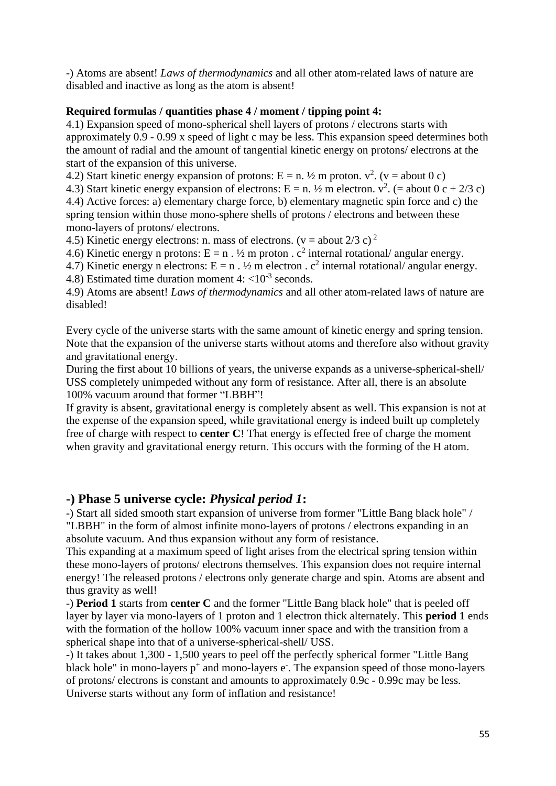-) Atoms are absent! *Laws of thermodynamics* and all other atom-related laws of nature are disabled and inactive as long as the atom is absent!

#### **Required formulas / quantities phase 4 / moment / tipping point 4:**

4.1) Expansion speed of mono-spherical shell layers of protons / electrons starts with approximately 0.9 - 0.99 x speed of light c may be less. This expansion speed determines both the amount of radial and the amount of tangential kinetic energy on protons/ electrons at the start of the expansion of this universe.

4.2) Start kinetic energy expansion of protons:  $E = n$ .  $\frac{1}{2}$  m proton.  $v^2$ . (v = about 0 c)

4.3) Start kinetic energy expansion of electrons:  $E = n$ .  $\frac{1}{2}$  m electron.  $v^2$ . (= about 0 c + 2/3 c) 4.4) Active forces: a) elementary charge force, b) elementary magnetic spin force and c) the spring tension within those mono-sphere shells of protons / electrons and between these mono-layers of protons/ electrons.

4.5) Kinetic energy electrons: n. mass of electrons. ( $v =$ about 2/3 c)<sup>2</sup>

4.6) Kinetic energy n protons: E = n .  $\frac{1}{2}$  m proton .  $c^2$  internal rotational/angular energy.

4.7) Kinetic energy n electrons:  $E = n \cdot \frac{1}{2}m$  electron .  $c^2$  internal rotational/angular energy.

4.8) Estimated time duration moment  $4: \langle 10^{-3} \text{ seconds.} \rangle$ 

4.9) Atoms are absent! *Laws of thermodynamics* and all other atom-related laws of nature are disabled!

Every cycle of the universe starts with the same amount of kinetic energy and spring tension. Note that the expansion of the universe starts without atoms and therefore also without gravity and gravitational energy.

During the first about 10 billions of years, the universe expands as a universe-spherical-shell/ USS completely unimpeded without any form of resistance. After all, there is an absolute 100% vacuum around that former "LBBH"!

If gravity is absent, gravitational energy is completely absent as well. This expansion is not at the expense of the expansion speed, while gravitational energy is indeed built up completely free of charge with respect to **center C**! That energy is effected free of charge the moment when gravity and gravitational energy return. This occurs with the forming of the H atom.

## **-) Phase 5 universe cycle:** *Physical period 1***:**

-) Start all sided smooth start expansion of universe from former "Little Bang black hole" / "LBBH" in the form of almost infinite mono-layers of protons / electrons expanding in an absolute vacuum. And thus expansion without any form of resistance.

This expanding at a maximum speed of light arises from the electrical spring tension within these mono-layers of protons/ electrons themselves. This expansion does not require internal energy! The released protons / electrons only generate charge and spin. Atoms are absent and thus gravity as well!

-) **Period 1** starts from **center C** and the former "Little Bang black hole" that is peeled off layer by layer via mono-layers of 1 proton and 1 electron thick alternately. This **period 1** ends with the formation of the hollow 100% vacuum inner space and with the transition from a spherical shape into that of a universe-spherical-shell/ USS.

-) It takes about 1,300 - 1,500 years to peel off the perfectly spherical former "Little Bang black hole" in mono-layers  $p^+$  and mono-layers  $e^-$ . The expansion speed of those mono-layers of protons/ electrons is constant and amounts to approximately 0.9c - 0.99c may be less. Universe starts without any form of inflation and resistance!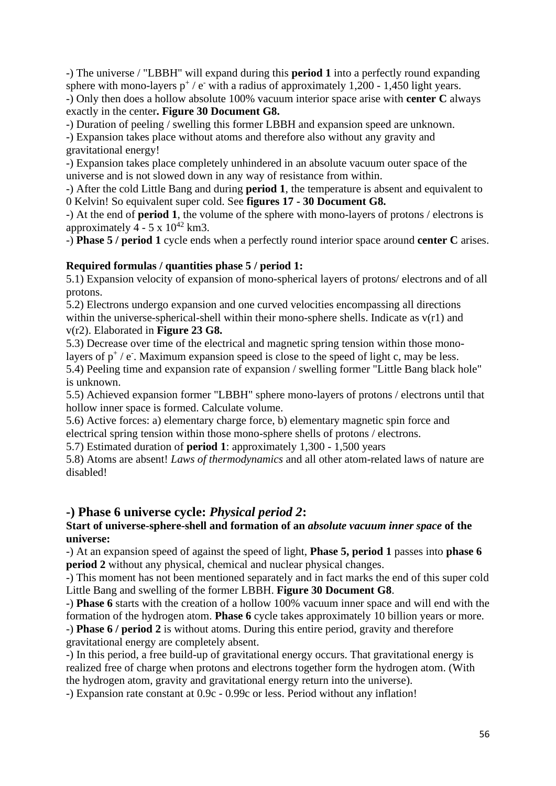-) The universe / "LBBH" will expand during this **period 1** into a perfectly round expanding sphere with mono-layers  $p^+$  / e<sup>-</sup> with a radius of approximately 1,200 - 1,450 light years.

-) Only then does a hollow absolute 100% vacuum interior space arise with **center C** always exactly in the center**. Figure 30 Document G8.**

-) Duration of peeling / swelling this former LBBH and expansion speed are unknown.

-) Expansion takes place without atoms and therefore also without any gravity and gravitational energy!

-) Expansion takes place completely unhindered in an absolute vacuum outer space of the universe and is not slowed down in any way of resistance from within.

-) After the cold Little Bang and during **period 1**, the temperature is absent and equivalent to 0 Kelvin! So equivalent super cold. See **figures 17 - 30 Document G8.**

-) At the end of **period 1**, the volume of the sphere with mono-layers of protons / electrons is approximately  $4 - 5 \times 10^{42}$  km3.

-) **Phase 5 / period 1** cycle ends when a perfectly round interior space around **center C** arises.

## **Required formulas / quantities phase 5 / period 1:**

5.1) Expansion velocity of expansion of mono-spherical layers of protons/ electrons and of all protons.

5.2) Electrons undergo expansion and one curved velocities encompassing all directions within the universe-spherical-shell within their mono-sphere shells. Indicate as  $v(r1)$  and v(r2). Elaborated in **Figure 23 G8.**

5.3) Decrease over time of the electrical and magnetic spring tension within those monolayers of  $p^+$  / e<sup>-</sup>. Maximum expansion speed is close to the speed of light c, may be less. 5.4) Peeling time and expansion rate of expansion / swelling former "Little Bang black hole" is unknown.

5.5) Achieved expansion former "LBBH" sphere mono-layers of protons / electrons until that hollow inner space is formed. Calculate volume.

5.6) Active forces: a) elementary charge force, b) elementary magnetic spin force and electrical spring tension within those mono-sphere shells of protons / electrons.

5.7) Estimated duration of **period 1**: approximately 1,300 - 1,500 years

5.8) Atoms are absent! *Laws of thermodynamics* and all other atom-related laws of nature are disabled!

## **-) Phase 6 universe cycle:** *Physical period 2***:**

## **Start of universe-sphere-shell and formation of an** *absolute vacuum inner space* **of the universe:**

-) At an expansion speed of against the speed of light, **Phase 5, period 1** passes into **phase 6 period 2** without any physical, chemical and nuclear physical changes.

-) This moment has not been mentioned separately and in fact marks the end of this super cold Little Bang and swelling of the former LBBH. **Figure 30 Document G8**.

-) **Phase 6** starts with the creation of a hollow 100% vacuum inner space and will end with the formation of the hydrogen atom. **Phase 6** cycle takes approximately 10 billion years or more.

-) **Phase 6 / period 2** is without atoms. During this entire period, gravity and therefore gravitational energy are completely absent.

-) In this period, a free build-up of gravitational energy occurs. That gravitational energy is realized free of charge when protons and electrons together form the hydrogen atom. (With the hydrogen atom, gravity and gravitational energy return into the universe).

-) Expansion rate constant at 0.9c - 0.99c or less. Period without any inflation!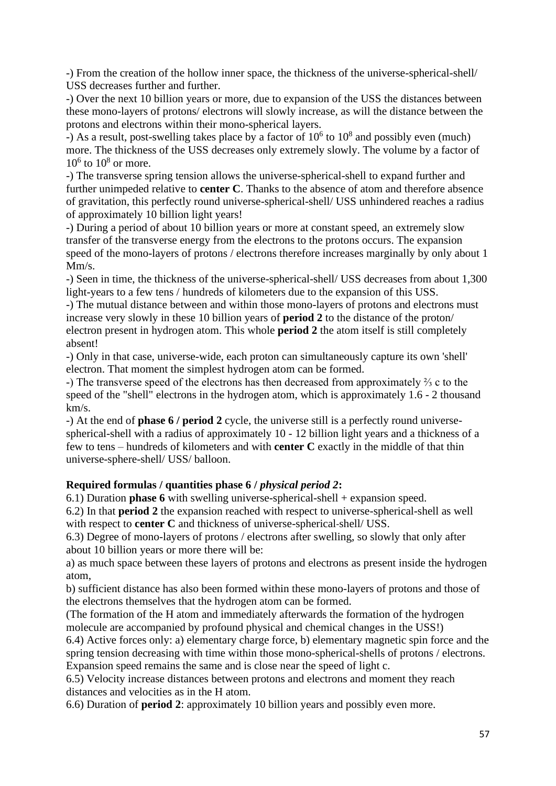-) From the creation of the hollow inner space, the thickness of the universe-spherical-shell/ USS decreases further and further.

-) Over the next 10 billion years or more, due to expansion of the USS the distances between these mono-layers of protons/ electrons will slowly increase, as will the distance between the protons and electrons within their mono-spherical layers.

-) As a result, post-swelling takes place by a factor of  $10^6$  to  $10^8$  and possibly even (much) more. The thickness of the USS decreases only extremely slowly. The volume by a factor of  $10^6$  to  $10^8$  or more.

-) The transverse spring tension allows the universe-spherical-shell to expand further and further unimpeded relative to **center C**. Thanks to the absence of atom and therefore absence of gravitation, this perfectly round universe-spherical-shell/ USS unhindered reaches a radius of approximately 10 billion light years!

-) During a period of about 10 billion years or more at constant speed, an extremely slow transfer of the transverse energy from the electrons to the protons occurs. The expansion speed of the mono-layers of protons / electrons therefore increases marginally by only about 1 Mm/s.

-) Seen in time, the thickness of the universe-spherical-shell/ USS decreases from about 1,300 light-years to a few tens / hundreds of kilometers due to the expansion of this USS.

-) The mutual distance between and within those mono-layers of protons and electrons must increase very slowly in these 10 billion years of **period 2** to the distance of the proton/ electron present in hydrogen atom. This whole **period 2** the atom itself is still completely absent!

-) Only in that case, universe-wide, each proton can simultaneously capture its own 'shell' electron. That moment the simplest hydrogen atom can be formed.

-) The transverse speed of the electrons has then decreased from approximately ⅔ c to the speed of the "shell" electrons in the hydrogen atom, which is approximately 1.6 - 2 thousand km/s.

-) At the end of **phase 6 / period 2** cycle, the universe still is a perfectly round universespherical-shell with a radius of approximately 10 - 12 billion light years and a thickness of a few to tens – hundreds of kilometers and with **center C** exactly in the middle of that thin universe-sphere-shell/ USS/ balloon.

## **Required formulas / quantities phase 6 /** *physical period 2***:**

6.1) Duration **phase 6** with swelling universe-spherical-shell + expansion speed.

6.2) In that **period 2** the expansion reached with respect to universe-spherical-shell as well with respect to **center C** and thickness of universe-spherical-shell/ USS.

6.3) Degree of mono-layers of protons / electrons after swelling, so slowly that only after about 10 billion years or more there will be:

a) as much space between these layers of protons and electrons as present inside the hydrogen atom,

b) sufficient distance has also been formed within these mono-layers of protons and those of the electrons themselves that the hydrogen atom can be formed.

(The formation of the H atom and immediately afterwards the formation of the hydrogen molecule are accompanied by profound physical and chemical changes in the USS!)

6.4) Active forces only: a) elementary charge force, b) elementary magnetic spin force and the spring tension decreasing with time within those mono-spherical-shells of protons / electrons. Expansion speed remains the same and is close near the speed of light c.

6.5) Velocity increase distances between protons and electrons and moment they reach distances and velocities as in the H atom.

6.6) Duration of **period 2**: approximately 10 billion years and possibly even more.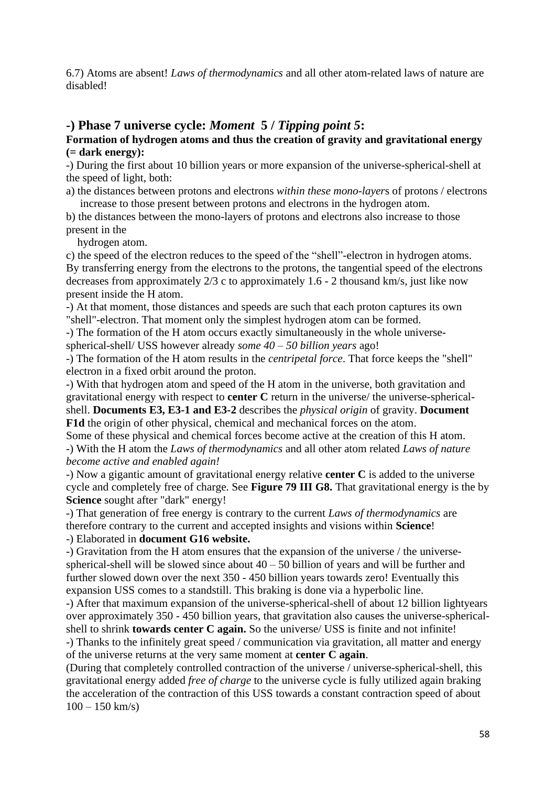6.7) Atoms are absent! *Laws of thermodynamics* and all other atom-related laws of nature are disabled!

## **-) Phase 7 universe cycle:** *Moment* **5 /** *Tipping point 5***:**

**Formation of hydrogen atoms and thus the creation of gravity and gravitational energy (= dark energy):**

-) During the first about 10 billion years or more expansion of the universe-spherical-shell at the speed of light, both:

a) the distances between protons and electrons *within these mono-layer*s of protons / electrons increase to those present between protons and electrons in the hydrogen atom.

b) the distances between the mono-layers of protons and electrons also increase to those present in the

hydrogen atom.

c) the speed of the electron reduces to the speed of the "shell"-electron in hydrogen atoms. By transferring energy from the electrons to the protons, the tangential speed of the electrons decreases from approximately 2/3 c to approximately 1.6 - 2 thousand km/s, just like now present inside the H atom.

-) At that moment, those distances and speeds are such that each proton captures its own "shell"-electron. That moment only the simplest hydrogen atom can be formed.

-) The formation of the H atom occurs exactly simultaneously in the whole universespherical-shell/ USS however already *some 40 – 50 billion years* ago!

-) The formation of the H atom results in the *centripetal force*. That force keeps the "shell" electron in a fixed orbit around the proton.

-) With that hydrogen atom and speed of the H atom in the universe, both gravitation and gravitational energy with respect to **center C** return in the universe/ the universe-sphericalshell. **Documents E3, E3-1 and E3-2** describes the *physical origin* of gravity. **Document F1d** the origin of other physical, chemical and mechanical forces on the atom.

Some of these physical and chemical forces become active at the creation of this H atom. -) With the H atom the *Laws of thermodynamics* and all other atom related *Laws of nature become active and enabled again!*

-) Now a gigantic amount of gravitational energy relative **center C** is added to the universe cycle and completely free of charge. See **Figure 79 III G8.** That gravitational energy is the by **Science** sought after "dark" energy!

-) That generation of free energy is contrary to the current *Laws of thermodynamics* are therefore contrary to the current and accepted insights and visions within **Science**!

-) Elaborated in **document G16 website.**

-) Gravitation from the H atom ensures that the expansion of the universe / the universespherical-shell will be slowed since about  $40 - 50$  billion of years and will be further and further slowed down over the next 350 - 450 billion years towards zero! Eventually this expansion USS comes to a standstill. This braking is done via a hyperbolic line.

-) After that maximum expansion of the universe-spherical-shell of about 12 billion lightyears over approximately 350 - 450 billion years, that gravitation also causes the universe-sphericalshell to shrink **towards center C again.** So the universe/ USS is finite and not infinite!

-) Thanks to the infinitely great speed / communication via gravitation, all matter and energy of the universe returns at the very same moment at **center C again**.

(During that completely controlled contraction of the universe / universe-spherical-shell, this gravitational energy added *free of charge* to the universe cycle is fully utilized again braking the acceleration of the contraction of this USS towards a constant contraction speed of about  $100 - 150$  km/s)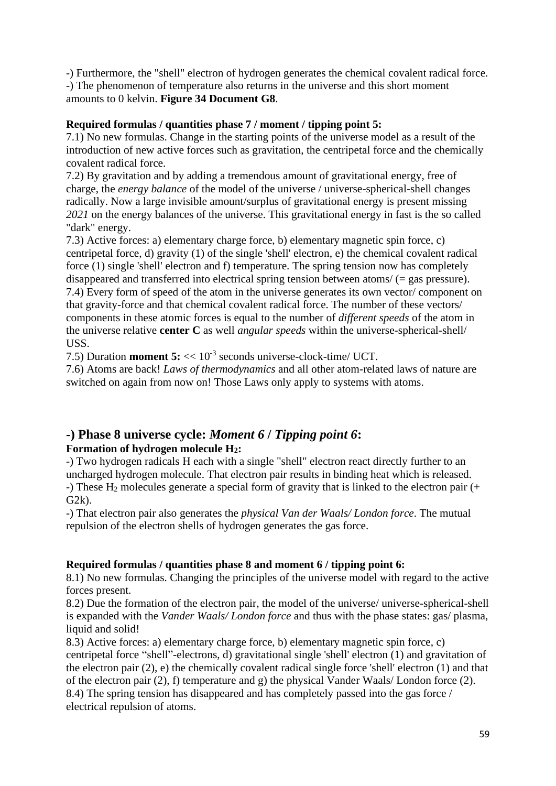-) Furthermore, the "shell" electron of hydrogen generates the chemical covalent radical force. -) The phenomenon of temperature also returns in the universe and this short moment amounts to 0 kelvin. **Figure 34 Document G8**.

## **Required formulas / quantities phase 7 / moment / tipping point 5:**

7.1) No new formulas. Change in the starting points of the universe model as a result of the introduction of new active forces such as gravitation, the centripetal force and the chemically covalent radical force.

7.2) By gravitation and by adding a tremendous amount of gravitational energy, free of charge, the *energy balance* of the model of the universe / universe-spherical-shell changes radically. Now a large invisible amount/surplus of gravitational energy is present missing *2021* on the energy balances of the universe. This gravitational energy in fast is the so called "dark" energy.

7.3) Active forces: a) elementary charge force, b) elementary magnetic spin force, c) centripetal force, d) gravity (1) of the single 'shell' electron, e) the chemical covalent radical force (1) single 'shell' electron and f) temperature. The spring tension now has completely disappeared and transferred into electrical spring tension between atoms/ (= gas pressure). 7.4) Every form of speed of the atom in the universe generates its own vector/ component on that gravity-force and that chemical covalent radical force. The number of these vectors/ components in these atomic forces is equal to the number of *different speeds* of the atom in the universe relative **center C** as well *angular speeds* within the universe-spherical-shell/ USS.

7.5) Duration **moment 5:** << 10-3 seconds universe-clock-time/ UCT.

7.6) Atoms are back! *Laws of thermodynamics* and all other atom-related laws of nature are switched on again from now on! Those Laws only apply to systems with atoms.

## **-) Phase 8 universe cycle:** *Moment 6* **/** *Tipping point 6***: Formation of hydrogen molecule H2:**

-) Two hydrogen radicals H each with a single "shell" electron react directly further to an uncharged hydrogen molecule. That electron pair results in binding heat which is released. -) These  $H_2$  molecules generate a special form of gravity that is linked to the electron pair  $(+)$  $G2k$ ).

-) That electron pair also generates the *physical Van der Waals/ London force*. The mutual repulsion of the electron shells of hydrogen generates the gas force.

## **Required formulas / quantities phase 8 and moment 6 / tipping point 6:**

8.1) No new formulas. Changing the principles of the universe model with regard to the active forces present.

8.2) Due the formation of the electron pair, the model of the universe/ universe-spherical-shell is expanded with the *Vander Waals/ London force* and thus with the phase states: gas/ plasma, liquid and solid!

8.3) Active forces: a) elementary charge force, b) elementary magnetic spin force, c) centripetal force "shell"-electrons, d) gravitational single 'shell' electron (1) and gravitation of the electron pair (2), e) the chemically covalent radical single force 'shell' electron (1) and that of the electron pair (2), f) temperature and g) the physical Vander Waals/ London force (2). 8.4) The spring tension has disappeared and has completely passed into the gas force / electrical repulsion of atoms.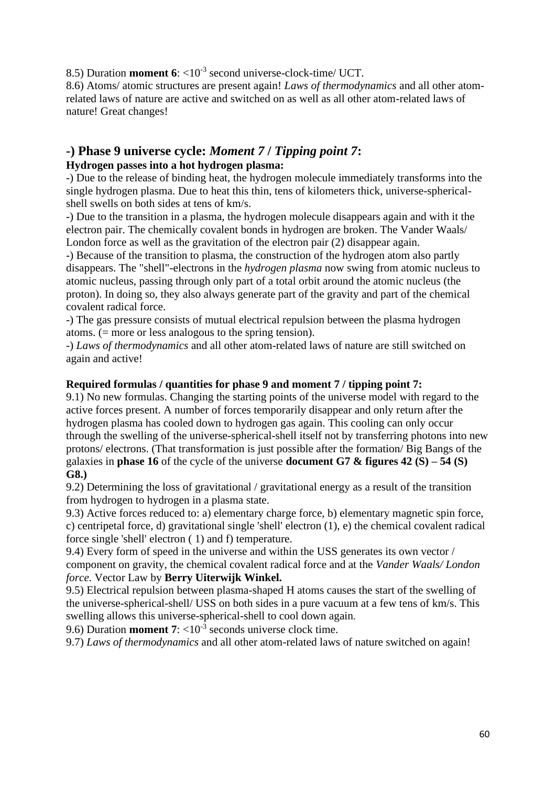8.5) Duration **moment 6**:  $\langle 10^{-3} \text{ second universe-clock-time}/\text{UCT}$ .

8.6) Atoms/ atomic structures are present again! *Laws of thermodynamics* and all other atomrelated laws of nature are active and switched on as well as all other atom-related laws of nature! Great changes!

## **-) Phase 9 universe cycle:** *Moment 7* **/** *Tipping point 7***: Hydrogen passes into a hot hydrogen plasma:**

-) Due to the release of binding heat, the hydrogen molecule immediately transforms into the single hydrogen plasma. Due to heat this thin, tens of kilometers thick, universe-sphericalshell swells on both sides at tens of km/s.

-) Due to the transition in a plasma, the hydrogen molecule disappears again and with it the electron pair. The chemically covalent bonds in hydrogen are broken. The Vander Waals/ London force as well as the gravitation of the electron pair (2) disappear again.

-) Because of the transition to plasma, the construction of the hydrogen atom also partly disappears. The "shell"-electrons in the *hydrogen plasma* now swing from atomic nucleus to atomic nucleus, passing through only part of a total orbit around the atomic nucleus (the proton). In doing so, they also always generate part of the gravity and part of the chemical covalent radical force.

-) The gas pressure consists of mutual electrical repulsion between the plasma hydrogen atoms. (= more or less analogous to the spring tension).

-) *Laws of thermodynamics* and all other atom-related laws of nature are still switched on again and active!

## **Required formulas / quantities for phase 9 and moment 7 / tipping point 7:**

9.1) No new formulas. Changing the starting points of the universe model with regard to the active forces present. A number of forces temporarily disappear and only return after the hydrogen plasma has cooled down to hydrogen gas again. This cooling can only occur through the swelling of the universe-spherical-shell itself not by transferring photons into new protons/ electrons. (That transformation is just possible after the formation/ Big Bangs of the galaxies in **phase 16** of the cycle of the universe **document G7 & figures 42 (S) – 54 (S) G8.)**

9.2) Determining the loss of gravitational / gravitational energy as a result of the transition from hydrogen to hydrogen in a plasma state.

9.3) Active forces reduced to: a) elementary charge force, b) elementary magnetic spin force, c) centripetal force, d) gravitational single 'shell' electron (1), e) the chemical covalent radical force single 'shell' electron ( 1) and f) temperature.

9.4) Every form of speed in the universe and within the USS generates its own vector / component on gravity, the chemical covalent radical force and at the *Vander Waals/ London force.* Vector Law by **Berry Uiterwijk Winkel.**

9.5) Electrical repulsion between plasma-shaped H atoms causes the start of the swelling of the universe-spherical-shell/ USS on both sides in a pure vacuum at a few tens of km/s. This swelling allows this universe-spherical-shell to cool down again.

9.6) Duration **moment 7**:  $\langle 10^{-3} \text{ seconds universe clock time.}$ 

9.7) *Laws of thermodynamics* and all other atom-related laws of nature switched on again!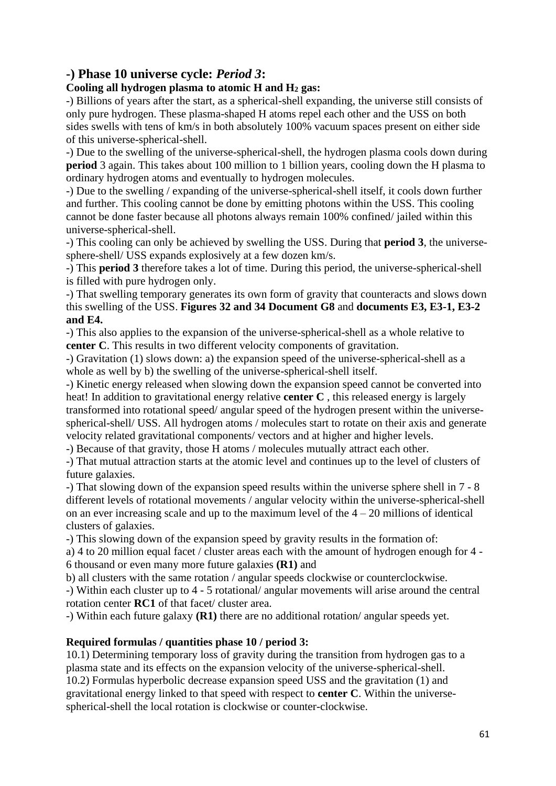## **-) Phase 10 universe cycle:** *Period 3***:**

## **Cooling all hydrogen plasma to atomic H and H<sup>2</sup> gas:**

-) Billions of years after the start, as a spherical-shell expanding, the universe still consists of only pure hydrogen. These plasma-shaped H atoms repel each other and the USS on both sides swells with tens of km/s in both absolutely 100% vacuum spaces present on either side of this universe-spherical-shell.

-) Due to the swelling of the universe-spherical-shell, the hydrogen plasma cools down during **period** 3 again. This takes about 100 million to 1 billion years, cooling down the H plasma to ordinary hydrogen atoms and eventually to hydrogen molecules.

-) Due to the swelling / expanding of the universe-spherical-shell itself, it cools down further and further. This cooling cannot be done by emitting photons within the USS. This cooling cannot be done faster because all photons always remain 100% confined/ jailed within this universe-spherical-shell.

-) This cooling can only be achieved by swelling the USS. During that **period 3**, the universesphere-shell/ USS expands explosively at a few dozen km/s.

-) This **period 3** therefore takes a lot of time. During this period, the universe-spherical-shell is filled with pure hydrogen only.

-) That swelling temporary generates its own form of gravity that counteracts and slows down this swelling of the USS. **Figures 32 and 34 Document G8** and **documents E3, E3-1, E3-2 and E4.**

-) This also applies to the expansion of the universe-spherical-shell as a whole relative to **center C**. This results in two different velocity components of gravitation.

-) Gravitation (1) slows down: a) the expansion speed of the universe-spherical-shell as a whole as well by b) the swelling of the universe-spherical-shell itself.

-) Kinetic energy released when slowing down the expansion speed cannot be converted into heat! In addition to gravitational energy relative **center C** , this released energy is largely transformed into rotational speed/ angular speed of the hydrogen present within the universespherical-shell/ USS. All hydrogen atoms / molecules start to rotate on their axis and generate velocity related gravitational components/ vectors and at higher and higher levels.

-) Because of that gravity, those H atoms / molecules mutually attract each other.

-) That mutual attraction starts at the atomic level and continues up to the level of clusters of future galaxies.

-) That slowing down of the expansion speed results within the universe sphere shell in 7 - 8 different levels of rotational movements / angular velocity within the universe-spherical-shell on an ever increasing scale and up to the maximum level of the  $4 - 20$  millions of identical clusters of galaxies.

-) This slowing down of the expansion speed by gravity results in the formation of:

a) 4 to 20 million equal facet / cluster areas each with the amount of hydrogen enough for 4 - 6 thousand or even many more future galaxies **(R1)** and

b) all clusters with the same rotation / angular speeds clockwise or counterclockwise.

-) Within each cluster up to 4 - 5 rotational/ angular movements will arise around the central rotation center **RC1** of that facet/ cluster area.

-) Within each future galaxy **(R1)** there are no additional rotation/ angular speeds yet.

## **Required formulas / quantities phase 10 / period 3:**

10.1) Determining temporary loss of gravity during the transition from hydrogen gas to a plasma state and its effects on the expansion velocity of the universe-spherical-shell. 10.2) Formulas hyperbolic decrease expansion speed USS and the gravitation (1) and gravitational energy linked to that speed with respect to **center C**. Within the universespherical-shell the local rotation is clockwise or counter-clockwise.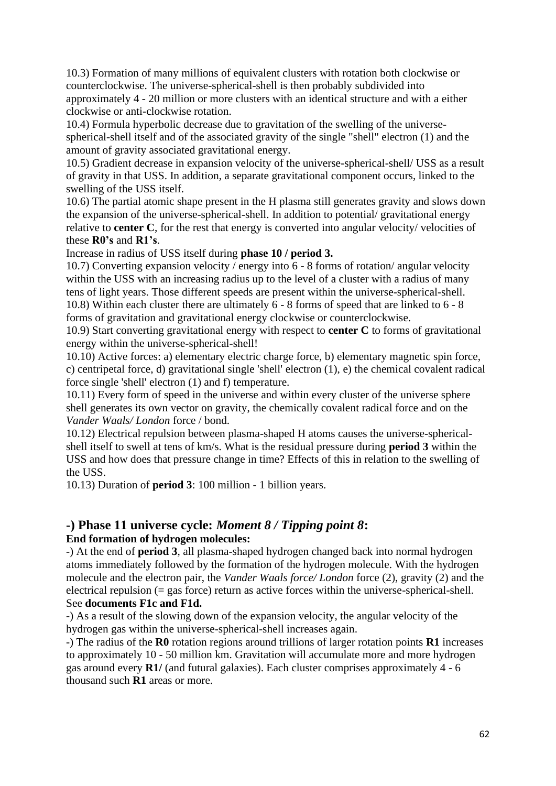10.3) Formation of many millions of equivalent clusters with rotation both clockwise or counterclockwise. The universe-spherical-shell is then probably subdivided into approximately 4 - 20 million or more clusters with an identical structure and with a either clockwise or anti-clockwise rotation.

10.4) Formula hyperbolic decrease due to gravitation of the swelling of the universespherical-shell itself and of the associated gravity of the single "shell" electron (1) and the amount of gravity associated gravitational energy.

10.5) Gradient decrease in expansion velocity of the universe-spherical-shell/ USS as a result of gravity in that USS. In addition, a separate gravitational component occurs, linked to the swelling of the USS itself.

10.6) The partial atomic shape present in the H plasma still generates gravity and slows down the expansion of the universe-spherical-shell. In addition to potential/ gravitational energy relative to **center C**, for the rest that energy is converted into angular velocity/ velocities of these **R0's** and **R1's**.

Increase in radius of USS itself during **phase 10 / period 3.**

10.7) Converting expansion velocity / energy into 6 - 8 forms of rotation/ angular velocity within the USS with an increasing radius up to the level of a cluster with a radius of many tens of light years. Those different speeds are present within the universe-spherical-shell. 10.8) Within each cluster there are ultimately 6 - 8 forms of speed that are linked to 6 - 8 forms of gravitation and gravitational energy clockwise or counterclockwise.

10.9) Start converting gravitational energy with respect to **center C** to forms of gravitational energy within the universe-spherical-shell!

10.10) Active forces: a) elementary electric charge force, b) elementary magnetic spin force, c) centripetal force, d) gravitational single 'shell' electron (1), e) the chemical covalent radical force single 'shell' electron (1) and f) temperature.

10.11) Every form of speed in the universe and within every cluster of the universe sphere shell generates its own vector on gravity, the chemically covalent radical force and on the *Vander Waals/ London* force / bond.

10.12) Electrical repulsion between plasma-shaped H atoms causes the universe-sphericalshell itself to swell at tens of km/s. What is the residual pressure during **period 3** within the USS and how does that pressure change in time? Effects of this in relation to the swelling of the USS.

10.13) Duration of **period 3**: 100 million - 1 billion years.

## **-) Phase 11 universe cycle:** *Moment 8 / Tipping point 8***: End formation of hydrogen molecules:**

-) At the end of **period 3**, all plasma-shaped hydrogen changed back into normal hydrogen atoms immediately followed by the formation of the hydrogen molecule. With the hydrogen molecule and the electron pair, the *Vander Waals force/ London* force (2), gravity (2) and the electrical repulsion (= gas force) return as active forces within the universe-spherical-shell. See **documents F1c and F1d.**

-) As a result of the slowing down of the expansion velocity, the angular velocity of the hydrogen gas within the universe-spherical-shell increases again.

-) The radius of the **R0** rotation regions around trillions of larger rotation points **R1** increases to approximately 10 - 50 million km. Gravitation will accumulate more and more hydrogen gas around every **R1/** (and futural galaxies). Each cluster comprises approximately 4 - 6 thousand such **R1** areas or more.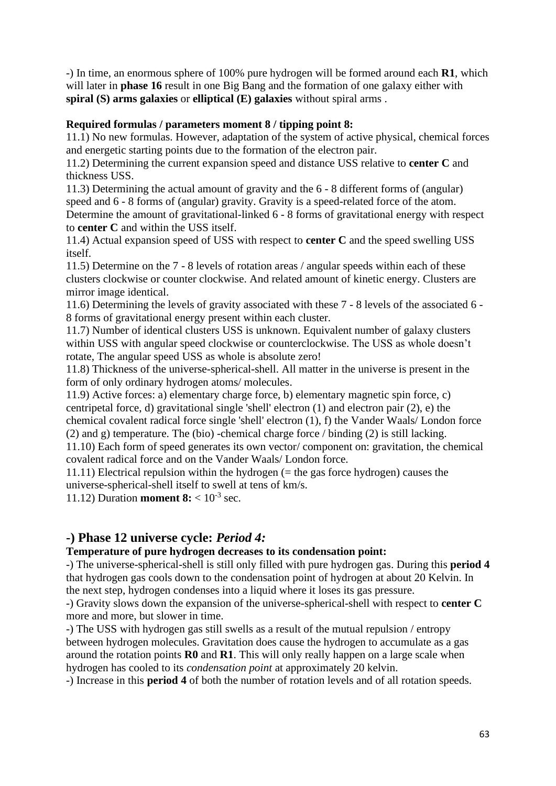-) In time, an enormous sphere of 100% pure hydrogen will be formed around each **R1**, which will later in **phase 16** result in one Big Bang and the formation of one galaxy either with **spiral (S) arms galaxies** or **elliptical (E) galaxies** without spiral arms .

## **Required formulas / parameters moment 8 / tipping point 8:**

11.1) No new formulas. However, adaptation of the system of active physical, chemical forces and energetic starting points due to the formation of the electron pair.

11.2) Determining the current expansion speed and distance USS relative to **center C** and thickness USS.

11.3) Determining the actual amount of gravity and the 6 - 8 different forms of (angular) speed and 6 - 8 forms of (angular) gravity. Gravity is a speed-related force of the atom. Determine the amount of gravitational-linked 6 - 8 forms of gravitational energy with respect to **center C** and within the USS itself.

11.4) Actual expansion speed of USS with respect to **center C** and the speed swelling USS itself.

11.5) Determine on the 7 - 8 levels of rotation areas / angular speeds within each of these clusters clockwise or counter clockwise. And related amount of kinetic energy. Clusters are mirror image identical.

11.6) Determining the levels of gravity associated with these 7 - 8 levels of the associated 6 - 8 forms of gravitational energy present within each cluster.

11.7) Number of identical clusters USS is unknown. Equivalent number of galaxy clusters within USS with angular speed clockwise or counterclockwise. The USS as whole doesn't rotate, The angular speed USS as whole is absolute zero!

11.8) Thickness of the universe-spherical-shell. All matter in the universe is present in the form of only ordinary hydrogen atoms/ molecules.

11.9) Active forces: a) elementary charge force, b) elementary magnetic spin force, c) centripetal force, d) gravitational single 'shell' electron (1) and electron pair (2), e) the chemical covalent radical force single 'shell' electron (1), f) the Vander Waals/ London force (2) and g) temperature. The (bio) -chemical charge force / binding (2) is still lacking.

11.10) Each form of speed generates its own vector/ component on: gravitation, the chemical covalent radical force and on the Vander Waals/ London force.

11.11) Electrical repulsion within the hydrogen (= the gas force hydrogen) causes the universe-spherical-shell itself to swell at tens of km/s.

11.12) Duration **moment 8:**  $< 10^{-3}$  sec.

## **-) Phase 12 universe cycle:** *Period 4:*

## **Temperature of pure hydrogen decreases to its condensation point:**

-) The universe-spherical-shell is still only filled with pure hydrogen gas. During this **period 4** that hydrogen gas cools down to the condensation point of hydrogen at about 20 Kelvin. In the next step, hydrogen condenses into a liquid where it loses its gas pressure.

-) Gravity slows down the expansion of the universe-spherical-shell with respect to **center C** more and more, but slower in time.

-) The USS with hydrogen gas still swells as a result of the mutual repulsion / entropy between hydrogen molecules. Gravitation does cause the hydrogen to accumulate as a gas around the rotation points **R0** and **R1**. This will only really happen on a large scale when hydrogen has cooled to its *condensation point* at approximately 20 kelvin.

-) Increase in this **period 4** of both the number of rotation levels and of all rotation speeds.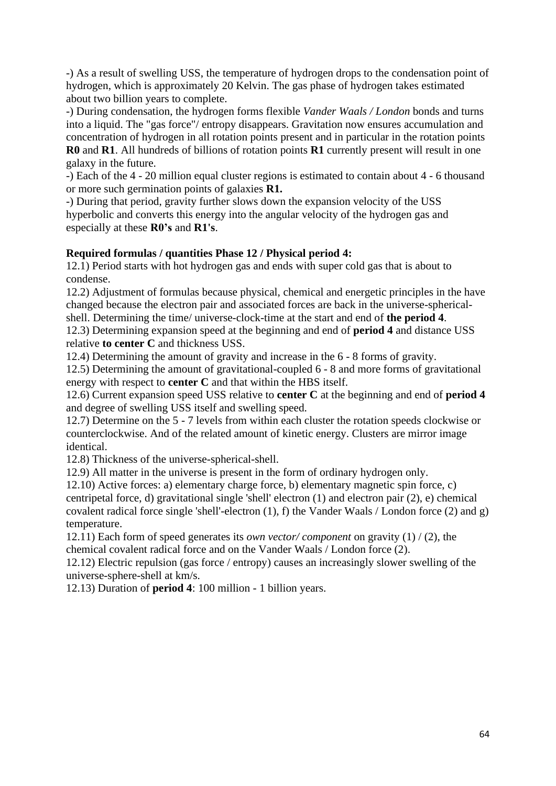-) As a result of swelling USS, the temperature of hydrogen drops to the condensation point of hydrogen, which is approximately 20 Kelvin. The gas phase of hydrogen takes estimated about two billion years to complete.

-) During condensation, the hydrogen forms flexible *Vander Waals / London* bonds and turns into a liquid. The "gas force"/ entropy disappears. Gravitation now ensures accumulation and concentration of hydrogen in all rotation points present and in particular in the rotation points **R0** and **R1**. All hundreds of billions of rotation points **R1** currently present will result in one galaxy in the future.

-) Each of the 4 - 20 million equal cluster regions is estimated to contain about 4 - 6 thousand or more such germination points of galaxies **R1.**

-) During that period, gravity further slows down the expansion velocity of the USS hyperbolic and converts this energy into the angular velocity of the hydrogen gas and especially at these **R0's** and **R1's**.

## **Required formulas / quantities Phase 12 / Physical period 4:**

12.1) Period starts with hot hydrogen gas and ends with super cold gas that is about to condense.

12.2) Adjustment of formulas because physical, chemical and energetic principles in the have changed because the electron pair and associated forces are back in the universe-sphericalshell. Determining the time/ universe-clock-time at the start and end of **the period 4**.

12.3) Determining expansion speed at the beginning and end of **period 4** and distance USS relative **to center C** and thickness USS.

12.4) Determining the amount of gravity and increase in the 6 - 8 forms of gravity.

12.5) Determining the amount of gravitational-coupled 6 - 8 and more forms of gravitational energy with respect to **center C** and that within the HBS itself.

12.6) Current expansion speed USS relative to **center C** at the beginning and end of **period 4** and degree of swelling USS itself and swelling speed.

12.7) Determine on the 5 - 7 levels from within each cluster the rotation speeds clockwise or counterclockwise. And of the related amount of kinetic energy. Clusters are mirror image identical.

12.8) Thickness of the universe-spherical-shell.

12.9) All matter in the universe is present in the form of ordinary hydrogen only.

12.10) Active forces: a) elementary charge force, b) elementary magnetic spin force, c) centripetal force, d) gravitational single 'shell' electron (1) and electron pair (2), e) chemical covalent radical force single 'shell'-electron (1), f) the Vander Waals / London force (2) and g) temperature.

12.11) Each form of speed generates its *own vector/ component* on gravity (1) / (2), the chemical covalent radical force and on the Vander Waals / London force (2).

12.12) Electric repulsion (gas force / entropy) causes an increasingly slower swelling of the universe-sphere-shell at km/s.

12.13) Duration of **period 4**: 100 million - 1 billion years.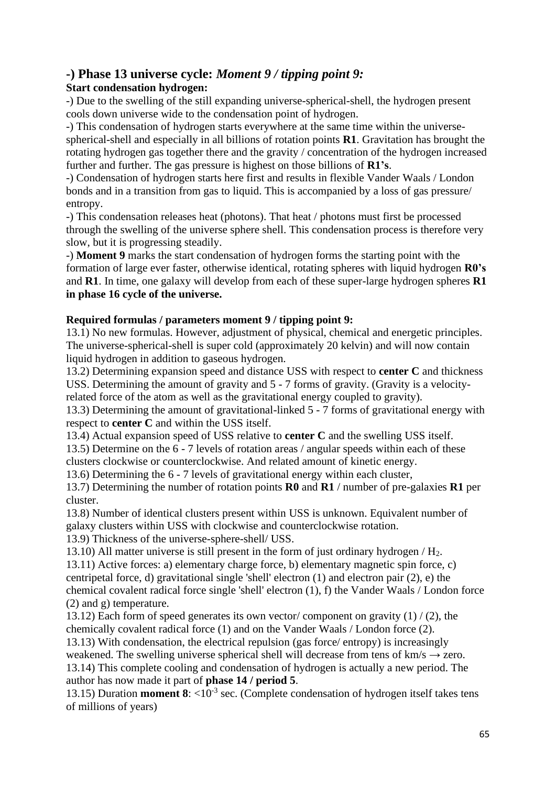# **-) Phase 13 universe cycle:** *Moment 9 / tipping point 9:*

## **Start condensation hydrogen:**

-) Due to the swelling of the still expanding universe-spherical-shell, the hydrogen present cools down universe wide to the condensation point of hydrogen.

-) This condensation of hydrogen starts everywhere at the same time within the universespherical-shell and especially in all billions of rotation points **R1**. Gravitation has brought the rotating hydrogen gas together there and the gravity / concentration of the hydrogen increased further and further. The gas pressure is highest on those billions of **R1's**.

-) Condensation of hydrogen starts here first and results in flexible Vander Waals / London bonds and in a transition from gas to liquid. This is accompanied by a loss of gas pressure/ entropy.

-) This condensation releases heat (photons). That heat / photons must first be processed through the swelling of the universe sphere shell. This condensation process is therefore very slow, but it is progressing steadily.

-) **Moment 9** marks the start condensation of hydrogen forms the starting point with the formation of large ever faster, otherwise identical, rotating spheres with liquid hydrogen **R0's** and **R1**. In time, one galaxy will develop from each of these super-large hydrogen spheres **R1 in phase 16 cycle of the universe.**

## **Required formulas / parameters moment 9 / tipping point 9:**

13.1) No new formulas. However, adjustment of physical, chemical and energetic principles. The universe-spherical-shell is super cold (approximately 20 kelvin) and will now contain liquid hydrogen in addition to gaseous hydrogen.

13.2) Determining expansion speed and distance USS with respect to **center C** and thickness USS. Determining the amount of gravity and 5 - 7 forms of gravity. (Gravity is a velocityrelated force of the atom as well as the gravitational energy coupled to gravity).

13.3) Determining the amount of gravitational-linked 5 - 7 forms of gravitational energy with respect to **center C** and within the USS itself.

13.4) Actual expansion speed of USS relative to **center C** and the swelling USS itself.

13.5) Determine on the 6 - 7 levels of rotation areas / angular speeds within each of these clusters clockwise or counterclockwise. And related amount of kinetic energy.

13.6) Determining the 6 - 7 levels of gravitational energy within each cluster,

13.7) Determining the number of rotation points **R0** and **R1** / number of pre-galaxies **R1** per cluster.

13.8) Number of identical clusters present within USS is unknown. Equivalent number of galaxy clusters within USS with clockwise and counterclockwise rotation.

13.9) Thickness of the universe-sphere-shell/ USS.

13.10) All matter universe is still present in the form of just ordinary hydrogen  $/H<sub>2</sub>$ .

13.11) Active forces: a) elementary charge force, b) elementary magnetic spin force, c) centripetal force, d) gravitational single 'shell' electron (1) and electron pair (2), e) the chemical covalent radical force single 'shell' electron (1), f) the Vander Waals / London force (2) and g) temperature.

13.12) Each form of speed generates its own vector/component on gravity  $(1)$  /  $(2)$ , the chemically covalent radical force (1) and on the Vander Waals / London force (2).

13.13) With condensation, the electrical repulsion (gas force/ entropy) is increasingly weakened. The swelling universe spherical shell will decrease from tens of  $km/s \rightarrow$  zero. 13.14) This complete cooling and condensation of hydrogen is actually a new period. The author has now made it part of **phase 14 / period 5**.

13.15) Duration **moment 8**:  $\langle 10^{-3} \text{ sec.}$  (Complete condensation of hydrogen itself takes tens of millions of years)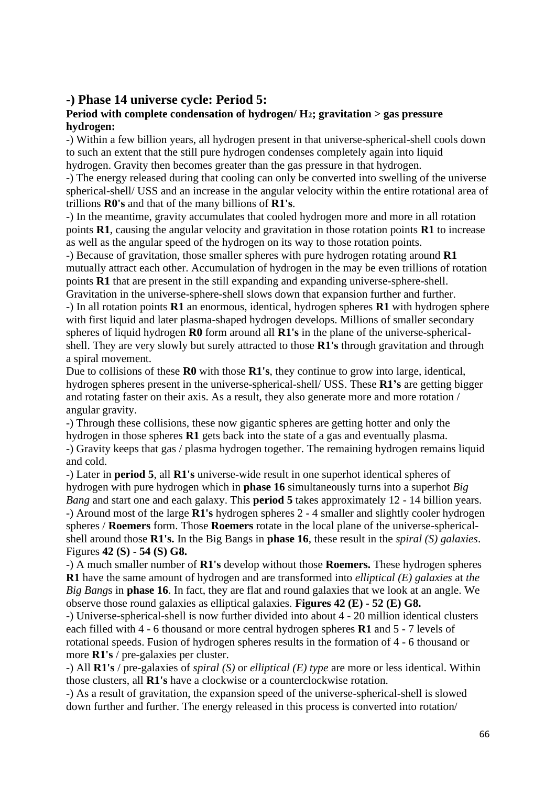## **-) Phase 14 universe cycle: Period 5:**

#### **Period with complete condensation of hydrogen/ H2; gravitation > gas pressure hydrogen:**

-) Within a few billion years, all hydrogen present in that universe-spherical-shell cools down to such an extent that the still pure hydrogen condenses completely again into liquid hydrogen. Gravity then becomes greater than the gas pressure in that hydrogen.

-) The energy released during that cooling can only be converted into swelling of the universe spherical-shell/ USS and an increase in the angular velocity within the entire rotational area of trillions **R0's** and that of the many billions of **R1's**.

-) In the meantime, gravity accumulates that cooled hydrogen more and more in all rotation points **R1**, causing the angular velocity and gravitation in those rotation points **R1** to increase as well as the angular speed of the hydrogen on its way to those rotation points.

-) Because of gravitation, those smaller spheres with pure hydrogen rotating around **R1** mutually attract each other. Accumulation of hydrogen in the may be even trillions of rotation points **R1** that are present in the still expanding and expanding universe-sphere-shell. Gravitation in the universe-sphere-shell slows down that expansion further and further.

-) In all rotation points **R1** an enormous, identical, hydrogen spheres **R1** with hydrogen sphere with first liquid and later plasma-shaped hydrogen develops. Millions of smaller secondary spheres of liquid hydrogen **R0** form around all **R1's** in the plane of the universe-sphericalshell. They are very slowly but surely attracted to those **R1's** through gravitation and through a spiral movement.

Due to collisions of these **R0** with those **R1's**, they continue to grow into large, identical, hydrogen spheres present in the universe-spherical-shell/ USS. These **R1's** are getting bigger and rotating faster on their axis. As a result, they also generate more and more rotation / angular gravity.

-) Through these collisions, these now gigantic spheres are getting hotter and only the hydrogen in those spheres **R1** gets back into the state of a gas and eventually plasma. -) Gravity keeps that gas / plasma hydrogen together. The remaining hydrogen remains liquid

and cold.

-) Later in **period 5**, all **R1's** universe-wide result in one superhot identical spheres of hydrogen with pure hydrogen which in **phase 16** simultaneously turns into a superhot *Big Bang* and start one and each galaxy. This **period 5** takes approximately 12 - 14 billion years. -) Around most of the large **R1's** hydrogen spheres 2 - 4 smaller and slightly cooler hydrogen spheres / **Roemers** form. Those **Roemers** rotate in the local plane of the universe-sphericalshell around those **R1's.** In the Big Bangs in **phase 16**, these result in the *spiral (S) galaxies*. Figures **42 (S) - 54 (S) G8.**

-) A much smaller number of **R1's** develop without those **Roemers.** These hydrogen spheres **R1** have the same amount of hydrogen and are transformed into *elliptical (E) galaxies* at *the Big Bang*s in **phase 16**. In fact, they are flat and round galaxies that we look at an angle. We observe those round galaxies as elliptical galaxies. **Figures 42 (E) - 52 (E) G8.**

-) Universe-spherical-shell is now further divided into about 4 - 20 million identical clusters each filled with 4 - 6 thousand or more central hydrogen spheres **R1** and 5 - 7 levels of rotational speeds. Fusion of hydrogen spheres results in the formation of 4 - 6 thousand or more **R1's** / pre-galaxies per cluster.

-) All **R1's** / pre-galaxies of *spiral (S)* or *elliptical (E) type* are more or less identical. Within those clusters, all **R1's** have a clockwise or a counterclockwise rotation.

-) As a result of gravitation, the expansion speed of the universe-spherical-shell is slowed down further and further. The energy released in this process is converted into rotation/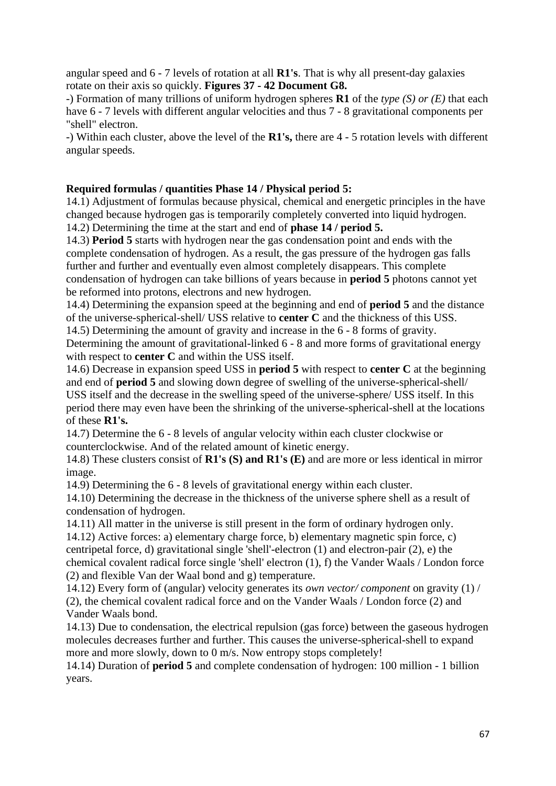angular speed and 6 - 7 levels of rotation at all **R1's**. That is why all present-day galaxies rotate on their axis so quickly. **Figures 37 - 42 Document G8.**

-) Formation of many trillions of uniform hydrogen spheres **R1** of the *type (S) or (E)* that each have 6 - 7 levels with different angular velocities and thus 7 - 8 gravitational components per "shell" electron.

-) Within each cluster, above the level of the **R1's,** there are 4 - 5 rotation levels with different angular speeds.

## **Required formulas / quantities Phase 14 / Physical period 5:**

14.1) Adjustment of formulas because physical, chemical and energetic principles in the have changed because hydrogen gas is temporarily completely converted into liquid hydrogen.

14.2) Determining the time at the start and end of **phase 14 / period 5.**

14.3) **Period 5** starts with hydrogen near the gas condensation point and ends with the complete condensation of hydrogen. As a result, the gas pressure of the hydrogen gas falls further and further and eventually even almost completely disappears. This complete condensation of hydrogen can take billions of years because in **period 5** photons cannot yet be reformed into protons, electrons and new hydrogen.

14.4) Determining the expansion speed at the beginning and end of **period 5** and the distance of the universe-spherical-shell/ USS relative to **center C** and the thickness of this USS.

14.5) Determining the amount of gravity and increase in the 6 - 8 forms of gravity. Determining the amount of gravitational-linked 6 - 8 and more forms of gravitational energy with respect to **center C** and within the USS itself.

14.6) Decrease in expansion speed USS in **period 5** with respect to **center C** at the beginning and end of **period 5** and slowing down degree of swelling of the universe-spherical-shell/ USS itself and the decrease in the swelling speed of the universe-sphere/ USS itself. In this period there may even have been the shrinking of the universe-spherical-shell at the locations of these **R1's.**

14.7) Determine the 6 - 8 levels of angular velocity within each cluster clockwise or counterclockwise. And of the related amount of kinetic energy.

14.8) These clusters consist of **R1's (S) and R1's (E)** and are more or less identical in mirror image.

14.9) Determining the 6 - 8 levels of gravitational energy within each cluster.

14.10) Determining the decrease in the thickness of the universe sphere shell as a result of condensation of hydrogen.

14.11) All matter in the universe is still present in the form of ordinary hydrogen only. 14.12) Active forces: a) elementary charge force, b) elementary magnetic spin force, c) centripetal force, d) gravitational single 'shell'-electron (1) and electron-pair (2), e) the chemical covalent radical force single 'shell' electron (1), f) the Vander Waals / London force (2) and flexible Van der Waal bond and g) temperature.

14.12) Every form of (angular) velocity generates its *own vector/ component* on gravity (1) / (2), the chemical covalent radical force and on the Vander Waals / London force (2) and Vander Waals bond.

14.13) Due to condensation, the electrical repulsion (gas force) between the gaseous hydrogen molecules decreases further and further. This causes the universe-spherical-shell to expand more and more slowly, down to 0 m/s. Now entropy stops completely!

14.14) Duration of **period 5** and complete condensation of hydrogen: 100 million - 1 billion years.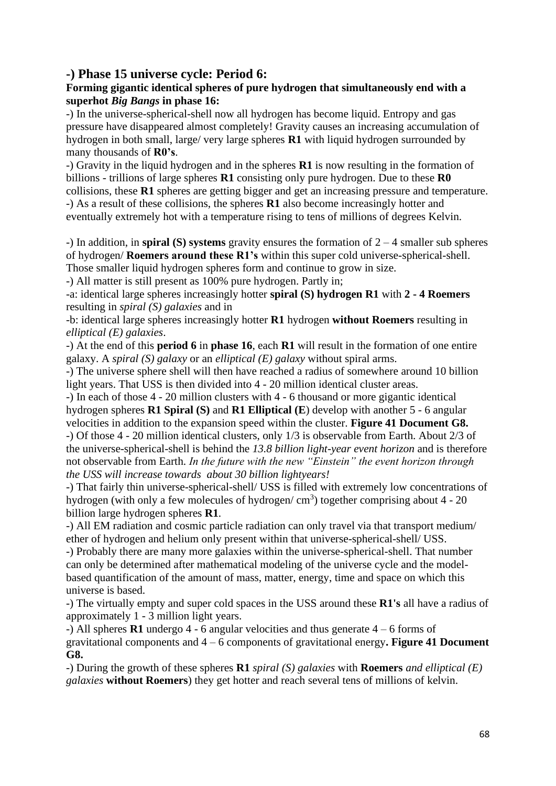## **-) Phase 15 universe cycle: Period 6:**

## **Forming gigantic identical spheres of pure hydrogen that simultaneously end with a superhot** *Big Bangs* **in phase 16:**

-) In the universe-spherical-shell now all hydrogen has become liquid. Entropy and gas pressure have disappeared almost completely! Gravity causes an increasing accumulation of hydrogen in both small, large/ very large spheres **R1** with liquid hydrogen surrounded by many thousands of **R0's**.

-) Gravity in the liquid hydrogen and in the spheres **R1** is now resulting in the formation of billions - trillions of large spheres **R1** consisting only pure hydrogen. Due to these **R0** collisions, these **R1** spheres are getting bigger and get an increasing pressure and temperature. -) As a result of these collisions, the spheres **R1** also become increasingly hotter and eventually extremely hot with a temperature rising to tens of millions of degrees Kelvin.

-) In addition, in **spiral (S) systems** gravity ensures the formation of 2 – 4 smaller sub spheres of hydrogen/ **Roemers around these R1's** within this super cold universe-spherical-shell. Those smaller liquid hydrogen spheres form and continue to grow in size.

-) All matter is still present as 100% pure hydrogen. Partly in;

-a: identical large spheres increasingly hotter **spiral (S) hydrogen R1** with **2 - 4 Roemers** resulting in *spiral (S) galaxies* and in

-b: identical large spheres increasingly hotter **R1** hydrogen **without Roemers** resulting in *elliptical (E) galaxies*.

-) At the end of this **period 6** in **phase 16**, each **R1** will result in the formation of one entire galaxy. A *spiral (S) galaxy* or an *elliptical (E) galaxy* without spiral arms.

-) The universe sphere shell will then have reached a radius of somewhere around 10 billion light years. That USS is then divided into 4 - 20 million identical cluster areas.

-) In each of those 4 - 20 million clusters with 4 - 6 thousand or more gigantic identical hydrogen spheres **R1 Spiral (S)** and **R1 Elliptical (E**) develop with another 5 - 6 angular velocities in addition to the expansion speed within the cluster. **Figure 41 Document G8.** -) Of those 4 - 20 million identical clusters, only 1/3 is observable from Earth. About 2/3 of the universe-spherical-shell is behind the *13.8 billion light-year event horizon* and is therefore not observable from Earth. *In the future with the new "Einstein" the event horizon through the USS will increase towards about 30 billion lightyears!* 

-) That fairly thin universe-spherical-shell/ USS is filled with extremely low concentrations of hydrogen (with only a few molecules of hydrogen/ $\text{cm}^3$ ) together comprising about 4 - 20 billion large hydrogen spheres **R1**.

-) All EM radiation and cosmic particle radiation can only travel via that transport medium/ ether of hydrogen and helium only present within that universe-spherical-shell/ USS.

-) Probably there are many more galaxies within the universe-spherical-shell. That number can only be determined after mathematical modeling of the universe cycle and the modelbased quantification of the amount of mass, matter, energy, time and space on which this universe is based.

-) The virtually empty and super cold spaces in the USS around these **R1's** all have a radius of approximately 1 - 3 million light years.

-) All spheres **R1** undergo 4 - 6 angular velocities and thus generate 4 – 6 forms of gravitational components and 4 – 6 components of gravitational energy**. Figure 41 Document G8.**

-) During the growth of these spheres **R1** *spiral (S) galaxies* with **Roemers** *and elliptical (E) galaxies* **without Roemers**) they get hotter and reach several tens of millions of kelvin.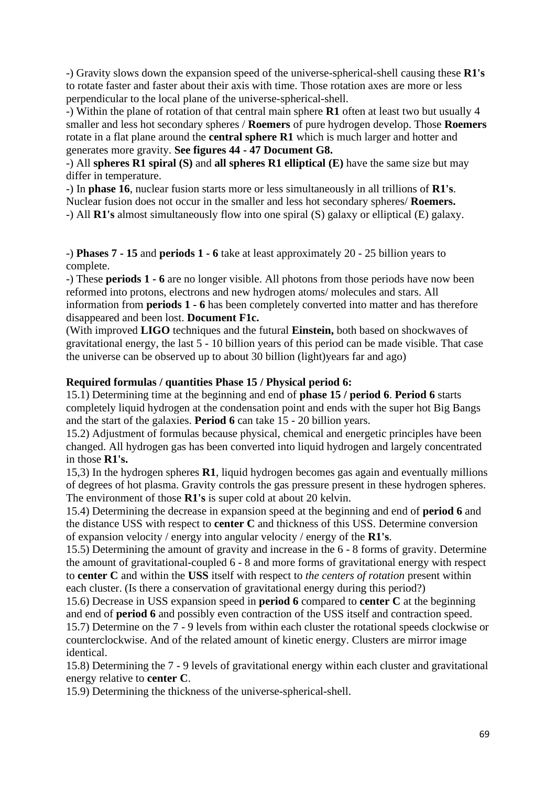-) Gravity slows down the expansion speed of the universe-spherical-shell causing these **R1's** to rotate faster and faster about their axis with time. Those rotation axes are more or less perpendicular to the local plane of the universe-spherical-shell.

-) Within the plane of rotation of that central main sphere **R1** often at least two but usually 4 smaller and less hot secondary spheres / **Roemers** of pure hydrogen develop. Those **Roemers**  rotate in a flat plane around the **central sphere R1** which is much larger and hotter and generates more gravity. **See figures 44 - 47 Document G8.**

-) All **spheres R1 spiral (S)** and **all spheres R1 elliptical (E)** have the same size but may differ in temperature.

-) In **phase 16**, nuclear fusion starts more or less simultaneously in all trillions of **R1's**. Nuclear fusion does not occur in the smaller and less hot secondary spheres/ **Roemers.** -) All **R1's** almost simultaneously flow into one spiral (S) galaxy or elliptical (E) galaxy.

-) **Phases 7 - 15** and **periods 1 - 6** take at least approximately 20 - 25 billion years to complete.

-) These **periods 1 - 6** are no longer visible. All photons from those periods have now been reformed into protons, electrons and new hydrogen atoms/ molecules and stars. All information from **periods 1 - 6** has been completely converted into matter and has therefore disappeared and been lost. **Document F1c.**

(With improved **LIGO** techniques and the futural **Einstein,** both based on shockwaves of gravitational energy, the last 5 - 10 billion years of this period can be made visible. That case the universe can be observed up to about 30 billion (light)years far and ago)

## **Required formulas / quantities Phase 15 / Physical period 6:**

15.1) Determining time at the beginning and end of **phase 15 / period 6**. **Period 6** starts completely liquid hydrogen at the condensation point and ends with the super hot Big Bangs and the start of the galaxies. **Period 6** can take 15 - 20 billion years.

15.2) Adjustment of formulas because physical, chemical and energetic principles have been changed. All hydrogen gas has been converted into liquid hydrogen and largely concentrated in those **R1's.**

15,3) In the hydrogen spheres **R1**, liquid hydrogen becomes gas again and eventually millions of degrees of hot plasma. Gravity controls the gas pressure present in these hydrogen spheres. The environment of those **R1's** is super cold at about 20 kelvin.

15.4) Determining the decrease in expansion speed at the beginning and end of **period 6** and the distance USS with respect to **center C** and thickness of this USS. Determine conversion of expansion velocity / energy into angular velocity / energy of the **R1's**.

15.5) Determining the amount of gravity and increase in the 6 - 8 forms of gravity. Determine the amount of gravitational-coupled 6 - 8 and more forms of gravitational energy with respect to **center C** and within the **USS** itself with respect to *the centers of rotation* present within each cluster. (Is there a conservation of gravitational energy during this period?)

15.6) Decrease in USS expansion speed in **period 6** compared to **center C** at the beginning and end of **period 6** and possibly even contraction of the USS itself and contraction speed. 15.7) Determine on the 7 - 9 levels from within each cluster the rotational speeds clockwise or counterclockwise. And of the related amount of kinetic energy. Clusters are mirror image identical.

15.8) Determining the 7 - 9 levels of gravitational energy within each cluster and gravitational energy relative to **center C**.

15.9) Determining the thickness of the universe-spherical-shell.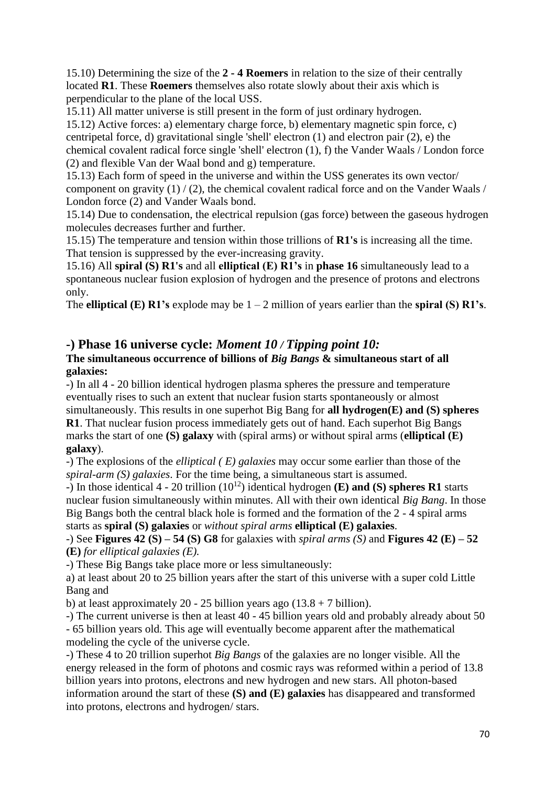15.10) Determining the size of the **2 - 4 Roemers** in relation to the size of their centrally located **R1**. These **Roemers** themselves also rotate slowly about their axis which is perpendicular to the plane of the local USS.

15.11) All matter universe is still present in the form of just ordinary hydrogen.

15.12) Active forces: a) elementary charge force, b) elementary magnetic spin force, c) centripetal force, d) gravitational single 'shell' electron (1) and electron pair (2), e) the chemical covalent radical force single 'shell' electron (1), f) the Vander Waals / London force (2) and flexible Van der Waal bond and g) temperature.

15.13) Each form of speed in the universe and within the USS generates its own vector/ component on gravity  $(1) / (2)$ , the chemical covalent radical force and on the Vander Waals / London force (2) and Vander Waals bond.

15.14) Due to condensation, the electrical repulsion (gas force) between the gaseous hydrogen molecules decreases further and further.

15.15) The temperature and tension within those trillions of **R1's** is increasing all the time. That tension is suppressed by the ever-increasing gravity.

15.16) All **spiral (S) R1's** and all **elliptical (E) R1's** in **phase 16** simultaneously lead to a spontaneous nuclear fusion explosion of hydrogen and the presence of protons and electrons only.

The **elliptical (E) R1's** explode may be  $1 - 2$  million of years earlier than the **spiral (S) R1's**.

## **-) Phase 16 universe cycle:** *Moment 10 / Tipping point 10:* **The simultaneous occurrence of billions of** *Big Bangs* **& simultaneous start of all galaxies:**

-) In all 4 - 20 billion identical hydrogen plasma spheres the pressure and temperature eventually rises to such an extent that nuclear fusion starts spontaneously or almost simultaneously. This results in one superhot Big Bang for **all hydrogen(E) and (S) spheres R1**. That nuclear fusion process immediately gets out of hand. Each superhot Big Bangs marks the start of one **(S) galaxy** with (spiral arms) or without spiral arms (**elliptical (E) galaxy**).

-) The explosions of the *elliptical ( E) galaxies* may occur some earlier than those of the *spiral-arm (S) galaxies*. For the time being, a simultaneous start is assumed.

 $\overrightarrow{ }$  In those identical 4 - 20 trillion (10<sup>12</sup>) identical hydrogen **(E) and <b>(S)** spheres **R1** starts nuclear fusion simultaneously within minutes. All with their own identical *Big Bang*. In those Big Bangs both the central black hole is formed and the formation of the 2 - 4 spiral arms starts as **spiral (S) galaxies** or *without spiral arms* **elliptical (E) galaxies**.

## -) See **Figures 42 (S) – 54 (S) G8** for galaxies with *spiral arms (S)* and **Figures 42 (E) – 52 (E)** *for elliptical galaxies (E).*

-) These Big Bangs take place more or less simultaneously:

a) at least about 20 to 25 billion years after the start of this universe with a super cold Little Bang and

b) at least approximately 20 - 25 billion years ago  $(13.8 + 7$  billion).

-) The current universe is then at least 40 - 45 billion years old and probably already about 50 - 65 billion years old. This age will eventually become apparent after the mathematical modeling the cycle of the universe cycle.

-) These 4 to 20 trillion superhot *Big Bangs* of the galaxies are no longer visible. All the energy released in the form of photons and cosmic rays was reformed within a period of 13.8 billion years into protons, electrons and new hydrogen and new stars. All photon-based information around the start of these **(S) and (E) galaxies** has disappeared and transformed into protons, electrons and hydrogen/ stars.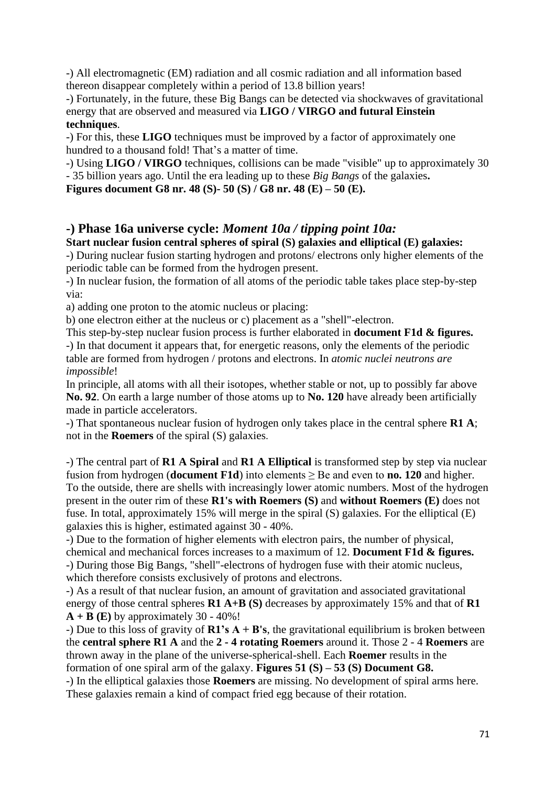-) All electromagnetic (EM) radiation and all cosmic radiation and all information based thereon disappear completely within a period of 13.8 billion years!

-) Fortunately, in the future, these Big Bangs can be detected via shockwaves of gravitational energy that are observed and measured via **LIGO / VIRGO and futural Einstein techniques**.

-) For this, these **LIGO** techniques must be improved by a factor of approximately one hundred to a thousand fold! That's a matter of time.

-) Using **LIGO / VIRGO** techniques, collisions can be made "visible" up to approximately 30 - 35 billion years ago. Until the era leading up to these *Big Bangs* of the galaxies**.** 

**Figures document G8 nr. 48 (S)- 50 (S) / G8 nr. 48 (E) – 50 (E).**

# **-) Phase 16a universe cycle:** *Moment 10a / tipping point 10a:*

**Start nuclear fusion central spheres of spiral (S) galaxies and elliptical (E) galaxies:** -) During nuclear fusion starting hydrogen and protons/ electrons only higher elements of the periodic table can be formed from the hydrogen present.

-) In nuclear fusion, the formation of all atoms of the periodic table takes place step-by-step via:

a) adding one proton to the atomic nucleus or placing:

b) one electron either at the nucleus or c) placement as a "shell"-electron.

This step-by-step nuclear fusion process is further elaborated in **document F1d & figures.** -) In that document it appears that, for energetic reasons, only the elements of the periodic table are formed from hydrogen / protons and electrons. In *atomic nuclei neutrons are impossible*!

In principle, all atoms with all their isotopes, whether stable or not, up to possibly far above **No. 92**. On earth a large number of those atoms up to **No. 120** have already been artificially made in particle accelerators.

-) That spontaneous nuclear fusion of hydrogen only takes place in the central sphere **R1 A**; not in the **Roemers** of the spiral (S) galaxies.

-) The central part of **R1 A Spiral** and **R1 A Elliptical** is transformed step by step via nuclear fusion from hydrogen (**document F1d**) into elements  $\geq$  Be and even to **no. 120** and higher. To the outside, there are shells with increasingly lower atomic numbers. Most of the hydrogen present in the outer rim of these **R1's with Roemers (S)** and **without Roemers (E)** does not fuse. In total, approximately 15% will merge in the spiral (S) galaxies. For the elliptical (E) galaxies this is higher, estimated against 30 - 40%.

-) Due to the formation of higher elements with electron pairs, the number of physical, chemical and mechanical forces increases to a maximum of 12. **Document F1d & figures.** -) During those Big Bangs, "shell"-electrons of hydrogen fuse with their atomic nucleus, which therefore consists exclusively of protons and electrons.

-) As a result of that nuclear fusion, an amount of gravitation and associated gravitational energy of those central spheres **R1 A+B (S)** decreases by approximately 15% and that of **R1**   $A + B$  (E) by approximately 30 - 40%!

-) Due to this loss of gravity of **R1's A + B's**, the gravitational equilibrium is broken between the **central sphere R1 A** and the **2 - 4 rotating Roemers** around it. Those 2 - 4 **Roemers** are thrown away in the plane of the universe-spherical-shell. Each **Roemer** results in the formation of one spiral arm of the galaxy. **Figures 51 (S) – 53 (S) Document G8.**

-) In the elliptical galaxies those **Roemers** are missing. No development of spiral arms here. These galaxies remain a kind of compact fried egg because of their rotation.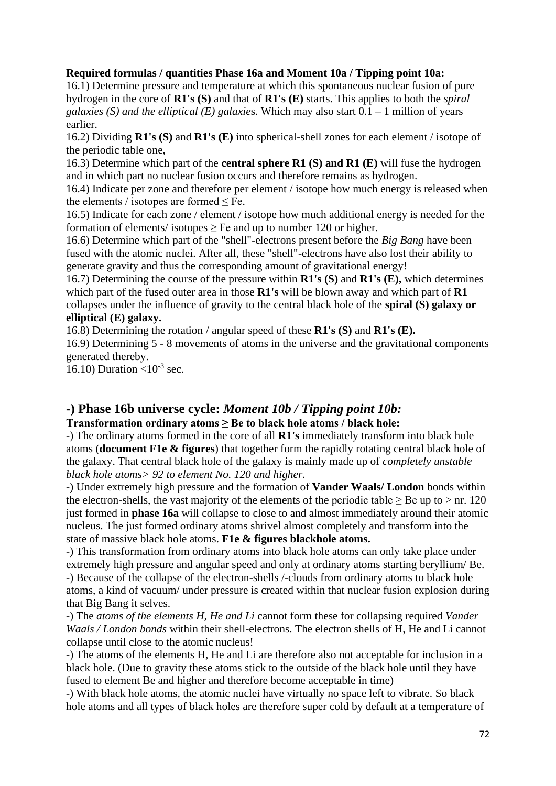#### **Required formulas / quantities Phase 16a and Moment 10a / Tipping point 10a:**

16.1) Determine pressure and temperature at which this spontaneous nuclear fusion of pure hydrogen in the core of **R1's (S)** and that of **R1's (E)** starts. This applies to both the *spiral galaxies (S) and the elliptical (E) galaxie*s. Which may also start 0.1 – 1 million of years earlier.

16.2) Dividing **R1's (S)** and **R1's (E)** into spherical-shell zones for each element / isotope of the periodic table one,

16.3) Determine which part of the **central sphere R1 (S) and R1 (E)** will fuse the hydrogen and in which part no nuclear fusion occurs and therefore remains as hydrogen.

16.4) Indicate per zone and therefore per element / isotope how much energy is released when the elements / isotopes are formed ≤ Fe.

16.5) Indicate for each zone / element / isotope how much additional energy is needed for the formation of elements/ isotopes  $\geq$  Fe and up to number 120 or higher.

16.6) Determine which part of the "shell"-electrons present before the *Big Bang* have been fused with the atomic nuclei. After all, these "shell"-electrons have also lost their ability to generate gravity and thus the corresponding amount of gravitational energy!

16.7) Determining the course of the pressure within **R1's (S)** and **R1's (E),** which determines which part of the fused outer area in those **R1's** will be blown away and which part of **R1**  collapses under the influence of gravity to the central black hole of the **spiral (S) galaxy or elliptical (E) galaxy.**

16.8) Determining the rotation / angular speed of these **R1's (S)** and **R1's (E).**

16.9) Determining 5 - 8 movements of atoms in the universe and the gravitational components generated thereby.

16.10) Duration  $\langle 10^{-3} \text{ sec.}$ 

# **-) Phase 16b universe cycle:** *Moment 10b / Tipping point 10b:*

#### **Transformation ordinary atoms ≥ Be to black hole atoms / black hole:**

-) The ordinary atoms formed in the core of all **R1's** immediately transform into black hole atoms (**document F1e & figures**) that together form the rapidly rotating central black hole of the galaxy. That central black hole of the galaxy is mainly made up of *completely unstable black hole atoms> 92 to element No. 120 and higher.*

-) Under extremely high pressure and the formation of **Vander Waals/ London** bonds within the electron-shells, the vast majority of the elements of the periodic table  $\geq$  Be up to  $>$  nr. 120 just formed in **phase 16a** will collapse to close to and almost immediately around their atomic nucleus. The just formed ordinary atoms shrivel almost completely and transform into the state of massive black hole atoms. **F1e & figures blackhole atoms.**

-) This transformation from ordinary atoms into black hole atoms can only take place under extremely high pressure and angular speed and only at ordinary atoms starting beryllium/ Be. -) Because of the collapse of the electron-shells /-clouds from ordinary atoms to black hole atoms, a kind of vacuum/ under pressure is created within that nuclear fusion explosion during that Big Bang it selves.

-) The *atoms of the elements H, He and Li* cannot form these for collapsing required *Vander Waals / London bonds* within their shell-electrons. The electron shells of H, He and Li cannot collapse until close to the atomic nucleus!

-) The atoms of the elements H, He and Li are therefore also not acceptable for inclusion in a black hole. (Due to gravity these atoms stick to the outside of the black hole until they have fused to element Be and higher and therefore become acceptable in time)

-) With black hole atoms, the atomic nuclei have virtually no space left to vibrate. So black hole atoms and all types of black holes are therefore super cold by default at a temperature of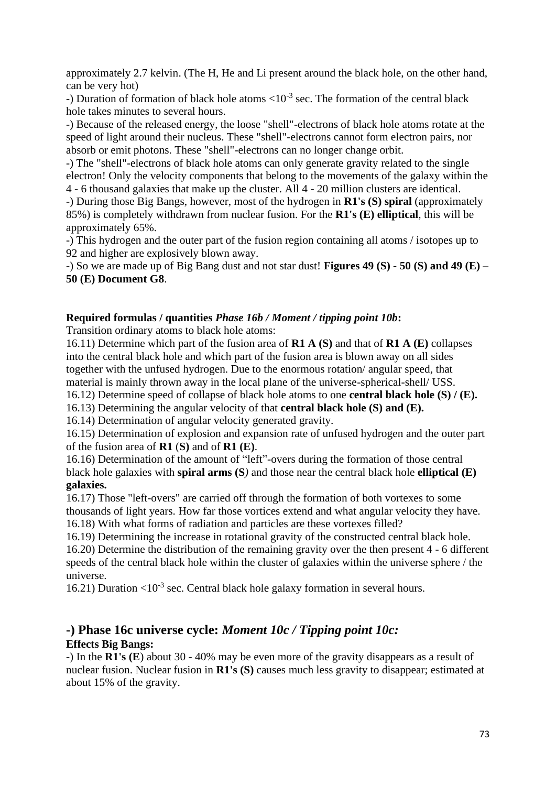approximately 2.7 kelvin. (The H, He and Li present around the black hole, on the other hand, can be very hot)

-) Duration of formation of black hole atoms  $\langle 10^{-3}$  sec. The formation of the central black hole takes minutes to several hours.

-) Because of the released energy, the loose "shell"-electrons of black hole atoms rotate at the speed of light around their nucleus. These "shell"-electrons cannot form electron pairs, nor absorb or emit photons. These "shell"-electrons can no longer change orbit.

-) The "shell"-electrons of black hole atoms can only generate gravity related to the single electron! Only the velocity components that belong to the movements of the galaxy within the 4 - 6 thousand galaxies that make up the cluster. All 4 - 20 million clusters are identical.

-) During those Big Bangs, however, most of the hydrogen in **R1's (S) spiral** (approximately 85%) is completely withdrawn from nuclear fusion. For the **R1's (E) elliptical**, this will be approximately 65%.

-) This hydrogen and the outer part of the fusion region containing all atoms / isotopes up to 92 and higher are explosively blown away.

-) So we are made up of Big Bang dust and not star dust! **Figures 49 (S) - 50 (S) and 49 (E) – 50 (E) Document G8**.

#### **Required formulas / quantities** *Phase 16b / Moment / tipping point 10b***:**

Transition ordinary atoms to black hole atoms:

16.11) Determine which part of the fusion area of **R1 A (S)** and that of **R1 A (E)** collapses into the central black hole and which part of the fusion area is blown away on all sides together with the unfused hydrogen. Due to the enormous rotation/ angular speed, that material is mainly thrown away in the local plane of the universe-spherical-shell/ USS. 16.12) Determine speed of collapse of black hole atoms to one **central black hole (S) / (E).**

16.13) Determining the angular velocity of that **central black hole (S) and (E).**

16.14) Determination of angular velocity generated gravity.

16.15) Determination of explosion and expansion rate of unfused hydrogen and the outer part of the fusion area of **R1** (**S)** and of **R1 (E)**.

16.16) Determination of the amount of "left"-overs during the formation of those central black hole galaxies with **spiral arms (S***)* and those near the central black hole **elliptical (E) galaxies.**

16.17) Those "left-overs" are carried off through the formation of both vortexes to some thousands of light years. How far those vortices extend and what angular velocity they have. 16.18) With what forms of radiation and particles are these vortexes filled?

16.19) Determining the increase in rotational gravity of the constructed central black hole. 16.20) Determine the distribution of the remaining gravity over the then present 4 - 6 different speeds of the central black hole within the cluster of galaxies within the universe sphere / the universe.

16.21) Duration < $10^{-3}$  sec. Central black hole galaxy formation in several hours.

## **-) Phase 16c universe cycle:** *Moment 10c / Tipping point 10c:* **Effects Big Bangs:**

-) In the **R1's (E**) about 30 - 40% may be even more of the gravity disappears as a result of nuclear fusion. Nuclear fusion in **R1's (S)** causes much less gravity to disappear; estimated at about 15% of the gravity.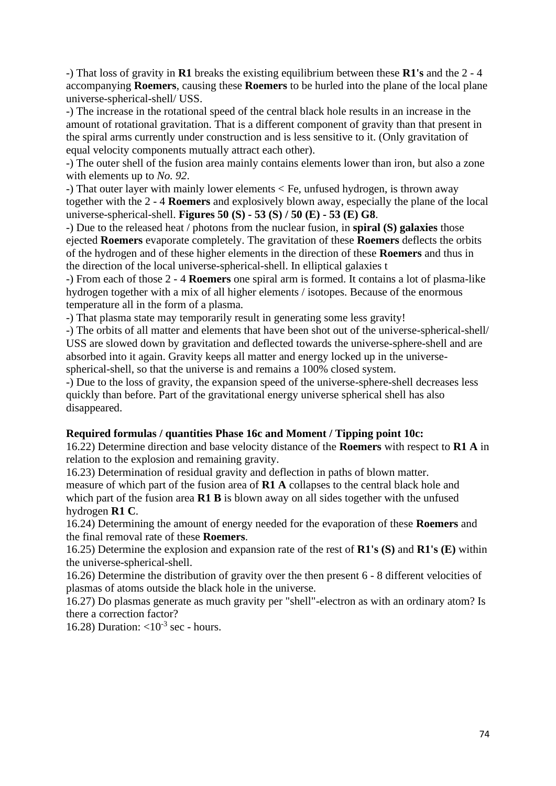-) That loss of gravity in **R1** breaks the existing equilibrium between these **R1's** and the 2 - 4 accompanying **Roemers**, causing these **Roemers** to be hurled into the plane of the local plane universe-spherical-shell/ USS.

-) The increase in the rotational speed of the central black hole results in an increase in the amount of rotational gravitation. That is a different component of gravity than that present in the spiral arms currently under construction and is less sensitive to it. (Only gravitation of equal velocity components mutually attract each other).

-) The outer shell of the fusion area mainly contains elements lower than iron, but also a zone with elements up to *No. 92*.

-) That outer layer with mainly lower elements < Fe, unfused hydrogen, is thrown away together with the 2 - 4 **Roemers** and explosively blown away, especially the plane of the local universe-spherical-shell. **Figures 50 (S) - 53 (S) / 50 (E) - 53 (E) G8**.

-) Due to the released heat / photons from the nuclear fusion, in **spiral (S) galaxies** those ejected **Roemers** evaporate completely. The gravitation of these **Roemers** deflects the orbits of the hydrogen and of these higher elements in the direction of these **Roemers** and thus in the direction of the local universe-spherical-shell. In elliptical galaxies t

-) From each of those 2 - 4 **Roemers** one spiral arm is formed. It contains a lot of plasma-like hydrogen together with a mix of all higher elements / isotopes. Because of the enormous temperature all in the form of a plasma.

-) That plasma state may temporarily result in generating some less gravity!

-) The orbits of all matter and elements that have been shot out of the universe-spherical-shell/ USS are slowed down by gravitation and deflected towards the universe-sphere-shell and are absorbed into it again. Gravity keeps all matter and energy locked up in the universespherical-shell, so that the universe is and remains a 100% closed system.

-) Due to the loss of gravity, the expansion speed of the universe-sphere-shell decreases less quickly than before. Part of the gravitational energy universe spherical shell has also disappeared.

#### **Required formulas / quantities Phase 16c and Moment / Tipping point 10c:**

16.22) Determine direction and base velocity distance of the **Roemers** with respect to **R1 A** in relation to the explosion and remaining gravity.

16.23) Determination of residual gravity and deflection in paths of blown matter. measure of which part of the fusion area of **R1 A** collapses to the central black hole and which part of the fusion area **R1 B** is blown away on all sides together with the unfused hydrogen **R1 C**.

16.24) Determining the amount of energy needed for the evaporation of these **Roemers** and the final removal rate of these **Roemers**.

16.25) Determine the explosion and expansion rate of the rest of **R1's (S)** and **R1's (E)** within the universe-spherical-shell.

16.26) Determine the distribution of gravity over the then present 6 - 8 different velocities of plasmas of atoms outside the black hole in the universe.

16.27) Do plasmas generate as much gravity per "shell"-electron as with an ordinary atom? Is there a correction factor?

16.28) Duration:  $\langle 10^{-3} \text{ sec}$  - hours.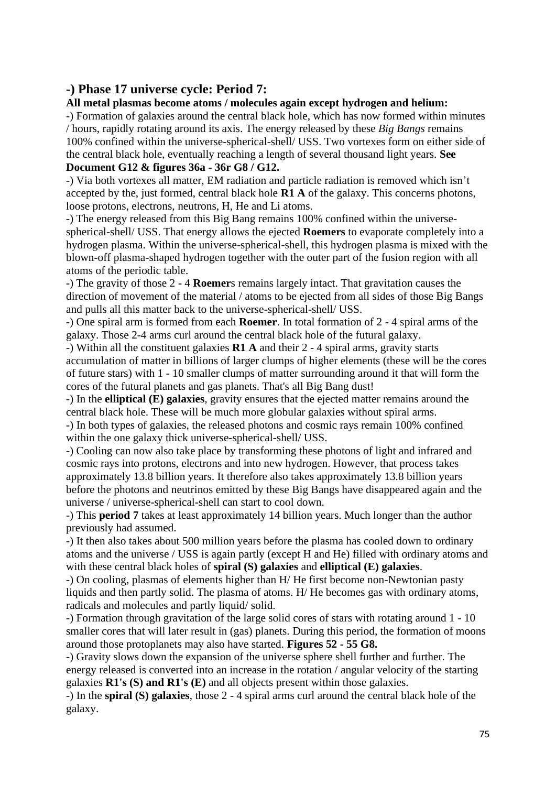## **-) Phase 17 universe cycle: Period 7:**

### **All metal plasmas become atoms / molecules again except hydrogen and helium:**

-) Formation of galaxies around the central black hole, which has now formed within minutes / hours, rapidly rotating around its axis. The energy released by these *Big Bangs* remains 100% confined within the universe-spherical-shell/ USS. Two vortexes form on either side of the central black hole, eventually reaching a length of several thousand light years. **See Document G12 & figures 36a - 36r G8 / G12.**

-) Via both vortexes all matter, EM radiation and particle radiation is removed which isn't accepted by the, just formed, central black hole **R1 A** of the galaxy. This concerns photons, loose protons, electrons, neutrons, H, He and Li atoms.

-) The energy released from this Big Bang remains 100% confined within the universespherical-shell/ USS. That energy allows the ejected **Roemers** to evaporate completely into a hydrogen plasma. Within the universe-spherical-shell, this hydrogen plasma is mixed with the blown-off plasma-shaped hydrogen together with the outer part of the fusion region with all atoms of the periodic table.

-) The gravity of those 2 - 4 **Roemer**s remains largely intact. That gravitation causes the direction of movement of the material / atoms to be ejected from all sides of those Big Bangs and pulls all this matter back to the universe-spherical-shell/ USS.

-) One spiral arm is formed from each **Roemer**. In total formation of 2 - 4 spiral arms of the galaxy. Those 2-4 arms curl around the central black hole of the futural galaxy.

-) Within all the constituent galaxies **R1 A** and their 2 - 4 spiral arms, gravity starts accumulation of matter in billions of larger clumps of higher elements (these will be the cores of future stars) with 1 - 10 smaller clumps of matter surrounding around it that will form the cores of the futural planets and gas planets. That's all Big Bang dust!

-) In the **elliptical (E) galaxies**, gravity ensures that the ejected matter remains around the central black hole. These will be much more globular galaxies without spiral arms.

-) In both types of galaxies, the released photons and cosmic rays remain 100% confined within the one galaxy thick universe-spherical-shell/ USS.

-) Cooling can now also take place by transforming these photons of light and infrared and cosmic rays into protons, electrons and into new hydrogen. However, that process takes approximately 13.8 billion years. It therefore also takes approximately 13.8 billion years before the photons and neutrinos emitted by these Big Bangs have disappeared again and the universe / universe-spherical-shell can start to cool down.

-) This **period 7** takes at least approximately 14 billion years. Much longer than the author previously had assumed.

-) It then also takes about 500 million years before the plasma has cooled down to ordinary atoms and the universe / USS is again partly (except H and He) filled with ordinary atoms and with these central black holes of **spiral (S) galaxies** and **elliptical (E) galaxies**.

-) On cooling, plasmas of elements higher than H/ He first become non-Newtonian pasty liquids and then partly solid. The plasma of atoms. H/ He becomes gas with ordinary atoms, radicals and molecules and partly liquid/ solid.

-) Formation through gravitation of the large solid cores of stars with rotating around 1 - 10 smaller cores that will later result in (gas) planets. During this period, the formation of moons around those protoplanets may also have started. **Figures 52 - 55 G8.**

-) Gravity slows down the expansion of the universe sphere shell further and further. The energy released is converted into an increase in the rotation / angular velocity of the starting galaxies **R1's (S) and R1's (E)** and all objects present within those galaxies.

-) In the **spiral (S) galaxies**, those 2 - 4 spiral arms curl around the central black hole of the galaxy.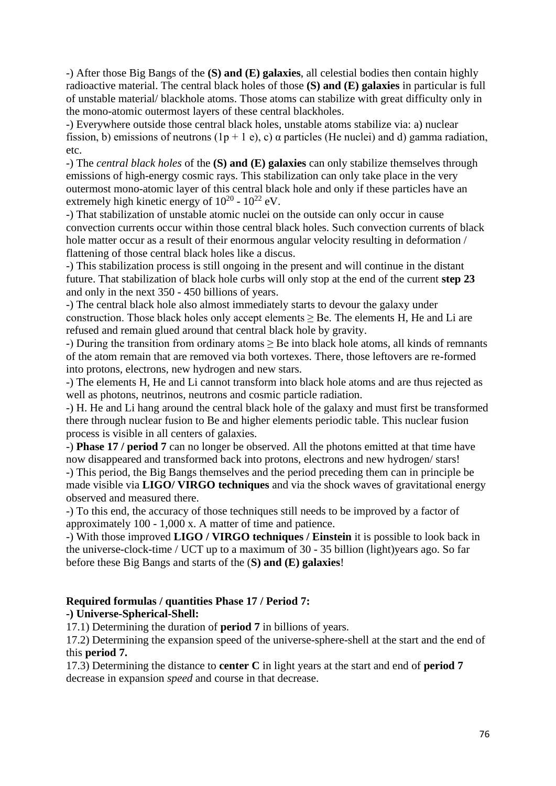-) After those Big Bangs of the **(S) and (E) galaxies**, all celestial bodies then contain highly radioactive material. The central black holes of those **(S) and (E) galaxies** in particular is full of unstable material/ blackhole atoms. Those atoms can stabilize with great difficulty only in the mono-atomic outermost layers of these central blackholes.

-) Everywhere outside those central black holes, unstable atoms stabilize via: a) nuclear fission, b) emissions of neutrons  $(1p + 1e)$ , c)  $\alpha$  particles (He nuclei) and d) gamma radiation, etc.

-) The *central black holes* of the **(S) and (E) galaxies** can only stabilize themselves through emissions of high-energy cosmic rays. This stabilization can only take place in the very outermost mono-atomic layer of this central black hole and only if these particles have an extremely high kinetic energy of  $10^{20}$  -  $10^{22}$  eV.

-) That stabilization of unstable atomic nuclei on the outside can only occur in cause convection currents occur within those central black holes. Such convection currents of black hole matter occur as a result of their enormous angular velocity resulting in deformation / flattening of those central black holes like a discus.

-) This stabilization process is still ongoing in the present and will continue in the distant future. That stabilization of black hole curbs will only stop at the end of the current **step 23** and only in the next 350 - 450 billions of years.

-) The central black hole also almost immediately starts to devour the galaxy under construction. Those black holes only accept elements  $\geq$  Be. The elements H, He and Li are refused and remain glued around that central black hole by gravity.

-) During the transition from ordinary atoms  $\geq$  Be into black hole atoms, all kinds of remnants of the atom remain that are removed via both vortexes. There, those leftovers are re-formed into protons, electrons, new hydrogen and new stars.

-) The elements H, He and Li cannot transform into black hole atoms and are thus rejected as well as photons, neutrinos, neutrons and cosmic particle radiation.

-) H. He and Li hang around the central black hole of the galaxy and must first be transformed there through nuclear fusion to Be and higher elements periodic table. This nuclear fusion process is visible in all centers of galaxies.

-) **Phase 17 / period 7** can no longer be observed. All the photons emitted at that time have now disappeared and transformed back into protons, electrons and new hydrogen/ stars! -) This period, the Big Bangs themselves and the period preceding them can in principle be made visible via **LIGO/ VIRGO techniques** and via the shock waves of gravitational energy observed and measured there.

-) To this end, the accuracy of those techniques still needs to be improved by a factor of approximately 100 - 1,000 x. A matter of time and patience.

-) With those improved **LIGO / VIRGO techniques / Einstein** it is possible to look back in the universe-clock-time / UCT up to a maximum of 30 - 35 billion (light)years ago. So far before these Big Bangs and starts of the (**S) and (E) galaxies**!

#### **Required formulas / quantities Phase 17 / Period 7:**

#### **-) Universe-Spherical-Shell:**

17.1) Determining the duration of **period 7** in billions of years.

17.2) Determining the expansion speed of the universe-sphere-shell at the start and the end of this **period 7.**

17.3) Determining the distance to **center C** in light years at the start and end of **period 7** decrease in expansion *speed* and course in that decrease.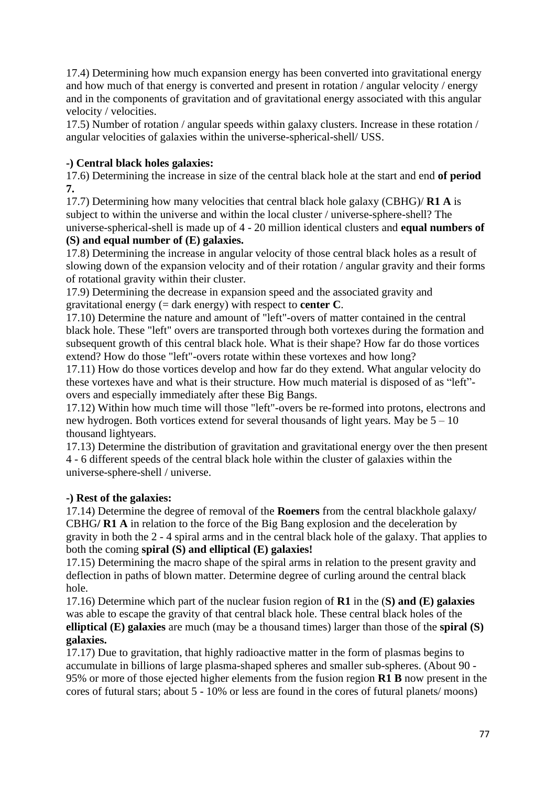17.4) Determining how much expansion energy has been converted into gravitational energy and how much of that energy is converted and present in rotation / angular velocity / energy and in the components of gravitation and of gravitational energy associated with this angular velocity / velocities.

17.5) Number of rotation / angular speeds within galaxy clusters. Increase in these rotation / angular velocities of galaxies within the universe-spherical-shell/ USS.

## **-) Central black holes galaxies:**

17.6) Determining the increase in size of the central black hole at the start and end **of period 7.**

17.7) Determining how many velocities that central black hole galaxy (CBHG)/ **R1 A** is subject to within the universe and within the local cluster / universe-sphere-shell? The universe-spherical-shell is made up of 4 - 20 million identical clusters and **equal numbers of** 

## **(S) and equal number of (E) galaxies.**

17.8) Determining the increase in angular velocity of those central black holes as a result of slowing down of the expansion velocity and of their rotation / angular gravity and their forms of rotational gravity within their cluster.

17.9) Determining the decrease in expansion speed and the associated gravity and gravitational energy (= dark energy) with respect to **center C**.

17.10) Determine the nature and amount of "left"-overs of matter contained in the central black hole. These "left" overs are transported through both vortexes during the formation and subsequent growth of this central black hole. What is their shape? How far do those vortices extend? How do those "left"-overs rotate within these vortexes and how long?

17.11) How do those vortices develop and how far do they extend. What angular velocity do these vortexes have and what is their structure. How much material is disposed of as "left" overs and especially immediately after these Big Bangs.

17.12) Within how much time will those "left"-overs be re-formed into protons, electrons and new hydrogen. Both vortices extend for several thousands of light years. May be 5 – 10 thousand lightyears.

17.13) Determine the distribution of gravitation and gravitational energy over the then present 4 - 6 different speeds of the central black hole within the cluster of galaxies within the universe-sphere-shell / universe.

## **-) Rest of the galaxies:**

17.14) Determine the degree of removal of the **Roemers** from the central blackhole galaxy**/** CBHG**/ R1 A** in relation to the force of the Big Bang explosion and the deceleration by gravity in both the 2 - 4 spiral arms and in the central black hole of the galaxy. That applies to both the coming **spiral (S) and elliptical (E) galaxies!**

17.15) Determining the macro shape of the spiral arms in relation to the present gravity and deflection in paths of blown matter. Determine degree of curling around the central black hole.

17.16) Determine which part of the nuclear fusion region of **R1** in the (**S) and (E) galaxies** was able to escape the gravity of that central black hole. These central black holes of the **elliptical (E) galaxies** are much (may be a thousand times) larger than those of the **spiral (S) galaxies.**

17.17) Due to gravitation, that highly radioactive matter in the form of plasmas begins to accumulate in billions of large plasma-shaped spheres and smaller sub-spheres. (About 90 - 95% or more of those ejected higher elements from the fusion region **R1 B** now present in the cores of futural stars; about 5 - 10% or less are found in the cores of futural planets/ moons)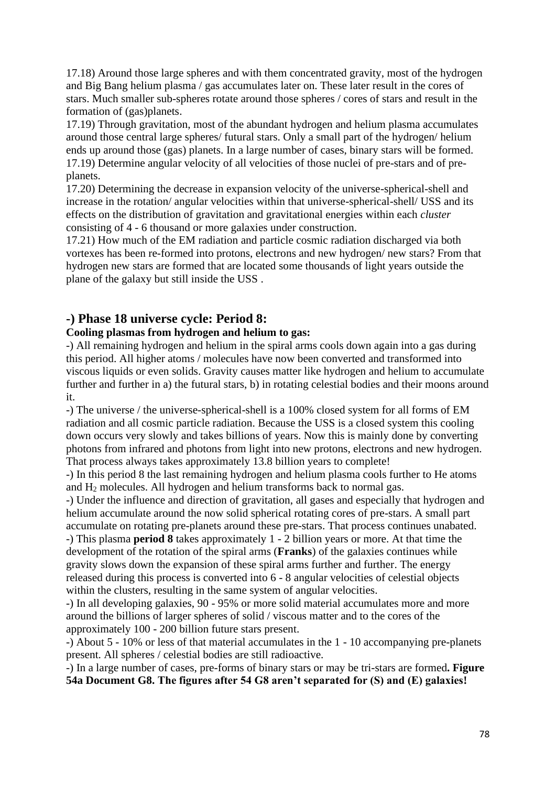17.18) Around those large spheres and with them concentrated gravity, most of the hydrogen and Big Bang helium plasma / gas accumulates later on. These later result in the cores of stars. Much smaller sub-spheres rotate around those spheres / cores of stars and result in the formation of (gas)planets.

17.19) Through gravitation, most of the abundant hydrogen and helium plasma accumulates around those central large spheres/ futural stars. Only a small part of the hydrogen/ helium ends up around those (gas) planets. In a large number of cases, binary stars will be formed. 17.19) Determine angular velocity of all velocities of those nuclei of pre-stars and of preplanets.

17.20) Determining the decrease in expansion velocity of the universe-spherical-shell and increase in the rotation/ angular velocities within that universe-spherical-shell/ USS and its effects on the distribution of gravitation and gravitational energies within each *cluster* consisting of 4 - 6 thousand or more galaxies under construction.

17.21) How much of the EM radiation and particle cosmic radiation discharged via both vortexes has been re-formed into protons, electrons and new hydrogen/ new stars? From that hydrogen new stars are formed that are located some thousands of light years outside the plane of the galaxy but still inside the USS .

## **-) Phase 18 universe cycle: Period 8:**

### **Cooling plasmas from hydrogen and helium to gas:**

-) All remaining hydrogen and helium in the spiral arms cools down again into a gas during this period. All higher atoms / molecules have now been converted and transformed into viscous liquids or even solids. Gravity causes matter like hydrogen and helium to accumulate further and further in a) the futural stars, b) in rotating celestial bodies and their moons around it.

-) The universe / the universe-spherical-shell is a 100% closed system for all forms of EM radiation and all cosmic particle radiation. Because the USS is a closed system this cooling down occurs very slowly and takes billions of years. Now this is mainly done by converting photons from infrared and photons from light into new protons, electrons and new hydrogen. That process always takes approximately 13.8 billion years to complete!

-) In this period 8 the last remaining hydrogen and helium plasma cools further to He atoms and  $H_2$  molecules. All hydrogen and helium transforms back to normal gas.

-) Under the influence and direction of gravitation, all gases and especially that hydrogen and helium accumulate around the now solid spherical rotating cores of pre-stars. A small part accumulate on rotating pre-planets around these pre-stars. That process continues unabated.

-) This plasma **period 8** takes approximately 1 - 2 billion years or more. At that time the development of the rotation of the spiral arms (**Franks**) of the galaxies continues while gravity slows down the expansion of these spiral arms further and further. The energy released during this process is converted into 6 - 8 angular velocities of celestial objects within the clusters, resulting in the same system of angular velocities.

-) In all developing galaxies, 90 - 95% or more solid material accumulates more and more around the billions of larger spheres of solid / viscous matter and to the cores of the approximately 100 - 200 billion future stars present.

-) About 5 - 10% or less of that material accumulates in the 1 - 10 accompanying pre-planets present. All spheres / celestial bodies are still radioactive.

-) In a large number of cases, pre-forms of binary stars or may be tri-stars are formed**. Figure 54a Document G8. The figures after 54 G8 aren't separated for (S) and (E) galaxies!**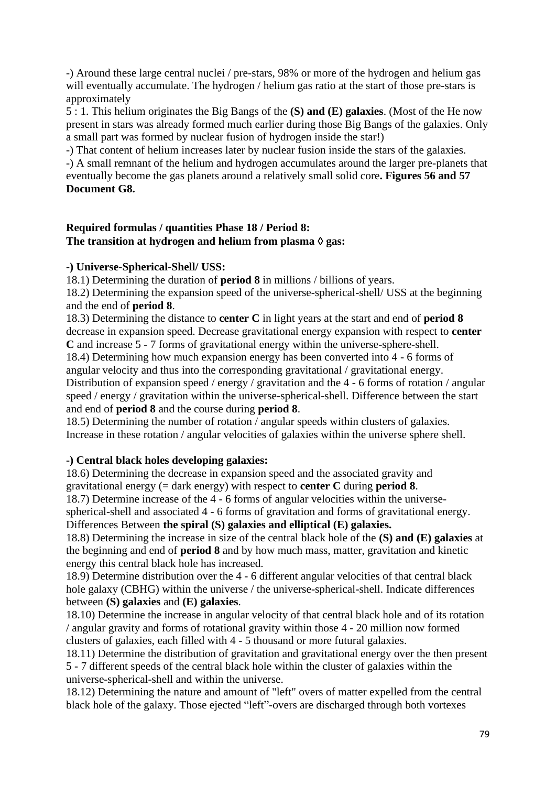-) Around these large central nuclei / pre-stars, 98% or more of the hydrogen and helium gas will eventually accumulate. The hydrogen / helium gas ratio at the start of those pre-stars is approximately

5 : 1. This helium originates the Big Bangs of the **(S) and (E) galaxies**. (Most of the He now present in stars was already formed much earlier during those Big Bangs of the galaxies. Only a small part was formed by nuclear fusion of hydrogen inside the star!)

-) That content of helium increases later by nuclear fusion inside the stars of the galaxies.

-) A small remnant of the helium and hydrogen accumulates around the larger pre-planets that eventually become the gas planets around a relatively small solid core**. Figures 56 and 57 Document G8.**

### **Required formulas / quantities Phase 18 / Period 8:** The transition at hydrogen and helium from plasma  $\Diamond$  gas:

## **-) Universe-Spherical-Shell/ USS:**

18.1) Determining the duration of **period 8** in millions / billions of years.

18.2) Determining the expansion speed of the universe-spherical-shell/ USS at the beginning and the end of **period 8**.

18.3) Determining the distance to **center C** in light years at the start and end of **period 8** decrease in expansion speed. Decrease gravitational energy expansion with respect to **center C** and increase 5 - 7 forms of gravitational energy within the universe-sphere-shell. 18.4) Determining how much expansion energy has been converted into 4 - 6 forms of

angular velocity and thus into the corresponding gravitational / gravitational energy. Distribution of expansion speed / energy / gravitation and the 4 - 6 forms of rotation / angular speed / energy / gravitation within the universe-spherical-shell. Difference between the start and end of **period 8** and the course during **period 8**.

18.5) Determining the number of rotation / angular speeds within clusters of galaxies. Increase in these rotation / angular velocities of galaxies within the universe sphere shell.

## **-) Central black holes developing galaxies:**

18.6) Determining the decrease in expansion speed and the associated gravity and gravitational energy (= dark energy) with respect to **center C** during **period 8**. 18.7) Determine increase of the 4 - 6 forms of angular velocities within the universespherical-shell and associated 4 - 6 forms of gravitation and forms of gravitational energy.

Differences Between **the spiral (S) galaxies and elliptical (E) galaxies.**

18.8) Determining the increase in size of the central black hole of the **(S) and (E) galaxies** at the beginning and end of **period 8** and by how much mass, matter, gravitation and kinetic energy this central black hole has increased.

18.9) Determine distribution over the 4 - 6 different angular velocities of that central black hole galaxy (CBHG) within the universe / the universe-spherical-shell. Indicate differences between **(S) galaxies** and **(E) galaxies**.

18.10) Determine the increase in angular velocity of that central black hole and of its rotation / angular gravity and forms of rotational gravity within those 4 - 20 million now formed clusters of galaxies, each filled with 4 - 5 thousand or more futural galaxies.

18.11) Determine the distribution of gravitation and gravitational energy over the then present 5 - 7 different speeds of the central black hole within the cluster of galaxies within the universe-spherical-shell and within the universe.

18.12) Determining the nature and amount of "left" overs of matter expelled from the central black hole of the galaxy. Those ejected "left"-overs are discharged through both vortexes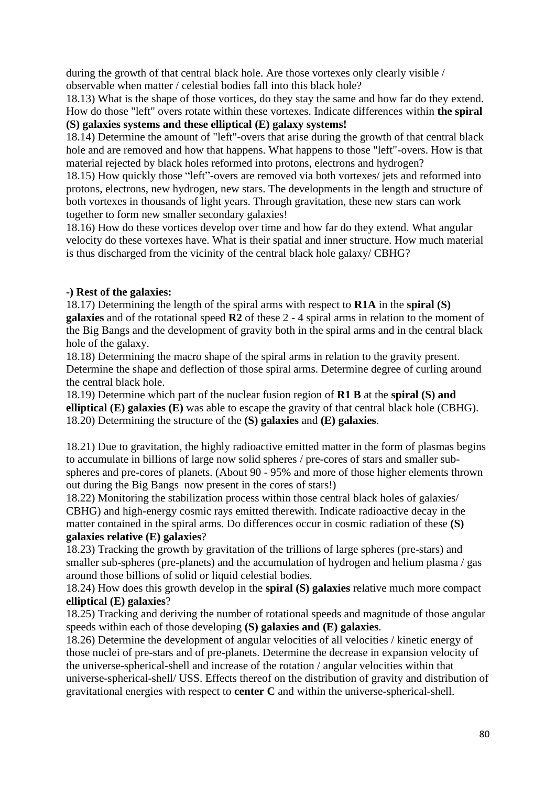during the growth of that central black hole. Are those vortexes only clearly visible / observable when matter / celestial bodies fall into this black hole?

18.13) What is the shape of those vortices, do they stay the same and how far do they extend. How do those "left" overs rotate within these vortexes. Indicate differences within **the spiral (S) galaxies systems and these elliptical (E) galaxy systems!**

18.14) Determine the amount of "left"-overs that arise during the growth of that central black hole and are removed and how that happens. What happens to those "left"-overs. How is that material rejected by black holes reformed into protons, electrons and hydrogen?

18.15) How quickly those "left"-overs are removed via both vortexes/ jets and reformed into protons, electrons, new hydrogen, new stars. The developments in the length and structure of both vortexes in thousands of light years. Through gravitation, these new stars can work together to form new smaller secondary galaxies!

18.16) How do these vortices develop over time and how far do they extend. What angular velocity do these vortexes have. What is their spatial and inner structure. How much material is thus discharged from the vicinity of the central black hole galaxy/ CBHG?

## **-) Rest of the galaxies:**

18.17) Determining the length of the spiral arms with respect to **R1A** in the **spiral (S) galaxies** and of the rotational speed **R2** of these 2 - 4 spiral arms in relation to the moment of the Big Bangs and the development of gravity both in the spiral arms and in the central black hole of the galaxy.

18.18) Determining the macro shape of the spiral arms in relation to the gravity present. Determine the shape and deflection of those spiral arms. Determine degree of curling around the central black hole.

18.19) Determine which part of the nuclear fusion region of **R1 B** at the **spiral (S) and elliptical (E) galaxies (E)** was able to escape the gravity of that central black hole (CBHG). 18.20) Determining the structure of the **(S) galaxies** and **(E) galaxies**.

18.21) Due to gravitation, the highly radioactive emitted matter in the form of plasmas begins to accumulate in billions of large now solid spheres / pre-cores of stars and smaller subspheres and pre-cores of planets. (About 90 - 95% and more of those higher elements thrown out during the Big Bangs now present in the cores of stars!)

18.22) Monitoring the stabilization process within those central black holes of galaxies/ CBHG) and high-energy cosmic rays emitted therewith. Indicate radioactive decay in the matter contained in the spiral arms. Do differences occur in cosmic radiation of these **(S) galaxies relative (E) galaxies**?

18.23) Tracking the growth by gravitation of the trillions of large spheres (pre-stars) and smaller sub-spheres (pre-planets) and the accumulation of hydrogen and helium plasma / gas around those billions of solid or liquid celestial bodies.

18.24) How does this growth develop in the **spiral (S) galaxies** relative much more compact **elliptical (E) galaxies**?

18.25) Tracking and deriving the number of rotational speeds and magnitude of those angular speeds within each of those developing **(S) galaxies and (E) galaxies**.

18.26) Determine the development of angular velocities of all velocities / kinetic energy of those nuclei of pre-stars and of pre-planets. Determine the decrease in expansion velocity of the universe-spherical-shell and increase of the rotation / angular velocities within that universe-spherical-shell/ USS. Effects thereof on the distribution of gravity and distribution of gravitational energies with respect to **center C** and within the universe-spherical-shell.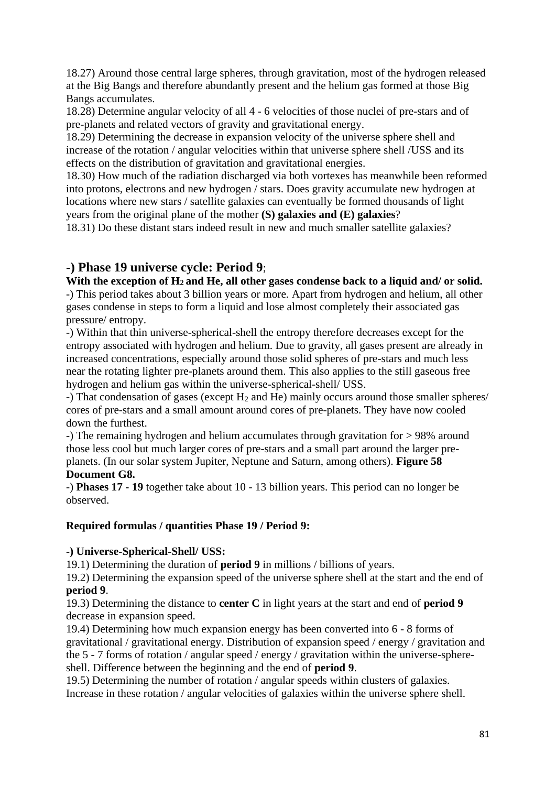18.27) Around those central large spheres, through gravitation, most of the hydrogen released at the Big Bangs and therefore abundantly present and the helium gas formed at those Big Bangs accumulates.

18.28) Determine angular velocity of all 4 - 6 velocities of those nuclei of pre-stars and of pre-planets and related vectors of gravity and gravitational energy.

18.29) Determining the decrease in expansion velocity of the universe sphere shell and increase of the rotation / angular velocities within that universe sphere shell /USS and its effects on the distribution of gravitation and gravitational energies.

18.30) How much of the radiation discharged via both vortexes has meanwhile been reformed into protons, electrons and new hydrogen / stars. Does gravity accumulate new hydrogen at locations where new stars / satellite galaxies can eventually be formed thousands of light years from the original plane of the mother **(S) galaxies and (E) galaxies**?

18.31) Do these distant stars indeed result in new and much smaller satellite galaxies?

## **-) Phase 19 universe cycle: Period 9**;

**With the exception of H2 and He, all other gases condense back to a liquid and/ or solid.**

-) This period takes about 3 billion years or more. Apart from hydrogen and helium, all other gases condense in steps to form a liquid and lose almost completely their associated gas pressure/ entropy.

-) Within that thin universe-spherical-shell the entropy therefore decreases except for the entropy associated with hydrogen and helium. Due to gravity, all gases present are already in increased concentrations, especially around those solid spheres of pre-stars and much less near the rotating lighter pre-planets around them. This also applies to the still gaseous free hydrogen and helium gas within the universe-spherical-shell/ USS.

 $-$ ) That condensation of gases (except  $H_2$  and He) mainly occurs around those smaller spheres/ cores of pre-stars and a small amount around cores of pre-planets. They have now cooled down the furthest.

-) The remaining hydrogen and helium accumulates through gravitation for > 98% around those less cool but much larger cores of pre-stars and a small part around the larger preplanets. (In our solar system Jupiter, Neptune and Saturn, among others). **Figure 58 Document G8.**

-) **Phases 17 - 19** together take about 10 - 13 billion years. This period can no longer be observed.

#### **Required formulas / quantities Phase 19 / Period 9:**

#### **-) Universe-Spherical-Shell/ USS:**

19.1) Determining the duration of **period 9** in millions / billions of years.

19.2) Determining the expansion speed of the universe sphere shell at the start and the end of **period 9**.

19.3) Determining the distance to **center C** in light years at the start and end of **period 9** decrease in expansion speed.

19.4) Determining how much expansion energy has been converted into 6 - 8 forms of gravitational / gravitational energy. Distribution of expansion speed / energy / gravitation and the 5 - 7 forms of rotation / angular speed / energy / gravitation within the universe-sphereshell. Difference between the beginning and the end of **period 9**.

19.5) Determining the number of rotation / angular speeds within clusters of galaxies. Increase in these rotation / angular velocities of galaxies within the universe sphere shell.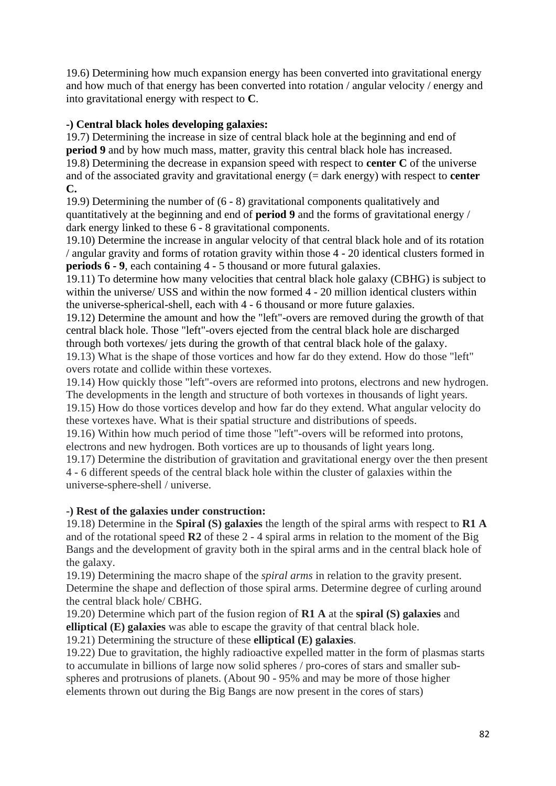19.6) Determining how much expansion energy has been converted into gravitational energy and how much of that energy has been converted into rotation / angular velocity / energy and into gravitational energy with respect to **C**.

### **-) Central black holes developing galaxies:**

19.7) Determining the increase in size of central black hole at the beginning and end of **period 9** and by how much mass, matter, gravity this central black hole has increased. 19.8) Determining the decrease in expansion speed with respect to **center C** of the universe and of the associated gravity and gravitational energy (= dark energy) with respect to **center C.**

19.9) Determining the number of (6 - 8) gravitational components qualitatively and quantitatively at the beginning and end of **period 9** and the forms of gravitational energy / dark energy linked to these 6 - 8 gravitational components.

19.10) Determine the increase in angular velocity of that central black hole and of its rotation / angular gravity and forms of rotation gravity within those 4 - 20 identical clusters formed in **periods 6 - 9**, each containing 4 - 5 thousand or more futural galaxies.

19.11) To determine how many velocities that central black hole galaxy (CBHG) is subject to within the universe/ USS and within the now formed 4 - 20 million identical clusters within the universe-spherical-shell, each with 4 - 6 thousand or more future galaxies.

19.12) Determine the amount and how the "left"-overs are removed during the growth of that central black hole. Those "left"-overs ejected from the central black hole are discharged through both vortexes/ jets during the growth of that central black hole of the galaxy. 19.13) What is the shape of those vortices and how far do they extend. How do those "left" overs rotate and collide within these vortexes.

19.14) How quickly those "left"-overs are reformed into protons, electrons and new hydrogen. The developments in the length and structure of both vortexes in thousands of light years. 19.15) How do those vortices develop and how far do they extend. What angular velocity do these vortexes have. What is their spatial structure and distributions of speeds.

19.16) Within how much period of time those "left"-overs will be reformed into protons, electrons and new hydrogen. Both vortices are up to thousands of light years long.

19.17) Determine the distribution of gravitation and gravitational energy over the then present 4 - 6 different speeds of the central black hole within the cluster of galaxies within the universe-sphere-shell / universe.

#### **-) Rest of the galaxies under construction:**

19.18) Determine in the **Spiral (S) galaxies** the length of the spiral arms with respect to **R1 A** and of the rotational speed **R2** of these 2 - 4 spiral arms in relation to the moment of the Big Bangs and the development of gravity both in the spiral arms and in the central black hole of the galaxy.

19.19) Determining the macro shape of the *spiral arms* in relation to the gravity present. Determine the shape and deflection of those spiral arms. Determine degree of curling around the central black hole/ CBHG.

19.20) Determine which part of the fusion region of **R1 A** at the **spiral (S) galaxies** and **elliptical (E) galaxies** was able to escape the gravity of that central black hole.

19.21) Determining the structure of these **elliptical (E) galaxies**.

19.22) Due to gravitation, the highly radioactive expelled matter in the form of plasmas starts to accumulate in billions of large now solid spheres / pro-cores of stars and smaller subspheres and protrusions of planets. (About 90 - 95% and may be more of those higher elements thrown out during the Big Bangs are now present in the cores of stars)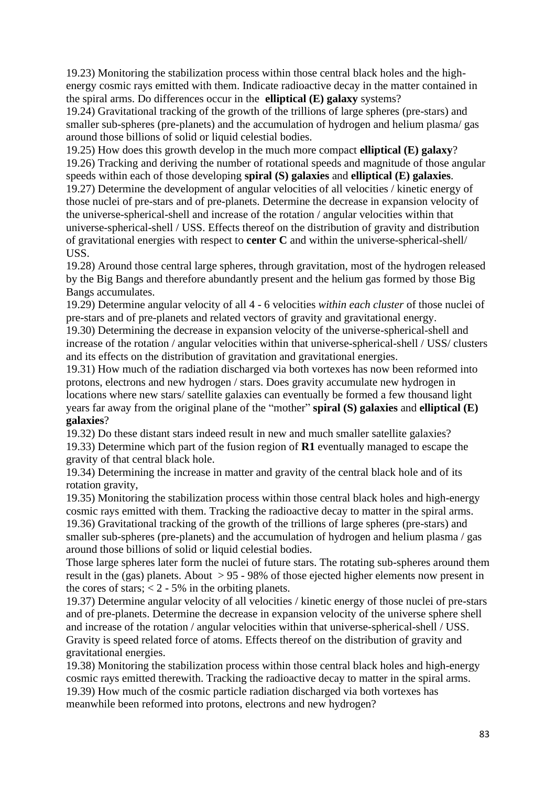19.23) Monitoring the stabilization process within those central black holes and the highenergy cosmic rays emitted with them. Indicate radioactive decay in the matter contained in the spiral arms. Do differences occur in the **elliptical (E) galaxy** systems?

19.24) Gravitational tracking of the growth of the trillions of large spheres (pre-stars) and smaller sub-spheres (pre-planets) and the accumulation of hydrogen and helium plasma/ gas around those billions of solid or liquid celestial bodies.

19.25) How does this growth develop in the much more compact **elliptical (E) galaxy**? 19.26) Tracking and deriving the number of rotational speeds and magnitude of those angular speeds within each of those developing **spiral (S) galaxies** and **elliptical (E) galaxies**. 19.27) Determine the development of angular velocities of all velocities / kinetic energy of those nuclei of pre-stars and of pre-planets. Determine the decrease in expansion velocity of the universe-spherical-shell and increase of the rotation / angular velocities within that universe-spherical-shell / USS. Effects thereof on the distribution of gravity and distribution of gravitational energies with respect to **center C** and within the universe-spherical-shell/ USS.

19.28) Around those central large spheres, through gravitation, most of the hydrogen released by the Big Bangs and therefore abundantly present and the helium gas formed by those Big Bangs accumulates.

19.29) Determine angular velocity of all 4 - 6 velocities *within each cluster* of those nuclei of pre-stars and of pre-planets and related vectors of gravity and gravitational energy.

19.30) Determining the decrease in expansion velocity of the universe-spherical-shell and increase of the rotation / angular velocities within that universe-spherical-shell / USS/ clusters and its effects on the distribution of gravitation and gravitational energies.

19.31) How much of the radiation discharged via both vortexes has now been reformed into protons, electrons and new hydrogen / stars. Does gravity accumulate new hydrogen in locations where new stars/ satellite galaxies can eventually be formed a few thousand light years far away from the original plane of the "mother" **spiral (S) galaxies** and **elliptical (E) galaxies**?

19.32) Do these distant stars indeed result in new and much smaller satellite galaxies? 19.33) Determine which part of the fusion region of **R1** eventually managed to escape the gravity of that central black hole.

19.34) Determining the increase in matter and gravity of the central black hole and of its rotation gravity,

19.35) Monitoring the stabilization process within those central black holes and high-energy cosmic rays emitted with them. Tracking the radioactive decay to matter in the spiral arms. 19.36) Gravitational tracking of the growth of the trillions of large spheres (pre-stars) and smaller sub-spheres (pre-planets) and the accumulation of hydrogen and helium plasma / gas around those billions of solid or liquid celestial bodies.

Those large spheres later form the nuclei of future stars. The rotating sub-spheres around them result in the (gas) planets. About  $> 95 - 98\%$  of those ejected higher elements now present in the cores of stars;  $< 2 - 5\%$  in the orbiting planets.

19.37) Determine angular velocity of all velocities / kinetic energy of those nuclei of pre-stars and of pre-planets. Determine the decrease in expansion velocity of the universe sphere shell and increase of the rotation / angular velocities within that universe-spherical-shell / USS. Gravity is speed related force of atoms. Effects thereof on the distribution of gravity and gravitational energies.

19.38) Monitoring the stabilization process within those central black holes and high-energy cosmic rays emitted therewith. Tracking the radioactive decay to matter in the spiral arms. 19.39) How much of the cosmic particle radiation discharged via both vortexes has meanwhile been reformed into protons, electrons and new hydrogen?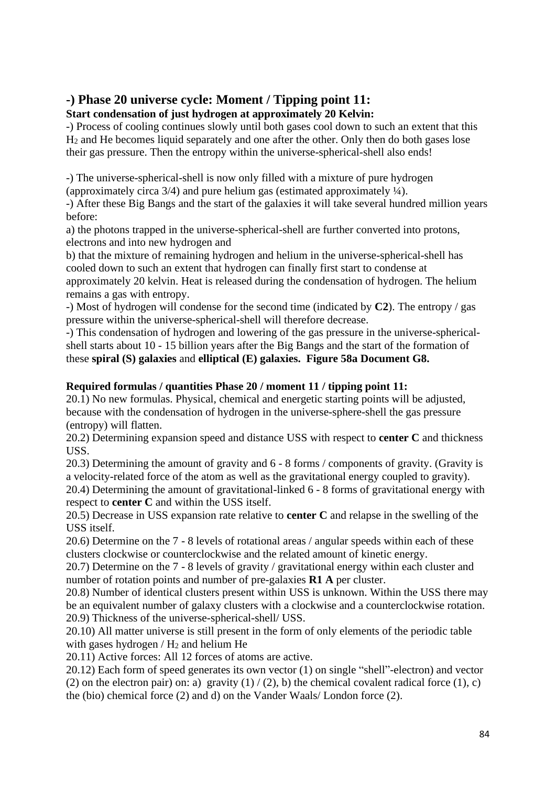## **-) Phase 20 universe cycle: Moment / Tipping point 11:**

**Start condensation of just hydrogen at approximately 20 Kelvin:**

-) Process of cooling continues slowly until both gases cool down to such an extent that this H<sup>2</sup> and He becomes liquid separately and one after the other. Only then do both gases lose their gas pressure. Then the entropy within the universe-spherical-shell also ends!

-) The universe-spherical-shell is now only filled with a mixture of pure hydrogen (approximately circa  $3/4$ ) and pure helium gas (estimated approximately  $\frac{1}{4}$ ).

-) After these Big Bangs and the start of the galaxies it will take several hundred million years before:

a) the photons trapped in the universe-spherical-shell are further converted into protons, electrons and into new hydrogen and

b) that the mixture of remaining hydrogen and helium in the universe-spherical-shell has cooled down to such an extent that hydrogen can finally first start to condense at approximately 20 kelvin. Heat is released during the condensation of hydrogen. The helium remains a gas with entropy.

-) Most of hydrogen will condense for the second time (indicated by **C2**). The entropy / gas pressure within the universe-spherical-shell will therefore decrease.

-) This condensation of hydrogen and lowering of the gas pressure in the universe-sphericalshell starts about 10 - 15 billion years after the Big Bangs and the start of the formation of these **spiral (S) galaxies** and **elliptical (E) galaxies. Figure 58a Document G8.**

## **Required formulas / quantities Phase 20 / moment 11 / tipping point 11:**

20.1) No new formulas. Physical, chemical and energetic starting points will be adjusted, because with the condensation of hydrogen in the universe-sphere-shell the gas pressure (entropy) will flatten.

20.2) Determining expansion speed and distance USS with respect to **center C** and thickness USS.

20.3) Determining the amount of gravity and 6 - 8 forms / components of gravity. (Gravity is a velocity-related force of the atom as well as the gravitational energy coupled to gravity).

20.4) Determining the amount of gravitational-linked 6 - 8 forms of gravitational energy with respect to **center C** and within the USS itself.

20.5) Decrease in USS expansion rate relative to **center C** and relapse in the swelling of the USS itself.

20.6) Determine on the 7 - 8 levels of rotational areas / angular speeds within each of these clusters clockwise or counterclockwise and the related amount of kinetic energy.

20.7) Determine on the 7 - 8 levels of gravity / gravitational energy within each cluster and number of rotation points and number of pre-galaxies **R1 A** per cluster.

20.8) Number of identical clusters present within USS is unknown. Within the USS there may be an equivalent number of galaxy clusters with a clockwise and a counterclockwise rotation. 20.9) Thickness of the universe-spherical-shell/ USS.

20.10) All matter universe is still present in the form of only elements of the periodic table with gases hydrogen  $/H<sub>2</sub>$  and helium He

20.11) Active forces: All 12 forces of atoms are active.

20.12) Each form of speed generates its own vector (1) on single "shell"-electron) and vector (2) on the electron pair) on: a) gravity  $(1) / (2)$ , b) the chemical covalent radical force  $(1)$ , c) the (bio) chemical force (2) and d) on the Vander Waals/ London force (2).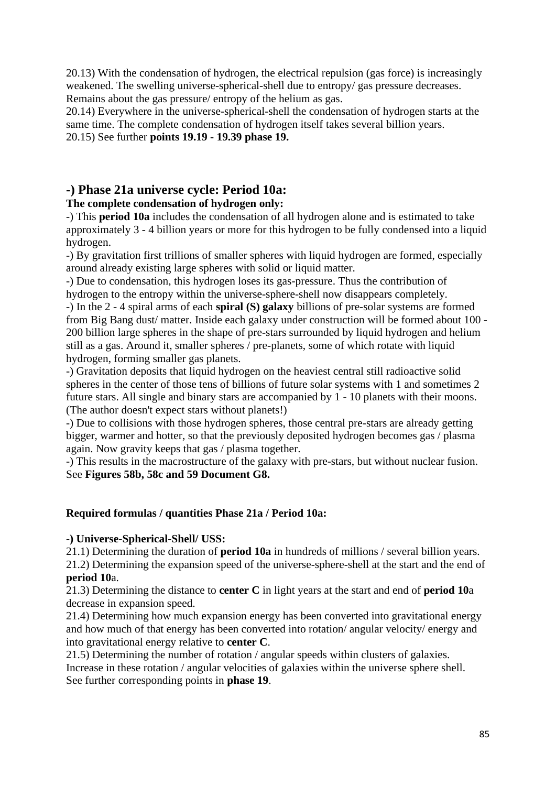20.13) With the condensation of hydrogen, the electrical repulsion (gas force) is increasingly weakened. The swelling universe-spherical-shell due to entropy/ gas pressure decreases. Remains about the gas pressure/ entropy of the helium as gas.

20.14) Everywhere in the universe-spherical-shell the condensation of hydrogen starts at the same time. The complete condensation of hydrogen itself takes several billion years. 20.15) See further **points 19.19 - 19.39 phase 19.**

# **-) Phase 21a universe cycle: Period 10a:**

## **The complete condensation of hydrogen only:**

-) This **period 10a** includes the condensation of all hydrogen alone and is estimated to take approximately 3 - 4 billion years or more for this hydrogen to be fully condensed into a liquid hydrogen.

-) By gravitation first trillions of smaller spheres with liquid hydrogen are formed, especially around already existing large spheres with solid or liquid matter.

-) Due to condensation, this hydrogen loses its gas-pressure. Thus the contribution of hydrogen to the entropy within the universe-sphere-shell now disappears completely.

-) In the 2 - 4 spiral arms of each **spiral (S) galaxy** billions of pre-solar systems are formed from Big Bang dust/ matter. Inside each galaxy under construction will be formed about 100 - 200 billion large spheres in the shape of pre-stars surrounded by liquid hydrogen and helium still as a gas. Around it, smaller spheres / pre-planets, some of which rotate with liquid hydrogen, forming smaller gas planets.

-) Gravitation deposits that liquid hydrogen on the heaviest central still radioactive solid spheres in the center of those tens of billions of future solar systems with 1 and sometimes 2 future stars. All single and binary stars are accompanied by 1 - 10 planets with their moons. (The author doesn't expect stars without planets!)

-) Due to collisions with those hydrogen spheres, those central pre-stars are already getting bigger, warmer and hotter, so that the previously deposited hydrogen becomes gas / plasma again. Now gravity keeps that gas / plasma together.

-) This results in the macrostructure of the galaxy with pre-stars, but without nuclear fusion. See **Figures 58b, 58c and 59 Document G8.**

## **Required formulas / quantities Phase 21a / Period 10a:**

## **-) Universe-Spherical-Shell/ USS:**

21.1) Determining the duration of **period 10a** in hundreds of millions / several billion years. 21.2) Determining the expansion speed of the universe-sphere-shell at the start and the end of **period 10**a.

21.3) Determining the distance to **center C** in light years at the start and end of **period 10**a decrease in expansion speed.

21.4) Determining how much expansion energy has been converted into gravitational energy and how much of that energy has been converted into rotation/ angular velocity/ energy and into gravitational energy relative to **center C**.

21.5) Determining the number of rotation / angular speeds within clusters of galaxies. Increase in these rotation / angular velocities of galaxies within the universe sphere shell. See further corresponding points in **phase 19**.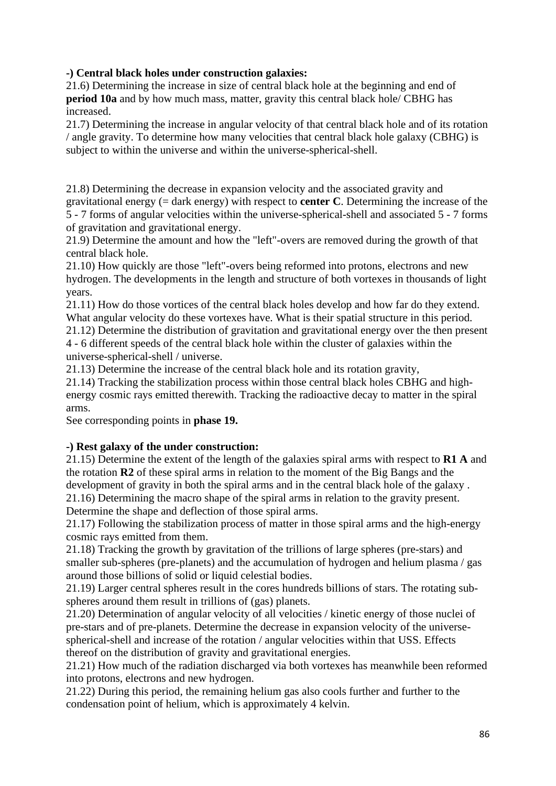## **-) Central black holes under construction galaxies:**

21.6) Determining the increase in size of central black hole at the beginning and end of **period 10a** and by how much mass, matter, gravity this central black hole/ CBHG has increased.

21.7) Determining the increase in angular velocity of that central black hole and of its rotation / angle gravity. To determine how many velocities that central black hole galaxy (CBHG) is subject to within the universe and within the universe-spherical-shell.

21.8) Determining the decrease in expansion velocity and the associated gravity and gravitational energy (= dark energy) with respect to **center C**. Determining the increase of the 5 - 7 forms of angular velocities within the universe-spherical-shell and associated 5 - 7 forms of gravitation and gravitational energy.

21.9) Determine the amount and how the "left"-overs are removed during the growth of that central black hole.

21.10) How quickly are those "left"-overs being reformed into protons, electrons and new hydrogen. The developments in the length and structure of both vortexes in thousands of light years.

21.11) How do those vortices of the central black holes develop and how far do they extend. What angular velocity do these vortexes have. What is their spatial structure in this period.

21.12) Determine the distribution of gravitation and gravitational energy over the then present 4 - 6 different speeds of the central black hole within the cluster of galaxies within the universe-spherical-shell / universe.

21.13) Determine the increase of the central black hole and its rotation gravity,

21.14) Tracking the stabilization process within those central black holes CBHG and highenergy cosmic rays emitted therewith. Tracking the radioactive decay to matter in the spiral arms.

See corresponding points in **phase 19.**

#### **-) Rest galaxy of the under construction:**

21.15) Determine the extent of the length of the galaxies spiral arms with respect to **R1 A** and the rotation **R2** of these spiral arms in relation to the moment of the Big Bangs and the development of gravity in both the spiral arms and in the central black hole of the galaxy .

21.16) Determining the macro shape of the spiral arms in relation to the gravity present. Determine the shape and deflection of those spiral arms.

21.17) Following the stabilization process of matter in those spiral arms and the high-energy cosmic rays emitted from them.

21.18) Tracking the growth by gravitation of the trillions of large spheres (pre-stars) and smaller sub-spheres (pre-planets) and the accumulation of hydrogen and helium plasma / gas around those billions of solid or liquid celestial bodies.

21.19) Larger central spheres result in the cores hundreds billions of stars. The rotating subspheres around them result in trillions of (gas) planets.

21.20) Determination of angular velocity of all velocities / kinetic energy of those nuclei of pre-stars and of pre-planets. Determine the decrease in expansion velocity of the universespherical-shell and increase of the rotation / angular velocities within that USS. Effects thereof on the distribution of gravity and gravitational energies.

21.21) How much of the radiation discharged via both vortexes has meanwhile been reformed into protons, electrons and new hydrogen.

21.22) During this period, the remaining helium gas also cools further and further to the condensation point of helium, which is approximately 4 kelvin.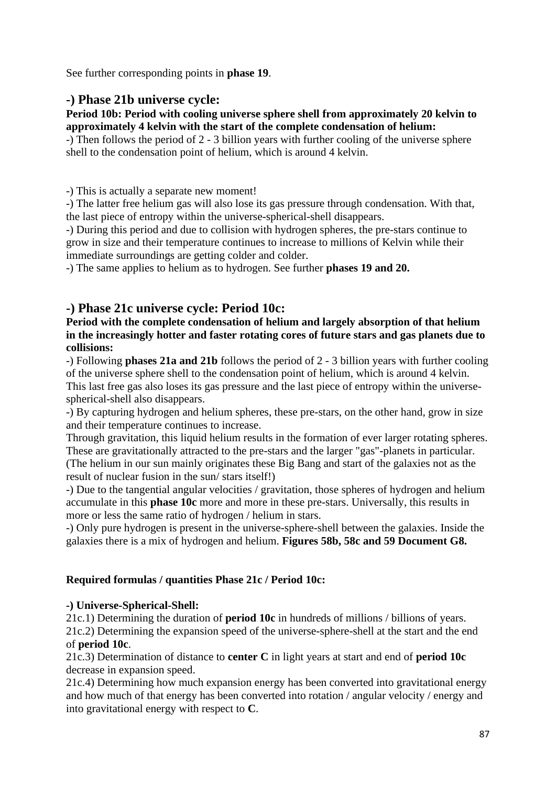See further corresponding points in **phase 19**.

## **-) Phase 21b universe cycle:**

#### **Period 10b: Period with cooling universe sphere shell from approximately 20 kelvin to approximately 4 kelvin with the start of the complete condensation of helium:**

-) Then follows the period of 2 - 3 billion years with further cooling of the universe sphere shell to the condensation point of helium, which is around 4 kelvin.

-) This is actually a separate new moment!

-) The latter free helium gas will also lose its gas pressure through condensation. With that, the last piece of entropy within the universe-spherical-shell disappears.

-) During this period and due to collision with hydrogen spheres, the pre-stars continue to grow in size and their temperature continues to increase to millions of Kelvin while their immediate surroundings are getting colder and colder.

-) The same applies to helium as to hydrogen. See further **phases 19 and 20.**

## **-) Phase 21c universe cycle: Period 10c:**

### **Period with the complete condensation of helium and largely absorption of that helium in the increasingly hotter and faster rotating cores of future stars and gas planets due to collisions:**

-) Following **phases 21a and 21b** follows the period of 2 - 3 billion years with further cooling of the universe sphere shell to the condensation point of helium, which is around 4 kelvin. This last free gas also loses its gas pressure and the last piece of entropy within the universespherical-shell also disappears.

-) By capturing hydrogen and helium spheres, these pre-stars, on the other hand, grow in size and their temperature continues to increase.

Through gravitation, this liquid helium results in the formation of ever larger rotating spheres. These are gravitationally attracted to the pre-stars and the larger "gas"-planets in particular. (The helium in our sun mainly originates these Big Bang and start of the galaxies not as the result of nuclear fusion in the sun/ stars itself!)

-) Due to the tangential angular velocities / gravitation, those spheres of hydrogen and helium accumulate in this **phase 10c** more and more in these pre-stars. Universally, this results in more or less the same ratio of hydrogen / helium in stars.

-) Only pure hydrogen is present in the universe-sphere-shell between the galaxies. Inside the galaxies there is a mix of hydrogen and helium. **Figures 58b, 58c and 59 Document G8.**

#### **Required formulas / quantities Phase 21c / Period 10c:**

#### **-) Universe-Spherical-Shell:**

21c.1) Determining the duration of **period 10c** in hundreds of millions / billions of years. 21c.2) Determining the expansion speed of the universe-sphere-shell at the start and the end of **period 10c**.

21c.3) Determination of distance to **center C** in light years at start and end of **period 10c** decrease in expansion speed.

21c.4) Determining how much expansion energy has been converted into gravitational energy and how much of that energy has been converted into rotation / angular velocity / energy and into gravitational energy with respect to **C**.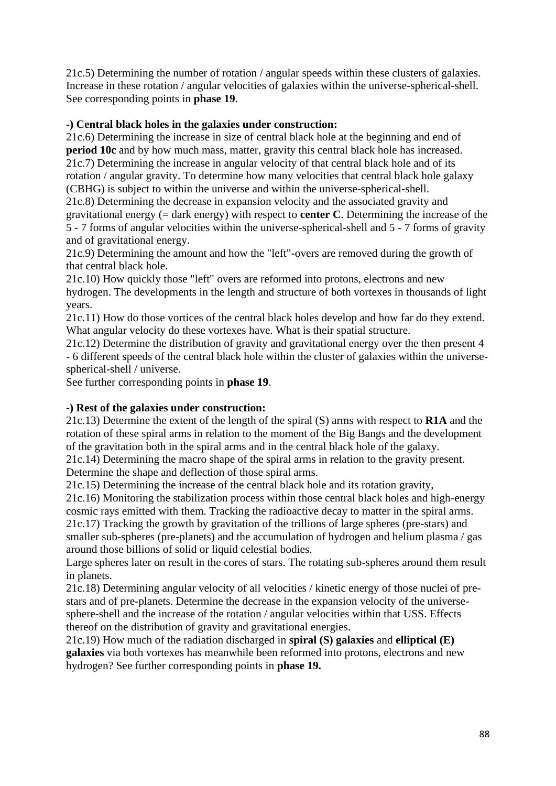21c.5) Determining the number of rotation / angular speeds within these clusters of galaxies. Increase in these rotation / angular velocities of galaxies within the universe-spherical-shell. See corresponding points in **phase 19**.

#### **-) Central black holes in the galaxies under construction:**

21c.6) Determining the increase in size of central black hole at the beginning and end of **period 10c** and by how much mass, matter, gravity this central black hole has increased. 21c.7) Determining the increase in angular velocity of that central black hole and of its rotation / angular gravity. To determine how many velocities that central black hole galaxy (CBHG) is subject to within the universe and within the universe-spherical-shell.

21c.8) Determining the decrease in expansion velocity and the associated gravity and gravitational energy (= dark energy) with respect to **center C**. Determining the increase of the 5 - 7 forms of angular velocities within the universe-spherical-shell and 5 - 7 forms of gravity and of gravitational energy.

21c.9) Determining the amount and how the "left"-overs are removed during the growth of that central black hole.

21c.10) How quickly those "left" overs are reformed into protons, electrons and new hydrogen. The developments in the length and structure of both vortexes in thousands of light years.

21c.11) How do those vortices of the central black holes develop and how far do they extend. What angular velocity do these vortexes have. What is their spatial structure.

21c.12) Determine the distribution of gravity and gravitational energy over the then present 4 - 6 different speeds of the central black hole within the cluster of galaxies within the universespherical-shell / universe.

See further corresponding points in **phase 19**.

#### **-) Rest of the galaxies under construction:**

21c.13) Determine the extent of the length of the spiral (S) arms with respect to **R1A** and the rotation of these spiral arms in relation to the moment of the Big Bangs and the development of the gravitation both in the spiral arms and in the central black hole of the galaxy.

21c.14) Determining the macro shape of the spiral arms in relation to the gravity present. Determine the shape and deflection of those spiral arms.

21c.15) Determining the increase of the central black hole and its rotation gravity,

21c.16) Monitoring the stabilization process within those central black holes and high-energy cosmic rays emitted with them. Tracking the radioactive decay to matter in the spiral arms. 21c.17) Tracking the growth by gravitation of the trillions of large spheres (pre-stars) and smaller sub-spheres (pre-planets) and the accumulation of hydrogen and helium plasma / gas around those billions of solid or liquid celestial bodies.

Large spheres later on result in the cores of stars. The rotating sub-spheres around them result in planets.

21c.18) Determining angular velocity of all velocities / kinetic energy of those nuclei of prestars and of pre-planets. Determine the decrease in the expansion velocity of the universesphere-shell and the increase of the rotation / angular velocities within that USS. Effects thereof on the distribution of gravity and gravitational energies.

21c.19) How much of the radiation discharged in **spiral (S) galaxies** and **elliptical (E) galaxies** via both vortexes has meanwhile been reformed into protons, electrons and new hydrogen? See further corresponding points in **phase 19.**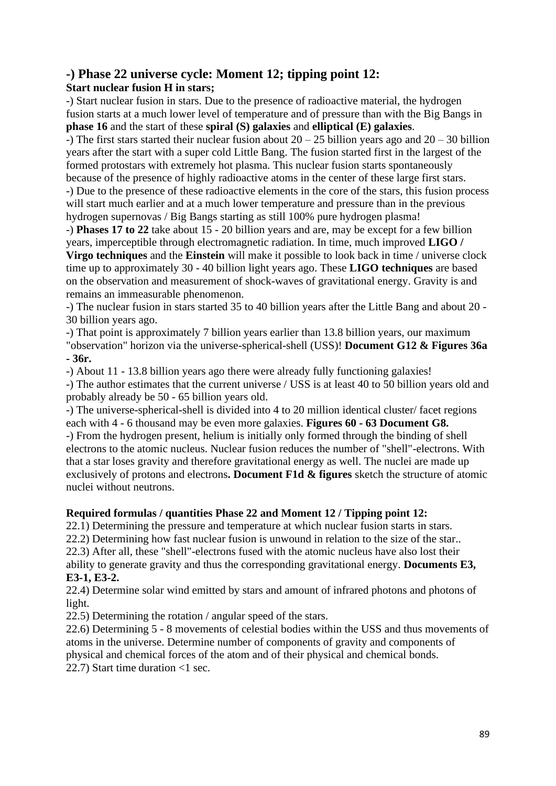## **-) Phase 22 universe cycle: Moment 12; tipping point 12:**

## **Start nuclear fusion H in stars;**

-) Start nuclear fusion in stars. Due to the presence of radioactive material, the hydrogen fusion starts at a much lower level of temperature and of pressure than with the Big Bangs in **phase 16** and the start of these **spiral (S) galaxies** and **elliptical (E) galaxies**.

-) The first stars started their nuclear fusion about  $20 - 25$  billion years ago and  $20 - 30$  billion years after the start with a super cold Little Bang. The fusion started first in the largest of the formed protostars with extremely hot plasma. This nuclear fusion starts spontaneously because of the presence of highly radioactive atoms in the center of these large first stars. -) Due to the presence of these radioactive elements in the core of the stars, this fusion process will start much earlier and at a much lower temperature and pressure than in the previous hydrogen supernovas / Big Bangs starting as still 100% pure hydrogen plasma!

-) **Phases 17 to 22** take about 15 - 20 billion years and are, may be except for a few billion years, imperceptible through electromagnetic radiation. In time, much improved **LIGO / Virgo techniques** and the **Einstein** will make it possible to look back in time / universe clock time up to approximately 30 - 40 billion light years ago. These **LIGO techniques** are based on the observation and measurement of shock-waves of gravitational energy. Gravity is and remains an immeasurable phenomenon.

-) The nuclear fusion in stars started 35 to 40 billion years after the Little Bang and about 20 - 30 billion years ago.

-) That point is approximately 7 billion years earlier than 13.8 billion years, our maximum

"observation" horizon via the universe-spherical-shell (USS)! **Document G12 & Figures 36a - 36r.**

-) About 11 - 13.8 billion years ago there were already fully functioning galaxies!

-) The author estimates that the current universe / USS is at least 40 to 50 billion years old and probably already be 50 - 65 billion years old.

-) The universe-spherical-shell is divided into 4 to 20 million identical cluster/ facet regions each with 4 - 6 thousand may be even more galaxies. **Figures 60 - 63 Document G8.** -) From the hydrogen present, helium is initially only formed through the binding of shell electrons to the atomic nucleus. Nuclear fusion reduces the number of "shell"-electrons. With that a star loses gravity and therefore gravitational energy as well. The nuclei are made up exclusively of protons and electrons**. Document F1d & figures** sketch the structure of atomic nuclei without neutrons.

## **Required formulas / quantities Phase 22 and Moment 12 / Tipping point 12:**

22.1) Determining the pressure and temperature at which nuclear fusion starts in stars.

22.2) Determining how fast nuclear fusion is unwound in relation to the size of the star.. 22.3) After all, these "shell"-electrons fused with the atomic nucleus have also lost their

ability to generate gravity and thus the corresponding gravitational energy. **Documents E3, E3-1, E3-2.**

22.4) Determine solar wind emitted by stars and amount of infrared photons and photons of light.

22.5) Determining the rotation / angular speed of the stars.

22.6) Determining 5 - 8 movements of celestial bodies within the USS and thus movements of atoms in the universe. Determine number of components of gravity and components of physical and chemical forces of the atom and of their physical and chemical bonds. 22.7) Start time duration <1 sec.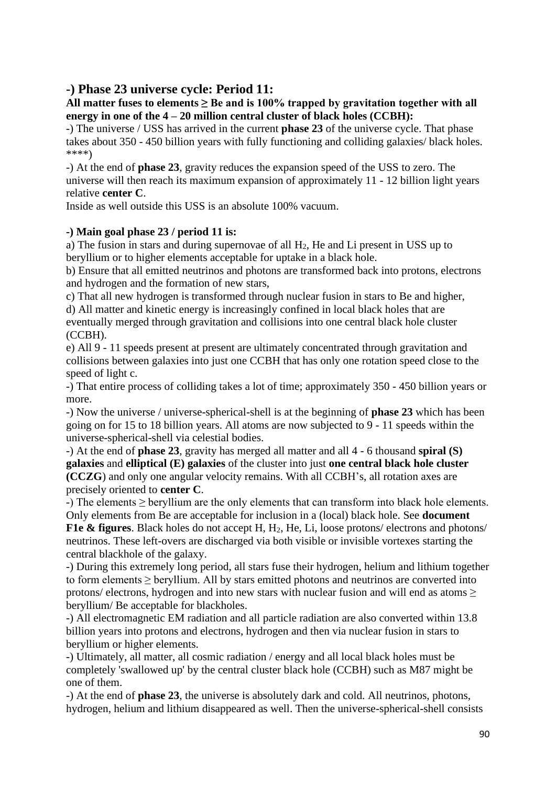## **-) Phase 23 universe cycle: Period 11:**

#### **All matter fuses to elements ≥ Be and is 100% trapped by gravitation together with all energy in one of the 4 – 20 million central cluster of black holes (CCBH):**

-) The universe / USS has arrived in the current **phase 23** of the universe cycle. That phase takes about 350 - 450 billion years with fully functioning and colliding galaxies/ black holes. \*\*\*\*)

-) At the end of **phase 23**, gravity reduces the expansion speed of the USS to zero. The universe will then reach its maximum expansion of approximately 11 - 12 billion light years relative **center C**.

Inside as well outside this USS is an absolute 100% vacuum.

#### **-) Main goal phase 23 / period 11 is:**

a) The fusion in stars and during supernovae of all H2, He and Li present in USS up to beryllium or to higher elements acceptable for uptake in a black hole.

b) Ensure that all emitted neutrinos and photons are transformed back into protons, electrons and hydrogen and the formation of new stars,

c) That all new hydrogen is transformed through nuclear fusion in stars to Be and higher, d) All matter and kinetic energy is increasingly confined in local black holes that are eventually merged through gravitation and collisions into one central black hole cluster (CCBH).

e) All 9 - 11 speeds present at present are ultimately concentrated through gravitation and collisions between galaxies into just one CCBH that has only one rotation speed close to the speed of light c.

-) That entire process of colliding takes a lot of time; approximately 350 - 450 billion years or more.

-) Now the universe / universe-spherical-shell is at the beginning of **phase 23** which has been going on for 15 to 18 billion years. All atoms are now subjected to 9 - 11 speeds within the universe-spherical-shell via celestial bodies.

-) At the end of **phase 23**, gravity has merged all matter and all 4 - 6 thousand **spiral (S) galaxies** and **elliptical (E) galaxies** of the cluster into just **one central black hole cluster (CCZG**) and only one angular velocity remains. With all CCBH's, all rotation axes are precisely oriented to **center C**.

-) The elements ≥ beryllium are the only elements that can transform into black hole elements. Only elements from Be are acceptable for inclusion in a (local) black hole. See **document** 

**F1e & figures**. Black holes do not accept H, H2, He, Li, loose protons/ electrons and photons/ neutrinos. These left-overs are discharged via both visible or invisible vortexes starting the central blackhole of the galaxy.

-) During this extremely long period, all stars fuse their hydrogen, helium and lithium together to form elements  $\geq$  beryllium. All by stars emitted photons and neutrinos are converted into protons/ electrons, hydrogen and into new stars with nuclear fusion and will end as atoms > beryllium/ Be acceptable for blackholes.

-) All electromagnetic EM radiation and all particle radiation are also converted within 13.8 billion years into protons and electrons, hydrogen and then via nuclear fusion in stars to beryllium or higher elements.

-) Ultimately, all matter, all cosmic radiation / energy and all local black holes must be completely 'swallowed up' by the central cluster black hole (CCBH) such as M87 might be one of them.

-) At the end of **phase 23**, the universe is absolutely dark and cold. All neutrinos, photons, hydrogen, helium and lithium disappeared as well. Then the universe-spherical-shell consists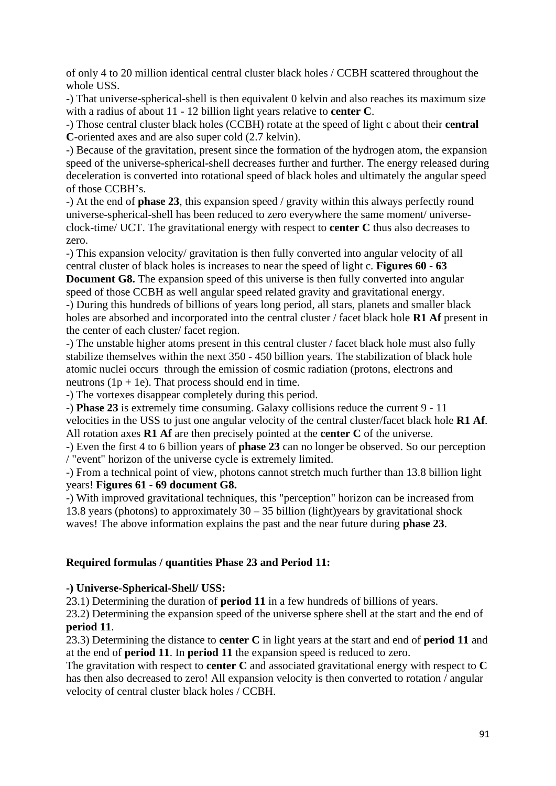of only 4 to 20 million identical central cluster black holes / CCBH scattered throughout the whole USS.

-) That universe-spherical-shell is then equivalent 0 kelvin and also reaches its maximum size with a radius of about 11 - 12 billion light years relative to **center C**.

-) Those central cluster black holes (CCBH) rotate at the speed of light c about their **central C**-oriented axes and are also super cold (2.7 kelvin).

-) Because of the gravitation, present since the formation of the hydrogen atom, the expansion speed of the universe-spherical-shell decreases further and further. The energy released during deceleration is converted into rotational speed of black holes and ultimately the angular speed of those CCBH's.

-) At the end of **phase 23**, this expansion speed / gravity within this always perfectly round universe-spherical-shell has been reduced to zero everywhere the same moment/ universeclock-time/ UCT. The gravitational energy with respect to **center C** thus also decreases to zero.

-) This expansion velocity/ gravitation is then fully converted into angular velocity of all central cluster of black holes is increases to near the speed of light c. **Figures 60 - 63** 

**Document G8.** The expansion speed of this universe is then fully converted into angular speed of those CCBH as well angular speed related gravity and gravitational energy.

-) During this hundreds of billions of years long period, all stars, planets and smaller black holes are absorbed and incorporated into the central cluster / facet black hole **R1 Af** present in the center of each cluster/ facet region.

-) The unstable higher atoms present in this central cluster / facet black hole must also fully stabilize themselves within the next 350 - 450 billion years. The stabilization of black hole atomic nuclei occurs through the emission of cosmic radiation (protons, electrons and neutrons  $(1p + 1e)$ . That process should end in time.

-) The vortexes disappear completely during this period.

-) **Phase 23** is extremely time consuming. Galaxy collisions reduce the current 9 - 11

velocities in the USS to just one angular velocity of the central cluster/facet black hole **R1 Af**. All rotation axes **R1 Af** are then precisely pointed at the **center C** of the universe.

-) Even the first 4 to 6 billion years of **phase 23** can no longer be observed. So our perception / "event" horizon of the universe cycle is extremely limited.

-) From a technical point of view, photons cannot stretch much further than 13.8 billion light years! **Figures 61 - 69 document G8.**

-) With improved gravitational techniques, this "perception" horizon can be increased from 13.8 years (photons) to approximately  $30 - 35$  billion (light)years by gravitational shock waves! The above information explains the past and the near future during **phase 23**.

## **Required formulas / quantities Phase 23 and Period 11:**

#### **-) Universe-Spherical-Shell/ USS:**

23.1) Determining the duration of **period 11** in a few hundreds of billions of years.

23.2) Determining the expansion speed of the universe sphere shell at the start and the end of **period 11**.

23.3) Determining the distance to **center C** in light years at the start and end of **period 11** and at the end of **period 11**. In **period 11** the expansion speed is reduced to zero.

The gravitation with respect to **center C** and associated gravitational energy with respect to **C**  has then also decreased to zero! All expansion velocity is then converted to rotation / angular velocity of central cluster black holes / CCBH.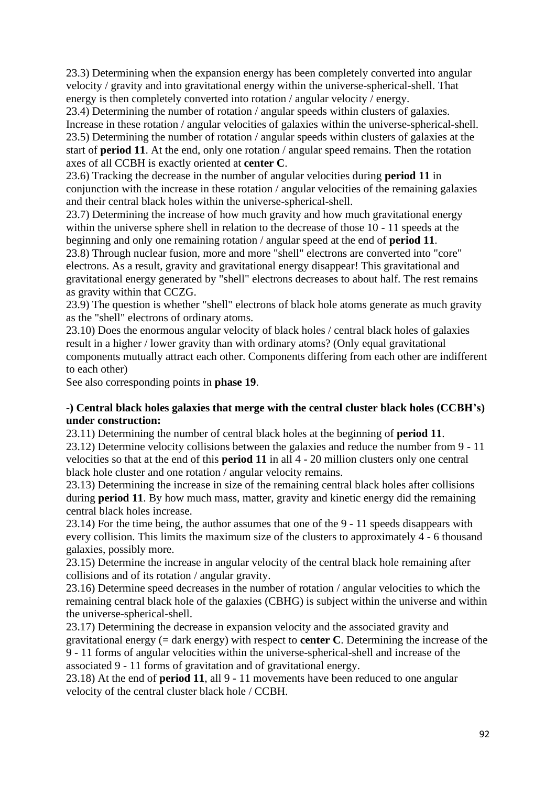23.3) Determining when the expansion energy has been completely converted into angular velocity / gravity and into gravitational energy within the universe-spherical-shell. That energy is then completely converted into rotation / angular velocity / energy.

23.4) Determining the number of rotation / angular speeds within clusters of galaxies. Increase in these rotation / angular velocities of galaxies within the universe-spherical-shell. 23.5) Determining the number of rotation / angular speeds within clusters of galaxies at the start of **period 11**. At the end, only one rotation / angular speed remains. Then the rotation axes of all CCBH is exactly oriented at **center C**.

23.6) Tracking the decrease in the number of angular velocities during **period 11** in conjunction with the increase in these rotation / angular velocities of the remaining galaxies and their central black holes within the universe-spherical-shell.

23.7) Determining the increase of how much gravity and how much gravitational energy within the universe sphere shell in relation to the decrease of those 10 - 11 speeds at the beginning and only one remaining rotation / angular speed at the end of **period 11**.

23.8) Through nuclear fusion, more and more "shell" electrons are converted into "core" electrons. As a result, gravity and gravitational energy disappear! This gravitational and gravitational energy generated by "shell" electrons decreases to about half. The rest remains as gravity within that CCZG.

23.9) The question is whether "shell" electrons of black hole atoms generate as much gravity as the "shell" electrons of ordinary atoms.

23.10) Does the enormous angular velocity of black holes / central black holes of galaxies result in a higher / lower gravity than with ordinary atoms? (Only equal gravitational components mutually attract each other. Components differing from each other are indifferent to each other)

See also corresponding points in **phase 19**.

#### **-) Central black holes galaxies that merge with the central cluster black holes (CCBH's) under construction:**

23.11) Determining the number of central black holes at the beginning of **period 11**. 23.12) Determine velocity collisions between the galaxies and reduce the number from 9 - 11 velocities so that at the end of this **period 11** in all 4 - 20 million clusters only one central black hole cluster and one rotation / angular velocity remains.

23.13) Determining the increase in size of the remaining central black holes after collisions during **period 11**. By how much mass, matter, gravity and kinetic energy did the remaining central black holes increase.

23.14) For the time being, the author assumes that one of the 9 - 11 speeds disappears with every collision. This limits the maximum size of the clusters to approximately 4 - 6 thousand galaxies, possibly more.

23.15) Determine the increase in angular velocity of the central black hole remaining after collisions and of its rotation / angular gravity.

23.16) Determine speed decreases in the number of rotation / angular velocities to which the remaining central black hole of the galaxies (CBHG) is subject within the universe and within the universe-spherical-shell.

23.17) Determining the decrease in expansion velocity and the associated gravity and gravitational energy (= dark energy) with respect to **center C**. Determining the increase of the 9 - 11 forms of angular velocities within the universe-spherical-shell and increase of the associated 9 - 11 forms of gravitation and of gravitational energy.

23.18) At the end of **period 11**, all 9 - 11 movements have been reduced to one angular velocity of the central cluster black hole / CCBH.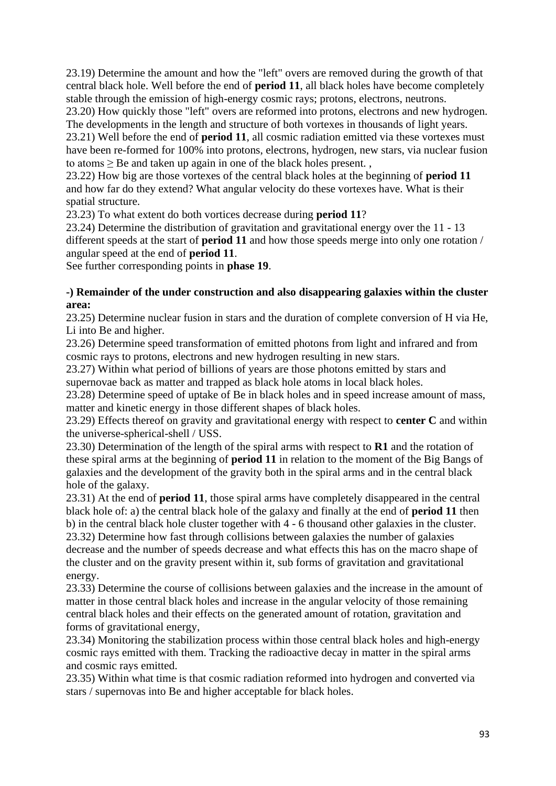23.19) Determine the amount and how the "left" overs are removed during the growth of that central black hole. Well before the end of **period 11**, all black holes have become completely stable through the emission of high-energy cosmic rays; protons, electrons, neutrons.

23.20) How quickly those "left" overs are reformed into protons, electrons and new hydrogen. The developments in the length and structure of both vortexes in thousands of light years.

23.21) Well before the end of **period 11**, all cosmic radiation emitted via these vortexes must have been re-formed for 100% into protons, electrons, hydrogen, new stars, via nuclear fusion to atoms  $\geq$  Be and taken up again in one of the black holes present.

23.22) How big are those vortexes of the central black holes at the beginning of **period 11** and how far do they extend? What angular velocity do these vortexes have. What is their spatial structure.

23.23) To what extent do both vortices decrease during **period 11**?

23.24) Determine the distribution of gravitation and gravitational energy over the 11 - 13 different speeds at the start of **period 11** and how those speeds merge into only one rotation / angular speed at the end of **period 11**.

See further corresponding points in **phase 19**.

#### **-) Remainder of the under construction and also disappearing galaxies within the cluster area:**

23.25) Determine nuclear fusion in stars and the duration of complete conversion of H via He, Li into Be and higher.

23.26) Determine speed transformation of emitted photons from light and infrared and from cosmic rays to protons, electrons and new hydrogen resulting in new stars.

23.27) Within what period of billions of years are those photons emitted by stars and supernovae back as matter and trapped as black hole atoms in local black holes.

23.28) Determine speed of uptake of Be in black holes and in speed increase amount of mass, matter and kinetic energy in those different shapes of black holes.

23.29) Effects thereof on gravity and gravitational energy with respect to **center C** and within the universe-spherical-shell / USS.

23.30) Determination of the length of the spiral arms with respect to **R1** and the rotation of these spiral arms at the beginning of **period 11** in relation to the moment of the Big Bangs of galaxies and the development of the gravity both in the spiral arms and in the central black hole of the galaxy.

23.31) At the end of **period 11**, those spiral arms have completely disappeared in the central black hole of: a) the central black hole of the galaxy and finally at the end of **period 11** then b) in the central black hole cluster together with 4 - 6 thousand other galaxies in the cluster. 23.32) Determine how fast through collisions between galaxies the number of galaxies decrease and the number of speeds decrease and what effects this has on the macro shape of the cluster and on the gravity present within it, sub forms of gravitation and gravitational energy.

23.33) Determine the course of collisions between galaxies and the increase in the amount of matter in those central black holes and increase in the angular velocity of those remaining central black holes and their effects on the generated amount of rotation, gravitation and forms of gravitational energy,

23.34) Monitoring the stabilization process within those central black holes and high-energy cosmic rays emitted with them. Tracking the radioactive decay in matter in the spiral arms and cosmic rays emitted.

23.35) Within what time is that cosmic radiation reformed into hydrogen and converted via stars / supernovas into Be and higher acceptable for black holes.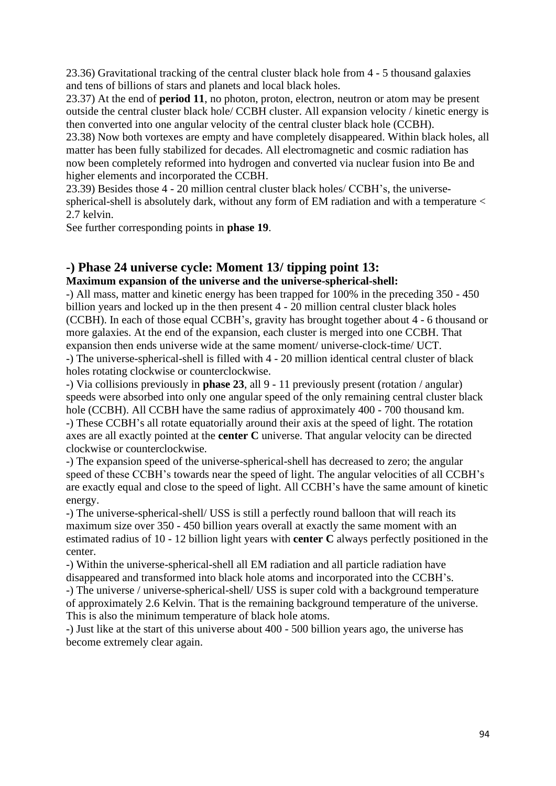23.36) Gravitational tracking of the central cluster black hole from 4 - 5 thousand galaxies and tens of billions of stars and planets and local black holes.

23.37) At the end of **period 11**, no photon, proton, electron, neutron or atom may be present outside the central cluster black hole/ CCBH cluster. All expansion velocity / kinetic energy is then converted into one angular velocity of the central cluster black hole (CCBH).

23.38) Now both vortexes are empty and have completely disappeared. Within black holes, all matter has been fully stabilized for decades. All electromagnetic and cosmic radiation has now been completely reformed into hydrogen and converted via nuclear fusion into Be and higher elements and incorporated the CCBH.

23.39) Besides those 4 - 20 million central cluster black holes/ CCBH's, the universespherical-shell is absolutely dark, without any form of EM radiation and with a temperature < 2.7 kelvin.

See further corresponding points in **phase 19**.

## **-) Phase 24 universe cycle: Moment 13/ tipping point 13:**

## **Maximum expansion of the universe and the universe-spherical-shell:**

-) All mass, matter and kinetic energy has been trapped for 100% in the preceding 350 - 450 billion years and locked up in the then present 4 - 20 million central cluster black holes (CCBH). In each of those equal CCBH's, gravity has brought together about 4 - 6 thousand or more galaxies. At the end of the expansion, each cluster is merged into one CCBH. That expansion then ends universe wide at the same moment/ universe-clock-time/ UCT. -) The universe-spherical-shell is filled with 4 - 20 million identical central cluster of black holes rotating clockwise or counterclockwise.

-) Via collisions previously in **phase 23**, all 9 - 11 previously present (rotation / angular) speeds were absorbed into only one angular speed of the only remaining central cluster black hole (CCBH). All CCBH have the same radius of approximately 400 - 700 thousand km. -) These CCBH's all rotate equatorially around their axis at the speed of light. The rotation axes are all exactly pointed at the **center C** universe. That angular velocity can be directed clockwise or counterclockwise.

-) The expansion speed of the universe-spherical-shell has decreased to zero; the angular speed of these CCBH's towards near the speed of light. The angular velocities of all CCBH's are exactly equal and close to the speed of light. All CCBH's have the same amount of kinetic energy.

-) The universe-spherical-shell/ USS is still a perfectly round balloon that will reach its maximum size over 350 - 450 billion years overall at exactly the same moment with an estimated radius of 10 - 12 billion light years with **center C** always perfectly positioned in the center.

-) Within the universe-spherical-shell all EM radiation and all particle radiation have disappeared and transformed into black hole atoms and incorporated into the CCBH's.

-) The universe / universe-spherical-shell/ USS is super cold with a background temperature of approximately 2.6 Kelvin. That is the remaining background temperature of the universe. This is also the minimum temperature of black hole atoms.

-) Just like at the start of this universe about 400 - 500 billion years ago, the universe has become extremely clear again.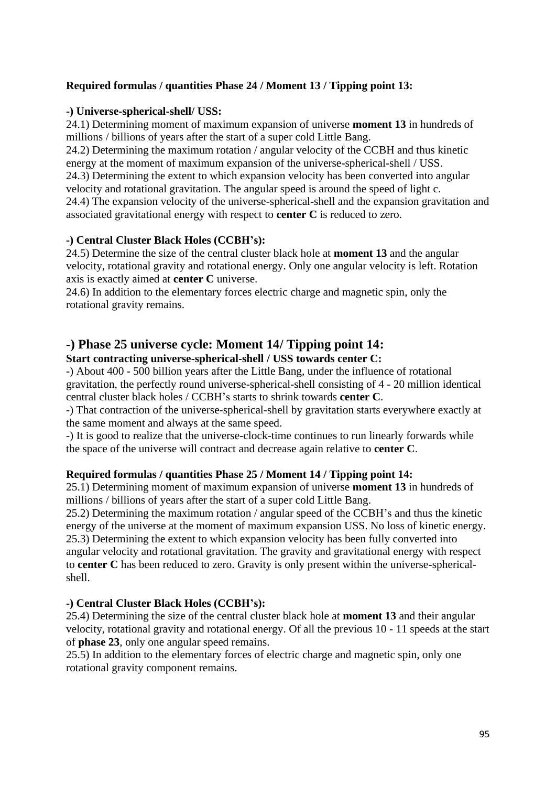## **Required formulas / quantities Phase 24 / Moment 13 / Tipping point 13:**

#### **-) Universe-spherical-shell/ USS:**

24.1) Determining moment of maximum expansion of universe **moment 13** in hundreds of millions / billions of years after the start of a super cold Little Bang.

24.2) Determining the maximum rotation / angular velocity of the CCBH and thus kinetic energy at the moment of maximum expansion of the universe-spherical-shell / USS. 24.3) Determining the extent to which expansion velocity has been converted into angular velocity and rotational gravitation. The angular speed is around the speed of light c. 24.4) The expansion velocity of the universe-spherical-shell and the expansion gravitation and associated gravitational energy with respect to **center C** is reduced to zero.

#### **-) Central Cluster Black Holes (CCBH's):**

24.5) Determine the size of the central cluster black hole at **moment 13** and the angular velocity, rotational gravity and rotational energy. Only one angular velocity is left. Rotation axis is exactly aimed at **center C** universe.

24.6) In addition to the elementary forces electric charge and magnetic spin, only the rotational gravity remains.

## **-) Phase 25 universe cycle: Moment 14/ Tipping point 14:**

## **Start contracting universe-spherical-shell / USS towards center C:**

-) About 400 - 500 billion years after the Little Bang, under the influence of rotational gravitation, the perfectly round universe-spherical-shell consisting of 4 - 20 million identical central cluster black holes / CCBH's starts to shrink towards **center C**.

-) That contraction of the universe-spherical-shell by gravitation starts everywhere exactly at the same moment and always at the same speed.

-) It is good to realize that the universe-clock-time continues to run linearly forwards while the space of the universe will contract and decrease again relative to **center C**.

#### **Required formulas / quantities Phase 25 / Moment 14 / Tipping point 14:**

25.1) Determining moment of maximum expansion of universe **moment 13** in hundreds of millions / billions of years after the start of a super cold Little Bang.

25.2) Determining the maximum rotation / angular speed of the CCBH's and thus the kinetic energy of the universe at the moment of maximum expansion USS. No loss of kinetic energy. 25.3) Determining the extent to which expansion velocity has been fully converted into angular velocity and rotational gravitation. The gravity and gravitational energy with respect to **center C** has been reduced to zero. Gravity is only present within the universe-sphericalshell.

#### **-) Central Cluster Black Holes (CCBH's):**

25.4) Determining the size of the central cluster black hole at **moment 13** and their angular velocity, rotational gravity and rotational energy. Of all the previous 10 - 11 speeds at the start of **phase 23**, only one angular speed remains.

25.5) In addition to the elementary forces of electric charge and magnetic spin, only one rotational gravity component remains.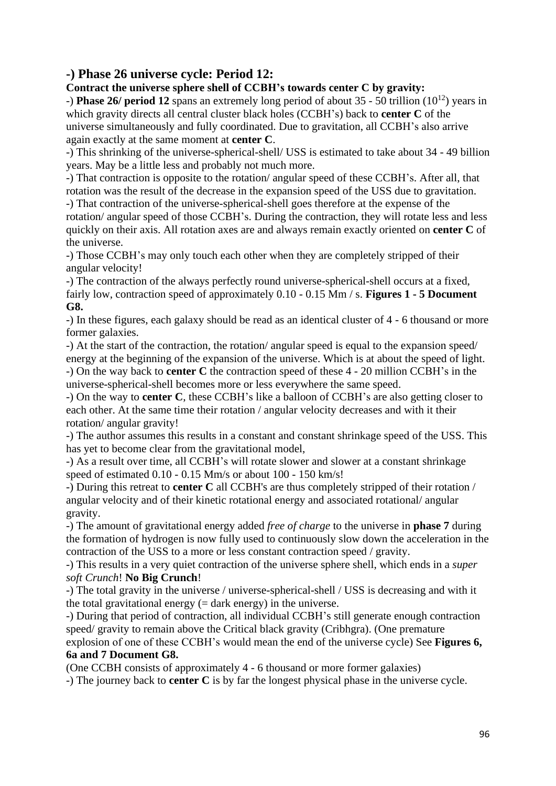## **-) Phase 26 universe cycle: Period 12:**

**Contract the universe sphere shell of CCBH's towards center C by gravity:**

-) **Phase 26/ period 12** spans an extremely long period of about 35 - 50 trillion (10<sup>12</sup>) years in which gravity directs all central cluster black holes (CCBH's) back to **center C** of the universe simultaneously and fully coordinated. Due to gravitation, all CCBH's also arrive again exactly at the same moment at **center C**.

-) This shrinking of the universe-spherical-shell/ USS is estimated to take about 34 - 49 billion years. May be a little less and probably not much more.

-) That contraction is opposite to the rotation/ angular speed of these CCBH's. After all, that rotation was the result of the decrease in the expansion speed of the USS due to gravitation.

-) That contraction of the universe-spherical-shell goes therefore at the expense of the rotation/ angular speed of those CCBH's. During the contraction, they will rotate less and less quickly on their axis. All rotation axes are and always remain exactly oriented on **center C** of the universe.

-) Those CCBH's may only touch each other when they are completely stripped of their angular velocity!

-) The contraction of the always perfectly round universe-spherical-shell occurs at a fixed, fairly low, contraction speed of approximately 0.10 - 0.15 Mm / s. **Figures 1 - 5 Document G8.**

-) In these figures, each galaxy should be read as an identical cluster of 4 - 6 thousand or more former galaxies.

-) At the start of the contraction, the rotation/ angular speed is equal to the expansion speed/ energy at the beginning of the expansion of the universe. Which is at about the speed of light. -) On the way back to **center C** the contraction speed of these 4 - 20 million CCBH's in the universe-spherical-shell becomes more or less everywhere the same speed.

-) On the way to **center C**, these CCBH's like a balloon of CCBH's are also getting closer to each other. At the same time their rotation / angular velocity decreases and with it their rotation/ angular gravity!

-) The author assumes this results in a constant and constant shrinkage speed of the USS. This has yet to become clear from the gravitational model,

-) As a result over time, all CCBH's will rotate slower and slower at a constant shrinkage speed of estimated 0.10 - 0.15 Mm/s or about 100 - 150 km/s!

-) During this retreat to **center C** all CCBH's are thus completely stripped of their rotation / angular velocity and of their kinetic rotational energy and associated rotational/ angular gravity.

-) The amount of gravitational energy added *free of charge* to the universe in **phase 7** during the formation of hydrogen is now fully used to continuously slow down the acceleration in the contraction of the USS to a more or less constant contraction speed / gravity.

-) This results in a very quiet contraction of the universe sphere shell, which ends in a *super soft Crunch*! **No Big Crunch**!

-) The total gravity in the universe / universe-spherical-shell / USS is decreasing and with it the total gravitational energy  $(=\text{dark energy})$  in the universe.

-) During that period of contraction, all individual CCBH's still generate enough contraction speed/ gravity to remain above the Critical black gravity (Cribhgra). (One premature explosion of one of these CCBH's would mean the end of the universe cycle) See **Figures 6, 6a and 7 Document G8.**

(One CCBH consists of approximately 4 - 6 thousand or more former galaxies)

-) The journey back to **center C** is by far the longest physical phase in the universe cycle.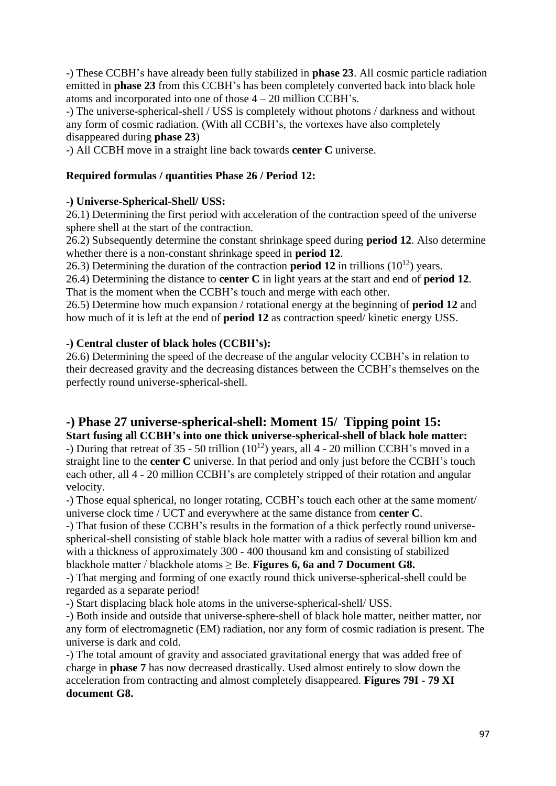-) These CCBH's have already been fully stabilized in **phase 23**. All cosmic particle radiation emitted in **phase 23** from this CCBH's has been completely converted back into black hole atoms and incorporated into one of those 4 – 20 million CCBH's.

-) The universe-spherical-shell / USS is completely without photons / darkness and without any form of cosmic radiation. (With all CCBH's, the vortexes have also completely disappeared during **phase 23**)

-) All CCBH move in a straight line back towards **center C** universe.

## **Required formulas / quantities Phase 26 / Period 12:**

## **-) Universe-Spherical-Shell/ USS:**

26.1) Determining the first period with acceleration of the contraction speed of the universe sphere shell at the start of the contraction.

26.2) Subsequently determine the constant shrinkage speed during **period 12**. Also determine whether there is a non-constant shrinkage speed in **period 12**.

26.3) Determining the duration of the contraction **period 12** in trillions  $(10^{12})$  years.

26.4) Determining the distance to **center C** in light years at the start and end of **period 12**. That is the moment when the CCBH's touch and merge with each other.

26.5) Determine how much expansion / rotational energy at the beginning of **period 12** and how much of it is left at the end of **period 12** as contraction speed/ kinetic energy USS.

## **-) Central cluster of black holes (CCBH's):**

26.6) Determining the speed of the decrease of the angular velocity CCBH's in relation to their decreased gravity and the decreasing distances between the CCBH's themselves on the perfectly round universe-spherical-shell.

## **-) Phase 27 universe-spherical-shell: Moment 15/ Tipping point 15:**

**Start fusing all CCBH's into one thick universe-spherical-shell of black hole matter:** -) During that retreat of 35 - 50 trillion  $(10^{12})$  years, all 4 - 20 million CCBH's moved in a straight line to the **center C** universe. In that period and only just before the CCBH's touch each other, all 4 - 20 million CCBH's are completely stripped of their rotation and angular velocity.

-) Those equal spherical, no longer rotating, CCBH's touch each other at the same moment/ universe clock time / UCT and everywhere at the same distance from **center C**.

-) That fusion of these CCBH's results in the formation of a thick perfectly round universespherical-shell consisting of stable black hole matter with a radius of several billion km and with a thickness of approximately 300 - 400 thousand km and consisting of stabilized blackhole matter / blackhole atoms ≥ Be. **Figures 6, 6a and 7 Document G8.**

-) That merging and forming of one exactly round thick universe-spherical-shell could be regarded as a separate period!

-) Start displacing black hole atoms in the universe-spherical-shell/ USS.

-) Both inside and outside that universe-sphere-shell of black hole matter, neither matter, nor any form of electromagnetic (EM) radiation, nor any form of cosmic radiation is present. The universe is dark and cold.

-) The total amount of gravity and associated gravitational energy that was added free of charge in **phase 7** has now decreased drastically. Used almost entirely to slow down the acceleration from contracting and almost completely disappeared. **Figures 79I - 79 XI document G8.**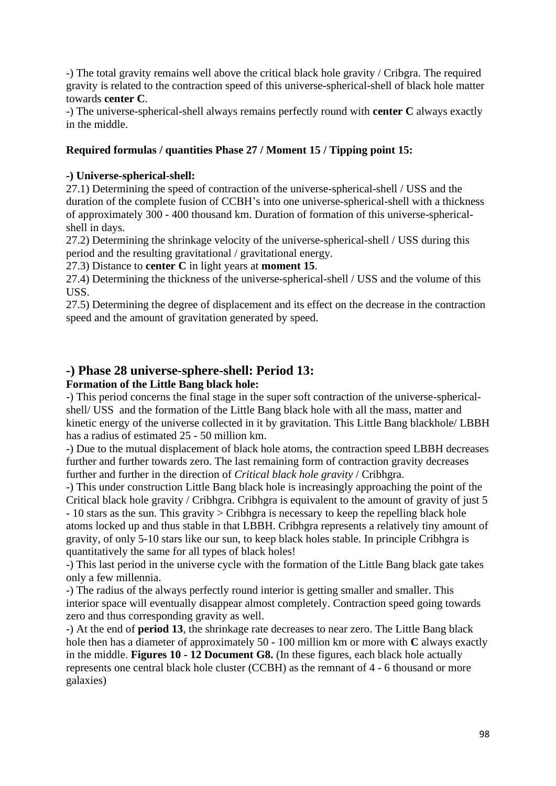-) The total gravity remains well above the critical black hole gravity / Cribgra. The required gravity is related to the contraction speed of this universe-spherical-shell of black hole matter towards **center C**.

-) The universe-spherical-shell always remains perfectly round with **center C** always exactly in the middle.

### **Required formulas / quantities Phase 27 / Moment 15 / Tipping point 15:**

### **-) Universe-spherical-shell:**

27.1) Determining the speed of contraction of the universe-spherical-shell / USS and the duration of the complete fusion of CCBH's into one universe-spherical-shell with a thickness of approximately 300 - 400 thousand km. Duration of formation of this universe-sphericalshell in days.

27.2) Determining the shrinkage velocity of the universe-spherical-shell / USS during this period and the resulting gravitational / gravitational energy.

27.3) Distance to **center C** in light years at **moment 15**.

27.4) Determining the thickness of the universe-spherical-shell / USS and the volume of this USS.

27.5) Determining the degree of displacement and its effect on the decrease in the contraction speed and the amount of gravitation generated by speed.

## **-) Phase 28 universe-sphere-shell: Period 13:**

## **Formation of the Little Bang black hole:**

-) This period concerns the final stage in the super soft contraction of the universe-sphericalshell/ USS and the formation of the Little Bang black hole with all the mass, matter and kinetic energy of the universe collected in it by gravitation. This Little Bang blackhole/ LBBH has a radius of estimated 25 - 50 million km.

-) Due to the mutual displacement of black hole atoms, the contraction speed LBBH decreases further and further towards zero. The last remaining form of contraction gravity decreases further and further in the direction of *Critical black hole gravity* / Cribhgra.

-) This under construction Little Bang black hole is increasingly approaching the point of the Critical black hole gravity / Cribhgra. Cribhgra is equivalent to the amount of gravity of just 5 - 10 stars as the sun. This gravity > Cribhgra is necessary to keep the repelling black hole

atoms locked up and thus stable in that LBBH. Cribhgra represents a relatively tiny amount of gravity, of only 5-10 stars like our sun, to keep black holes stable. In principle Cribhgra is quantitatively the same for all types of black holes!

-) This last period in the universe cycle with the formation of the Little Bang black gate takes only a few millennia.

-) The radius of the always perfectly round interior is getting smaller and smaller. This interior space will eventually disappear almost completely. Contraction speed going towards zero and thus corresponding gravity as well.

-) At the end of **period 13**, the shrinkage rate decreases to near zero. The Little Bang black hole then has a diameter of approximately 50 - 100 million km or more with **C** always exactly in the middle. **Figures 10 - 12 Document G8.** (In these figures, each black hole actually represents one central black hole cluster (CCBH) as the remnant of 4 - 6 thousand or more galaxies)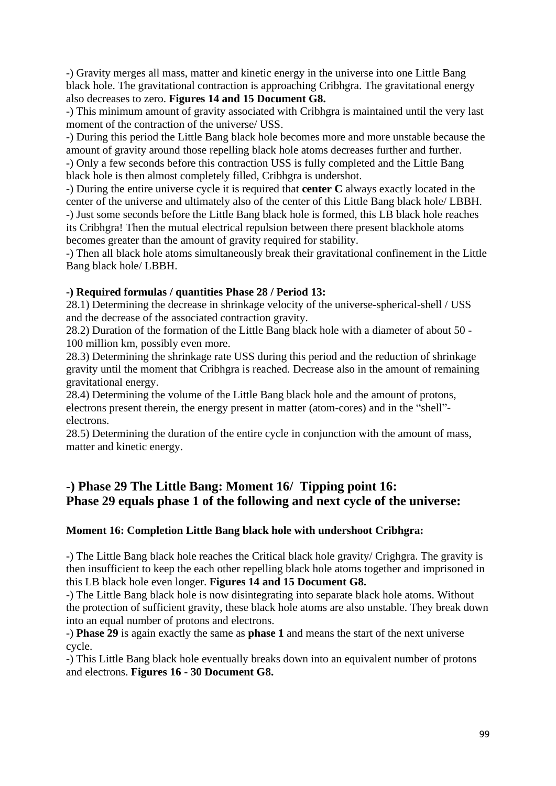-) Gravity merges all mass, matter and kinetic energy in the universe into one Little Bang black hole. The gravitational contraction is approaching Cribhgra. The gravitational energy also decreases to zero. **Figures 14 and 15 Document G8.**

-) This minimum amount of gravity associated with Cribhgra is maintained until the very last moment of the contraction of the universe/ USS.

-) During this period the Little Bang black hole becomes more and more unstable because the amount of gravity around those repelling black hole atoms decreases further and further.

-) Only a few seconds before this contraction USS is fully completed and the Little Bang black hole is then almost completely filled, Cribhgra is undershot.

-) During the entire universe cycle it is required that **center C** always exactly located in the center of the universe and ultimately also of the center of this Little Bang black hole/ LBBH. -) Just some seconds before the Little Bang black hole is formed, this LB black hole reaches its Cribhgra! Then the mutual electrical repulsion between there present blackhole atoms

becomes greater than the amount of gravity required for stability.

-) Then all black hole atoms simultaneously break their gravitational confinement in the Little Bang black hole/ LBBH.

## **-) Required formulas / quantities Phase 28 / Period 13:**

28.1) Determining the decrease in shrinkage velocity of the universe-spherical-shell / USS and the decrease of the associated contraction gravity.

28.2) Duration of the formation of the Little Bang black hole with a diameter of about 50 - 100 million km, possibly even more.

28.3) Determining the shrinkage rate USS during this period and the reduction of shrinkage gravity until the moment that Cribhgra is reached. Decrease also in the amount of remaining gravitational energy.

28.4) Determining the volume of the Little Bang black hole and the amount of protons, electrons present therein, the energy present in matter (atom-cores) and in the "shell" electrons.

28.5) Determining the duration of the entire cycle in conjunction with the amount of mass, matter and kinetic energy.

## **-) Phase 29 The Little Bang: Moment 16/ Tipping point 16: Phase 29 equals phase 1 of the following and next cycle of the universe:**

#### **Moment 16: Completion Little Bang black hole with undershoot Cribhgra:**

-) The Little Bang black hole reaches the Critical black hole gravity/ Crighgra. The gravity is then insufficient to keep the each other repelling black hole atoms together and imprisoned in this LB black hole even longer. **Figures 14 and 15 Document G8.**

-) The Little Bang black hole is now disintegrating into separate black hole atoms. Without the protection of sufficient gravity, these black hole atoms are also unstable. They break down into an equal number of protons and electrons.

-) **Phase 29** is again exactly the same as **phase 1** and means the start of the next universe cycle.

-) This Little Bang black hole eventually breaks down into an equivalent number of protons and electrons. **Figures 16 - 30 Document G8.**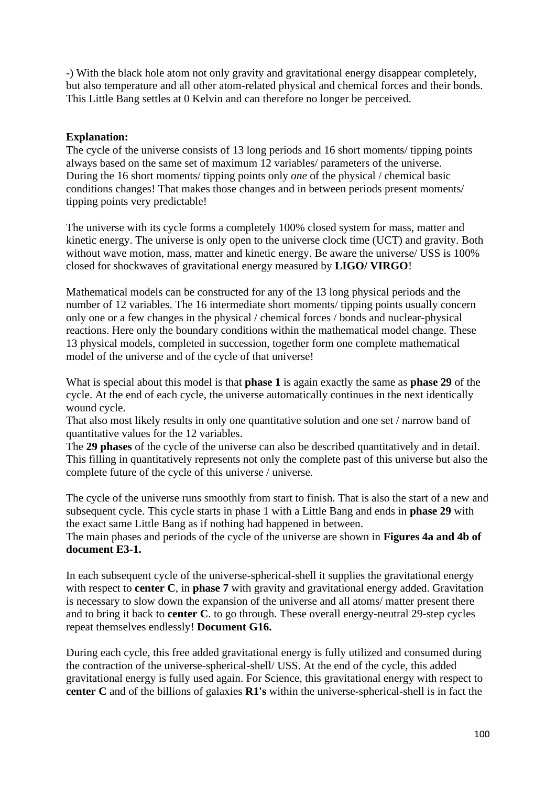-) With the black hole atom not only gravity and gravitational energy disappear completely, but also temperature and all other atom-related physical and chemical forces and their bonds. This Little Bang settles at 0 Kelvin and can therefore no longer be perceived.

#### **Explanation:**

The cycle of the universe consists of 13 long periods and 16 short moments/ tipping points always based on the same set of maximum 12 variables/ parameters of the universe. During the 16 short moments/ tipping points only *one* of the physical / chemical basic conditions changes! That makes those changes and in between periods present moments/ tipping points very predictable!

The universe with its cycle forms a completely 100% closed system for mass, matter and kinetic energy. The universe is only open to the universe clock time (UCT) and gravity. Both without wave motion, mass, matter and kinetic energy. Be aware the universe/ USS is 100% closed for shockwaves of gravitational energy measured by **LIGO/ VIRGO**!

Mathematical models can be constructed for any of the 13 long physical periods and the number of 12 variables. The 16 intermediate short moments/ tipping points usually concern only one or a few changes in the physical / chemical forces / bonds and nuclear-physical reactions. Here only the boundary conditions within the mathematical model change. These 13 physical models, completed in succession, together form one complete mathematical model of the universe and of the cycle of that universe!

What is special about this model is that **phase 1** is again exactly the same as **phase 29** of the cycle. At the end of each cycle, the universe automatically continues in the next identically wound cycle.

That also most likely results in only one quantitative solution and one set / narrow band of quantitative values for the 12 variables.

The **29 phases** of the cycle of the universe can also be described quantitatively and in detail. This filling in quantitatively represents not only the complete past of this universe but also the complete future of the cycle of this universe / universe.

The cycle of the universe runs smoothly from start to finish. That is also the start of a new and subsequent cycle. This cycle starts in phase 1 with a Little Bang and ends in **phase 29** with the exact same Little Bang as if nothing had happened in between.

The main phases and periods of the cycle of the universe are shown in **Figures 4a and 4b of document E3-1.**

In each subsequent cycle of the universe-spherical-shell it supplies the gravitational energy with respect to **center C**, in **phase 7** with gravity and gravitational energy added. Gravitation is necessary to slow down the expansion of the universe and all atoms/ matter present there and to bring it back to **center C**. to go through. These overall energy-neutral 29-step cycles repeat themselves endlessly! **Document G16.**

During each cycle, this free added gravitational energy is fully utilized and consumed during the contraction of the universe-spherical-shell/ USS. At the end of the cycle, this added gravitational energy is fully used again. For Science, this gravitational energy with respect to **center C** and of the billions of galaxies **R1's** within the universe-spherical-shell is in fact the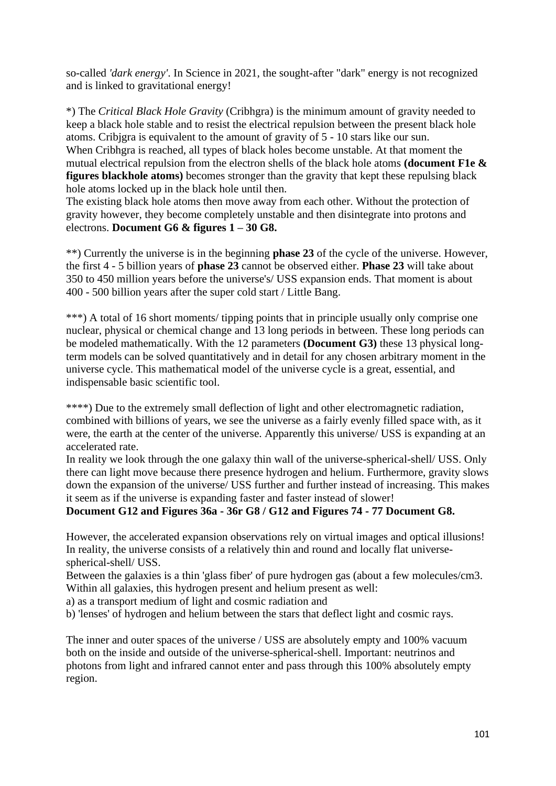so-called *'dark energy'*. In Science in 2021, the sought-after "dark" energy is not recognized and is linked to gravitational energy!

\*) The *Critical Black Hole Gravity* (Cribhgra) is the minimum amount of gravity needed to keep a black hole stable and to resist the electrical repulsion between the present black hole atoms. Cribjgra is equivalent to the amount of gravity of 5 - 10 stars like our sun. When Cribhgra is reached, all types of black holes become unstable. At that moment the mutual electrical repulsion from the electron shells of the black hole atoms **(document F1e & figures blackhole atoms)** becomes stronger than the gravity that kept these repulsing black hole atoms locked up in the black hole until then.

The existing black hole atoms then move away from each other. Without the protection of gravity however, they become completely unstable and then disintegrate into protons and electrons. **Document G6 & figures 1 – 30 G8.**

\*\*) Currently the universe is in the beginning **phase 23** of the cycle of the universe. However, the first 4 - 5 billion years of **phase 23** cannot be observed either. **Phase 23** will take about 350 to 450 million years before the universe's/ USS expansion ends. That moment is about 400 - 500 billion years after the super cold start / Little Bang.

\*\*\*) A total of 16 short moments/ tipping points that in principle usually only comprise one nuclear, physical or chemical change and 13 long periods in between. These long periods can be modeled mathematically. With the 12 parameters **(Document G3)** these 13 physical longterm models can be solved quantitatively and in detail for any chosen arbitrary moment in the universe cycle. This mathematical model of the universe cycle is a great, essential, and indispensable basic scientific tool.

\*\*\*\*) Due to the extremely small deflection of light and other electromagnetic radiation, combined with billions of years, we see the universe as a fairly evenly filled space with, as it were, the earth at the center of the universe. Apparently this universe/ USS is expanding at an accelerated rate.

In reality we look through the one galaxy thin wall of the universe-spherical-shell/ USS. Only there can light move because there presence hydrogen and helium. Furthermore, gravity slows down the expansion of the universe/ USS further and further instead of increasing. This makes it seem as if the universe is expanding faster and faster instead of slower!

**Document G12 and Figures 36a - 36r G8 / G12 and Figures 74 - 77 Document G8.**

However, the accelerated expansion observations rely on virtual images and optical illusions! In reality, the universe consists of a relatively thin and round and locally flat universespherical-shell/ USS.

Between the galaxies is a thin 'glass fiber' of pure hydrogen gas (about a few molecules/cm3. Within all galaxies, this hydrogen present and helium present as well:

a) as a transport medium of light and cosmic radiation and

b) 'lenses' of hydrogen and helium between the stars that deflect light and cosmic rays.

The inner and outer spaces of the universe / USS are absolutely empty and 100% vacuum both on the inside and outside of the universe-spherical-shell. Important: neutrinos and photons from light and infrared cannot enter and pass through this 100% absolutely empty region.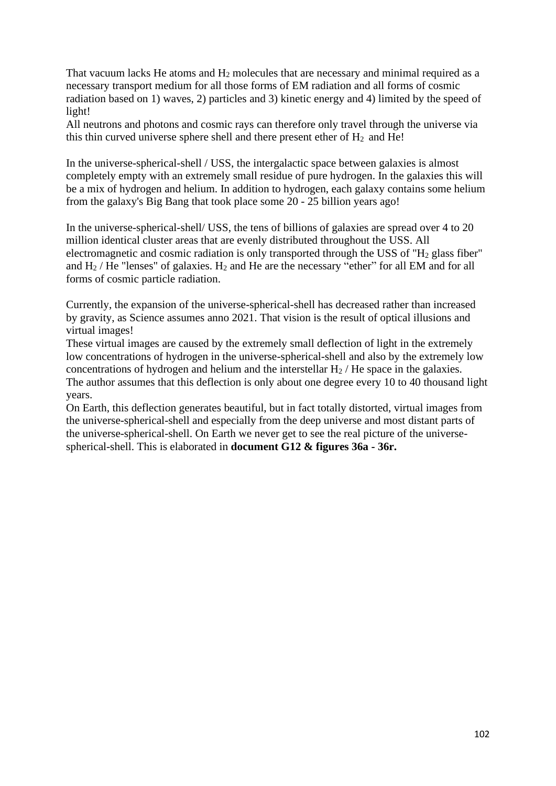That vacuum lacks He atoms and  $H_2$  molecules that are necessary and minimal required as a necessary transport medium for all those forms of EM radiation and all forms of cosmic radiation based on 1) waves, 2) particles and 3) kinetic energy and 4) limited by the speed of light!

All neutrons and photons and cosmic rays can therefore only travel through the universe via this thin curved universe sphere shell and there present ether of  $H_2$  and He!

In the universe-spherical-shell / USS, the intergalactic space between galaxies is almost completely empty with an extremely small residue of pure hydrogen. In the galaxies this will be a mix of hydrogen and helium. In addition to hydrogen, each galaxy contains some helium from the galaxy's Big Bang that took place some 20 - 25 billion years ago!

In the universe-spherical-shell/ USS, the tens of billions of galaxies are spread over 4 to 20 million identical cluster areas that are evenly distributed throughout the USS. All electromagnetic and cosmic radiation is only transported through the USS of " $H<sub>2</sub>$  glass fiber" and  $H_2$  / He "lenses" of galaxies.  $H_2$  and He are the necessary "ether" for all EM and for all forms of cosmic particle radiation.

Currently, the expansion of the universe-spherical-shell has decreased rather than increased by gravity, as Science assumes anno 2021. That vision is the result of optical illusions and virtual images!

These virtual images are caused by the extremely small deflection of light in the extremely low concentrations of hydrogen in the universe-spherical-shell and also by the extremely low concentrations of hydrogen and helium and the interstellar  $H_2$  / He space in the galaxies. The author assumes that this deflection is only about one degree every 10 to 40 thousand light years.

On Earth, this deflection generates beautiful, but in fact totally distorted, virtual images from the universe-spherical-shell and especially from the deep universe and most distant parts of the universe-spherical-shell. On Earth we never get to see the real picture of the universespherical-shell. This is elaborated in **document G12 & figures 36a - 36r.**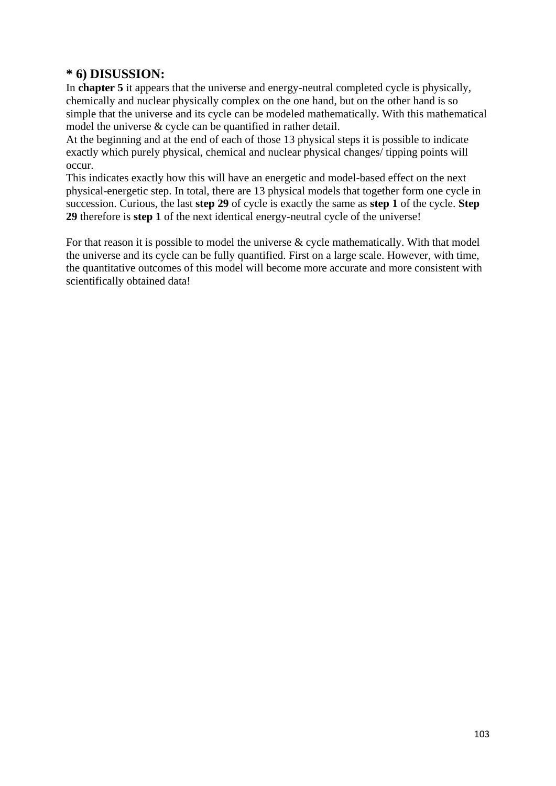## **\* 6) DISUSSION:**

In **chapter 5** it appears that the universe and energy-neutral completed cycle is physically, chemically and nuclear physically complex on the one hand, but on the other hand is so simple that the universe and its cycle can be modeled mathematically. With this mathematical model the universe & cycle can be quantified in rather detail.

At the beginning and at the end of each of those 13 physical steps it is possible to indicate exactly which purely physical, chemical and nuclear physical changes/ tipping points will occur.

This indicates exactly how this will have an energetic and model-based effect on the next physical-energetic step. In total, there are 13 physical models that together form one cycle in succession. Curious, the last **step 29** of cycle is exactly the same as **step 1** of the cycle. **Step 29** therefore is **step 1** of the next identical energy-neutral cycle of the universe!

For that reason it is possible to model the universe & cycle mathematically. With that model the universe and its cycle can be fully quantified. First on a large scale. However, with time, the quantitative outcomes of this model will become more accurate and more consistent with scientifically obtained data!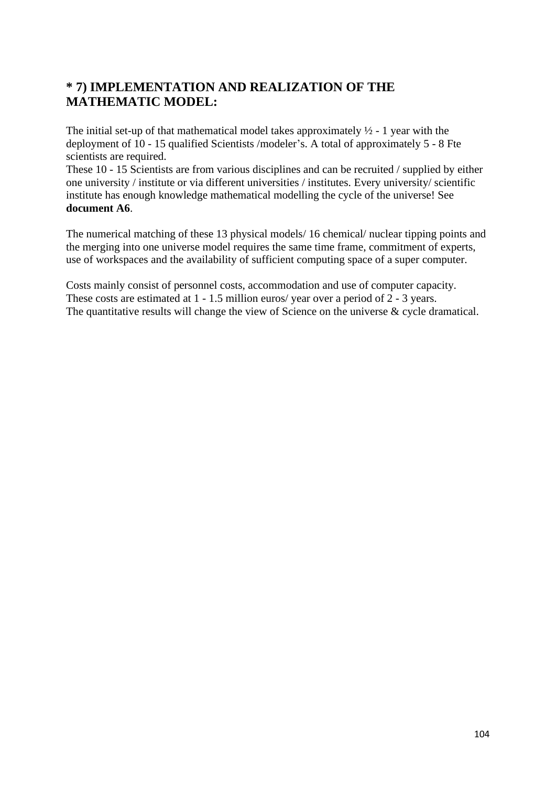## **\* 7) IMPLEMENTATION AND REALIZATION OF THE MATHEMATIC MODEL:**

The initial set-up of that mathematical model takes approximately  $\frac{1}{2}$  - 1 year with the deployment of 10 - 15 qualified Scientists /modeler's. A total of approximately 5 - 8 Fte scientists are required.

These 10 - 15 Scientists are from various disciplines and can be recruited / supplied by either one university / institute or via different universities / institutes. Every university/ scientific institute has enough knowledge mathematical modelling the cycle of the universe! See **document A6**.

The numerical matching of these 13 physical models/ 16 chemical/ nuclear tipping points and the merging into one universe model requires the same time frame, commitment of experts, use of workspaces and the availability of sufficient computing space of a super computer.

Costs mainly consist of personnel costs, accommodation and use of computer capacity. These costs are estimated at 1 - 1.5 million euros/ year over a period of 2 - 3 years. The quantitative results will change the view of Science on the universe & cycle dramatical.